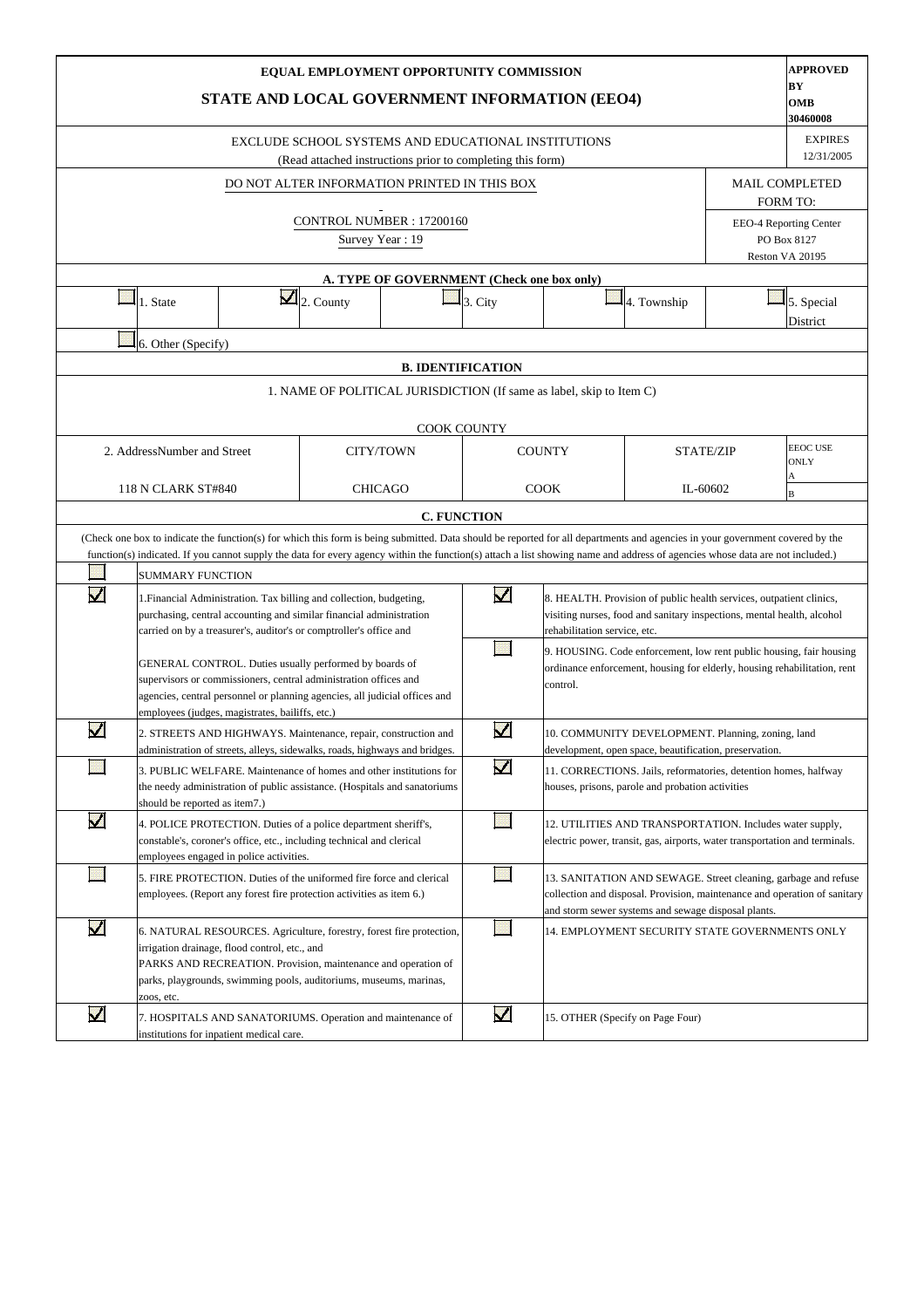|                      |                               | STATE AND LOCAL GOVERNMENT INFORMATION (EEO4)                                                                                                                                                                                                                |                        | EQUAL EMPLOYMENT OPPORTUNITY COMMISSION                                                                           |                          |                                                                      |                                                                                                                                                                                                    |                  | <b>APPROVED</b><br>BY<br>OMB<br>30460008                 |
|----------------------|-------------------------------|--------------------------------------------------------------------------------------------------------------------------------------------------------------------------------------------------------------------------------------------------------------|------------------------|-------------------------------------------------------------------------------------------------------------------|--------------------------|----------------------------------------------------------------------|----------------------------------------------------------------------------------------------------------------------------------------------------------------------------------------------------|------------------|----------------------------------------------------------|
|                      |                               |                                                                                                                                                                                                                                                              |                        | EXCLUDE SCHOOL SYSTEMS AND EDUCATIONAL INSTITUTIONS<br>(Read attached instructions prior to completing this form) |                          |                                                                      |                                                                                                                                                                                                    |                  | <b>EXPIRES</b><br>12/31/2005                             |
|                      |                               |                                                                                                                                                                                                                                                              |                        | DO NOT ALTER INFORMATION PRINTED IN THIS BOX                                                                      |                          |                                                                      |                                                                                                                                                                                                    |                  | <b>MAIL COMPLETED</b><br>FORM TO:                        |
|                      |                               |                                                                                                                                                                                                                                                              |                        | CONTROL NUMBER: 17200160<br>Survey Year: 19                                                                       |                          |                                                                      |                                                                                                                                                                                                    |                  | EEO-4 Reporting Center<br>PO Box 8127<br>Reston VA 20195 |
|                      |                               |                                                                                                                                                                                                                                                              |                        | A. TYPE OF GOVERNMENT (Check one box only)                                                                        |                          |                                                                      |                                                                                                                                                                                                    |                  |                                                          |
|                      | 1. State                      |                                                                                                                                                                                                                                                              | $\mathbf{Z}$ 2. County |                                                                                                                   | $3. \text{City}$         |                                                                      | 4. Township                                                                                                                                                                                        |                  | 5. Special<br>District                                   |
|                      | 6. Other (Specify)            |                                                                                                                                                                                                                                                              |                        |                                                                                                                   |                          |                                                                      |                                                                                                                                                                                                    |                  |                                                          |
|                      |                               |                                                                                                                                                                                                                                                              |                        |                                                                                                                   | <b>B. IDENTIFICATION</b> |                                                                      |                                                                                                                                                                                                    |                  |                                                          |
|                      |                               |                                                                                                                                                                                                                                                              |                        |                                                                                                                   |                          | 1. NAME OF POLITICAL JURISDICTION (If same as label, skip to Item C) |                                                                                                                                                                                                    |                  |                                                          |
|                      |                               |                                                                                                                                                                                                                                                              |                        |                                                                                                                   | <b>COOK COUNTY</b>       |                                                                      |                                                                                                                                                                                                    |                  |                                                          |
|                      | 2. AddressNumber and Street   |                                                                                                                                                                                                                                                              |                        | CITY/TOWN                                                                                                         |                          | <b>COUNTY</b>                                                        |                                                                                                                                                                                                    | <b>STATE/ZIP</b> | <b>EEOC USE</b><br><b>ONLY</b><br>А                      |
|                      | 118 N CLARK ST#840            |                                                                                                                                                                                                                                                              |                        | <b>CHICAGO</b>                                                                                                    |                          | <b>COOK</b>                                                          |                                                                                                                                                                                                    | IL-60602         | B                                                        |
|                      |                               |                                                                                                                                                                                                                                                              |                        |                                                                                                                   | <b>C. FUNCTION</b>       |                                                                      |                                                                                                                                                                                                    |                  |                                                          |
|                      |                               | (Check one box to indicate the function(s) for which this form is being submitted. Data should be reported for all departments and agencies in your government covered by the                                                                                |                        |                                                                                                                   |                          |                                                                      |                                                                                                                                                                                                    |                  |                                                          |
|                      | <b>SUMMARY FUNCTION</b>       | function(s) indicated. If you cannot supply the data for every agency within the function(s) attach a list showing name and address of agencies whose data are not included.)                                                                                |                        |                                                                                                                   |                          |                                                                      |                                                                                                                                                                                                    |                  |                                                          |
| $\blacktriangledown$ |                               | 1. Financial Administration. Tax billing and collection, budgeting,<br>purchasing, central accounting and similar financial administration<br>carried on by a treasurer's, auditor's or comptroller's office and                                             |                        |                                                                                                                   | $\overline{\mathbf{v}}$  | rehabilitation service, etc.                                         | 8. HEALTH. Provision of public health services, outpatient clinics,<br>visiting nurses, food and sanitary inspections, mental health, alcohol                                                      |                  |                                                          |
|                      |                               | GENERAL CONTROL. Duties usually performed by boards of<br>supervisors or commissioners, central administration offices and<br>agencies, central personnel or planning agencies, all judicial offices and<br>employees (judges, magistrates, bailiffs, etc.)  |                        |                                                                                                                   |                          | control.                                                             | 9. HOUSING. Code enforcement, low rent public housing, fair housing<br>ordinance enforcement, housing for elderly, housing rehabilitation, rent                                                    |                  |                                                          |
| V                    |                               | 2. STREETS AND HIGHWAYS. Maintenance, repair, construction and<br>administration of streets, alleys, sidewalks, roads, highways and bridges.                                                                                                                 |                        |                                                                                                                   | $\blacktriangledown$     |                                                                      | 10. COMMUNITY DEVELOPMENT. Planning, zoning, land<br>development, open space, beautification, preservation.                                                                                        |                  |                                                          |
|                      | should be reported as item7.) | 3. PUBLIC WELFARE. Maintenance of homes and other institutions for<br>the needy administration of public assistance. (Hospitals and sanatoriums                                                                                                              |                        |                                                                                                                   | $\blacktriangledown$     |                                                                      | 11. CORRECTIONS. Jails, reformatories, detention homes, halfway<br>houses, prisons, parole and probation activities                                                                                |                  |                                                          |
| $\blacktriangledown$ |                               | 4. POLICE PROTECTION. Duties of a police department sheriff's,<br>constable's, coroner's office, etc., including technical and clerical<br>employees engaged in police activities.                                                                           |                        |                                                                                                                   |                          |                                                                      | 12. UTILITIES AND TRANSPORTATION. Includes water supply,<br>electric power, transit, gas, airports, water transportation and terminals.                                                            |                  |                                                          |
|                      |                               | 5. FIRE PROTECTION. Duties of the uniformed fire force and clerical<br>employees. (Report any forest fire protection activities as item 6.)                                                                                                                  |                        |                                                                                                                   |                          |                                                                      | 13. SANITATION AND SEWAGE. Street cleaning, garbage and refuse<br>collection and disposal. Provision, maintenance and operation of sanitary<br>and storm sewer systems and sewage disposal plants. |                  |                                                          |
| $\blacktriangledown$ | zoos, etc.                    | 6. NATURAL RESOURCES. Agriculture, forestry, forest fire protection,<br>irrigation drainage, flood control, etc., and<br>PARKS AND RECREATION. Provision, maintenance and operation of<br>parks, playgrounds, swimming pools, auditoriums, museums, marinas, |                        |                                                                                                                   |                          |                                                                      | 14. EMPLOYMENT SECURITY STATE GOVERNMENTS ONLY                                                                                                                                                     |                  |                                                          |
| Μ                    |                               | 7. HOSPITALS AND SANATORIUMS. Operation and maintenance of<br>institutions for inpatient medical care.                                                                                                                                                       |                        |                                                                                                                   | $\overline{\mathbf{v}}$  |                                                                      | 15. OTHER (Specify on Page Four)                                                                                                                                                                   |                  |                                                          |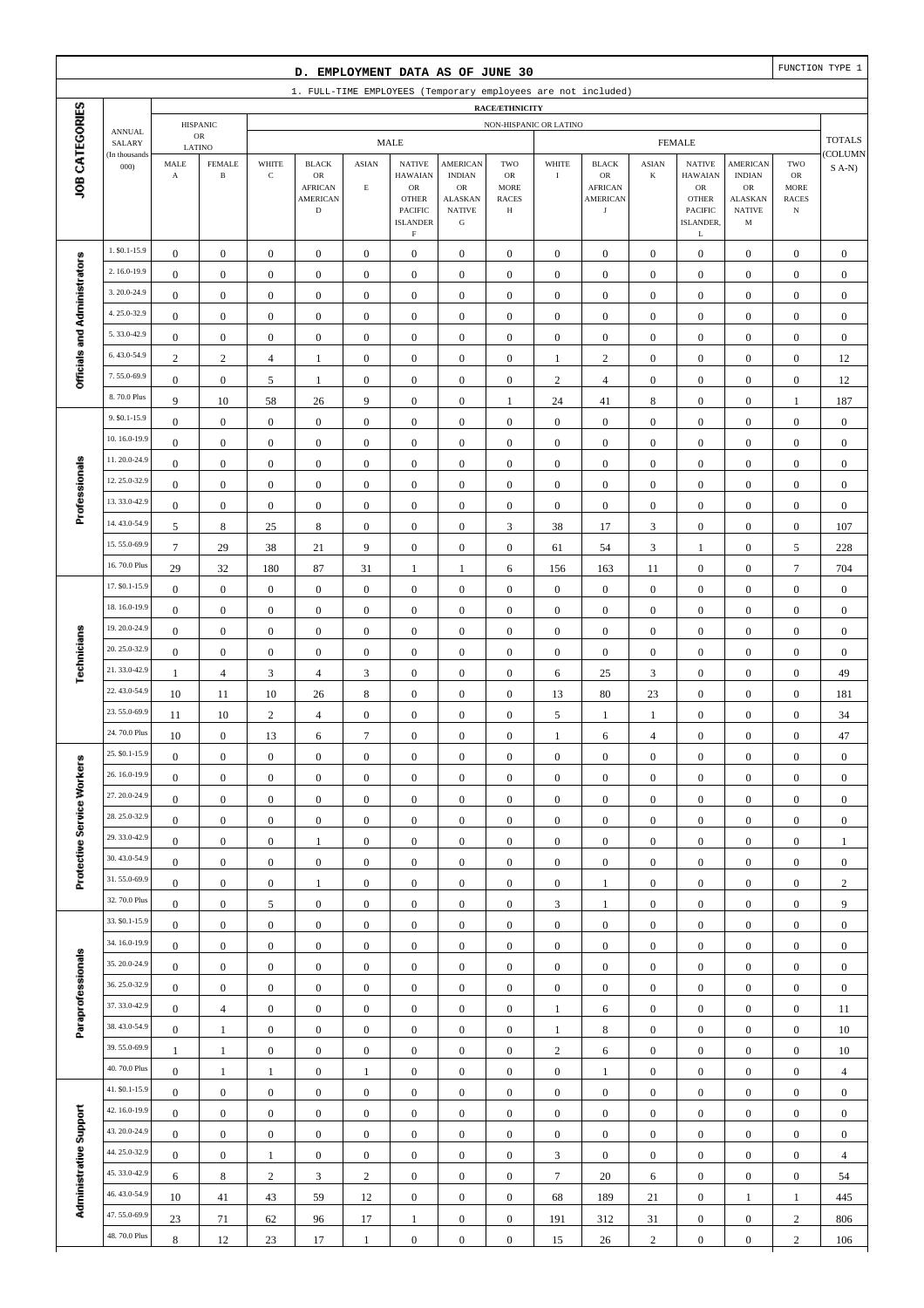|                              |                              |                       |                                |                         | D. EMPLOYMENT DATA AS OF JUNE 30  |                  |                             |                               |                             |                         |                                                               |                        |                                  |                                    |                             | FUNCTION TYPE 1  |
|------------------------------|------------------------------|-----------------------|--------------------------------|-------------------------|-----------------------------------|------------------|-----------------------------|-------------------------------|-----------------------------|-------------------------|---------------------------------------------------------------|------------------------|----------------------------------|------------------------------------|-----------------------------|------------------|
|                              |                              |                       |                                |                         |                                   |                  |                             |                               |                             |                         | 1. FULL-TIME EMPLOYEES (Temporary employees are not included) |                        |                                  |                                    |                             |                  |
| JOB CATEGORIES               |                              |                       |                                |                         |                                   |                  |                             |                               | RACE/ETHNICITY              |                         |                                                               |                        |                                  |                                    |                             |                  |
|                              | <b>ANNUAL</b>                |                       | <b>HISPANIC</b><br>$_{\rm OR}$ |                         |                                   |                  | <b>MALE</b>                 |                               | NON-HISPANIC OR LATINO      |                         |                                                               |                        | <b>FEMALE</b>                    |                                    |                             | <b>TOTALS</b>    |
|                              | SALARY<br>(In thousands      | MALE                  | LATINO<br><b>FEMALE</b>        | WHITE                   | <b>BLACK</b>                      | <b>ASIAN</b>     | <b>NATIVE</b>               | <b>AMERICAN</b>               | TWO                         | WHITE                   | <b>BLACK</b>                                                  | <b>ASIAN</b>           | <b>NATIVE</b>                    | <b>AMERICAN</b>                    | TWO                         | COLUMN           |
|                              | 000                          | $\mathbf A$           | $\, {\bf B}$                   | $\mathbf C$             | OR                                |                  | <b>HAWAIAN</b>              | <b>INDIAN</b>                 | OR                          | $\mathbf I$             | OR                                                            | K                      | <b>HAWAIAN</b>                   | <b>INDIAN</b>                      | ${\sf OR}$                  | $S(A-N)$         |
|                              |                              |                       |                                |                         | <b>AFRICAN</b><br><b>AMERICAN</b> | $\mathbf E$      | $_{\rm OR}$<br><b>OTHER</b> | $_{\rm OR}$<br><b>ALASKAN</b> | <b>MORE</b><br><b>RACES</b> |                         | <b>AFRICAN</b><br><b>AMERICAN</b>                             |                        | ${\rm OR}$<br><b>OTHER</b>       | <b>OR</b><br><b>ALASKAN</b>        | <b>MORE</b><br><b>RACES</b> |                  |
|                              |                              |                       |                                |                         | $\mathbf D$                       |                  | PACIFIC<br><b>ISLANDER</b>  | <b>NATIVE</b><br>${\bf G}$    | Н                           |                         | $_{\rm J}$                                                    |                        | <b>PACIFIC</b><br>ISLANDER,      | <b>NATIVE</b><br>M                 | $_{\rm N}$                  |                  |
|                              |                              |                       |                                |                         |                                   |                  | $\mathbf F$                 |                               |                             |                         |                                                               |                        | L                                |                                    |                             |                  |
|                              | 1. \$0.1-15.9                | $\boldsymbol{0}$      | $\boldsymbol{0}$               | $\boldsymbol{0}$        | $\boldsymbol{0}$                  | $\boldsymbol{0}$ | $\boldsymbol{0}$            | $\mathbf{0}$                  | $\boldsymbol{0}$            | $\boldsymbol{0}$        | $\boldsymbol{0}$                                              | $\boldsymbol{0}$       | $\boldsymbol{0}$                 | $\boldsymbol{0}$                   | $\boldsymbol{0}$            | $\mathbf{0}$     |
|                              | 2.16.0-19.9                  | $\boldsymbol{0}$      | $\boldsymbol{0}$               | $\boldsymbol{0}$        | $\boldsymbol{0}$                  | $\boldsymbol{0}$ | $\mathbf{0}$                | $\mathbf{0}$                  | $\boldsymbol{0}$            | $\boldsymbol{0}$        | $\boldsymbol{0}$                                              | $\boldsymbol{0}$       | $\boldsymbol{0}$                 | $\boldsymbol{0}$                   | $\boldsymbol{0}$            | $\boldsymbol{0}$ |
|                              | 3.20.0-24.9                  | $\boldsymbol{0}$      | $\mathbf{0}$                   | $\boldsymbol{0}$        | $\boldsymbol{0}$                  | $\boldsymbol{0}$ | $\boldsymbol{0}$            | $\boldsymbol{0}$              | $\boldsymbol{0}$            | $\boldsymbol{0}$        | $\boldsymbol{0}$                                              | $\boldsymbol{0}$       | $\boldsymbol{0}$                 | $\boldsymbol{0}$                   | $\boldsymbol{0}$            | $\boldsymbol{0}$ |
|                              | 4.25.0-32.9                  | $\boldsymbol{0}$      | $\mathbf{0}$                   | $\boldsymbol{0}$        | $\boldsymbol{0}$                  | $\boldsymbol{0}$ | $\boldsymbol{0}$            | $\boldsymbol{0}$              | $\mathbf{0}$                | $\boldsymbol{0}$        | $\boldsymbol{0}$                                              | $\boldsymbol{0}$       | $\boldsymbol{0}$                 | $\boldsymbol{0}$                   | $\boldsymbol{0}$            | $\boldsymbol{0}$ |
| Officials and Administrators | 5.33.0-42.9                  | $\boldsymbol{0}$      | $\mathbf{0}$                   | $\boldsymbol{0}$        | $\boldsymbol{0}$                  | $\boldsymbol{0}$ | $\boldsymbol{0}$            | $\boldsymbol{0}$              | $\boldsymbol{0}$            | $\boldsymbol{0}$        | $\boldsymbol{0}$                                              | $\boldsymbol{0}$       | $\boldsymbol{0}$                 | $\boldsymbol{0}$                   | $\boldsymbol{0}$            | $\boldsymbol{0}$ |
|                              | 6.43.0-54.9                  | 2                     | $\sqrt{2}$                     | $\overline{4}$          | 1                                 | $\boldsymbol{0}$ | $\boldsymbol{0}$            | $\boldsymbol{0}$              | $\boldsymbol{0}$            | $\mathbf{1}$            | $\mathbf{2}$                                                  | $\boldsymbol{0}$       | $\boldsymbol{0}$                 | $\boldsymbol{0}$                   | $\boldsymbol{0}$            | 12               |
|                              | 7.55.0-69.9                  | $\boldsymbol{0}$      | $\boldsymbol{0}$               | 5                       | $\mathbf{1}$                      | $\boldsymbol{0}$ | $\boldsymbol{0}$            | $\boldsymbol{0}$              | $\boldsymbol{0}$            | $\sqrt{2}$              | $\overline{4}$                                                | $\boldsymbol{0}$       | $\boldsymbol{0}$                 | $\boldsymbol{0}$                   | $\boldsymbol{0}$            | 12               |
|                              | 8.70.0 Plus                  | 9                     | 10                             | 58                      | 26                                | 9                | $\boldsymbol{0}$            | $\boldsymbol{0}$              | 1                           | 24                      | 41                                                            | 8                      | $\boldsymbol{0}$                 | $\overline{0}$                     | $\mathbf{1}$                | 187              |
|                              | 9. \$0.1-15.9                | $\boldsymbol{0}$      | $\boldsymbol{0}$               | $\boldsymbol{0}$        | $\boldsymbol{0}$                  | $\boldsymbol{0}$ | $\boldsymbol{0}$            | $\boldsymbol{0}$              | $\boldsymbol{0}$            | $\mathbf{0}$            | $\boldsymbol{0}$                                              | $\boldsymbol{0}$       | $\boldsymbol{0}$                 | $\boldsymbol{0}$                   | $\boldsymbol{0}$            | $\boldsymbol{0}$ |
|                              | 10.16.0-19.9<br>11.20.0-24.9 | $\boldsymbol{0}$      | $\boldsymbol{0}$               | $\boldsymbol{0}$        | $\boldsymbol{0}$                  | $\boldsymbol{0}$ | $\boldsymbol{0}$            | $\boldsymbol{0}$              | $\boldsymbol{0}$            | $\mathbf{0}$            | $\boldsymbol{0}$                                              | $\boldsymbol{0}$       | $\boldsymbol{0}$                 | $\boldsymbol{0}$                   | $\boldsymbol{0}$            | $\boldsymbol{0}$ |
| Professionals                | 12.25.0-32.9                 | $\boldsymbol{0}$      | $\mathbf{0}$                   | $\boldsymbol{0}$        | $\boldsymbol{0}$                  | $\boldsymbol{0}$ | $\mathbf{0}$                | $\boldsymbol{0}$              | $\boldsymbol{0}$            | $\mathbf{0}$            | $\boldsymbol{0}$                                              | $\boldsymbol{0}$       | $\boldsymbol{0}$                 | $\boldsymbol{0}$                   | $\boldsymbol{0}$            | $\boldsymbol{0}$ |
|                              | 13.33.0-42.9                 | $\boldsymbol{0}$      | $\boldsymbol{0}$               | $\boldsymbol{0}$        | $\boldsymbol{0}$                  | $\boldsymbol{0}$ | $\mathbf{0}$                | $\boldsymbol{0}$              | $\mathbf{0}$                | $\boldsymbol{0}$        | $\boldsymbol{0}$                                              | $\boldsymbol{0}$       | $\boldsymbol{0}$                 | $\boldsymbol{0}$                   | $\boldsymbol{0}$            | $\boldsymbol{0}$ |
|                              | 14.43.0-54.9                 | $\boldsymbol{0}$      | $\mathbf{0}$                   | $\boldsymbol{0}$        | $\boldsymbol{0}$                  | $\boldsymbol{0}$ | $\mathbf{0}$                | $\boldsymbol{0}$              | $\boldsymbol{0}$            | $\boldsymbol{0}$        | $\boldsymbol{0}$                                              | $\boldsymbol{0}$       | $\boldsymbol{0}$                 | $\boldsymbol{0}$                   | $\boldsymbol{0}$            | $\boldsymbol{0}$ |
|                              | 15.55.0-69.9                 | 5                     | $\,$ 8 $\,$                    | 25                      | 8                                 | $\boldsymbol{0}$ | $\mathbf{0}$                | $\boldsymbol{0}$              | 3                           | 38                      | 17                                                            | 3                      | $\boldsymbol{0}$                 | $\boldsymbol{0}$                   | $\boldsymbol{0}$            | 107              |
|                              | 16.70.0 Plus                 | $7\phantom{.0}$<br>29 | 29                             | 38                      | 21                                | 9<br>31          | $\mathbf{0}$                | $\boldsymbol{0}$<br>1         | $\boldsymbol{0}$            | 61                      | 54                                                            | 3                      | $\mathbf{1}$<br>$\boldsymbol{0}$ | $\boldsymbol{0}$<br>$\overline{0}$ | 5<br>$\tau$                 | 228<br>704       |
|                              | 17. \$0.1-15.9               | $\boldsymbol{0}$      | 32<br>$\boldsymbol{0}$         | 180<br>$\boldsymbol{0}$ | 87<br>$\boldsymbol{0}$            | $\boldsymbol{0}$ | 1<br>$\mathbf{0}$           | $\boldsymbol{0}$              | 6<br>$\boldsymbol{0}$       | 156<br>$\boldsymbol{0}$ | 163<br>$\boldsymbol{0}$                                       | 11<br>$\boldsymbol{0}$ | $\boldsymbol{0}$                 | $\boldsymbol{0}$                   | $\boldsymbol{0}$            | $\boldsymbol{0}$ |
|                              | 18.16.0-19.9                 | $\boldsymbol{0}$      | $\boldsymbol{0}$               | $\boldsymbol{0}$        | $\boldsymbol{0}$                  | $\boldsymbol{0}$ | $\mathbf{0}$                | $\boldsymbol{0}$              | $\boldsymbol{0}$            | $\boldsymbol{0}$        | $\boldsymbol{0}$                                              | $\boldsymbol{0}$       | $\boldsymbol{0}$                 | $\boldsymbol{0}$                   | $\boldsymbol{0}$            | $\boldsymbol{0}$ |
|                              | 19.20.0-24.9                 | $\boldsymbol{0}$      | $\mathbf{0}$                   | $\boldsymbol{0}$        | $\boldsymbol{0}$                  | $\boldsymbol{0}$ | $\mathbf{0}$                | $\boldsymbol{0}$              | $\boldsymbol{0}$            | $\mathbf{0}$            | $\boldsymbol{0}$                                              | $\boldsymbol{0}$       | $\boldsymbol{0}$                 | $\boldsymbol{0}$                   | $\boldsymbol{0}$            | $\boldsymbol{0}$ |
|                              | 20.25.0-32.9                 | $\mathbf{0}$          | $\mathbf{0}$                   | $\boldsymbol{0}$        | $\boldsymbol{0}$                  | $\boldsymbol{0}$ | $\mathbf{0}$                | $\boldsymbol{0}$              | $\mathbf{0}$                | $\boldsymbol{0}$        | $\boldsymbol{0}$                                              | $\boldsymbol{0}$       | $\boldsymbol{0}$                 | $\boldsymbol{0}$                   | $\boldsymbol{0}$            | $\boldsymbol{0}$ |
| Technicians                  | 21.33.0-42.9                 | -1                    | $\overline{4}$                 | 3                       | $\overline{4}$                    | 3                | $\mathbf{0}$                | $\boldsymbol{0}$              | $\boldsymbol{0}$            | 6                       | 25                                                            | 3                      | $\boldsymbol{0}$                 | $\boldsymbol{0}$                   | $\boldsymbol{0}$            | 49               |
|                              | 22.43.0-54.9                 | 10                    | 11                             | 10                      | 26                                | $\,8\,$          | $\boldsymbol{0}$            | $\boldsymbol{0}$              | $\boldsymbol{0}$            | 13                      | 80                                                            | 23                     | $\boldsymbol{0}$                 | $\boldsymbol{0}$                   | $\boldsymbol{0}$            | 181              |
|                              | 23.55.0-69.9                 | 11                    | 10                             | $\mathbf{2}$            | $\overline{4}$                    | $\boldsymbol{0}$ | $\mathbf{0}$                | $\boldsymbol{0}$              | $\boldsymbol{0}$            | 5                       | 1                                                             | $\mathbf{1}$           | $\boldsymbol{0}$                 | $\boldsymbol{0}$                   | $\boldsymbol{0}$            | 34               |
|                              | 24.70.0 Plus                 | 10                    | $\boldsymbol{0}$               | 13                      | 6                                 | $\overline{7}$   | $\mathbf{0}$                | $\boldsymbol{0}$              | $\mathbf{0}$                | $\mathbf{1}$            | 6                                                             | $\overline{4}$         | $\boldsymbol{0}$                 | $\overline{0}$                     | $\boldsymbol{0}$            | 47               |
|                              | 25. \$0.1-15.9               | $\boldsymbol{0}$      | $\boldsymbol{0}$               | $\boldsymbol{0}$        | $\boldsymbol{0}$                  | $\boldsymbol{0}$ | $\boldsymbol{0}$            | $\bf{0}$                      | $\boldsymbol{0}$            | $\boldsymbol{0}$        | $\boldsymbol{0}$                                              | $\boldsymbol{0}$       | $\boldsymbol{0}$                 | 0                                  | $\boldsymbol{0}$            | $\boldsymbol{0}$ |
|                              | 26.16.0-19.9                 | $\boldsymbol{0}$      | $\boldsymbol{0}$               | $\boldsymbol{0}$        | $\boldsymbol{0}$                  | $\boldsymbol{0}$ | $\boldsymbol{0}$            | $\boldsymbol{0}$              | $\boldsymbol{0}$            | $\boldsymbol{0}$        | $\boldsymbol{0}$                                              | $\mathbf{0}$           | $\boldsymbol{0}$                 | $\boldsymbol{0}$                   | $\boldsymbol{0}$            | $\boldsymbol{0}$ |
|                              | 27.20.0-24.9                 | $\boldsymbol{0}$      | $\boldsymbol{0}$               | $\boldsymbol{0}$        | $\boldsymbol{0}$                  | $\boldsymbol{0}$ | $\boldsymbol{0}$            | $\boldsymbol{0}$              | $\boldsymbol{0}$            | $\boldsymbol{0}$        | $\boldsymbol{0}$                                              | $\boldsymbol{0}$       | $\boldsymbol{0}$                 | $\boldsymbol{0}$                   | $\boldsymbol{0}$            | $\boldsymbol{0}$ |
|                              | 28.25.0-32.9                 | $\boldsymbol{0}$      | $\boldsymbol{0}$               | $\boldsymbol{0}$        | $\overline{0}$                    | $\mathbf{0}$     | $\boldsymbol{0}$            | $\boldsymbol{0}$              | $\boldsymbol{0}$            | $\mathbf{0}$            | $\boldsymbol{0}$                                              | $\boldsymbol{0}$       | $\boldsymbol{0}$                 | $\boldsymbol{0}$                   | $\boldsymbol{0}$            | $\boldsymbol{0}$ |
|                              | 29.33.0-42.9                 | $\boldsymbol{0}$      | $\boldsymbol{0}$               | $\boldsymbol{0}$        | $\mathbf{1}$                      | $\mathbf{0}$     | $\boldsymbol{0}$            | $\boldsymbol{0}$              | $\boldsymbol{0}$            | $\boldsymbol{0}$        | $\boldsymbol{0}$                                              | $\boldsymbol{0}$       | $\boldsymbol{0}$                 | $\boldsymbol{0}$                   | $\boldsymbol{0}$            | $\mathbf{1}$     |
| Protective Service Workers   | 30.43.0-54.9                 | $\boldsymbol{0}$      | $\boldsymbol{0}$               | $\boldsymbol{0}$        | $\boldsymbol{0}$                  | $\boldsymbol{0}$ | $\boldsymbol{0}$            | $\boldsymbol{0}$              | $\boldsymbol{0}$            | $\boldsymbol{0}$        | $\boldsymbol{0}$                                              | $\boldsymbol{0}$       | $\boldsymbol{0}$                 | $\boldsymbol{0}$                   | $\boldsymbol{0}$            | $\boldsymbol{0}$ |
|                              | 31.55.0-69.9                 | $\boldsymbol{0}$      | $\boldsymbol{0}$               | $\boldsymbol{0}$        | $\mathbf{1}$                      | $\boldsymbol{0}$ | $\boldsymbol{0}$            | $\boldsymbol{0}$              | $\boldsymbol{0}$            | $\boldsymbol{0}$        | $\mathbf{1}$                                                  | $\boldsymbol{0}$       | $\boldsymbol{0}$                 | $\boldsymbol{0}$                   | $\boldsymbol{0}$            | $\sqrt{2}$       |
|                              | 32.70.0 Plus                 | $\boldsymbol{0}$      | $\boldsymbol{0}$               | 5                       | $\boldsymbol{0}$                  | $\mathbf{0}$     | $\boldsymbol{0}$            | $\boldsymbol{0}$              | $\boldsymbol{0}$            | 3                       | $\mathbf{1}$                                                  | $\boldsymbol{0}$       | $\boldsymbol{0}$                 | $\boldsymbol{0}$                   | $\boldsymbol{0}$            | 9                |
|                              | 33. \$0.1-15.9               | $\boldsymbol{0}$      | $\boldsymbol{0}$               | $\boldsymbol{0}$        | $\boldsymbol{0}$                  | $\mathbf{0}$     | $\boldsymbol{0}$            | $\boldsymbol{0}$              | $\boldsymbol{0}$            | $\boldsymbol{0}$        | $\boldsymbol{0}$                                              | $\boldsymbol{0}$       | $\boldsymbol{0}$                 | $\boldsymbol{0}$                   | $\boldsymbol{0}$            | $\boldsymbol{0}$ |
|                              | 34.16.0-19.9                 | $\boldsymbol{0}$      | $\boldsymbol{0}$               | $\boldsymbol{0}$        | $\boldsymbol{0}$                  | $\boldsymbol{0}$ | $\boldsymbol{0}$            | $\boldsymbol{0}$              | $\boldsymbol{0}$            | $\boldsymbol{0}$        | $\boldsymbol{0}$                                              | $\boldsymbol{0}$       | $\boldsymbol{0}$                 | $\boldsymbol{0}$                   | $\boldsymbol{0}$            | $\boldsymbol{0}$ |
| Paraprofessionals            | 35.20.0-24.9                 | $\boldsymbol{0}$      | $\boldsymbol{0}$               | $\boldsymbol{0}$        | $\boldsymbol{0}$                  | $\boldsymbol{0}$ | $\boldsymbol{0}$            | $\boldsymbol{0}$              | $\boldsymbol{0}$            | $\boldsymbol{0}$        | $\boldsymbol{0}$                                              | $\boldsymbol{0}$       | $\boldsymbol{0}$                 | $\boldsymbol{0}$                   | $\boldsymbol{0}$            | $\boldsymbol{0}$ |
|                              | 36.25.0-32.9                 | $\boldsymbol{0}$      | $\boldsymbol{0}$               | $\boldsymbol{0}$        | $\boldsymbol{0}$                  | $\mathbf{0}$     | $\boldsymbol{0}$            | $\boldsymbol{0}$              | $\boldsymbol{0}$            | $\boldsymbol{0}$        | $\boldsymbol{0}$                                              | $\boldsymbol{0}$       | $\boldsymbol{0}$                 | $\boldsymbol{0}$                   | $\boldsymbol{0}$            | $\boldsymbol{0}$ |
|                              | 37.33.0-42.9                 | $\boldsymbol{0}$      | $\overline{4}$                 | $\boldsymbol{0}$        | $\boldsymbol{0}$                  | $\mathbf{0}$     | $\boldsymbol{0}$            | $\boldsymbol{0}$              | $\boldsymbol{0}$            | $\mathbf{1}$            | 6                                                             | $\boldsymbol{0}$       | $\boldsymbol{0}$                 | $\boldsymbol{0}$                   | $\boldsymbol{0}$            | 11               |
|                              | 38.43.0-54.9                 | $\boldsymbol{0}$      | $\mathbf{1}$                   | $\boldsymbol{0}$        | $\boldsymbol{0}$                  | $\boldsymbol{0}$ | $\boldsymbol{0}$            | $\boldsymbol{0}$              | $\boldsymbol{0}$            | $\mathbf{1}$            | $\,8\,$                                                       | $\boldsymbol{0}$       | $\boldsymbol{0}$                 | $\boldsymbol{0}$                   | $\boldsymbol{0}$            | 10               |
|                              | 39.55.0-69.9                 | $\mathbf{1}$          | $\mathbf{1}$                   | $\boldsymbol{0}$        | $\boldsymbol{0}$                  | $\boldsymbol{0}$ | $\boldsymbol{0}$            | $\boldsymbol{0}$              | $\boldsymbol{0}$            | $\sqrt{2}$              | 6                                                             | $\boldsymbol{0}$       | $\boldsymbol{0}$                 | $\boldsymbol{0}$                   | $\boldsymbol{0}$            | 10               |
|                              | 40.70.0 Plus                 | $\boldsymbol{0}$      | $\mathbf{1}$                   | $\mathbf{1}$            | $\boldsymbol{0}$                  | $\mathbf{1}$     | $\boldsymbol{0}$            | $\boldsymbol{0}$              | $\boldsymbol{0}$            | $\mathbf{0}$            | $\mathbf{1}$                                                  | $\boldsymbol{0}$       | $\boldsymbol{0}$                 | $\boldsymbol{0}$                   | $\boldsymbol{0}$            | $\overline{4}$   |
|                              | 41. \$0.1-15.9               | $\boldsymbol{0}$      | $\boldsymbol{0}$               | $\boldsymbol{0}$        | $\boldsymbol{0}$                  | $\boldsymbol{0}$ | $\boldsymbol{0}$            | $\boldsymbol{0}$              | $\boldsymbol{0}$            | $\boldsymbol{0}$        | $\boldsymbol{0}$                                              | $\boldsymbol{0}$       | $\boldsymbol{0}$                 | $\boldsymbol{0}$                   | $\boldsymbol{0}$            | $\boldsymbol{0}$ |
|                              | 42.16.0-19.9                 | $\boldsymbol{0}$      | $\boldsymbol{0}$               | $\boldsymbol{0}$        | $\boldsymbol{0}$                  | $\boldsymbol{0}$ | $\boldsymbol{0}$            | $\boldsymbol{0}$              | $\boldsymbol{0}$            | $\boldsymbol{0}$        | $\boldsymbol{0}$                                              | $\boldsymbol{0}$       | $\boldsymbol{0}$                 | $\boldsymbol{0}$                   | $\boldsymbol{0}$            | $\boldsymbol{0}$ |
|                              | 43.20.0-24.9                 | $\boldsymbol{0}$      | $\boldsymbol{0}$               | $\boldsymbol{0}$        | $\boldsymbol{0}$                  | $\boldsymbol{0}$ | $\boldsymbol{0}$            | $\boldsymbol{0}$              | $\boldsymbol{0}$            | $\boldsymbol{0}$        | $\boldsymbol{0}$                                              | $\boldsymbol{0}$       | $\boldsymbol{0}$                 | $\boldsymbol{0}$                   | $\boldsymbol{0}$            | $\boldsymbol{0}$ |
|                              | 44.25.0-32.9                 | $\boldsymbol{0}$      | $\boldsymbol{0}$               | $\mathbf{1}$            | $\boldsymbol{0}$                  | $\mathbf{0}$     | $\boldsymbol{0}$            | $\boldsymbol{0}$              | $\boldsymbol{0}$            | 3                       | $\mathbf{0}$                                                  | $\boldsymbol{0}$       | $\boldsymbol{0}$                 | $\boldsymbol{0}$                   | $\boldsymbol{0}$            | $\overline{4}$   |
|                              | 45.33.0-42.9                 | 6                     | $\,$ 8 $\,$                    | $\sqrt{2}$              | $\sqrt{3}$                        | $\sqrt{2}$       | $\boldsymbol{0}$            | $\boldsymbol{0}$              | $\boldsymbol{0}$            | $\boldsymbol{7}$        | 20                                                            | 6                      | $\boldsymbol{0}$                 | $\boldsymbol{0}$                   | $\boldsymbol{0}$            | 54               |
| Administrative Support       | 46.43.0-54.9                 | 10                    | 41                             | 43                      | 59                                | 12               | $\boldsymbol{0}$            | $\boldsymbol{0}$              | $\boldsymbol{0}$            | 68                      | 189                                                           | 21                     | $\boldsymbol{0}$                 | $\mathbf{1}$                       | 1                           | 445              |
|                              | 47.55.0-69.9<br>48.70.0 Plus | 23                    | 71                             | 62                      | 96                                | 17               | $\mathbf{1}$                | $\boldsymbol{0}$              | $\boldsymbol{0}$            | 191                     | 312                                                           | 31                     | $\boldsymbol{0}$                 | $\boldsymbol{0}$                   | $\sqrt{2}$                  | 806              |
|                              |                              | $\,8\,$               | 12                             | $23\,$                  | 17                                | 1                | $\boldsymbol{0}$            | $\boldsymbol{0}$              | $\boldsymbol{0}$            | 15                      | 26                                                            | $\overline{c}$         | $\boldsymbol{0}$                 | $\boldsymbol{0}$                   | $\overline{c}$              | 106              |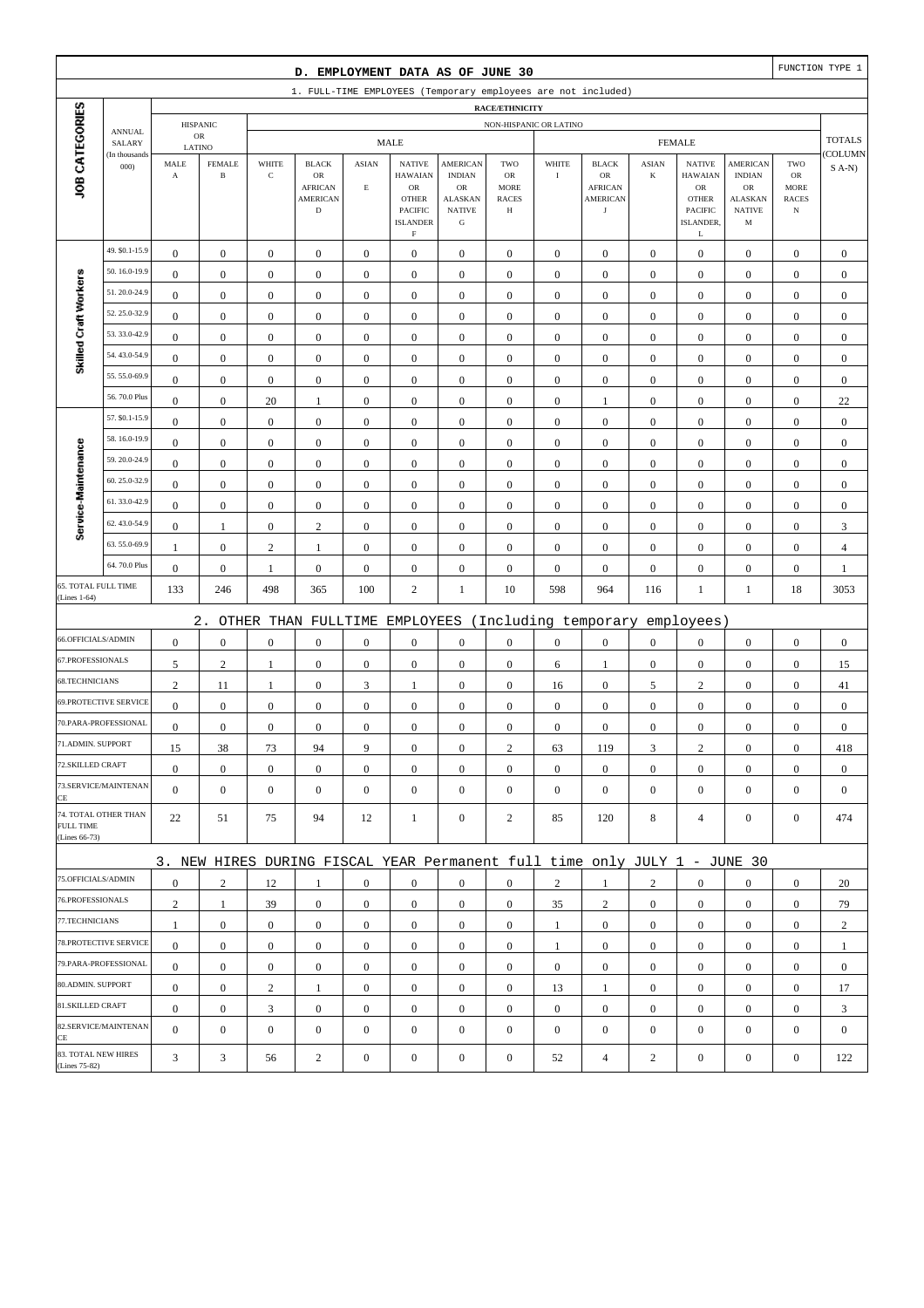|                                            |                         |                       |                               |                  | D. EMPLOYMENT DATA AS OF JUNE 30                                          |                  |                                                                                           |                                                                     |                                        |                  |                                                |                  |                                                                      |                                                               |                                                 | FUNCTION TYPE 1  |
|--------------------------------------------|-------------------------|-----------------------|-------------------------------|------------------|---------------------------------------------------------------------------|------------------|-------------------------------------------------------------------------------------------|---------------------------------------------------------------------|----------------------------------------|------------------|------------------------------------------------|------------------|----------------------------------------------------------------------|---------------------------------------------------------------|-------------------------------------------------|------------------|
|                                            |                         |                       |                               |                  | 1. FULL-TIME EMPLOYEES (Temporary employees are not included)             |                  |                                                                                           |                                                                     |                                        |                  |                                                |                  |                                                                      |                                                               |                                                 |                  |
|                                            |                         |                       |                               |                  |                                                                           |                  |                                                                                           |                                                                     | <b>RACE/ETHNICITY</b>                  |                  |                                                |                  |                                                                      |                                                               |                                                 |                  |
|                                            | <b>ANNUAL</b><br>SALARY |                       | <b>HISPANIC</b><br>${\sf OR}$ |                  |                                                                           |                  | <b>MALE</b>                                                                               |                                                                     | NON-HISPANIC OR LATINO                 |                  |                                                |                  | <b>FEMALE</b>                                                        |                                                               |                                                 | <b>TOTALS</b>    |
|                                            | (In thousands           | LATINO<br>MALE        | <b>FEMALE</b>                 | WHITE            | <b>BLACK</b>                                                              | <b>ASIAN</b>     | <b>NATIVE</b>                                                                             | <b>AMERICAN</b>                                                     | TWO                                    | WHITE            | <b>BLACK</b>                                   | <b>ASIAN</b>     | <b>NATIVE</b>                                                        | AMERICAN                                                      | TWO                                             | COLUMN           |
| JOB CATEGORIES                             | 000                     | $\boldsymbol{\rm{A}}$ | $\, {\bf B}$                  | $\mathbf C$      | OR<br><b>AFRICAN</b><br><b>AMERICAN</b><br>$\mathbf D$                    | $\mathbf E$      | <b>HAWAIAN</b><br>${\sf OR}$<br><b>OTHER</b><br>PACIFIC<br><b>ISLANDER</b><br>$\mathbf F$ | <b>INDIAN</b><br>OR<br><b>ALASKAN</b><br><b>NATIVE</b><br>${\bf G}$ | OR<br><b>MORE</b><br><b>RACES</b><br>Н | $\bf{I}$         | OR<br><b>AFRICAN</b><br>AMERICAN<br>$_{\rm J}$ | $\bf K$          | <b>HAWAIAN</b><br>${\sf OR}$<br><b>OTHER</b><br>PACIFIC<br>ISLANDER, | <b>INDIAN</b><br>OR<br>ALASKAN<br><b>NATIVE</b><br>$_{\rm M}$ | OR<br><b>MORE</b><br><b>RACES</b><br>$_{\rm N}$ | $S(A-N)$         |
|                                            | 49. \$0.1-15.9          | $\boldsymbol{0}$      | $\boldsymbol{0}$              | $\boldsymbol{0}$ | $\boldsymbol{0}$                                                          | $\boldsymbol{0}$ | $\boldsymbol{0}$                                                                          | $\boldsymbol{0}$                                                    | $\boldsymbol{0}$                       | $\boldsymbol{0}$ | $\boldsymbol{0}$                               | $\mathbf{0}$     | L<br>$\boldsymbol{0}$                                                | $\boldsymbol{0}$                                              | $\boldsymbol{0}$                                | $\boldsymbol{0}$ |
|                                            | 50.16.0-19.9            | $\boldsymbol{0}$      | $\boldsymbol{0}$              | $\boldsymbol{0}$ | $\boldsymbol{0}$                                                          | $\boldsymbol{0}$ | $\boldsymbol{0}$                                                                          | $\boldsymbol{0}$                                                    | $\boldsymbol{0}$                       | $\boldsymbol{0}$ | $\boldsymbol{0}$                               | $\boldsymbol{0}$ | $\boldsymbol{0}$                                                     | $\boldsymbol{0}$                                              | $\boldsymbol{0}$                                | $\boldsymbol{0}$ |
| Skilled Craft Workers                      | 51.20.0-24.9            | $\mathbf{0}$          | $\boldsymbol{0}$              | $\boldsymbol{0}$ | $\boldsymbol{0}$                                                          | $\mathbf{0}$     | $\mathbf{0}$                                                                              | $\boldsymbol{0}$                                                    | $\boldsymbol{0}$                       | $\boldsymbol{0}$ | $\mathbf{0}$                                   | $\boldsymbol{0}$ | $\boldsymbol{0}$                                                     | $\boldsymbol{0}$                                              | $\boldsymbol{0}$                                | $\boldsymbol{0}$ |
|                                            | 52.25.0-32.9            | $\boldsymbol{0}$      | $\boldsymbol{0}$              | $\boldsymbol{0}$ | $\boldsymbol{0}$                                                          | $\boldsymbol{0}$ | $\mathbf{0}$                                                                              | $\boldsymbol{0}$                                                    | $\boldsymbol{0}$                       | $\boldsymbol{0}$ | $\mathbf{0}$                                   | $\boldsymbol{0}$ | $\boldsymbol{0}$                                                     | $\boldsymbol{0}$                                              | $\boldsymbol{0}$                                | $\boldsymbol{0}$ |
|                                            | 53.33.0-42.9            | $\boldsymbol{0}$      | $\boldsymbol{0}$              | $\boldsymbol{0}$ | $\boldsymbol{0}$                                                          | $\boldsymbol{0}$ | $\boldsymbol{0}$                                                                          | $\boldsymbol{0}$                                                    | $\boldsymbol{0}$                       | $\boldsymbol{0}$ | $\boldsymbol{0}$                               | $\boldsymbol{0}$ | $\boldsymbol{0}$                                                     | $\boldsymbol{0}$                                              | $\boldsymbol{0}$                                | $\boldsymbol{0}$ |
|                                            | 54.43.0-54.9            | $\boldsymbol{0}$      | $\boldsymbol{0}$              | $\boldsymbol{0}$ | $\boldsymbol{0}$                                                          | $\boldsymbol{0}$ | $\boldsymbol{0}$                                                                          | $\boldsymbol{0}$                                                    | $\boldsymbol{0}$                       | $\boldsymbol{0}$ | $\boldsymbol{0}$                               | $\boldsymbol{0}$ | $\boldsymbol{0}$                                                     | $\boldsymbol{0}$                                              | $\boldsymbol{0}$                                | $\boldsymbol{0}$ |
|                                            | 55.55.0-69.9            | $\boldsymbol{0}$      | $\boldsymbol{0}$              | $\boldsymbol{0}$ | $\boldsymbol{0}$                                                          | $\mathbf{0}$     | $\mathbf{0}$                                                                              | $\boldsymbol{0}$                                                    | $\boldsymbol{0}$                       | $\mathbf{0}$     | $\mathbf{0}$                                   | $\boldsymbol{0}$ | $\boldsymbol{0}$                                                     | $\boldsymbol{0}$                                              | $\boldsymbol{0}$                                | $\boldsymbol{0}$ |
|                                            | 56.70.0 Plus            | $\boldsymbol{0}$      | $\boldsymbol{0}$              | 20               | 1                                                                         | $\boldsymbol{0}$ | $\mathbf{0}$                                                                              | $\boldsymbol{0}$                                                    | $\boldsymbol{0}$                       | $\boldsymbol{0}$ | 1                                              | $\boldsymbol{0}$ | $\boldsymbol{0}$                                                     | $\boldsymbol{0}$                                              | $\boldsymbol{0}$                                | 22               |
|                                            | 57. \$0.1-15.9          | $\boldsymbol{0}$      | $\boldsymbol{0}$              | $\boldsymbol{0}$ | $\boldsymbol{0}$                                                          | $\boldsymbol{0}$ | $\boldsymbol{0}$                                                                          | $\boldsymbol{0}$                                                    | $\boldsymbol{0}$                       | $\boldsymbol{0}$ | $\boldsymbol{0}$                               | $\boldsymbol{0}$ | $\boldsymbol{0}$                                                     | $\boldsymbol{0}$                                              | $\boldsymbol{0}$                                | $\boldsymbol{0}$ |
|                                            | 58.16.0-19.9            | $\boldsymbol{0}$      | $\boldsymbol{0}$              | $\boldsymbol{0}$ | $\boldsymbol{0}$                                                          | $\boldsymbol{0}$ | $\mathbf{0}$                                                                              | $\boldsymbol{0}$                                                    | $\boldsymbol{0}$                       | $\mathbf{0}$     | $\boldsymbol{0}$                               | $\boldsymbol{0}$ | $\boldsymbol{0}$                                                     | $\boldsymbol{0}$                                              | $\boldsymbol{0}$                                | $\boldsymbol{0}$ |
| Service-Maintenance                        | 59.20.0-24.9            | $\boldsymbol{0}$      | $\boldsymbol{0}$              | $\boldsymbol{0}$ | $\boldsymbol{0}$                                                          | $\boldsymbol{0}$ | $\mathbf{0}$                                                                              | $\boldsymbol{0}$                                                    | $\boldsymbol{0}$                       | $\boldsymbol{0}$ | $\boldsymbol{0}$                               | $\boldsymbol{0}$ | $\boldsymbol{0}$                                                     | $\boldsymbol{0}$                                              | $\boldsymbol{0}$                                | $\boldsymbol{0}$ |
|                                            | 60.25.0-32.9            | $\boldsymbol{0}$      | $\boldsymbol{0}$              | $\boldsymbol{0}$ | $\boldsymbol{0}$                                                          | $\boldsymbol{0}$ | $\boldsymbol{0}$                                                                          | $\boldsymbol{0}$                                                    | $\boldsymbol{0}$                       | $\boldsymbol{0}$ | $\boldsymbol{0}$                               | $\boldsymbol{0}$ | $\boldsymbol{0}$                                                     | $\boldsymbol{0}$                                              | $\boldsymbol{0}$                                | $\boldsymbol{0}$ |
|                                            | 61.33.0-42.9            | $\boldsymbol{0}$      | $\boldsymbol{0}$              | $\boldsymbol{0}$ | $\boldsymbol{0}$                                                          | $\boldsymbol{0}$ | $\boldsymbol{0}$                                                                          | $\boldsymbol{0}$                                                    | $\boldsymbol{0}$                       | $\boldsymbol{0}$ | $\boldsymbol{0}$                               | $\boldsymbol{0}$ | $\boldsymbol{0}$                                                     | $\boldsymbol{0}$                                              | $\boldsymbol{0}$                                | $\boldsymbol{0}$ |
|                                            | 62.43.0-54.9            | $\boldsymbol{0}$      | $\mathbf{1}$                  | $\boldsymbol{0}$ | $\sqrt{2}$                                                                | $\boldsymbol{0}$ | $\mathbf{0}$                                                                              | $\boldsymbol{0}$                                                    | $\boldsymbol{0}$                       | $\boldsymbol{0}$ | $\boldsymbol{0}$                               | $\boldsymbol{0}$ | $\boldsymbol{0}$                                                     | $\boldsymbol{0}$                                              | $\boldsymbol{0}$                                | 3                |
|                                            | 63.55.0-69.9            | $\mathbf{1}$          | $\boldsymbol{0}$              | $\mathbf{2}$     | 1                                                                         | $\boldsymbol{0}$ | $\mathbf{0}$                                                                              | $\boldsymbol{0}$                                                    | $\boldsymbol{0}$                       | $\boldsymbol{0}$ | $\boldsymbol{0}$                               | $\boldsymbol{0}$ | $\boldsymbol{0}$                                                     | $\boldsymbol{0}$                                              | $\boldsymbol{0}$                                | $\overline{4}$   |
|                                            | 64.70.0 Plus            | $\boldsymbol{0}$      | $\boldsymbol{0}$              | 1                | $\boldsymbol{0}$                                                          | $\boldsymbol{0}$ | $\boldsymbol{0}$                                                                          | $\boldsymbol{0}$                                                    | $\boldsymbol{0}$                       | $\boldsymbol{0}$ | $\boldsymbol{0}$                               | $\boldsymbol{0}$ | $\boldsymbol{0}$                                                     | $\boldsymbol{0}$                                              | $\boldsymbol{0}$                                | 1                |
| <b>65. TOTAL FULL TIME</b><br>(Lines 1-64) |                         | 133                   | 246                           | 498              | 365                                                                       | 100              | $\overline{c}$                                                                            | $\mathbf{1}$                                                        | 10                                     | 598              | 964                                            | 116              | $\mathbf{1}$                                                         | 1                                                             | 18                                              | 3053             |
|                                            |                         |                       | $2$ .                         |                  | OTHER THAN FULLTIME                                                       |                  | EMPLOYEES                                                                                 |                                                                     |                                        |                  | (Including temporary                           |                  | employees)                                                           |                                                               |                                                 |                  |
| 66.OFFICIALS/ADMIN                         |                         | $\boldsymbol{0}$      | $\boldsymbol{0}$              | $\boldsymbol{0}$ | $\boldsymbol{0}$                                                          | $\boldsymbol{0}$ | $\mathbf{0}$                                                                              | $\boldsymbol{0}$                                                    | $\boldsymbol{0}$                       | $\boldsymbol{0}$ | $\boldsymbol{0}$                               | $\boldsymbol{0}$ | $\boldsymbol{0}$                                                     | $\boldsymbol{0}$                                              | $\boldsymbol{0}$                                | $\boldsymbol{0}$ |
| 67.PROFESSIONALS                           |                         | 5                     | $\sqrt{2}$                    | $\mathbf{1}$     | $\boldsymbol{0}$                                                          | $\boldsymbol{0}$ | $\boldsymbol{0}$                                                                          | $\boldsymbol{0}$                                                    | $\boldsymbol{0}$                       | 6                | 1                                              | $\boldsymbol{0}$ | $\boldsymbol{0}$                                                     | $\boldsymbol{0}$                                              | $\boldsymbol{0}$                                | 15               |
| 68.TECHNICIANS                             |                         | $\overline{c}$        | 11                            | $\mathbf{1}$     | $\boldsymbol{0}$                                                          | 3                | 1                                                                                         | $\boldsymbol{0}$                                                    | $\boldsymbol{0}$                       | 16               | $\boldsymbol{0}$                               | 5                | $\sqrt{2}$                                                           | $\boldsymbol{0}$                                              | $\boldsymbol{0}$                                | 41               |
|                                            | 69.PROTECTIVE SERVICE   | $\boldsymbol{0}$      | $\boldsymbol{0}$              | $\boldsymbol{0}$ | $\boldsymbol{0}$                                                          | $\mathbf{0}$     | $\boldsymbol{0}$                                                                          | $\boldsymbol{0}$                                                    | $\boldsymbol{0}$                       | $\mathbf{0}$     | $\mathbf{0}$                                   | $\boldsymbol{0}$ | $\boldsymbol{0}$                                                     | $\boldsymbol{0}$                                              | $\boldsymbol{0}$                                | $\boldsymbol{0}$ |
|                                            | 70.PARA-PROFESSIONAL    | $\boldsymbol{0}$      | $\boldsymbol{0}$              | $\boldsymbol{0}$ | $\boldsymbol{0}$                                                          | $\boldsymbol{0}$ | $\mathbf{0}$                                                                              | $\boldsymbol{0}$                                                    | $\boldsymbol{0}$                       | $\boldsymbol{0}$ | $\boldsymbol{0}$                               | $\boldsymbol{0}$ | $\boldsymbol{0}$                                                     | $\boldsymbol{0}$                                              | $\boldsymbol{0}$                                | $\boldsymbol{0}$ |
| 71.ADMIN. SUPPORT                          |                         | 15                    | 38                            | 73               | 94                                                                        | 9                | $\boldsymbol{0}$                                                                          | $\boldsymbol{0}$                                                    | $\mathfrak{2}$                         | 63               | 119                                            | 3                | $\sqrt{2}$                                                           | $\Omega$                                                      | $\boldsymbol{0}$                                | 418              |
| 72.SKILLED CRAFT                           |                         | $\boldsymbol{0}$      | $\boldsymbol{0}$              | $\boldsymbol{0}$ | $\mathbf{0}$                                                              | $\boldsymbol{0}$ | $\boldsymbol{0}$                                                                          | $\mathbf{0}$                                                        | $\mathbf{0}$                           | $\mathbf{0}$     | $\mathbf{0}$                                   | $\mathbf{0}$     | $\boldsymbol{0}$                                                     | $\boldsymbol{0}$                                              | $\mathbf{0}$                                    | $\mathbf{0}$     |
| CE                                         | 73.SERVICE/MAINTENAN    | $\mathbf{0}$          | $\boldsymbol{0}$              | $\boldsymbol{0}$ | $\boldsymbol{0}$                                                          | $\mathbf{0}$     | $\overline{0}$                                                                            | $\boldsymbol{0}$                                                    | $\mathbf{0}$                           | $\mathbf{0}$     | $\mathbf{0}$                                   | $\mathbf{0}$     | $\boldsymbol{0}$                                                     | $\boldsymbol{0}$                                              | $\mathbf{0}$                                    | $\overline{0}$   |
| <b>FULL TIME</b><br>(Lines 66-73)          | 74. TOTAL OTHER THAN    | 22                    | 51                            | 75               | 94                                                                        | 12               | 1                                                                                         | $\boldsymbol{0}$                                                    | 2                                      | 85               | 120                                            | 8                | $\overline{4}$                                                       | $\mathbf{0}$                                                  | $\boldsymbol{0}$                                | 474              |
|                                            |                         |                       |                               |                  | 3. NEW HIRES DURING FISCAL YEAR Permanent full time only JULY 1 - JUNE 30 |                  |                                                                                           |                                                                     |                                        |                  |                                                |                  |                                                                      |                                                               |                                                 |                  |
| 75.OFFICIALS/ADMIN                         |                         | $\boldsymbol{0}$      | $\mathbf{2}$                  | 12               | 1                                                                         | $\mathbf{0}$     | $\mathbf{0}$                                                                              | $\mathbf{0}$                                                        | $\mathbf{0}$                           | $\overline{2}$   | 1                                              | $\overline{2}$   | $\boldsymbol{0}$                                                     | $\mathbf{0}$                                                  | $\mathbf{0}$                                    | 20               |
| 76.PROFESSIONALS                           |                         | $\sqrt{2}$            | $\mathbf{1}$                  | 39               | $\mathbf{0}$                                                              | $\boldsymbol{0}$ | $\overline{0}$                                                                            | $\boldsymbol{0}$                                                    | $\mathbf{0}$                           | 35               | $\overline{c}$                                 | $\mathbf{0}$     | $\mathbf{0}$                                                         | $\boldsymbol{0}$                                              | $\boldsymbol{0}$                                | 79               |
| 77.TECHNICIANS                             |                         | $\mathbf{1}$          | $\boldsymbol{0}$              | $\boldsymbol{0}$ | $\mathbf{0}$                                                              | $\boldsymbol{0}$ | $\boldsymbol{0}$                                                                          | $\boldsymbol{0}$                                                    | $\boldsymbol{0}$                       | $\mathbf{1}$     | $\boldsymbol{0}$                               | $\overline{0}$   | $\mathbf{0}$                                                         | $\boldsymbol{0}$                                              | $\boldsymbol{0}$                                | $\overline{c}$   |
|                                            | 78. PROTECTIVE SERVICE  | $\overline{0}$        | $\boldsymbol{0}$              | $\boldsymbol{0}$ | $\boldsymbol{0}$                                                          | $\boldsymbol{0}$ | $\overline{0}$                                                                            | $\boldsymbol{0}$                                                    | $\boldsymbol{0}$                       | $\mathbf{1}$     | $\boldsymbol{0}$                               | $\overline{0}$   | $\boldsymbol{0}$                                                     | $\mathbf{0}$                                                  | $\mathbf{0}$                                    | $\mathbf{1}$     |
|                                            | 79.PARA-PROFESSIONAL    | $\boldsymbol{0}$      | $\boldsymbol{0}$              | $\mathbf{0}$     | $\mathbf{0}$                                                              | $\overline{0}$   | $\boldsymbol{0}$                                                                          | $\mathbf{0}$                                                        | $\boldsymbol{0}$                       | $\overline{0}$   | $\mathbf{0}$                                   | $\overline{0}$   | $\mathbf{0}$                                                         | $\overline{0}$                                                | $\boldsymbol{0}$                                | $\mathbf{0}$     |
| 80.ADMIN. SUPPORT                          |                         | $\boldsymbol{0}$      | $\boldsymbol{0}$              | $\boldsymbol{2}$ | 1                                                                         | $\boldsymbol{0}$ | $\boldsymbol{0}$                                                                          | $\mathbf{0}$                                                        | $\mathbf{0}$                           | 13               | 1                                              | $\mathbf{0}$     | $\mathbf{0}$                                                         | $\boldsymbol{0}$                                              | $\mathbf{0}$                                    | 17               |
| 81.SKILLED CRAFT                           |                         | $\boldsymbol{0}$      | $\boldsymbol{0}$              | 3                | $\boldsymbol{0}$                                                          | $\boldsymbol{0}$ | $\overline{0}$                                                                            | $\boldsymbol{0}$                                                    | $\boldsymbol{0}$                       | $\boldsymbol{0}$ | $\boldsymbol{0}$                               | $\overline{0}$   | $\mathbf{0}$                                                         | $\boldsymbol{0}$                                              | $\boldsymbol{0}$                                | 3                |
| CE                                         | 82.SERVICE/MAINTENAN    | $\overline{0}$        | $\boldsymbol{0}$              | $\boldsymbol{0}$ | $\boldsymbol{0}$                                                          | $\mathbf{0}$     | $\overline{0}$                                                                            | $\boldsymbol{0}$                                                    | $\mathbf{0}$                           | $\mathbf{0}$     | $\mathbf{0}$                                   | $\mathbf{0}$     | $\boldsymbol{0}$                                                     | $\overline{0}$                                                | $\boldsymbol{0}$                                | $\mathbf{0}$     |
| 83. TOTAL NEW HIRES<br>(Lines 75-82)       |                         | 3                     | 3                             | 56               | $\sqrt{2}$                                                                | $\boldsymbol{0}$ | $\boldsymbol{0}$                                                                          | $\boldsymbol{0}$                                                    | $\boldsymbol{0}$                       | 52               | $\overline{4}$                                 | $\overline{c}$   | $\boldsymbol{0}$                                                     | $\boldsymbol{0}$                                              | $\boldsymbol{0}$                                | 122              |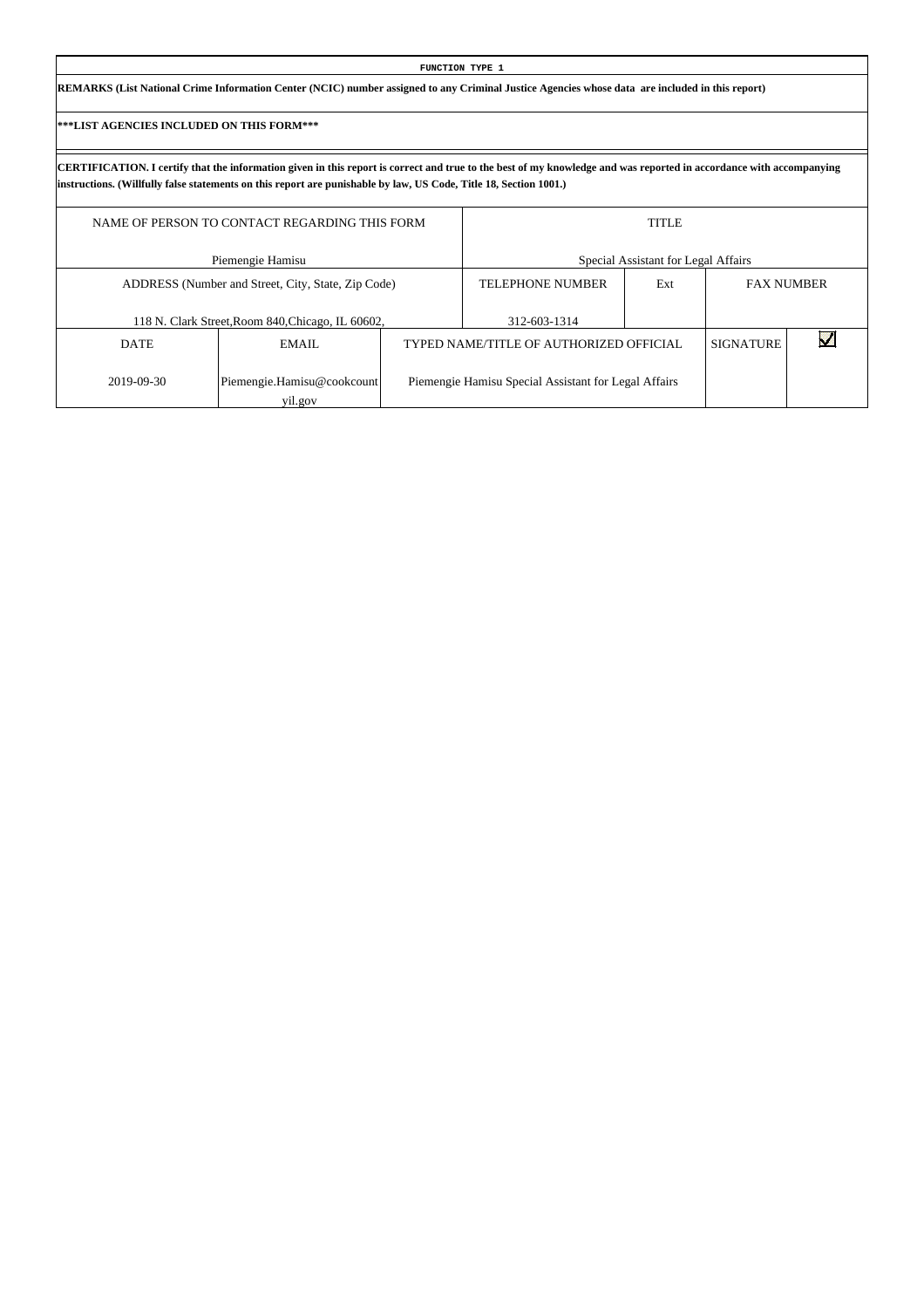| FUNCTION TYPE 1                                                                                                                                 |
|-------------------------------------------------------------------------------------------------------------------------------------------------|
| REMARKS (List National Crime Information Center (NCIC) number assigned to any Criminal Justice Agencies whose data are included in this report) |

Г

|             | NAME OF PERSON TO CONTACT REGARDING THIS FORM      |                                                      | <b>TITLE</b>                        |                  |                   |
|-------------|----------------------------------------------------|------------------------------------------------------|-------------------------------------|------------------|-------------------|
|             | Piemengie Hamisu                                   |                                                      | Special Assistant for Legal Affairs |                  |                   |
|             | ADDRESS (Number and Street, City, State, Zip Code) | <b>TELEPHONE NUMBER</b>                              | Ext                                 |                  | <b>FAX NUMBER</b> |
|             | 118 N. Clark Street, Room 840, Chicago, IL 60602,  | 312-603-1314                                         |                                     |                  |                   |
| <b>DATE</b> | EMAIL                                              | TYPED NAME/TITLE OF AUTHORIZED OFFICIAL              |                                     | <b>SIGNATURE</b> |                   |
| 2019-09-30  | Piemengie.Hamisu@cookcount<br>yil.gov              | Piemengie Hamisu Special Assistant for Legal Affairs |                                     |                  |                   |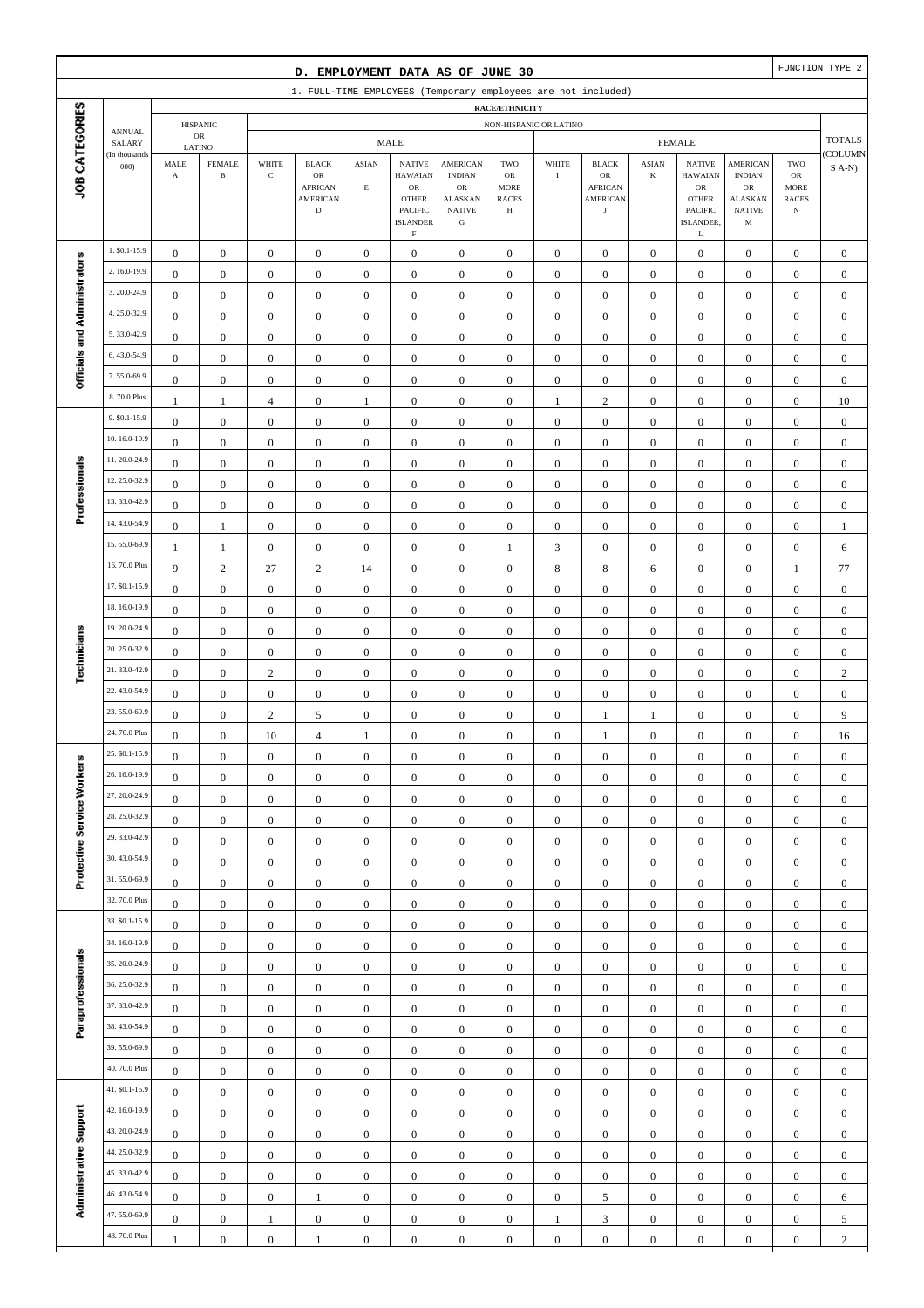|                              |                                |                                               |                                         |                                      | D. EMPLOYMENT DATA AS OF JUNE 30                                               |                                  |                                                                                                               |                                                                                                 |                                                                 |                                      |                                                                               |                                      |                                                                                                             |                                                                                                  |                                                          | FUNCTION TYPE 2                      |
|------------------------------|--------------------------------|-----------------------------------------------|-----------------------------------------|--------------------------------------|--------------------------------------------------------------------------------|----------------------------------|---------------------------------------------------------------------------------------------------------------|-------------------------------------------------------------------------------------------------|-----------------------------------------------------------------|--------------------------------------|-------------------------------------------------------------------------------|--------------------------------------|-------------------------------------------------------------------------------------------------------------|--------------------------------------------------------------------------------------------------|----------------------------------------------------------|--------------------------------------|
|                              |                                |                                               |                                         |                                      |                                                                                |                                  |                                                                                                               |                                                                                                 |                                                                 |                                      | 1. FULL-TIME EMPLOYEES (Temporary employees are not included)                 |                                      |                                                                                                             |                                                                                                  |                                                          |                                      |
|                              |                                |                                               | <b>HISPANIC</b>                         |                                      |                                                                                |                                  |                                                                                                               |                                                                                                 | RACE/ETHNICITY<br>NON-HISPANIC OR LATINO                        |                                      |                                                                               |                                      |                                                                                                             |                                                                                                  |                                                          |                                      |
|                              | <b>ANNUAL</b><br>SALARY        |                                               | ${\sf OR}$                              |                                      |                                                                                |                                  | <b>MALE</b>                                                                                                   |                                                                                                 |                                                                 |                                      |                                                                               |                                      | <b>FEMALE</b>                                                                                               |                                                                                                  |                                                          | <b>TOTALS</b>                        |
| JOB CATEGORIES               | (In thousands<br>000           | $\operatorname{\mathsf{MALE}}$<br>$\mathbf A$ | LATINO<br><b>FEMALE</b><br>$\, {\bf B}$ | WHITE<br>$\mathbf C$                 | <b>BLACK</b><br>${\sf OR}$<br><b>AFRICAN</b><br><b>AMERICAN</b><br>$\mathbf D$ | <b>ASIAN</b><br>$\mathbf E$      | <b>NATIVE</b><br><b>HAWAIAN</b><br>${\sf OR}$<br><b>OTHER</b><br><b>PACIFIC</b><br><b>ISLANDER</b><br>$\rm F$ | <b>AMERICAN</b><br><b>INDIAN</b><br>$_{\rm OR}$<br><b>ALASKAN</b><br><b>NATIVE</b><br>${\bf G}$ | TWO<br>$_{\rm OR}$<br><b>MORE</b><br><b>RACES</b><br>$_{\rm H}$ | WHITE<br>$\rm I$                     | <b>BLACK</b><br>${\sf OR}$<br><b>AFRICAN</b><br><b>AMERICAN</b><br>$_{\rm J}$ | <b>ASIAN</b><br>$\bf K$              | <b>NATIVE</b><br><b>HAWAIAN</b><br>${\sf OR}$<br><b>OTHER</b><br><b>PACIFIC</b><br>ISLANDER,<br>$\mathbf L$ | <b>AMERICAN</b><br><b>INDIAN</b><br>${\rm OR}$<br><b>ALASKAN</b><br><b>NATIVE</b><br>$\mathbf M$ | TWO<br>$_{\rm OR}$<br>MORE<br><b>RACES</b><br>$_{\rm N}$ | <b>COLUMN</b><br>$S$ A-N)            |
|                              | 1. \$0.1-15.9                  | $\boldsymbol{0}$                              | $\boldsymbol{0}$                        | $\boldsymbol{0}$                     | $\boldsymbol{0}$                                                               | $\boldsymbol{0}$                 | $\mathbf{0}$                                                                                                  | $\boldsymbol{0}$                                                                                | $\boldsymbol{0}$                                                | $\boldsymbol{0}$                     | $\boldsymbol{0}$                                                              | $\boldsymbol{0}$                     | $\boldsymbol{0}$                                                                                            | $\boldsymbol{0}$                                                                                 | $\boldsymbol{0}$                                         | $\boldsymbol{0}$                     |
|                              | 2.16.0-19.9                    | $\boldsymbol{0}$                              | $\boldsymbol{0}$                        | $\boldsymbol{0}$                     | $\boldsymbol{0}$                                                               | $\boldsymbol{0}$                 | $\boldsymbol{0}$                                                                                              | $\boldsymbol{0}$                                                                                | $\boldsymbol{0}$                                                | $\boldsymbol{0}$                     | $\boldsymbol{0}$                                                              | $\boldsymbol{0}$                     | $\boldsymbol{0}$                                                                                            | $\boldsymbol{0}$                                                                                 | $\boldsymbol{0}$                                         | $\boldsymbol{0}$                     |
|                              | 3.20.0-24.9                    | $\boldsymbol{0}$                              | $\boldsymbol{0}$                        | $\boldsymbol{0}$                     | $\boldsymbol{0}$                                                               | $\boldsymbol{0}$                 | $\mathbf{0}$                                                                                                  | $\boldsymbol{0}$                                                                                | $\boldsymbol{0}$                                                | $\boldsymbol{0}$                     | $\boldsymbol{0}$                                                              | $\boldsymbol{0}$                     | $\boldsymbol{0}$                                                                                            | $\boldsymbol{0}$                                                                                 | $\boldsymbol{0}$                                         | $\boldsymbol{0}$                     |
|                              | 4.25.0-32.9                    | $\boldsymbol{0}$                              | $\boldsymbol{0}$                        | $\boldsymbol{0}$                     | $\boldsymbol{0}$                                                               | $\boldsymbol{0}$                 | $\boldsymbol{0}$                                                                                              | $\boldsymbol{0}$                                                                                | $\boldsymbol{0}$                                                | $\boldsymbol{0}$                     | $\boldsymbol{0}$                                                              | $\boldsymbol{0}$                     | $\boldsymbol{0}$                                                                                            | $\boldsymbol{0}$                                                                                 | $\boldsymbol{0}$                                         | $\boldsymbol{0}$                     |
| Officials and Administrators | 5.33.0-42.9                    | $\boldsymbol{0}$                              | $\boldsymbol{0}$                        | $\boldsymbol{0}$                     | $\boldsymbol{0}$                                                               | $\boldsymbol{0}$                 | $\boldsymbol{0}$                                                                                              | $\boldsymbol{0}$                                                                                | $\boldsymbol{0}$                                                | $\boldsymbol{0}$                     | $\boldsymbol{0}$                                                              | $\boldsymbol{0}$                     | $\boldsymbol{0}$                                                                                            | $\boldsymbol{0}$                                                                                 | $\boldsymbol{0}$                                         | $\boldsymbol{0}$                     |
|                              | 6.43.0-54.9                    | $\boldsymbol{0}$                              | $\boldsymbol{0}$                        | $\boldsymbol{0}$                     | $\boldsymbol{0}$                                                               | $\boldsymbol{0}$                 | $\boldsymbol{0}$                                                                                              | $\boldsymbol{0}$                                                                                | $\boldsymbol{0}$                                                | $\boldsymbol{0}$                     | $\boldsymbol{0}$                                                              | $\boldsymbol{0}$                     | $\boldsymbol{0}$                                                                                            | $\boldsymbol{0}$                                                                                 | $\boldsymbol{0}$                                         | $\boldsymbol{0}$                     |
|                              | 7.55.0-69.9                    | $\boldsymbol{0}$                              | $\boldsymbol{0}$                        | $\boldsymbol{0}$                     | $\boldsymbol{0}$                                                               | $\boldsymbol{0}$                 | $\boldsymbol{0}$                                                                                              | $\boldsymbol{0}$                                                                                | $\boldsymbol{0}$                                                | $\boldsymbol{0}$                     | $\boldsymbol{0}$                                                              | $\boldsymbol{0}$                     | $\boldsymbol{0}$                                                                                            | $\boldsymbol{0}$                                                                                 | $\boldsymbol{0}$                                         | $\boldsymbol{0}$                     |
|                              | 8.70.0 Plus                    | $\mathbf{1}$                                  | $\mathbf{1}$                            | $\overline{4}$                       | $\boldsymbol{0}$                                                               | 1                                | $\boldsymbol{0}$                                                                                              | $\boldsymbol{0}$                                                                                | $\boldsymbol{0}$                                                | $\mathbf{1}$                         | $\mathbf{2}$                                                                  | $\boldsymbol{0}$                     | $\boldsymbol{0}$                                                                                            | $\boldsymbol{0}$                                                                                 | $\boldsymbol{0}$                                         | 10                                   |
|                              | 9. \$0.1-15.9                  | $\boldsymbol{0}$                              | $\boldsymbol{0}$                        | $\boldsymbol{0}$                     | $\boldsymbol{0}$                                                               | $\boldsymbol{0}$                 | $\boldsymbol{0}$                                                                                              | $\boldsymbol{0}$                                                                                | $\boldsymbol{0}$                                                | $\boldsymbol{0}$                     | $\boldsymbol{0}$                                                              | $\boldsymbol{0}$                     | $\boldsymbol{0}$                                                                                            | $\boldsymbol{0}$                                                                                 | $\boldsymbol{0}$                                         | $\boldsymbol{0}$                     |
|                              | 10.16.0-19.9                   | $\boldsymbol{0}$                              | $\boldsymbol{0}$                        | $\boldsymbol{0}$                     | $\boldsymbol{0}$                                                               | $\boldsymbol{0}$                 | $\boldsymbol{0}$                                                                                              | $\boldsymbol{0}$                                                                                | $\boldsymbol{0}$                                                | $\boldsymbol{0}$                     | $\boldsymbol{0}$                                                              | $\boldsymbol{0}$                     | $\boldsymbol{0}$                                                                                            | $\boldsymbol{0}$                                                                                 | $\boldsymbol{0}$                                         | $\boldsymbol{0}$                     |
|                              | 11.20.0-24.9                   | $\boldsymbol{0}$                              | $\boldsymbol{0}$                        | $\boldsymbol{0}$                     | $\boldsymbol{0}$                                                               | $\mathbf{0}$                     | $\boldsymbol{0}$                                                                                              | $\boldsymbol{0}$                                                                                | $\boldsymbol{0}$                                                | $\boldsymbol{0}$                     | $\boldsymbol{0}$                                                              | $\boldsymbol{0}$                     | $\boldsymbol{0}$                                                                                            | $\boldsymbol{0}$                                                                                 | $\boldsymbol{0}$                                         | $\boldsymbol{0}$                     |
| Professionals                | 12.25.0-32.9                   | $\boldsymbol{0}$                              | $\boldsymbol{0}$                        | $\boldsymbol{0}$                     | $\boldsymbol{0}$                                                               | $\boldsymbol{0}$                 | $\boldsymbol{0}$                                                                                              | $\boldsymbol{0}$                                                                                | $\boldsymbol{0}$                                                | $\boldsymbol{0}$                     | $\boldsymbol{0}$                                                              | $\boldsymbol{0}$                     | $\boldsymbol{0}$                                                                                            | $\boldsymbol{0}$                                                                                 | $\boldsymbol{0}$                                         | $\boldsymbol{0}$                     |
|                              | 13.33.0-42.9                   | $\boldsymbol{0}$                              | $\boldsymbol{0}$                        | $\boldsymbol{0}$                     | $\boldsymbol{0}$                                                               | $\boldsymbol{0}$                 | $\mathbf{0}$                                                                                                  | $\boldsymbol{0}$                                                                                | $\boldsymbol{0}$                                                | $\boldsymbol{0}$                     | $\boldsymbol{0}$                                                              | $\boldsymbol{0}$                     | $\boldsymbol{0}$                                                                                            | $\boldsymbol{0}$                                                                                 | $\boldsymbol{0}$                                         | $\boldsymbol{0}$                     |
|                              | 14.43.0-54.9                   | $\boldsymbol{0}$                              | $\mathbf{1}$                            | $\boldsymbol{0}$                     | $\boldsymbol{0}$                                                               | $\boldsymbol{0}$                 | $\boldsymbol{0}$                                                                                              | $\boldsymbol{0}$                                                                                | $\boldsymbol{0}$                                                | $\boldsymbol{0}$                     | $\boldsymbol{0}$                                                              | $\boldsymbol{0}$                     | $\boldsymbol{0}$                                                                                            | $\boldsymbol{0}$                                                                                 | $\boldsymbol{0}$                                         | $\mathbf{1}$                         |
|                              | 15.55.0-69.9                   | $\mathbf{1}$                                  | $\mathbf{1}$                            | $\boldsymbol{0}$                     | $\boldsymbol{0}$                                                               | $\boldsymbol{0}$                 | $\mathbf{0}$                                                                                                  | $\boldsymbol{0}$                                                                                | 1                                                               | 3                                    | $\boldsymbol{0}$                                                              | $\boldsymbol{0}$                     | $\boldsymbol{0}$                                                                                            | $\boldsymbol{0}$                                                                                 | $\boldsymbol{0}$                                         | 6                                    |
|                              | 16.70.0 Plus                   | 9                                             | $\sqrt{2}$                              | 27                                   | $\sqrt{2}$                                                                     | 14                               | $\mathbf{0}$                                                                                                  | $\boldsymbol{0}$                                                                                | $\boldsymbol{0}$                                                | $\,8\,$                              | $\,8\,$                                                                       | 6                                    | $\boldsymbol{0}$                                                                                            | $\boldsymbol{0}$                                                                                 | $\mathbf{1}$                                             | 77                                   |
|                              | 17. \$0.1-15.9                 | $\boldsymbol{0}$                              | $\boldsymbol{0}$                        | $\boldsymbol{0}$                     | $\boldsymbol{0}$                                                               | $\boldsymbol{0}$                 | $\mathbf{0}$                                                                                                  | $\boldsymbol{0}$                                                                                | $\boldsymbol{0}$                                                | $\boldsymbol{0}$                     | $\boldsymbol{0}$                                                              | $\boldsymbol{0}$                     | $\boldsymbol{0}$                                                                                            | $\boldsymbol{0}$                                                                                 | $\boldsymbol{0}$                                         | $\boldsymbol{0}$                     |
|                              | 18.16.0-19.9                   | $\boldsymbol{0}$                              | $\boldsymbol{0}$                        | $\boldsymbol{0}$                     | $\boldsymbol{0}$                                                               | $\boldsymbol{0}$                 | $\boldsymbol{0}$                                                                                              | $\boldsymbol{0}$                                                                                | $\boldsymbol{0}$                                                | $\boldsymbol{0}$                     | $\boldsymbol{0}$                                                              | $\boldsymbol{0}$                     | $\boldsymbol{0}$                                                                                            | $\boldsymbol{0}$                                                                                 | $\boldsymbol{0}$                                         | $\boldsymbol{0}$                     |
|                              | 19.20.0-24.9                   | $\boldsymbol{0}$                              | $\boldsymbol{0}$                        | $\boldsymbol{0}$                     | $\boldsymbol{0}$                                                               | $\boldsymbol{0}$                 | $\mathbf{0}$                                                                                                  | $\boldsymbol{0}$                                                                                | $\boldsymbol{0}$                                                | $\boldsymbol{0}$                     | $\boldsymbol{0}$                                                              | $\boldsymbol{0}$                     | $\boldsymbol{0}$                                                                                            | $\boldsymbol{0}$                                                                                 | $\boldsymbol{0}$                                         | $\boldsymbol{0}$                     |
| Technicians                  | 20.25.0-32.9                   | $\boldsymbol{0}$                              | $\boldsymbol{0}$                        | $\boldsymbol{0}$                     | $\boldsymbol{0}$                                                               | $\mathbf{0}$                     | $\mathbf{0}$                                                                                                  | $\boldsymbol{0}$                                                                                | $\boldsymbol{0}$                                                | $\boldsymbol{0}$                     | $\boldsymbol{0}$                                                              | $\boldsymbol{0}$                     | $\boldsymbol{0}$                                                                                            | $\boldsymbol{0}$                                                                                 | $\boldsymbol{0}$                                         | $\boldsymbol{0}$                     |
|                              | 21.33.0-42.9                   | $\boldsymbol{0}$                              | $\boldsymbol{0}$                        | $\mathbf{2}$                         | $\boldsymbol{0}$                                                               | $\boldsymbol{0}$                 | $\boldsymbol{0}$                                                                                              | $\boldsymbol{0}$                                                                                | $\boldsymbol{0}$                                                | $\boldsymbol{0}$                     | $\boldsymbol{0}$                                                              | $\boldsymbol{0}$                     | $\boldsymbol{0}$                                                                                            | $\boldsymbol{0}$                                                                                 | $\boldsymbol{0}$                                         | $\sqrt{2}$                           |
|                              | 22.43.0-54.9                   | $\boldsymbol{0}$                              | $\boldsymbol{0}$                        | $\boldsymbol{0}$                     | $\boldsymbol{0}$                                                               | $\boldsymbol{0}$                 | $\boldsymbol{0}$                                                                                              | $\boldsymbol{0}$                                                                                | $\boldsymbol{0}$                                                | $\boldsymbol{0}$                     | $\boldsymbol{0}$                                                              | $\boldsymbol{0}$                     | $\boldsymbol{0}$                                                                                            | $\boldsymbol{0}$                                                                                 | $\boldsymbol{0}$                                         | $\boldsymbol{0}$                     |
|                              | 23.55.0-69.9                   | $\boldsymbol{0}$                              | $\boldsymbol{0}$                        | $\mathbf{2}$                         | $\sqrt{5}$                                                                     | $\boldsymbol{0}$                 | $\boldsymbol{0}$                                                                                              | $\boldsymbol{0}$                                                                                | $\boldsymbol{0}$                                                | $\boldsymbol{0}$                     | 1                                                                             | 1                                    | $\boldsymbol{0}$                                                                                            | $\boldsymbol{0}$                                                                                 | $\boldsymbol{0}$                                         | 9                                    |
|                              | 24.70.0 Plus<br>25. \$0.1-15.9 | $\boldsymbol{0}$                              | $\boldsymbol{0}$                        | 10                                   | $\overline{4}$                                                                 | 1                                | $\boldsymbol{0}$                                                                                              | $\boldsymbol{0}$                                                                                | $\boldsymbol{0}$                                                | $\boldsymbol{0}$                     | 1                                                                             | $\boldsymbol{0}$                     | $\boldsymbol{0}$                                                                                            | $\boldsymbol{0}$                                                                                 | $\boldsymbol{0}$                                         | 16                                   |
|                              | 26.16.0-19.9                   | $\boldsymbol{0}$                              | $\bf{0}$                                | $\boldsymbol{0}$                     | $\boldsymbol{0}$                                                               | $\boldsymbol{0}$                 | $\boldsymbol{0}$                                                                                              | $\boldsymbol{0}$                                                                                | $\boldsymbol{0}$                                                | 0                                    | $\boldsymbol{0}$                                                              | $\boldsymbol{0}$                     | $\boldsymbol{0}$                                                                                            | 0                                                                                                | $\boldsymbol{0}$                                         | $\boldsymbol{0}$                     |
|                              | 27.20.0-24.9                   | $\boldsymbol{0}$                              | $\boldsymbol{0}$                        | $\boldsymbol{0}$                     | $\boldsymbol{0}$                                                               | $\boldsymbol{0}$                 | $\boldsymbol{0}$                                                                                              | $\boldsymbol{0}$                                                                                | $\boldsymbol{0}$                                                | $\boldsymbol{0}$                     | $\boldsymbol{0}$                                                              | $\boldsymbol{0}$                     | $\boldsymbol{0}$                                                                                            | $\boldsymbol{0}$                                                                                 | $\boldsymbol{0}$                                         | $\boldsymbol{0}$                     |
|                              | 28.25.0-32.9                   | $\boldsymbol{0}$                              | $\boldsymbol{0}$                        | $\boldsymbol{0}$                     | $\boldsymbol{0}$                                                               | $\overline{0}$                   | $\boldsymbol{0}$                                                                                              | $\boldsymbol{0}$                                                                                | $\boldsymbol{0}$                                                | $\boldsymbol{0}$                     | $\boldsymbol{0}$                                                              | $\boldsymbol{0}$                     | $\boldsymbol{0}$                                                                                            | $\boldsymbol{0}$                                                                                 | $\boldsymbol{0}$                                         | $\boldsymbol{0}$                     |
|                              | 29.33.0-42.9                   | $\boldsymbol{0}$<br>$\boldsymbol{0}$          | $\boldsymbol{0}$<br>$\boldsymbol{0}$    | $\boldsymbol{0}$<br>$\boldsymbol{0}$ | $\boldsymbol{0}$<br>$\boldsymbol{0}$                                           | $\mathbf{0}$<br>$\boldsymbol{0}$ | $\boldsymbol{0}$<br>$\boldsymbol{0}$                                                                          | $\boldsymbol{0}$                                                                                | $\boldsymbol{0}$<br>$\boldsymbol{0}$                            | $\boldsymbol{0}$<br>$\boldsymbol{0}$ | $\boldsymbol{0}$<br>$\boldsymbol{0}$                                          | $\boldsymbol{0}$<br>$\boldsymbol{0}$ | $\boldsymbol{0}$                                                                                            | $\boldsymbol{0}$<br>$\boldsymbol{0}$                                                             | $\boldsymbol{0}$                                         | $\boldsymbol{0}$                     |
|                              | 30.43.0-54.9                   | $\boldsymbol{0}$                              | $\boldsymbol{0}$                        | $\boldsymbol{0}$                     | $\boldsymbol{0}$                                                               | $\boldsymbol{0}$                 | $\boldsymbol{0}$                                                                                              | $\boldsymbol{0}$<br>$\boldsymbol{0}$                                                            | $\boldsymbol{0}$                                                | $\boldsymbol{0}$                     | $\boldsymbol{0}$                                                              | $\boldsymbol{0}$                     | $\boldsymbol{0}$<br>$\boldsymbol{0}$                                                                        | $\boldsymbol{0}$                                                                                 | $\boldsymbol{0}$<br>$\boldsymbol{0}$                     | $\boldsymbol{0}$<br>$\boldsymbol{0}$ |
| Protective Service Workers   | 31.55.0-69.9                   | $\boldsymbol{0}$                              | $\boldsymbol{0}$                        | $\boldsymbol{0}$                     | $\boldsymbol{0}$                                                               | $\boldsymbol{0}$                 | $\boldsymbol{0}$                                                                                              | $\boldsymbol{0}$                                                                                | $\boldsymbol{0}$                                                | $\boldsymbol{0}$                     | $\boldsymbol{0}$                                                              | $\boldsymbol{0}$                     | $\boldsymbol{0}$                                                                                            | $\boldsymbol{0}$                                                                                 | $\boldsymbol{0}$                                         | $\boldsymbol{0}$                     |
|                              | 32.70.0 Plus                   | $\boldsymbol{0}$                              | $\boldsymbol{0}$                        | $\boldsymbol{0}$                     | $\boldsymbol{0}$                                                               | $\boldsymbol{0}$                 | $\boldsymbol{0}$                                                                                              | $\boldsymbol{0}$                                                                                | $\boldsymbol{0}$                                                | $\boldsymbol{0}$                     | $\boldsymbol{0}$                                                              | $\boldsymbol{0}$                     | $\boldsymbol{0}$                                                                                            | $\boldsymbol{0}$                                                                                 | $\boldsymbol{0}$                                         | $\boldsymbol{0}$                     |
|                              | 33. \$0.1-15.9                 | $\boldsymbol{0}$                              | $\boldsymbol{0}$                        | $\boldsymbol{0}$                     | $\boldsymbol{0}$                                                               | $\boldsymbol{0}$                 | $\boldsymbol{0}$                                                                                              | $\boldsymbol{0}$                                                                                | $\boldsymbol{0}$                                                | $\boldsymbol{0}$                     | $\boldsymbol{0}$                                                              | $\boldsymbol{0}$                     | $\boldsymbol{0}$                                                                                            | $\boldsymbol{0}$                                                                                 | $\boldsymbol{0}$                                         | $\boldsymbol{0}$                     |
|                              | 34.16.0-19.9                   | $\boldsymbol{0}$                              | $\boldsymbol{0}$                        | $\boldsymbol{0}$                     | $\boldsymbol{0}$                                                               | $\boldsymbol{0}$                 | $\boldsymbol{0}$                                                                                              | $\boldsymbol{0}$                                                                                | $\boldsymbol{0}$                                                | $\boldsymbol{0}$                     | $\boldsymbol{0}$                                                              | $\boldsymbol{0}$                     | $\boldsymbol{0}$                                                                                            | $\boldsymbol{0}$                                                                                 | $\boldsymbol{0}$                                         | $\boldsymbol{0}$                     |
| Paraprofessionals            | 35.20.0-24.9                   | $\boldsymbol{0}$                              | $\boldsymbol{0}$                        | $\boldsymbol{0}$                     | $\boldsymbol{0}$                                                               | $\boldsymbol{0}$                 | $\boldsymbol{0}$                                                                                              | $\boldsymbol{0}$                                                                                | $\boldsymbol{0}$                                                | $\boldsymbol{0}$                     | $\boldsymbol{0}$                                                              | $\boldsymbol{0}$                     | $\boldsymbol{0}$                                                                                            | $\boldsymbol{0}$                                                                                 | $\boldsymbol{0}$                                         | $\boldsymbol{0}$                     |
|                              | 36.25.0-32.9                   | $\boldsymbol{0}$                              | $\boldsymbol{0}$                        | $\boldsymbol{0}$                     | $\boldsymbol{0}$                                                               | $\mathbf{0}$                     | $\boldsymbol{0}$                                                                                              | $\boldsymbol{0}$                                                                                | $\boldsymbol{0}$                                                | $\boldsymbol{0}$                     | $\boldsymbol{0}$                                                              | $\boldsymbol{0}$                     | $\boldsymbol{0}$                                                                                            | $\boldsymbol{0}$                                                                                 | $\boldsymbol{0}$                                         | $\boldsymbol{0}$                     |
|                              | 37.33.0-42.9                   | $\boldsymbol{0}$                              | $\boldsymbol{0}$                        | $\boldsymbol{0}$                     | $\boldsymbol{0}$                                                               | $\boldsymbol{0}$                 | $\mathbf{0}$                                                                                                  | $\boldsymbol{0}$                                                                                | $\boldsymbol{0}$                                                | $\boldsymbol{0}$                     | $\boldsymbol{0}$                                                              | $\boldsymbol{0}$                     | $\boldsymbol{0}$                                                                                            | $\boldsymbol{0}$                                                                                 | $\boldsymbol{0}$                                         | $\boldsymbol{0}$                     |
|                              | 38.43.0-54.9                   | $\boldsymbol{0}$                              | $\boldsymbol{0}$                        | $\boldsymbol{0}$                     | $\boldsymbol{0}$                                                               | $\boldsymbol{0}$                 | $\boldsymbol{0}$                                                                                              | $\boldsymbol{0}$                                                                                | $\boldsymbol{0}$                                                | $\boldsymbol{0}$                     | $\boldsymbol{0}$                                                              | $\boldsymbol{0}$                     | $\boldsymbol{0}$                                                                                            | $\boldsymbol{0}$                                                                                 | $\boldsymbol{0}$                                         | $\boldsymbol{0}$                     |
|                              | 39.55.0-69.9                   | $\boldsymbol{0}$                              | $\boldsymbol{0}$                        | $\boldsymbol{0}$                     | $\boldsymbol{0}$                                                               | $\boldsymbol{0}$                 | $\boldsymbol{0}$                                                                                              | $\boldsymbol{0}$                                                                                | $\boldsymbol{0}$                                                | $\boldsymbol{0}$                     | $\boldsymbol{0}$                                                              | $\boldsymbol{0}$                     | $\boldsymbol{0}$                                                                                            | $\boldsymbol{0}$                                                                                 | $\boldsymbol{0}$                                         | $\boldsymbol{0}$                     |
|                              | 40.70.0 Plus                   | $\boldsymbol{0}$                              | $\boldsymbol{0}$                        | $\boldsymbol{0}$                     | $\boldsymbol{0}$                                                               | $\boldsymbol{0}$                 | $\boldsymbol{0}$                                                                                              | $\boldsymbol{0}$                                                                                | $\boldsymbol{0}$                                                | $\boldsymbol{0}$                     | $\boldsymbol{0}$                                                              | $\boldsymbol{0}$                     | $\boldsymbol{0}$                                                                                            | $\boldsymbol{0}$                                                                                 | $\boldsymbol{0}$                                         | $\boldsymbol{0}$                     |
|                              | 41. \$0.1-15.9                 | $\boldsymbol{0}$                              | $\boldsymbol{0}$                        | $\boldsymbol{0}$                     | $\boldsymbol{0}$                                                               | $\boldsymbol{0}$                 | $\boldsymbol{0}$                                                                                              | $\boldsymbol{0}$                                                                                | $\boldsymbol{0}$                                                | $\boldsymbol{0}$                     | $\boldsymbol{0}$                                                              | $\boldsymbol{0}$                     | $\boldsymbol{0}$                                                                                            | $\boldsymbol{0}$                                                                                 | $\boldsymbol{0}$                                         | $\boldsymbol{0}$                     |
|                              | 42.16.0-19.9                   | $\boldsymbol{0}$                              | $\boldsymbol{0}$                        | $\boldsymbol{0}$                     | $\boldsymbol{0}$                                                               | $\boldsymbol{0}$                 | $\boldsymbol{0}$                                                                                              | $\boldsymbol{0}$                                                                                | $\boldsymbol{0}$                                                | $\boldsymbol{0}$                     | $\boldsymbol{0}$                                                              | $\boldsymbol{0}$                     | $\boldsymbol{0}$                                                                                            | $\boldsymbol{0}$                                                                                 | $\boldsymbol{0}$                                         | $\boldsymbol{0}$                     |
|                              | 43.20.0-24.9                   | $\boldsymbol{0}$                              | $\boldsymbol{0}$                        | $\boldsymbol{0}$                     | $\boldsymbol{0}$                                                               | $\boldsymbol{0}$                 | $\boldsymbol{0}$                                                                                              | $\boldsymbol{0}$                                                                                | $\boldsymbol{0}$                                                | $\boldsymbol{0}$                     | $\boldsymbol{0}$                                                              | $\boldsymbol{0}$                     | $\boldsymbol{0}$                                                                                            | $\boldsymbol{0}$                                                                                 | $\boldsymbol{0}$                                         | $\boldsymbol{0}$                     |
|                              | 44.25.0-32.9                   | $\boldsymbol{0}$                              | $\boldsymbol{0}$                        | $\boldsymbol{0}$                     | $\boldsymbol{0}$                                                               | $\mathbf{0}$                     | $\boldsymbol{0}$                                                                                              | $\boldsymbol{0}$                                                                                | $\boldsymbol{0}$                                                | $\boldsymbol{0}$                     | $\boldsymbol{0}$                                                              | $\boldsymbol{0}$                     | $\boldsymbol{0}$                                                                                            | $\boldsymbol{0}$                                                                                 | $\boldsymbol{0}$                                         | $\boldsymbol{0}$                     |
|                              | 45.33.0-42.9                   | $\boldsymbol{0}$                              | $\boldsymbol{0}$                        | $\boldsymbol{0}$                     | $\boldsymbol{0}$                                                               | $\boldsymbol{0}$                 | $\boldsymbol{0}$                                                                                              | $\boldsymbol{0}$                                                                                | $\boldsymbol{0}$                                                | $\boldsymbol{0}$                     | $\boldsymbol{0}$                                                              | $\boldsymbol{0}$                     | $\boldsymbol{0}$                                                                                            | $\boldsymbol{0}$                                                                                 | $\boldsymbol{0}$                                         | $\boldsymbol{0}$                     |
| Administrative Support       | 46.43.0-54.9                   | $\boldsymbol{0}$                              | $\boldsymbol{0}$                        | $\boldsymbol{0}$                     | $\mathbf{1}$                                                                   | $\boldsymbol{0}$                 | $\boldsymbol{0}$                                                                                              | $\boldsymbol{0}$                                                                                | $\boldsymbol{0}$                                                | $\boldsymbol{0}$                     | $\sqrt{5}$                                                                    | $\boldsymbol{0}$                     | $\boldsymbol{0}$                                                                                            | $\boldsymbol{0}$                                                                                 | $\boldsymbol{0}$                                         | 6                                    |
|                              | 47.55.0-69.9                   | $\boldsymbol{0}$                              | $\boldsymbol{0}$                        | $\mathbf{1}$                         | $\boldsymbol{0}$                                                               | $\boldsymbol{0}$                 | $\boldsymbol{0}$                                                                                              | $\boldsymbol{0}$                                                                                | $\boldsymbol{0}$                                                | $\mathbf{1}$                         | $\mathfrak{Z}$                                                                | $\boldsymbol{0}$                     | $\boldsymbol{0}$                                                                                            | $\boldsymbol{0}$                                                                                 | $\boldsymbol{0}$                                         | 5                                    |
|                              | 48.70.0 Plus                   | $\mathbf{1}$                                  | $\boldsymbol{0}$                        | $\boldsymbol{0}$                     | $\mathbf{1}$                                                                   | $\boldsymbol{0}$                 | $\boldsymbol{0}$                                                                                              | $\boldsymbol{0}$                                                                                | $\boldsymbol{0}$                                                | $\boldsymbol{0}$                     | $\boldsymbol{0}$                                                              | $\boldsymbol{0}$                     | $\boldsymbol{0}$                                                                                            | $\boldsymbol{0}$                                                                                 | $\boldsymbol{0}$                                         | $\overline{c}$                       |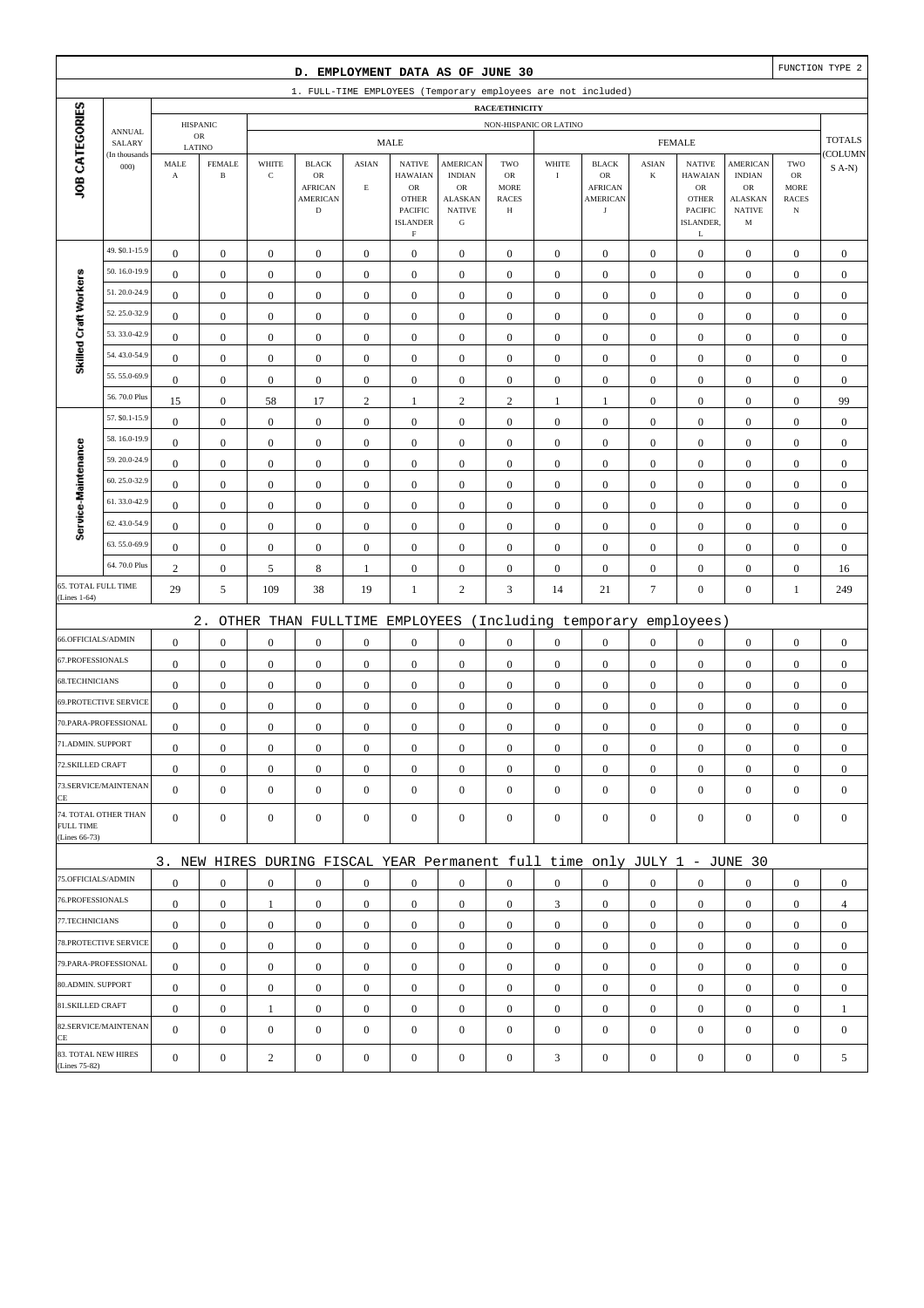|                                     |                              |                                  |                                      |                                      | D. EMPLOYMENT DATA AS OF JUNE 30                                          |                                      |                                                                                   |                                                                     |                                                        |                                      |                                                       |                                  |                                                                             |                                                      |                                                  | FUNCTION TYPE 2                  |
|-------------------------------------|------------------------------|----------------------------------|--------------------------------------|--------------------------------------|---------------------------------------------------------------------------|--------------------------------------|-----------------------------------------------------------------------------------|---------------------------------------------------------------------|--------------------------------------------------------|--------------------------------------|-------------------------------------------------------|----------------------------------|-----------------------------------------------------------------------------|------------------------------------------------------|--------------------------------------------------|----------------------------------|
|                                     |                              |                                  |                                      |                                      | 1. FULL-TIME EMPLOYEES (Temporary employees are not included)             |                                      |                                                                                   |                                                                     |                                                        |                                      |                                                       |                                  |                                                                             |                                                      |                                                  |                                  |
|                                     |                              |                                  |                                      |                                      |                                                                           |                                      |                                                                                   |                                                                     | <b>RACE/ETHNICITY</b>                                  |                                      |                                                       |                                  |                                                                             |                                                      |                                                  |                                  |
|                                     | <b>ANNUAL</b><br>SALARY      |                                  | <b>HISPANIC</b><br>${\sf OR}$        |                                      |                                                                           |                                      | <b>MALE</b>                                                                       |                                                                     | NON-HISPANIC OR LATINO                                 |                                      |                                                       |                                  | <b>FEMALE</b>                                                               |                                                      |                                                  | <b>TOTALS</b>                    |
|                                     | (In thousands                | LATINO<br>MALE                   | <b>FEMALE</b>                        | WHITE                                | <b>BLACK</b>                                                              | <b>ASIAN</b>                         | <b>NATIVE</b>                                                                     | <b>AMERICAN</b>                                                     | TWO                                                    | WHITE                                | <b>BLACK</b>                                          | <b>ASIAN</b>                     | <b>NATIVE</b>                                                               | <b>AMERICAN</b>                                      | TWO                                              | COLUMN                           |
| JOB CATEGORIES                      | 000                          | $\boldsymbol{\rm{A}}$            | $\, {\bf B}$                         | $\mathbf C$                          | $_{\rm OR}$<br><b>AFRICAN</b><br><b>AMERICAN</b><br>$\mathbf D$           | $\mathop{\hbox{\bf E}}$              | <b>HAWAIAN</b><br>OR<br><b>OTHER</b><br>PACIFIC<br><b>ISLANDER</b><br>$\mathbf F$ | <b>INDIAN</b><br>OR<br><b>ALASKAN</b><br><b>NATIVE</b><br>${\bf G}$ | <b>OR</b><br><b>MORE</b><br><b>RACES</b><br>$_{\rm H}$ | $\rm I$                              | OR<br><b>AFRICAN</b><br><b>AMERICAN</b><br>$_{\rm J}$ | $\bf K$                          | <b>HAWAIAN</b><br>${\rm OR}$<br><b>OTHER</b><br><b>PACIFIC</b><br>ISLANDER. | <b>INDIAN</b><br>OR<br>ALASKAN<br><b>NATIVE</b><br>M | ${\rm OR}$<br>MORE<br><b>RACES</b><br>$_{\rm N}$ | $S$ A-N)                         |
|                                     | 49. \$0.1-15.9               | $\boldsymbol{0}$                 | $\mathbf{0}$                         | $\boldsymbol{0}$                     | $\boldsymbol{0}$                                                          | $\boldsymbol{0}$                     | $\boldsymbol{0}$                                                                  | $\boldsymbol{0}$                                                    | $\boldsymbol{0}$                                       | $\boldsymbol{0}$                     | $\boldsymbol{0}$                                      | $\mathbf{0}$                     | L<br>$\boldsymbol{0}$                                                       | $\boldsymbol{0}$                                     | $\boldsymbol{0}$                                 | $\boldsymbol{0}$                 |
|                                     | 50.16.0-19.9                 | $\mathbf{0}$                     | $\boldsymbol{0}$                     | $\boldsymbol{0}$                     | $\boldsymbol{0}$                                                          | $\boldsymbol{0}$                     | $\boldsymbol{0}$                                                                  | $\boldsymbol{0}$                                                    | $\boldsymbol{0}$                                       | $\boldsymbol{0}$                     | $\boldsymbol{0}$                                      | $\boldsymbol{0}$                 | $\boldsymbol{0}$                                                            | $\boldsymbol{0}$                                     | $\boldsymbol{0}$                                 | $\mathbf{0}$                     |
| Skilled Craft Workers               | 51.20.0-24.9                 | $\mathbf{0}$                     | $\boldsymbol{0}$                     | $\boldsymbol{0}$                     | $\boldsymbol{0}$                                                          | $\mathbf{0}$                         | $\boldsymbol{0}$                                                                  | $\boldsymbol{0}$                                                    | $\mathbf{0}$                                           | $\boldsymbol{0}$                     | $\boldsymbol{0}$                                      | $\boldsymbol{0}$                 | $\boldsymbol{0}$                                                            | $\boldsymbol{0}$                                     | $\boldsymbol{0}$                                 | $\mathbf{0}$                     |
|                                     | 52.25.0-32.9                 | $\bf{0}$                         | $\boldsymbol{0}$                     | $\boldsymbol{0}$                     | $\boldsymbol{0}$                                                          | $\boldsymbol{0}$                     | $\boldsymbol{0}$                                                                  | $\boldsymbol{0}$                                                    | $\boldsymbol{0}$                                       | $\boldsymbol{0}$                     | $\boldsymbol{0}$                                      | $\boldsymbol{0}$                 | $\boldsymbol{0}$                                                            | $\boldsymbol{0}$                                     | $\boldsymbol{0}$                                 | $\boldsymbol{0}$                 |
|                                     | 53.33.0-42.9                 | $\boldsymbol{0}$                 | $\boldsymbol{0}$                     | $\boldsymbol{0}$                     | $\boldsymbol{0}$                                                          | $\boldsymbol{0}$                     | $\boldsymbol{0}$                                                                  | $\boldsymbol{0}$                                                    | $\boldsymbol{0}$                                       | $\boldsymbol{0}$                     | $\boldsymbol{0}$                                      | $\mathbf{0}$                     | $\boldsymbol{0}$                                                            | $\boldsymbol{0}$                                     | $\boldsymbol{0}$                                 | $\boldsymbol{0}$                 |
|                                     | 54.43.0-54.9                 | $\boldsymbol{0}$                 | $\boldsymbol{0}$                     | $\boldsymbol{0}$                     | $\boldsymbol{0}$                                                          | $\boldsymbol{0}$                     | $\boldsymbol{0}$                                                                  | $\boldsymbol{0}$                                                    | $\boldsymbol{0}$                                       | $\boldsymbol{0}$                     | $\boldsymbol{0}$                                      | $\boldsymbol{0}$                 | $\boldsymbol{0}$                                                            | $\boldsymbol{0}$                                     | $\boldsymbol{0}$                                 | $\mathbf{0}$                     |
|                                     | 55.55.0-69.9                 | $\mathbf{0}$                     | $\boldsymbol{0}$                     | $\boldsymbol{0}$                     | $\boldsymbol{0}$                                                          | $\boldsymbol{0}$                     | $\boldsymbol{0}$                                                                  | $\boldsymbol{0}$                                                    | $\boldsymbol{0}$                                       | $\boldsymbol{0}$                     | $\boldsymbol{0}$                                      | $\boldsymbol{0}$                 | $\boldsymbol{0}$                                                            | $\boldsymbol{0}$                                     | $\boldsymbol{0}$                                 | $\boldsymbol{0}$                 |
|                                     | 56.70.0 Plus                 | 15                               | $\boldsymbol{0}$                     | 58                                   | 17                                                                        | $\sqrt{2}$                           | 1                                                                                 | $\sqrt{2}$                                                          | $\sqrt{2}$                                             | $\mathbf{1}$                         | $\mathbf{1}$                                          | $\boldsymbol{0}$                 | $\boldsymbol{0}$                                                            | $\boldsymbol{0}$                                     | $\boldsymbol{0}$                                 | 99                               |
|                                     | 57. \$0.1-15.9               | $\boldsymbol{0}$                 | $\boldsymbol{0}$                     | $\boldsymbol{0}$                     | $\boldsymbol{0}$                                                          | $\boldsymbol{0}$                     | $\boldsymbol{0}$                                                                  | $\boldsymbol{0}$                                                    | $\boldsymbol{0}$                                       | $\boldsymbol{0}$                     | $\boldsymbol{0}$                                      | $\mathbf{0}$                     | $\boldsymbol{0}$                                                            | $\boldsymbol{0}$                                     | $\boldsymbol{0}$                                 | $\boldsymbol{0}$                 |
|                                     | 58.16.0-19.9                 | $\boldsymbol{0}$                 | $\boldsymbol{0}$                     | $\boldsymbol{0}$                     | $\boldsymbol{0}$                                                          | $\boldsymbol{0}$                     | $\boldsymbol{0}$                                                                  | $\boldsymbol{0}$                                                    | $\boldsymbol{0}$                                       | $\boldsymbol{0}$                     | $\boldsymbol{0}$                                      | $\boldsymbol{0}$                 | $\boldsymbol{0}$                                                            | $\boldsymbol{0}$                                     | $\boldsymbol{0}$                                 | $\boldsymbol{0}$                 |
|                                     | 59.20.0-24.9                 | $\mathbf{0}$                     | $\boldsymbol{0}$                     | $\boldsymbol{0}$                     | $\boldsymbol{0}$                                                          | $\mathbf{0}$                         | $\boldsymbol{0}$                                                                  | $\mathbf{0}$                                                        | $\mathbf{0}$                                           | $\boldsymbol{0}$                     | $\boldsymbol{0}$                                      | $\boldsymbol{0}$                 | $\boldsymbol{0}$                                                            | $\boldsymbol{0}$                                     | $\boldsymbol{0}$                                 | $\mathbf{0}$                     |
|                                     | 60.25.0-32.9                 | $\boldsymbol{0}$                 | $\boldsymbol{0}$                     | $\boldsymbol{0}$                     | $\boldsymbol{0}$                                                          | $\boldsymbol{0}$                     | $\boldsymbol{0}$                                                                  | $\boldsymbol{0}$                                                    | $\boldsymbol{0}$                                       | $\boldsymbol{0}$                     | $\boldsymbol{0}$                                      | $\boldsymbol{0}$                 | $\boldsymbol{0}$                                                            | $\boldsymbol{0}$                                     | $\boldsymbol{0}$                                 | $\mathbf{0}$                     |
| Service-Maintenance                 | 61.33.0-42.9                 | $\boldsymbol{0}$                 | $\boldsymbol{0}$                     | $\boldsymbol{0}$                     | $\boldsymbol{0}$                                                          | $\boldsymbol{0}$                     | $\boldsymbol{0}$                                                                  | $\boldsymbol{0}$                                                    | $\boldsymbol{0}$                                       | $\boldsymbol{0}$                     | $\boldsymbol{0}$                                      | $\mathbf{0}$                     | $\boldsymbol{0}$                                                            | $\boldsymbol{0}$                                     | $\boldsymbol{0}$                                 | $\boldsymbol{0}$                 |
|                                     | 62.43.0-54.9                 | $\bf{0}$                         | $\boldsymbol{0}$                     | $\boldsymbol{0}$                     | $\boldsymbol{0}$                                                          | $\boldsymbol{0}$                     | $\boldsymbol{0}$                                                                  | $\boldsymbol{0}$                                                    | $\boldsymbol{0}$                                       | $\boldsymbol{0}$                     | $\boldsymbol{0}$                                      | $\boldsymbol{0}$                 | $\boldsymbol{0}$                                                            | $\boldsymbol{0}$                                     | $\boldsymbol{0}$                                 | $\boldsymbol{0}$                 |
|                                     | 63.55.0-69.9                 | $\boldsymbol{0}$                 | $\boldsymbol{0}$                     | $\boldsymbol{0}$                     | $\boldsymbol{0}$                                                          | $\boldsymbol{0}$                     | $\boldsymbol{0}$                                                                  | $\mathbf{0}$                                                        | $\boldsymbol{0}$                                       | $\boldsymbol{0}$                     | $\boldsymbol{0}$                                      | $\boldsymbol{0}$                 | $\boldsymbol{0}$                                                            | $\boldsymbol{0}$                                     | $\boldsymbol{0}$                                 | $\mathbf{0}$                     |
|                                     | 64.70.0 Plus                 | $\overline{c}$                   | $\boldsymbol{0}$                     | 5                                    | $\,$ 8 $\,$                                                               | 1                                    | $\boldsymbol{0}$                                                                  | $\boldsymbol{0}$                                                    | $\boldsymbol{0}$                                       | $\boldsymbol{0}$                     | $\boldsymbol{0}$                                      | $\boldsymbol{0}$                 | $\boldsymbol{0}$                                                            | $\boldsymbol{0}$                                     | $\boldsymbol{0}$                                 | 16                               |
| 65. TOTAL FULL TIME<br>(Lines 1-64) |                              | 29                               | 5                                    | 109                                  | 38                                                                        | 19                                   | 1                                                                                 | $\overline{c}$                                                      | 3                                                      | 14                                   | 21                                                    | $\boldsymbol{7}$                 | $\boldsymbol{0}$                                                            | $\boldsymbol{0}$                                     | $\mathbf{1}$                                     | 249                              |
|                                     |                              |                                  |                                      |                                      |                                                                           |                                      |                                                                                   |                                                                     |                                                        |                                      |                                                       |                                  |                                                                             |                                                      |                                                  |                                  |
| 66.OFFICIALS/ADMIN                  |                              |                                  | $2$ .                                |                                      | OTHER THAN FULLTIME                                                       |                                      | EMPLOYEES                                                                         |                                                                     |                                                        |                                      | (Including temporary                                  |                                  | employees)                                                                  |                                                      |                                                  |                                  |
| 67.PROFESSIONALS                    |                              | $\mathbf{0}$<br>$\boldsymbol{0}$ | $\boldsymbol{0}$<br>$\boldsymbol{0}$ | $\boldsymbol{0}$                     | $\boldsymbol{0}$                                                          | $\boldsymbol{0}$                     | $\boldsymbol{0}$                                                                  | $\boldsymbol{0}$                                                    | $\boldsymbol{0}$                                       | $\boldsymbol{0}$                     | $\boldsymbol{0}$                                      | $\boldsymbol{0}$                 | $\boldsymbol{0}$<br>$\boldsymbol{0}$                                        | $\boldsymbol{0}$                                     | $\boldsymbol{0}$                                 | $\boldsymbol{0}$                 |
| 68.TECHNICIANS                      |                              | $\boldsymbol{0}$                 | $\boldsymbol{0}$                     | $\boldsymbol{0}$<br>$\boldsymbol{0}$ | $\boldsymbol{0}$<br>$\boldsymbol{0}$                                      | $\boldsymbol{0}$<br>$\boldsymbol{0}$ | $\boldsymbol{0}$<br>$\boldsymbol{0}$                                              | $\boldsymbol{0}$<br>$\boldsymbol{0}$                                | $\boldsymbol{0}$<br>$\boldsymbol{0}$                   | $\boldsymbol{0}$<br>$\boldsymbol{0}$ | $\boldsymbol{0}$<br>$\boldsymbol{0}$                  | $\mathbf{0}$<br>$\boldsymbol{0}$ | $\boldsymbol{0}$                                                            | $\boldsymbol{0}$<br>$\boldsymbol{0}$                 | $\boldsymbol{0}$<br>$\boldsymbol{0}$             | $\boldsymbol{0}$<br>$\mathbf{0}$ |
|                                     | <b>69.PROTECTIVE SERVICE</b> | $\boldsymbol{0}$                 | $\boldsymbol{0}$                     | $\boldsymbol{0}$                     | $\boldsymbol{0}$                                                          | $\boldsymbol{0}$                     | $\boldsymbol{0}$                                                                  | $\mathbf{0}$                                                        | $\mathbf{0}$                                           | $\boldsymbol{0}$                     | $\boldsymbol{0}$                                      | $\mathbf{0}$                     | $\mathbf{0}$                                                                | $\boldsymbol{0}$                                     | $\boldsymbol{0}$                                 | $\mathbf{0}$                     |
|                                     | 70.PARA-PROFESSIONAL         | $\boldsymbol{0}$                 | $\boldsymbol{0}$                     | $\boldsymbol{0}$                     | $\boldsymbol{0}$                                                          | $\boldsymbol{0}$                     | $\boldsymbol{0}$                                                                  | $\mathbf{0}$                                                        | $\mathbf{0}$                                           | $\boldsymbol{0}$                     | $\boldsymbol{0}$                                      | $\boldsymbol{0}$                 | $\boldsymbol{0}$                                                            | $\boldsymbol{0}$                                     | $\boldsymbol{0}$                                 | $\mathbf{0}$                     |
| 71.ADMIN. SUPPORT                   |                              | $\boldsymbol{0}$                 | $\boldsymbol{0}$                     | $\Omega$                             | $\Omega$                                                                  | $\mathbf{0}$                         | $\boldsymbol{0}$                                                                  | $\boldsymbol{0}$                                                    | $\Omega$                                               | $\boldsymbol{0}$                     | $\boldsymbol{0}$                                      | $\boldsymbol{0}$                 | $\boldsymbol{0}$                                                            | $\theta$                                             | $\boldsymbol{0}$                                 | $\theta$                         |
| 72.SKILLED CRAFT                    |                              | $\mathbf{0}$                     | $\boldsymbol{0}$                     | $\boldsymbol{0}$                     | $\mathbf{0}$                                                              | $\boldsymbol{0}$                     | $\boldsymbol{0}$                                                                  | $\boldsymbol{0}$                                                    | $\boldsymbol{0}$                                       | $\mathbf{0}$                         | $\mathbf{0}$                                          | $\mathbf{0}$                     | $\mathbf{0}$                                                                | $\mathbf{0}$                                         | $\mathbf{0}$                                     | $\boldsymbol{0}$                 |
|                                     | 73.SERVICE/MAINTENAN         | $\overline{0}$                   | $\mathbf{0}$                         | $\boldsymbol{0}$                     | $\boldsymbol{0}$                                                          | $\boldsymbol{0}$                     | $\mathbf{0}$                                                                      | $\boldsymbol{0}$                                                    | $\mathbf{0}$                                           | $\boldsymbol{0}$                     | $\boldsymbol{0}$                                      | $\mathbf{0}$                     | $\mathbf{0}$                                                                | $\overline{0}$                                       | $\mathbf{0}$                                     | $\boldsymbol{0}$                 |
| CE<br>FULL TIME<br>(Lines 66-73)    | 74. TOTAL OTHER THAN         | $\overline{0}$                   | $\mathbf{0}$                         | $\boldsymbol{0}$                     | $\mathbf{0}$                                                              | $\mathbf{0}$                         | $\mathbf{0}$                                                                      | $\boldsymbol{0}$                                                    | $\boldsymbol{0}$                                       | $\mathbf{0}$                         | $\boldsymbol{0}$                                      | $\mathbf{0}$                     | $\mathbf{0}$                                                                | $\overline{0}$                                       | $\mathbf{0}$                                     | $\mathbf{0}$                     |
|                                     |                              |                                  |                                      |                                      | 3. NEW HIRES DURING FISCAL YEAR Permanent full time only JULY 1 - JUNE 30 |                                      |                                                                                   |                                                                     |                                                        |                                      |                                                       |                                  |                                                                             |                                                      |                                                  |                                  |
| 75.OFFICIALS/ADMIN                  |                              | $\boldsymbol{0}$                 | $\mathbf{0}$                         | $\boldsymbol{0}$                     | $\mathbf{0}$                                                              | $\boldsymbol{0}$                     | $\mathbf{0}$                                                                      | $\boldsymbol{0}$                                                    | $\overline{0}$                                         | $\overline{0}$                       | $\boldsymbol{0}$                                      | $\mathbf{0}$                     | $\mathbf{0}$                                                                | $\overline{0}$                                       | $\mathbf{0}$                                     | $\boldsymbol{0}$                 |
| 76.PROFESSIONALS                    |                              | $\mathbf{0}$                     | $\boldsymbol{0}$                     | 1                                    | $\boldsymbol{0}$                                                          | $\mathbf{0}$                         | $\mathbf{0}$                                                                      | $\boldsymbol{0}$                                                    | $\boldsymbol{0}$                                       | 3                                    | $\mathbf{0}$                                          | $\mathbf{0}$                     | $\mathbf{0}$                                                                | $\mathbf{0}$                                         | $\boldsymbol{0}$                                 | $\overline{4}$                   |
| 77.TECHNICIANS                      |                              | $\boldsymbol{0}$                 | $\boldsymbol{0}$                     | $\boldsymbol{0}$                     | $\boldsymbol{0}$                                                          | $\boldsymbol{0}$                     | $\boldsymbol{0}$                                                                  | $\boldsymbol{0}$                                                    | $\boldsymbol{0}$                                       | $\boldsymbol{0}$                     | $\boldsymbol{0}$                                      | $\overline{0}$                   | $\mathbf{0}$                                                                | $\boldsymbol{0}$                                     | $\boldsymbol{0}$                                 | $\boldsymbol{0}$                 |
|                                     | 78. PROTECTIVE SERVICE       | $\mathbf{0}$                     | $\mathbf{0}$                         | $\boldsymbol{0}$                     | $\mathbf{0}$                                                              | $\boldsymbol{0}$                     | $\mathbf{0}$                                                                      | $\mathbf{0}$                                                        | $\overline{0}$                                         | $\overline{0}$                       | $\boldsymbol{0}$                                      | $\mathbf{0}$                     | $\mathbf{0}$                                                                | $\overline{0}$                                       | $\overline{0}$                                   | $\boldsymbol{0}$                 |
|                                     | 79.PARA-PROFESSIONAL         | $\mathbf{0}$                     | $\mathbf{0}$                         | $\mathbf{0}$                         | $\mathbf{0}$                                                              | $\mathbf{0}$                         | $\mathbf{0}$                                                                      | $\mathbf{0}$                                                        | $\overline{0}$                                         | $\mathbf{0}$                         | $\boldsymbol{0}$                                      | $\overline{0}$                   | $\overline{0}$                                                              | $\overline{0}$                                       | $\mathbf{0}$                                     | $\mathbf{0}$                     |
| 80.ADMIN. SUPPORT                   |                              | $\mathbf{0}$                     | $\boldsymbol{0}$                     | $\boldsymbol{0}$                     | $\mathbf{0}$                                                              | $\mathbf{0}$                         | $\boldsymbol{0}$                                                                  | $\boldsymbol{0}$                                                    | $\boldsymbol{0}$                                       | $\mathbf{0}$                         | $\boldsymbol{0}$                                      | $\mathbf{0}$                     | $\mathbf{0}$                                                                | $\boldsymbol{0}$                                     | $\boldsymbol{0}$                                 | $\mathbf{0}$                     |
| 81.SKILLED CRAFT                    |                              | $\mathbf{0}$                     | $\mathbf{0}$                         | $\mathbf{1}$                         | $\boldsymbol{0}$                                                          | $\boldsymbol{0}$                     | $\mathbf{0}$                                                                      | $\boldsymbol{0}$                                                    | $\boldsymbol{0}$                                       | $\boldsymbol{0}$                     | $\boldsymbol{0}$                                      | $\mathbf{0}$                     | $\mathbf{0}$                                                                | $\boldsymbol{0}$                                     | $\boldsymbol{0}$                                 | 1                                |
|                                     | 82.SERVICE/MAINTENAN         | $\overline{0}$                   | $\boldsymbol{0}$                     | $\boldsymbol{0}$                     | $\boldsymbol{0}$                                                          | $\boldsymbol{0}$                     | $\boldsymbol{0}$                                                                  | $\boldsymbol{0}$                                                    | $\mathbf{0}$                                           | $\mathbf{0}$                         | $\boldsymbol{0}$                                      | $\mathbf{0}$                     | $\boldsymbol{0}$                                                            | $\overline{0}$                                       | $\mathbf{0}$                                     | $\mathbf{0}$                     |
| CE<br>83. TOTAL NEW HIRES           |                              |                                  |                                      |                                      |                                                                           |                                      |                                                                                   |                                                                     |                                                        |                                      |                                                       |                                  |                                                                             |                                                      |                                                  |                                  |
| (Lines 75-82)                       |                              | $\mathbf{0}$                     | $\boldsymbol{0}$                     | $\boldsymbol{2}$                     | $\boldsymbol{0}$                                                          | $\boldsymbol{0}$                     | $\boldsymbol{0}$                                                                  | $\boldsymbol{0}$                                                    | $\boldsymbol{0}$                                       | $\mathfrak{Z}$                       | $\boldsymbol{0}$                                      | $\boldsymbol{0}$                 | $\boldsymbol{0}$                                                            | $\boldsymbol{0}$                                     | $\boldsymbol{0}$                                 | 5                                |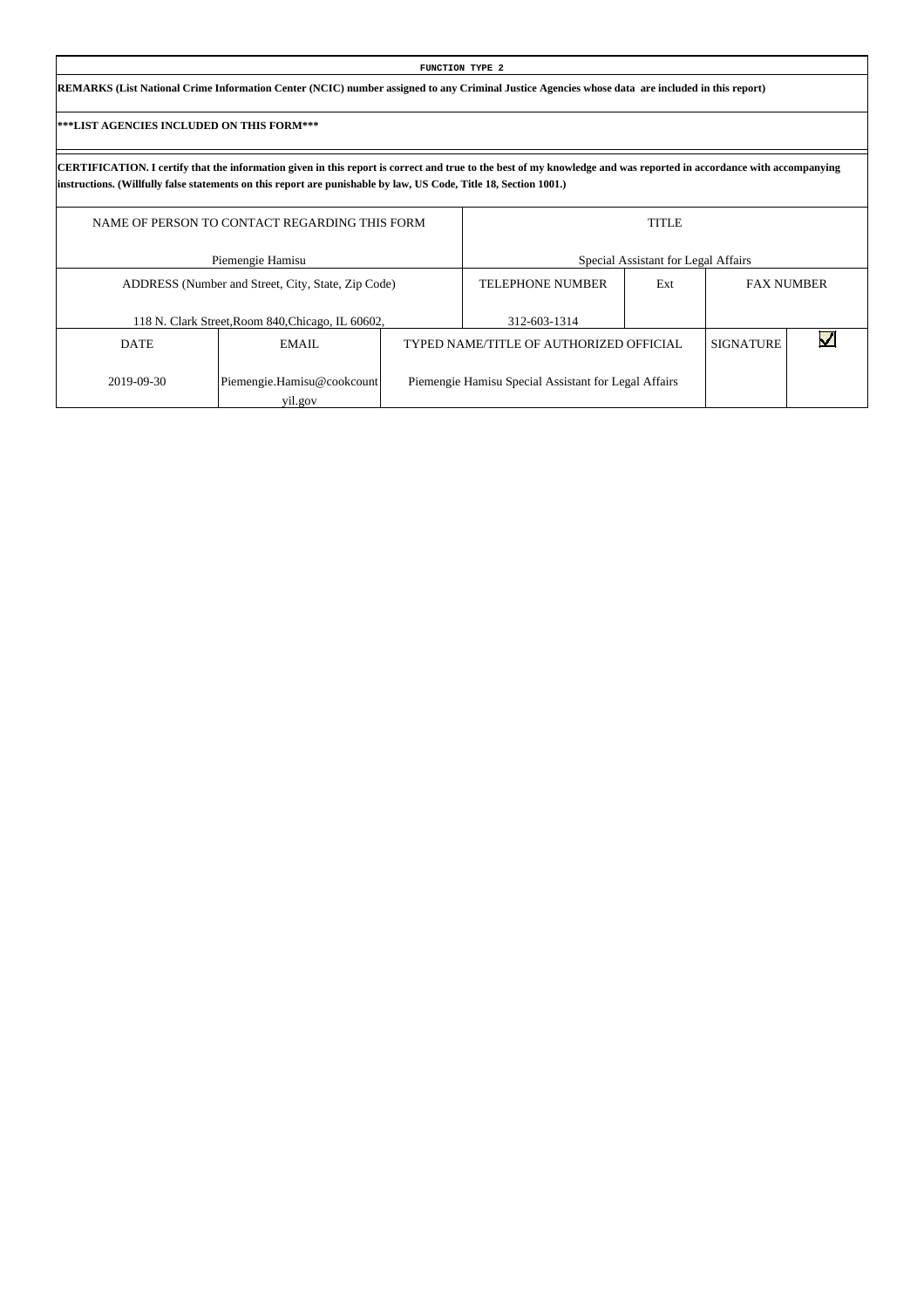| FUNCTION TYPE 2                                                                                                                                 |  |
|-------------------------------------------------------------------------------------------------------------------------------------------------|--|
| REMARKS (List National Crime Information Center (NCIC) number assigned to any Criminal Justice Agencies whose data are included in this report) |  |

Г

|             | NAME OF PERSON TO CONTACT REGARDING THIS FORM      |                                                      | <b>TITLE</b>                        |                  |                   |
|-------------|----------------------------------------------------|------------------------------------------------------|-------------------------------------|------------------|-------------------|
|             | Piemengie Hamisu                                   |                                                      | Special Assistant for Legal Affairs |                  |                   |
|             | ADDRESS (Number and Street, City, State, Zip Code) | <b>TELEPHONE NUMBER</b>                              | Ext                                 |                  | <b>FAX NUMBER</b> |
|             | 118 N. Clark Street, Room 840, Chicago, IL 60602,  | 312-603-1314                                         |                                     |                  |                   |
| <b>DATE</b> | EMAIL                                              | TYPED NAME/TITLE OF AUTHORIZED OFFICIAL              |                                     | <b>SIGNATURE</b> |                   |
| 2019-09-30  | Piemengie.Hamisu@cookcount<br>yil.gov              | Piemengie Hamisu Special Assistant for Legal Affairs |                                     |                  |                   |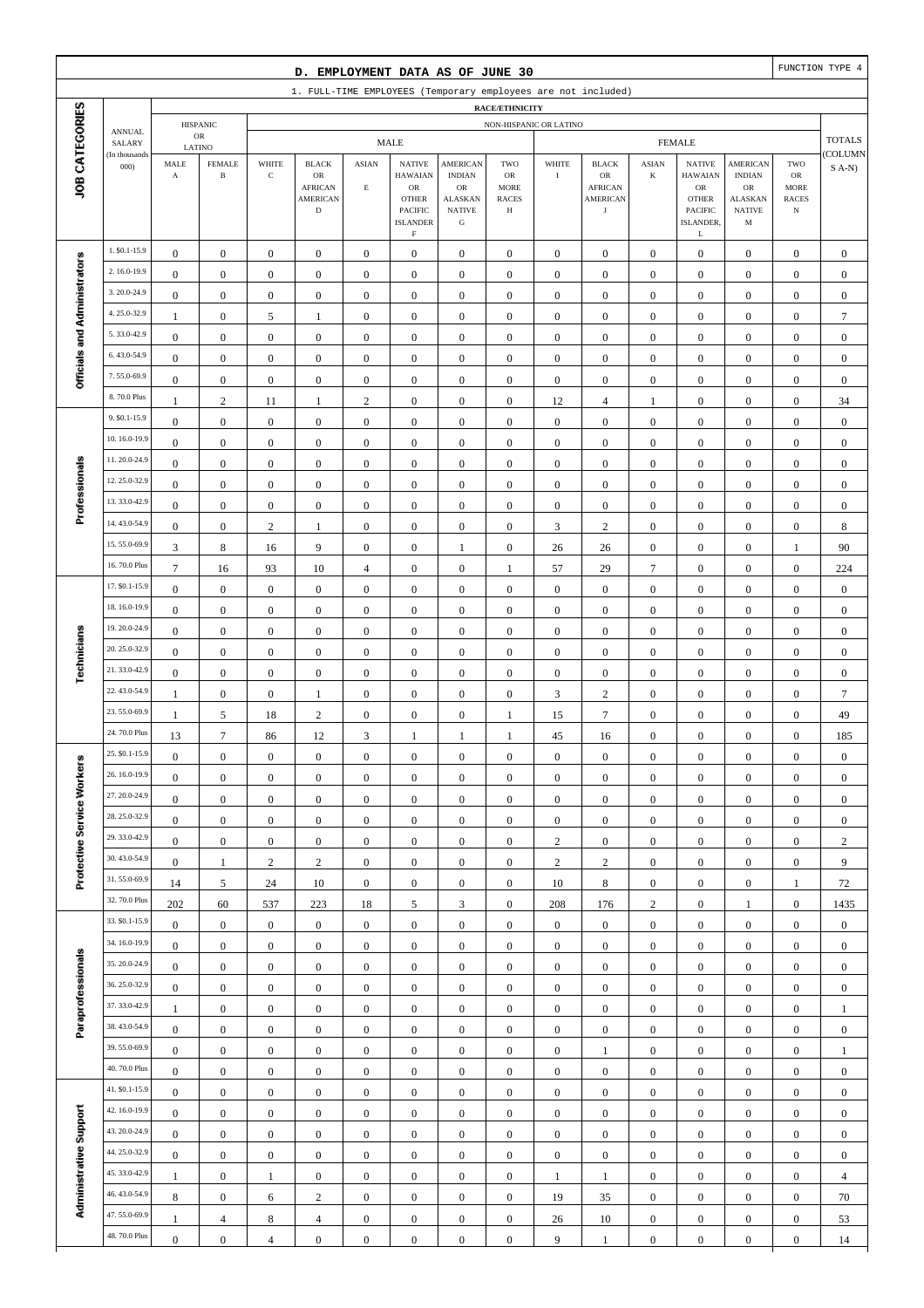|                              |                                |                                      |                                         |                                | D. EMPLOYMENT DATA AS OF JUNE 30                                       |                                      |                                                                           |                                                                                    |                                               |                                    |                                                                       |                                      |                                                                                 |                                                                                  |                                                                | FUNCTION TYPE 4                 |
|------------------------------|--------------------------------|--------------------------------------|-----------------------------------------|--------------------------------|------------------------------------------------------------------------|--------------------------------------|---------------------------------------------------------------------------|------------------------------------------------------------------------------------|-----------------------------------------------|------------------------------------|-----------------------------------------------------------------------|--------------------------------------|---------------------------------------------------------------------------------|----------------------------------------------------------------------------------|----------------------------------------------------------------|---------------------------------|
|                              |                                |                                      |                                         |                                |                                                                        |                                      |                                                                           |                                                                                    |                                               |                                    | 1. FULL-TIME EMPLOYEES (Temporary employees are not included)         |                                      |                                                                                 |                                                                                  |                                                                |                                 |
|                              |                                |                                      |                                         |                                |                                                                        |                                      |                                                                           |                                                                                    | RACE/ETHNICITY                                |                                    |                                                                       |                                      |                                                                                 |                                                                                  |                                                                |                                 |
|                              | <b>ANNUAL</b><br>SALARY        |                                      | <b>HISPANIC</b><br>$_{\rm OR}$          |                                |                                                                        |                                      | <b>MALE</b>                                                               |                                                                                    | NON-HISPANIC OR LATINO                        |                                    |                                                                       |                                      | <b>FEMALE</b>                                                                   |                                                                                  |                                                                | <b>TOTALS</b>                   |
| JOB CATEGORIES               | (In thousands<br>000           | MALE<br>$\mathbf A$                  | LATINO<br><b>FEMALE</b><br>$\, {\bf B}$ | WHITE<br>$\mathbf C$           | <b>BLACK</b><br>OR<br><b>AFRICAN</b><br><b>AMERICAN</b><br>$\mathbf D$ | <b>ASIAN</b><br>$\mathbf E$          | <b>NATIVE</b><br><b>HAWAIAN</b><br>$_{\rm OR}$<br><b>OTHER</b><br>PACIFIC | <b>AMERICAN</b><br><b>INDIAN</b><br>$_{\rm OR}$<br><b>ALASKAN</b><br><b>NATIVE</b> | TWO<br>OR<br><b>MORE</b><br><b>RACES</b><br>Н | WHITE<br>$\bf{I}$                  | <b>BLACK</b><br>OR<br><b>AFRICAN</b><br><b>AMERICAN</b><br>$_{\rm J}$ | <b>ASIAN</b><br>K                    | <b>NATIVE</b><br><b>HAWAIAN</b><br>${\rm OR}$<br><b>OTHER</b><br><b>PACIFIC</b> | <b>AMERICAN</b><br><b>INDIAN</b><br><b>OR</b><br><b>ALASKAN</b><br><b>NATIVE</b> | TWO<br>${\sf OR}$<br><b>MORE</b><br><b>RACES</b><br>$_{\rm N}$ | COLUMN<br>$S(A-N)$              |
|                              |                                |                                      |                                         |                                |                                                                        |                                      | <b>ISLANDER</b><br>$\mathbf F$                                            | ${\bf G}$                                                                          |                                               |                                    |                                                                       |                                      | ISLANDER,<br>L                                                                  | M                                                                                |                                                                |                                 |
|                              | 1. \$0.1-15.9                  | $\boldsymbol{0}$                     | $\boldsymbol{0}$                        | $\boldsymbol{0}$               | $\boldsymbol{0}$                                                       | $\boldsymbol{0}$                     | $\boldsymbol{0}$                                                          | $\mathbf{0}$                                                                       | $\boldsymbol{0}$                              | $\boldsymbol{0}$                   | $\boldsymbol{0}$                                                      | $\boldsymbol{0}$                     | $\boldsymbol{0}$                                                                | $\boldsymbol{0}$                                                                 | $\boldsymbol{0}$                                               | $\mathbf{0}$                    |
| Officials and Administrators | 2.16.0-19.9                    | $\boldsymbol{0}$                     | $\boldsymbol{0}$                        | $\boldsymbol{0}$               | $\boldsymbol{0}$                                                       | $\boldsymbol{0}$                     | $\boldsymbol{0}$                                                          | $\boldsymbol{0}$                                                                   | $\boldsymbol{0}$                              | $\boldsymbol{0}$                   | $\boldsymbol{0}$                                                      | $\boldsymbol{0}$                     | $\boldsymbol{0}$                                                                | $\boldsymbol{0}$                                                                 | $\boldsymbol{0}$                                               | $\boldsymbol{0}$                |
|                              | 3.20.0-24.9                    | $\boldsymbol{0}$                     | $\mathbf{0}$                            | $\boldsymbol{0}$               | $\boldsymbol{0}$                                                       | $\boldsymbol{0}$                     | $\mathbf{0}$                                                              | $\boldsymbol{0}$                                                                   | $\boldsymbol{0}$                              | $\boldsymbol{0}$                   | $\boldsymbol{0}$                                                      | $\boldsymbol{0}$                     | $\boldsymbol{0}$                                                                | $\boldsymbol{0}$                                                                 | $\boldsymbol{0}$                                               | $\boldsymbol{0}$                |
|                              | 4.25.0-32.9                    | -1                                   | $\mathbf{0}$                            | 5                              | 1                                                                      | $\boldsymbol{0}$                     | $\mathbf{0}$                                                              | $\boldsymbol{0}$                                                                   | $\mathbf{0}$                                  | $\boldsymbol{0}$                   | $\boldsymbol{0}$                                                      | $\boldsymbol{0}$                     | $\boldsymbol{0}$                                                                | $\boldsymbol{0}$                                                                 | $\boldsymbol{0}$                                               | $\overline{7}$                  |
|                              | 5.33.0-42.9                    | $\boldsymbol{0}$                     | $\mathbf{0}$                            | $\boldsymbol{0}$               | $\boldsymbol{0}$                                                       | $\boldsymbol{0}$                     | $\mathbf{0}$                                                              | $\boldsymbol{0}$                                                                   | $\boldsymbol{0}$                              | $\boldsymbol{0}$                   | $\boldsymbol{0}$                                                      | $\boldsymbol{0}$                     | $\boldsymbol{0}$                                                                | $\boldsymbol{0}$                                                                 | $\boldsymbol{0}$                                               | $\boldsymbol{0}$                |
|                              | 6.43.0-54.9                    | $\boldsymbol{0}$                     | $\boldsymbol{0}$                        | $\boldsymbol{0}$               | $\boldsymbol{0}$                                                       | $\boldsymbol{0}$                     | $\mathbf{0}$                                                              | $\boldsymbol{0}$                                                                   | $\boldsymbol{0}$                              | $\boldsymbol{0}$                   | $\boldsymbol{0}$                                                      | $\boldsymbol{0}$                     | $\boldsymbol{0}$                                                                | $\boldsymbol{0}$                                                                 | $\boldsymbol{0}$                                               | $\boldsymbol{0}$                |
|                              | 7.55.0-69.9<br>8.70.0 Plus     | $\boldsymbol{0}$                     | $\boldsymbol{0}$                        | $\boldsymbol{0}$               | $\boldsymbol{0}$                                                       | $\boldsymbol{0}$                     | $\mathbf{0}$                                                              | $\boldsymbol{0}$                                                                   | $\boldsymbol{0}$                              | $\mathbf{0}$                       | $\boldsymbol{0}$                                                      | $\boldsymbol{0}$                     | $\boldsymbol{0}$                                                                | $\boldsymbol{0}$                                                                 | $\boldsymbol{0}$                                               | $\boldsymbol{0}$                |
|                              | 9. \$0.1-15.9                  | 1                                    | $\overline{2}$                          | 11                             | $\mathbf{1}$                                                           | $\overline{c}$                       | $\mathbf{0}$                                                              | $\boldsymbol{0}$                                                                   | $\mathbf{0}$                                  | 12                                 | $\overline{4}$                                                        | 1                                    | $\boldsymbol{0}$                                                                | $\overline{0}$                                                                   | $\boldsymbol{0}$                                               | 34                              |
|                              | 10.16.0-19.9                   | $\boldsymbol{0}$                     | $\mathbf{0}$                            | $\boldsymbol{0}$               | $\boldsymbol{0}$                                                       | $\boldsymbol{0}$                     | $\mathbf{0}$                                                              | $\boldsymbol{0}$                                                                   | $\mathbf{0}$                                  | $\boldsymbol{0}$                   | $\boldsymbol{0}$                                                      | $\boldsymbol{0}$                     | $\boldsymbol{0}$                                                                | $\boldsymbol{0}$                                                                 | $\boldsymbol{0}$                                               | $\boldsymbol{0}$                |
|                              | 11.20.0-24.9                   | $\boldsymbol{0}$                     | $\mathbf{0}$                            | $\boldsymbol{0}$               | $\boldsymbol{0}$                                                       | $\boldsymbol{0}$                     | $\mathbf{0}$                                                              | $\boldsymbol{0}$                                                                   | $\boldsymbol{0}$                              | $\mathbf{0}$                       | $\boldsymbol{0}$                                                      | $\boldsymbol{0}$                     | $\boldsymbol{0}$                                                                | $\boldsymbol{0}$                                                                 | $\boldsymbol{0}$                                               | $\boldsymbol{0}$                |
|                              | 12.25.0-32.9                   | $\boldsymbol{0}$                     | $\mathbf{0}$                            | $\boldsymbol{0}$               | $\boldsymbol{0}$                                                       | $\boldsymbol{0}$                     | $\boldsymbol{0}$                                                          | $\boldsymbol{0}$                                                                   | $\boldsymbol{0}$                              | $\boldsymbol{0}$                   | $\boldsymbol{0}$                                                      | $\boldsymbol{0}$                     | $\boldsymbol{0}$                                                                | $\boldsymbol{0}$                                                                 | $\boldsymbol{0}$                                               | $\boldsymbol{0}$                |
| Professionals                | 13.33.0-42.9                   | $\boldsymbol{0}$                     | $\mathbf{0}$                            | $\boldsymbol{0}$               | $\boldsymbol{0}$                                                       | $\boldsymbol{0}$                     | $\boldsymbol{0}$                                                          | $\boldsymbol{0}$                                                                   | $\mathbf{0}$                                  | $\boldsymbol{0}$                   | $\boldsymbol{0}$                                                      | $\boldsymbol{0}$                     | $\boldsymbol{0}$                                                                | $\boldsymbol{0}$                                                                 | $\boldsymbol{0}$                                               | $\boldsymbol{0}$                |
|                              | 14.43.0-54.9                   | $\boldsymbol{0}$<br>$\boldsymbol{0}$ | $\mathbf{0}$<br>$\boldsymbol{0}$        | $\boldsymbol{0}$<br>$\sqrt{2}$ | $\boldsymbol{0}$<br>$\mathbf{1}$                                       | $\boldsymbol{0}$<br>$\boldsymbol{0}$ | $\boldsymbol{0}$<br>$\boldsymbol{0}$                                      | $\boldsymbol{0}$<br>$\boldsymbol{0}$                                               | $\boldsymbol{0}$<br>$\boldsymbol{0}$          | $\boldsymbol{0}$<br>$\mathfrak{Z}$ | $\boldsymbol{0}$<br>$\sqrt{2}$                                        | $\boldsymbol{0}$<br>$\boldsymbol{0}$ | $\boldsymbol{0}$<br>$\boldsymbol{0}$                                            | $\boldsymbol{0}$<br>$\boldsymbol{0}$                                             | $\boldsymbol{0}$<br>$\boldsymbol{0}$                           | $\boldsymbol{0}$<br>$\,$ 8 $\,$ |
|                              | 15.55.0-69.9                   | 3                                    | $\,$ 8 $\,$                             | 16                             | 9                                                                      | $\boldsymbol{0}$                     | $\boldsymbol{0}$                                                          | $\mathbf{1}$                                                                       | $\boldsymbol{0}$                              | 26                                 | 26                                                                    | $\boldsymbol{0}$                     | $\boldsymbol{0}$                                                                | $\boldsymbol{0}$                                                                 | $\mathbf{1}$                                                   | 90                              |
|                              | 16.70.0 Plus                   | $\tau$                               | 16                                      | 93                             | 10                                                                     | $\overline{4}$                       | $\boldsymbol{0}$                                                          | $\boldsymbol{0}$                                                                   | 1                                             | 57                                 | 29                                                                    | $\overline{7}$                       | $\boldsymbol{0}$                                                                | $\overline{0}$                                                                   | $\boldsymbol{0}$                                               | 224                             |
|                              | 17. \$0.1-15.9                 | $\boldsymbol{0}$                     | $\boldsymbol{0}$                        | $\boldsymbol{0}$               | $\boldsymbol{0}$                                                       | $\boldsymbol{0}$                     | $\boldsymbol{0}$                                                          | $\boldsymbol{0}$                                                                   | $\boldsymbol{0}$                              | $\boldsymbol{0}$                   | $\boldsymbol{0}$                                                      | $\boldsymbol{0}$                     | $\boldsymbol{0}$                                                                | $\boldsymbol{0}$                                                                 | $\boldsymbol{0}$                                               | $\boldsymbol{0}$                |
|                              | 18.16.0-19.9                   | $\boldsymbol{0}$                     | $\boldsymbol{0}$                        | $\boldsymbol{0}$               | $\boldsymbol{0}$                                                       | $\boldsymbol{0}$                     | $\mathbf{0}$                                                              | $\boldsymbol{0}$                                                                   | $\boldsymbol{0}$                              | $\boldsymbol{0}$                   | $\boldsymbol{0}$                                                      | $\boldsymbol{0}$                     | $\boldsymbol{0}$                                                                | $\boldsymbol{0}$                                                                 | $\boldsymbol{0}$                                               | $\boldsymbol{0}$                |
|                              | 19.20.0-24.9                   | $\boldsymbol{0}$                     | $\mathbf{0}$                            | $\boldsymbol{0}$               | $\boldsymbol{0}$                                                       | $\boldsymbol{0}$                     | $\mathbf{0}$                                                              | $\boldsymbol{0}$                                                                   | $\boldsymbol{0}$                              | $\mathbf{0}$                       | $\boldsymbol{0}$                                                      | $\boldsymbol{0}$                     | $\boldsymbol{0}$                                                                | $\boldsymbol{0}$                                                                 | $\boldsymbol{0}$                                               | $\boldsymbol{0}$                |
|                              | 20.25.0-32.9                   | $\mathbf{0}$                         | $\boldsymbol{0}$                        | $\boldsymbol{0}$               | $\boldsymbol{0}$                                                       | $\mathbf{0}$                         | $\mathbf{0}$                                                              | $\boldsymbol{0}$                                                                   | $\mathbf{0}$                                  | $\mathbf{0}$                       | $\boldsymbol{0}$                                                      | $\boldsymbol{0}$                     | $\boldsymbol{0}$                                                                | $\boldsymbol{0}$                                                                 | $\boldsymbol{0}$                                               | $\boldsymbol{0}$                |
| Technicians                  | 21.33.0-42.9                   | $\boldsymbol{0}$                     | $\mathbf{0}$                            | $\boldsymbol{0}$               | $\boldsymbol{0}$                                                       | $\boldsymbol{0}$                     | $\mathbf{0}$                                                              | $\boldsymbol{0}$                                                                   | $\boldsymbol{0}$                              | $\boldsymbol{0}$                   | $\boldsymbol{0}$                                                      | $\boldsymbol{0}$                     | $\boldsymbol{0}$                                                                | $\boldsymbol{0}$                                                                 | $\boldsymbol{0}$                                               | $\boldsymbol{0}$                |
|                              | 22.43.0-54.9                   | 1                                    | $\boldsymbol{0}$                        | $\boldsymbol{0}$               | $\mathbf{1}$                                                           | $\boldsymbol{0}$                     | $\mathbf{0}$                                                              | $\boldsymbol{0}$                                                                   | $\boldsymbol{0}$                              | $\mathfrak{Z}$                     | $\sqrt{2}$                                                            | $\boldsymbol{0}$                     | $\boldsymbol{0}$                                                                | $\boldsymbol{0}$                                                                 | $\boldsymbol{0}$                                               | $\overline{7}$                  |
|                              | 23.55.0-69.9                   | $\mathbf{1}$                         | 5                                       | 18                             | $\sqrt{2}$                                                             | $\boldsymbol{0}$                     | $\mathbf{0}$                                                              | $\boldsymbol{0}$                                                                   | 1                                             | 15                                 | $\tau$                                                                | $\boldsymbol{0}$                     | $\boldsymbol{0}$                                                                | $\boldsymbol{0}$                                                                 | $\boldsymbol{0}$                                               | 49                              |
|                              | 24.70.0 Plus                   | 13                                   | $\tau$                                  | 86                             | 12                                                                     | 3                                    | 1                                                                         | $\mathbf{1}$                                                                       | 1                                             | 45                                 | 16                                                                    | $\boldsymbol{0}$                     | $\boldsymbol{0}$                                                                | $\overline{0}$                                                                   | $\boldsymbol{0}$                                               | 185                             |
|                              | 25. \$0.1-15.9                 | $\boldsymbol{0}$                     | $\boldsymbol{0}$                        | $\boldsymbol{0}$               | $\boldsymbol{0}$                                                       | $\boldsymbol{0}$                     | $\boldsymbol{0}$                                                          | $\bf{0}$                                                                           | $\boldsymbol{0}$                              | $\boldsymbol{0}$                   | $\boldsymbol{0}$                                                      | $\boldsymbol{0}$                     | $\boldsymbol{0}$                                                                | 0                                                                                | $\boldsymbol{0}$                                               | $\boldsymbol{0}$                |
|                              | 26.16.0-19.9                   | $\boldsymbol{0}$                     | $\boldsymbol{0}$                        | $\boldsymbol{0}$               | $\mathbf{0}$                                                           | $\boldsymbol{0}$                     | $\boldsymbol{0}$                                                          | $\boldsymbol{0}$                                                                   | $\boldsymbol{0}$                              | $\boldsymbol{0}$                   | $\boldsymbol{0}$                                                      | $\mathbf{0}$                         | $\boldsymbol{0}$                                                                | $\boldsymbol{0}$                                                                 | $\boldsymbol{0}$                                               | $\boldsymbol{0}$                |
|                              | 27.20.0-24.9                   | $\boldsymbol{0}$                     | $\boldsymbol{0}$                        | $\boldsymbol{0}$               | $\boldsymbol{0}$                                                       | $\boldsymbol{0}$                     | $\boldsymbol{0}$                                                          | $\boldsymbol{0}$                                                                   | $\boldsymbol{0}$                              | $\boldsymbol{0}$                   | $\boldsymbol{0}$                                                      | $\boldsymbol{0}$                     | $\boldsymbol{0}$                                                                | $\boldsymbol{0}$                                                                 | $\boldsymbol{0}$                                               | $\boldsymbol{0}$                |
|                              | 28.25.0-32.9                   | $\boldsymbol{0}$                     | $\boldsymbol{0}$                        | $\boldsymbol{0}$               | $\boldsymbol{0}$                                                       | $\mathbf{0}$                         | $\boldsymbol{0}$                                                          | $\boldsymbol{0}$                                                                   | $\boldsymbol{0}$                              | $\boldsymbol{0}$                   | $\boldsymbol{0}$                                                      | $\boldsymbol{0}$                     | $\boldsymbol{0}$                                                                | $\boldsymbol{0}$                                                                 | $\boldsymbol{0}$                                               | $\boldsymbol{0}$                |
| Protective Service Workers   | 29.33.0-42.9                   | $\boldsymbol{0}$                     | $\boldsymbol{0}$                        | $\boldsymbol{0}$               | $\boldsymbol{0}$                                                       | $\mathbf{0}$                         | $\boldsymbol{0}$                                                          | $\boldsymbol{0}$                                                                   | $\boldsymbol{0}$                              | $\sqrt{2}$                         | $\boldsymbol{0}$                                                      | $\boldsymbol{0}$                     | $\boldsymbol{0}$                                                                | $\boldsymbol{0}$                                                                 | $\boldsymbol{0}$                                               | $\overline{c}$                  |
|                              | 30.43.0-54.9                   | $\boldsymbol{0}$                     | $\mathbf{1}$                            | $\sqrt{2}$                     | $\sqrt{2}$                                                             | $\boldsymbol{0}$                     | $\boldsymbol{0}$                                                          | $\boldsymbol{0}$                                                                   | $\boldsymbol{0}$                              | $\sqrt{2}$                         | $\overline{c}$                                                        | $\boldsymbol{0}$                     | $\boldsymbol{0}$                                                                | $\boldsymbol{0}$                                                                 | $\boldsymbol{0}$                                               | 9                               |
|                              | 31.55.0-69.9                   | 14                                   | 5                                       | 24                             | 10                                                                     | $\overline{0}$                       | $\boldsymbol{0}$                                                          | $\boldsymbol{0}$                                                                   | $\boldsymbol{0}$                              | 10                                 | 8                                                                     | $\boldsymbol{0}$                     | $\boldsymbol{0}$                                                                | $\boldsymbol{0}$                                                                 | $\mathbf{1}$                                                   | 72                              |
|                              | 32.70.0 Plus                   | 202                                  | 60                                      | 537                            | 223                                                                    | 18                                   | 5                                                                         | $\mathfrak{Z}$                                                                     | $\boldsymbol{0}$                              | 208                                | 176                                                                   | $\overline{c}$                       | $\boldsymbol{0}$                                                                | 1                                                                                | $\boldsymbol{0}$                                               | 1435                            |
|                              | 33. \$0.1-15.9                 | $\boldsymbol{0}$                     | $\boldsymbol{0}$                        | $\boldsymbol{0}$               | $\boldsymbol{0}$                                                       | $\boldsymbol{0}$                     | $\boldsymbol{0}$                                                          | $\boldsymbol{0}$                                                                   | $\boldsymbol{0}$                              | $\boldsymbol{0}$                   | $\boldsymbol{0}$                                                      | $\boldsymbol{0}$                     | $\boldsymbol{0}$                                                                | $\boldsymbol{0}$                                                                 | $\boldsymbol{0}$                                               | $\boldsymbol{0}$                |
|                              | 34.16.0-19.9                   | $\boldsymbol{0}$                     | $\boldsymbol{0}$                        | $\boldsymbol{0}$               | $\boldsymbol{0}$                                                       | $\boldsymbol{0}$                     | $\boldsymbol{0}$                                                          | $\boldsymbol{0}$                                                                   | $\boldsymbol{0}$                              | $\boldsymbol{0}$                   | $\boldsymbol{0}$                                                      | $\boldsymbol{0}$                     | $\boldsymbol{0}$                                                                | $\boldsymbol{0}$                                                                 | $\boldsymbol{0}$                                               | $\boldsymbol{0}$                |
| Paraprofessionals            | 35.20.0-24.9                   | $\boldsymbol{0}$                     | $\boldsymbol{0}$                        | $\boldsymbol{0}$               | $\boldsymbol{0}$                                                       | $\boldsymbol{0}$                     | $\boldsymbol{0}$                                                          | $\boldsymbol{0}$                                                                   | $\boldsymbol{0}$                              | $\boldsymbol{0}$                   | $\boldsymbol{0}$                                                      | $\boldsymbol{0}$                     | $\boldsymbol{0}$                                                                | $\boldsymbol{0}$                                                                 | $\boldsymbol{0}$                                               | $\boldsymbol{0}$                |
|                              | 36.25.0-32.9                   | $\boldsymbol{0}$                     | $\boldsymbol{0}$                        | $\boldsymbol{0}$               | $\overline{0}$                                                         | $\mathbf{0}$                         | $\boldsymbol{0}$                                                          | $\boldsymbol{0}$                                                                   | $\boldsymbol{0}$                              | $\overline{0}$                     | $\boldsymbol{0}$                                                      | $\boldsymbol{0}$                     | $\boldsymbol{0}$                                                                | $\boldsymbol{0}$                                                                 | $\boldsymbol{0}$                                               | $\boldsymbol{0}$                |
|                              | 37.33.0-42.9                   | $\mathbf{1}$                         | $\boldsymbol{0}$                        | $\boldsymbol{0}$               | $\boldsymbol{0}$                                                       | $\mathbf{0}$                         | $\boldsymbol{0}$                                                          | $\boldsymbol{0}$                                                                   | $\boldsymbol{0}$                              | $\boldsymbol{0}$                   | $\boldsymbol{0}$                                                      | $\boldsymbol{0}$                     | $\boldsymbol{0}$                                                                | $\boldsymbol{0}$                                                                 | $\boldsymbol{0}$                                               | $\mathbf{1}$                    |
|                              | 38.43.0-54.9                   | $\boldsymbol{0}$                     | $\boldsymbol{0}$                        | $\boldsymbol{0}$               | $\boldsymbol{0}$                                                       | $\boldsymbol{0}$                     | $\boldsymbol{0}$                                                          | $\boldsymbol{0}$                                                                   | $\boldsymbol{0}$                              | $\boldsymbol{0}$                   | $\boldsymbol{0}$                                                      | $\boldsymbol{0}$                     | $\boldsymbol{0}$                                                                | $\boldsymbol{0}$                                                                 | $\boldsymbol{0}$                                               | $\boldsymbol{0}$                |
|                              | 39.55.0-69.9                   | $\boldsymbol{0}$                     | $\boldsymbol{0}$                        | $\boldsymbol{0}$               | $\boldsymbol{0}$                                                       | $\boldsymbol{0}$                     | $\boldsymbol{0}$                                                          | $\boldsymbol{0}$                                                                   | $\boldsymbol{0}$                              | $\boldsymbol{0}$                   | $\mathbf{1}$                                                          | $\boldsymbol{0}$                     | $\boldsymbol{0}$                                                                | $\boldsymbol{0}$                                                                 | $\boldsymbol{0}$                                               | $\mathbf{1}$                    |
|                              | 40.70.0 Plus<br>41. \$0.1-15.9 | $\boldsymbol{0}$                     | $\boldsymbol{0}$                        | $\boldsymbol{0}$               | $\boldsymbol{0}$                                                       | $\mathbf{0}$                         | $\boldsymbol{0}$                                                          | $\boldsymbol{0}$                                                                   | $\boldsymbol{0}$                              | $\mathbf{0}$                       | $\boldsymbol{0}$                                                      | $\boldsymbol{0}$                     | $\boldsymbol{0}$                                                                | $\boldsymbol{0}$                                                                 | $\boldsymbol{0}$                                               | $\boldsymbol{0}$                |
|                              | 42.16.0-19.9                   | $\boldsymbol{0}$                     | $\boldsymbol{0}$                        | $\boldsymbol{0}$               | $\boldsymbol{0}$                                                       | $\boldsymbol{0}$                     | $\boldsymbol{0}$                                                          | $\boldsymbol{0}$                                                                   | $\boldsymbol{0}$                              | $\boldsymbol{0}$                   | $\boldsymbol{0}$                                                      | $\boldsymbol{0}$                     | $\boldsymbol{0}$                                                                | $\boldsymbol{0}$                                                                 | $\boldsymbol{0}$                                               | $\boldsymbol{0}$                |
| Administrative Support       | 43.20.0-24.9                   | $\boldsymbol{0}$                     | $\boldsymbol{0}$                        | $\boldsymbol{0}$               | $\boldsymbol{0}$                                                       | $\boldsymbol{0}$                     | $\boldsymbol{0}$                                                          | $\boldsymbol{0}$                                                                   | $\boldsymbol{0}$                              | $\boldsymbol{0}$                   | $\boldsymbol{0}$                                                      | $\boldsymbol{0}$                     | $\boldsymbol{0}$                                                                | $\boldsymbol{0}$                                                                 | $\boldsymbol{0}$                                               | $\boldsymbol{0}$                |
|                              | 44.25.0-32.9                   | $\boldsymbol{0}$                     | $\boldsymbol{0}$                        | $\boldsymbol{0}$               | $\boldsymbol{0}$                                                       | $\boldsymbol{0}$                     | $\boldsymbol{0}$                                                          | $\boldsymbol{0}$                                                                   | $\boldsymbol{0}$                              | $\boldsymbol{0}$                   | $\boldsymbol{0}$                                                      | $\boldsymbol{0}$                     | $\boldsymbol{0}$                                                                | $\boldsymbol{0}$                                                                 | $\boldsymbol{0}$                                               | $\boldsymbol{0}$                |
|                              | 45.33.0-42.9                   | $\boldsymbol{0}$                     | $\boldsymbol{0}$                        | $\boldsymbol{0}$               | $\boldsymbol{0}$                                                       | $\mathbf{0}$                         | $\boldsymbol{0}$                                                          | $\boldsymbol{0}$                                                                   | $\boldsymbol{0}$                              | $\mathbf{0}$                       | $\boldsymbol{0}$                                                      | $\boldsymbol{0}$                     | $\boldsymbol{0}$                                                                | $\boldsymbol{0}$                                                                 | $\boldsymbol{0}$                                               | $\boldsymbol{0}$                |
|                              | 46.43.0-54.9                   | -1<br>$\bf 8$                        | $\boldsymbol{0}$                        | $\mathbf{1}$                   | $\boldsymbol{0}$                                                       | $\boldsymbol{0}$<br>$\boldsymbol{0}$ | $\boldsymbol{0}$<br>$\boldsymbol{0}$                                      | $\boldsymbol{0}$                                                                   | $\boldsymbol{0}$                              | $\mathbf{1}$                       | $\mathbf{1}$                                                          | $\boldsymbol{0}$<br>$\boldsymbol{0}$ | $\boldsymbol{0}$                                                                | $\boldsymbol{0}$                                                                 | $\boldsymbol{0}$                                               | $\overline{4}$                  |
|                              | 47.55.0-69.9                   | $\mathbf{1}$                         | $\boldsymbol{0}$<br>4                   | 6<br>8                         | $\sqrt{2}$<br>$\overline{4}$                                           | $\boldsymbol{0}$                     | $\boldsymbol{0}$                                                          | $\boldsymbol{0}$<br>$\boldsymbol{0}$                                               | $\boldsymbol{0}$<br>$\boldsymbol{0}$          | 19<br>26                           | 35<br>10                                                              | $\boldsymbol{0}$                     | $\boldsymbol{0}$<br>$\boldsymbol{0}$                                            | $\boldsymbol{0}$<br>$\boldsymbol{0}$                                             | $\boldsymbol{0}$<br>$\boldsymbol{0}$                           | 70<br>53                        |
|                              | 48.70.0 Plus                   | $\boldsymbol{0}$                     | $\boldsymbol{0}$                        | $\overline{4}$                 | $\boldsymbol{0}$                                                       | $\boldsymbol{0}$                     | $\boldsymbol{0}$                                                          | $\boldsymbol{0}$                                                                   | $\boldsymbol{0}$                              | 9                                  | $\mathbf{1}$                                                          | $\boldsymbol{0}$                     | $\boldsymbol{0}$                                                                | $\boldsymbol{0}$                                                                 | $\boldsymbol{0}$                                               | 14                              |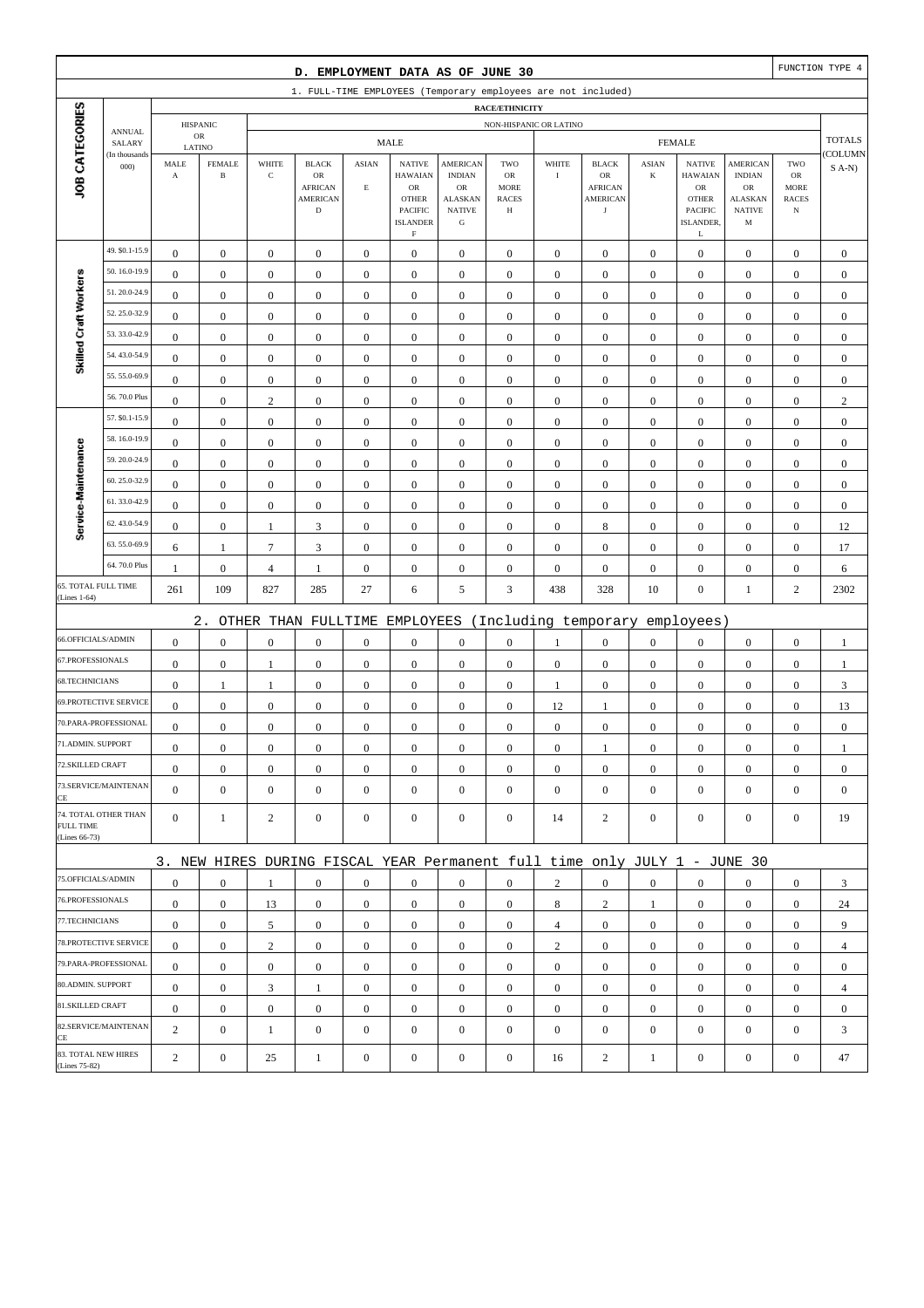|                                      |                              |                       |                  |                  | D. EMPLOYMENT DATA AS OF JUNE 30                                          |                         |                                                                                   |                                                                     |                                                        |                  |                                                       |                  |                                                                                  |                                                      |                                                  | FUNCTION TYPE 4  |
|--------------------------------------|------------------------------|-----------------------|------------------|------------------|---------------------------------------------------------------------------|-------------------------|-----------------------------------------------------------------------------------|---------------------------------------------------------------------|--------------------------------------------------------|------------------|-------------------------------------------------------|------------------|----------------------------------------------------------------------------------|------------------------------------------------------|--------------------------------------------------|------------------|
|                                      |                              |                       |                  |                  | 1. FULL-TIME EMPLOYEES (Temporary employees are not included)             |                         |                                                                                   |                                                                     |                                                        |                  |                                                       |                  |                                                                                  |                                                      |                                                  |                  |
|                                      |                              |                       | <b>HISPANIC</b>  |                  |                                                                           |                         |                                                                                   |                                                                     | <b>RACE/ETHNICITY</b><br>NON-HISPANIC OR LATINO        |                  |                                                       |                  |                                                                                  |                                                      |                                                  |                  |
|                                      | <b>ANNUAL</b><br>SALARY      |                       | ${\sf OR}$       |                  |                                                                           |                         | <b>MALE</b>                                                                       |                                                                     |                                                        |                  |                                                       |                  | <b>FEMALE</b>                                                                    |                                                      |                                                  | <b>TOTALS</b>    |
|                                      | (In thousands                | LATINO<br>MALE        | <b>FEMALE</b>    | WHITE            | <b>BLACK</b>                                                              | <b>ASIAN</b>            | <b>NATIVE</b>                                                                     | <b>AMERICAN</b>                                                     | TWO                                                    | WHITE            | <b>BLACK</b>                                          | <b>ASIAN</b>     | <b>NATIVE</b>                                                                    | <b>AMERICAN</b>                                      | TWO                                              | COLUMN           |
| JOB CATEGORIES                       | 000                          | $\boldsymbol{\rm{A}}$ | $\, {\bf B}$     | $\mathbf C$      | $_{\rm OR}$<br><b>AFRICAN</b><br><b>AMERICAN</b><br>$\mathbf D$           | $\mathop{\hbox{\bf E}}$ | <b>HAWAIAN</b><br>OR<br><b>OTHER</b><br>PACIFIC<br><b>ISLANDER</b><br>$\mathbf F$ | <b>INDIAN</b><br>OR<br><b>ALASKAN</b><br><b>NATIVE</b><br>${\bf G}$ | <b>OR</b><br><b>MORE</b><br><b>RACES</b><br>$_{\rm H}$ | $\rm I$          | OR<br><b>AFRICAN</b><br><b>AMERICAN</b><br>$_{\rm J}$ | $\bf K$          | <b>HAWAIAN</b><br>${\rm OR}$<br><b>OTHER</b><br><b>PACIFIC</b><br>ISLANDER.<br>L | <b>INDIAN</b><br>OR<br>ALASKAN<br><b>NATIVE</b><br>M | ${\rm OR}$<br>MORE<br><b>RACES</b><br>$_{\rm N}$ | $S$ A-N)         |
|                                      | 49. \$0.1-15.9               | $\boldsymbol{0}$      | $\mathbf{0}$     | $\boldsymbol{0}$ | $\boldsymbol{0}$                                                          | $\boldsymbol{0}$        | $\boldsymbol{0}$                                                                  | $\boldsymbol{0}$                                                    | $\boldsymbol{0}$                                       | $\boldsymbol{0}$ | $\boldsymbol{0}$                                      | $\mathbf{0}$     | $\mathbf{0}$                                                                     | $\boldsymbol{0}$                                     | $\boldsymbol{0}$                                 | $\boldsymbol{0}$ |
|                                      | 50.16.0-19.9                 | $\mathbf{0}$          | $\boldsymbol{0}$ | $\boldsymbol{0}$ | $\boldsymbol{0}$                                                          | $\boldsymbol{0}$        | $\boldsymbol{0}$                                                                  | $\boldsymbol{0}$                                                    | $\boldsymbol{0}$                                       | $\boldsymbol{0}$ | $\boldsymbol{0}$                                      | $\boldsymbol{0}$ | $\boldsymbol{0}$                                                                 | $\boldsymbol{0}$                                     | $\boldsymbol{0}$                                 | $\mathbf{0}$     |
| Skilled Craft Workers                | 51.20.0-24.9                 | $\mathbf{0}$          | $\boldsymbol{0}$ | $\boldsymbol{0}$ | $\boldsymbol{0}$                                                          | $\mathbf{0}$            | $\boldsymbol{0}$                                                                  | $\mathbf{0}$                                                        | $\mathbf{0}$                                           | $\boldsymbol{0}$ | $\boldsymbol{0}$                                      | $\boldsymbol{0}$ | $\boldsymbol{0}$                                                                 | $\boldsymbol{0}$                                     | $\boldsymbol{0}$                                 | $\mathbf{0}$     |
|                                      | 52.25.0-32.9                 | $\boldsymbol{0}$      | $\boldsymbol{0}$ | $\boldsymbol{0}$ | $\boldsymbol{0}$                                                          | $\boldsymbol{0}$        | $\boldsymbol{0}$                                                                  | $\boldsymbol{0}$                                                    | $\boldsymbol{0}$                                       | $\boldsymbol{0}$ | $\boldsymbol{0}$                                      | $\boldsymbol{0}$ | $\boldsymbol{0}$                                                                 | $\boldsymbol{0}$                                     | $\boldsymbol{0}$                                 | $\boldsymbol{0}$ |
|                                      | 53.33.0-42.9                 | $\boldsymbol{0}$      | $\boldsymbol{0}$ | $\boldsymbol{0}$ | $\boldsymbol{0}$                                                          | $\boldsymbol{0}$        | $\boldsymbol{0}$                                                                  | $\boldsymbol{0}$                                                    | $\boldsymbol{0}$                                       | $\boldsymbol{0}$ | $\boldsymbol{0}$                                      | $\boldsymbol{0}$ | $\boldsymbol{0}$                                                                 | $\boldsymbol{0}$                                     | $\boldsymbol{0}$                                 | $\boldsymbol{0}$ |
|                                      | 54.43.0-54.9                 | $\boldsymbol{0}$      | $\boldsymbol{0}$ | $\boldsymbol{0}$ | $\boldsymbol{0}$                                                          | $\boldsymbol{0}$        | $\boldsymbol{0}$                                                                  | $\boldsymbol{0}$                                                    | $\boldsymbol{0}$                                       | $\boldsymbol{0}$ | $\boldsymbol{0}$                                      | $\boldsymbol{0}$ | $\boldsymbol{0}$                                                                 | $\boldsymbol{0}$                                     | $\boldsymbol{0}$                                 | $\mathbf{0}$     |
|                                      | 55.55.0-69.9                 | $\mathbf{0}$          | $\boldsymbol{0}$ | $\boldsymbol{0}$ | $\boldsymbol{0}$                                                          | $\mathbf{0}$            | $\boldsymbol{0}$                                                                  | $\mathbf{0}$                                                        | $\boldsymbol{0}$                                       | $\boldsymbol{0}$ | $\boldsymbol{0}$                                      | $\boldsymbol{0}$ | $\boldsymbol{0}$                                                                 | $\boldsymbol{0}$                                     | $\boldsymbol{0}$                                 | $\boldsymbol{0}$ |
|                                      | 56.70.0 Plus                 | $\boldsymbol{0}$      | $\boldsymbol{0}$ | $\sqrt{2}$       | $\boldsymbol{0}$                                                          | $\boldsymbol{0}$        | $\boldsymbol{0}$                                                                  | $\boldsymbol{0}$                                                    | $\boldsymbol{0}$                                       | $\boldsymbol{0}$ | $\boldsymbol{0}$                                      | $\boldsymbol{0}$ | $\boldsymbol{0}$                                                                 | $\boldsymbol{0}$                                     | $\boldsymbol{0}$                                 | $\sqrt{2}$       |
|                                      | 57. \$0.1-15.9               | $\boldsymbol{0}$      | $\boldsymbol{0}$ | $\boldsymbol{0}$ | $\boldsymbol{0}$                                                          | $\boldsymbol{0}$        | $\mathbf{0}$                                                                      | $\boldsymbol{0}$                                                    | $\boldsymbol{0}$                                       | $\boldsymbol{0}$ | $\boldsymbol{0}$                                      | $\boldsymbol{0}$ | $\boldsymbol{0}$                                                                 | $\boldsymbol{0}$                                     | $\boldsymbol{0}$                                 | $\boldsymbol{0}$ |
|                                      | 58.16.0-19.9                 | $\boldsymbol{0}$      | $\boldsymbol{0}$ | $\boldsymbol{0}$ | $\boldsymbol{0}$                                                          | $\boldsymbol{0}$        | $\boldsymbol{0}$                                                                  | $\boldsymbol{0}$                                                    | $\boldsymbol{0}$                                       | $\boldsymbol{0}$ | $\boldsymbol{0}$                                      | $\boldsymbol{0}$ | $\boldsymbol{0}$                                                                 | $\boldsymbol{0}$                                     | $\boldsymbol{0}$                                 | $\boldsymbol{0}$ |
| Service-Maintenance                  | 59.20.0-24.9                 | $\mathbf{0}$          | $\boldsymbol{0}$ | $\boldsymbol{0}$ | $\boldsymbol{0}$                                                          | $\mathbf{0}$            | $\boldsymbol{0}$                                                                  | $\mathbf{0}$                                                        | $\mathbf{0}$                                           | $\boldsymbol{0}$ | $\boldsymbol{0}$                                      | $\boldsymbol{0}$ | $\boldsymbol{0}$                                                                 | $\boldsymbol{0}$                                     | $\boldsymbol{0}$                                 | $\mathbf{0}$     |
|                                      | 60.25.0-32.9                 | $\boldsymbol{0}$      | $\boldsymbol{0}$ | $\boldsymbol{0}$ | $\boldsymbol{0}$                                                          | $\boldsymbol{0}$        | $\boldsymbol{0}$                                                                  | $\boldsymbol{0}$                                                    | $\boldsymbol{0}$                                       | $\boldsymbol{0}$ | $\boldsymbol{0}$                                      | $\boldsymbol{0}$ | $\boldsymbol{0}$                                                                 | $\boldsymbol{0}$                                     | $\boldsymbol{0}$                                 | $\mathbf{0}$     |
|                                      | 61.33.0-42.9                 | $\boldsymbol{0}$      | $\boldsymbol{0}$ | $\boldsymbol{0}$ | $\boldsymbol{0}$                                                          | $\boldsymbol{0}$        | $\boldsymbol{0}$                                                                  | $\boldsymbol{0}$                                                    | $\boldsymbol{0}$                                       | $\boldsymbol{0}$ | $\boldsymbol{0}$                                      | $\boldsymbol{0}$ | $\boldsymbol{0}$                                                                 | $\boldsymbol{0}$                                     | $\boldsymbol{0}$                                 | $\boldsymbol{0}$ |
|                                      | 62.43.0-54.9                 | $\boldsymbol{0}$      | $\boldsymbol{0}$ | $\mathbf{1}$     | 3                                                                         | $\boldsymbol{0}$        | $\boldsymbol{0}$                                                                  | $\boldsymbol{0}$                                                    | $\boldsymbol{0}$                                       | $\boldsymbol{0}$ | $\,$ 8 $\,$                                           | $\boldsymbol{0}$ | $\boldsymbol{0}$                                                                 | $\boldsymbol{0}$                                     | $\boldsymbol{0}$                                 | 12               |
|                                      | 63.55.0-69.9                 | 6                     | $\mathbf{1}$     | $\tau$           | 3                                                                         | $\boldsymbol{0}$        | $\boldsymbol{0}$                                                                  | $\mathbf{0}$                                                        | $\boldsymbol{0}$                                       | $\boldsymbol{0}$ | $\boldsymbol{0}$                                      | $\boldsymbol{0}$ | $\boldsymbol{0}$                                                                 | $\boldsymbol{0}$                                     | $\boldsymbol{0}$                                 | 17               |
|                                      | 64.70.0 Plus                 | $\mathbf{1}$          | $\boldsymbol{0}$ | 4                | $\mathbf{1}$                                                              | $\boldsymbol{0}$        | $\boldsymbol{0}$                                                                  | $\boldsymbol{0}$                                                    | $\boldsymbol{0}$                                       | $\boldsymbol{0}$ | $\boldsymbol{0}$                                      | $\boldsymbol{0}$ | $\boldsymbol{0}$                                                                 | $\boldsymbol{0}$                                     | $\boldsymbol{0}$                                 | 6                |
| 65. TOTAL FULL TIME<br>(Lines 1-64)  |                              | 261                   | 109              | 827              | 285                                                                       | 27                      | 6                                                                                 | 5                                                                   | 3                                                      | 438              | 328                                                   | 10               | $\boldsymbol{0}$                                                                 | $\mathbf{1}$                                         | $\overline{c}$                                   | 2302             |
|                                      |                              |                       | $2$ .            |                  | OTHER THAN FULLTIME                                                       |                         | EMPLOYEES                                                                         |                                                                     |                                                        |                  | (Including temporary                                  |                  | employees)                                                                       |                                                      |                                                  |                  |
| 66.OFFICIALS/ADMIN                   |                              | $\mathbf{0}$          | $\boldsymbol{0}$ | $\boldsymbol{0}$ | $\boldsymbol{0}$                                                          | $\boldsymbol{0}$        | $\boldsymbol{0}$                                                                  | $\boldsymbol{0}$                                                    | $\boldsymbol{0}$                                       | $\mathbf{1}$     | $\boldsymbol{0}$                                      | $\boldsymbol{0}$ | $\boldsymbol{0}$                                                                 | $\boldsymbol{0}$                                     | $\boldsymbol{0}$                                 | $\mathbf{1}$     |
| 67.PROFESSIONALS                     |                              | $\boldsymbol{0}$      | $\boldsymbol{0}$ | $\mathbf{1}$     | $\boldsymbol{0}$                                                          | $\boldsymbol{0}$        | $\boldsymbol{0}$                                                                  | $\boldsymbol{0}$                                                    | $\boldsymbol{0}$                                       | $\boldsymbol{0}$ | $\boldsymbol{0}$                                      | $\mathbf{0}$     | $\boldsymbol{0}$                                                                 | $\boldsymbol{0}$                                     | $\boldsymbol{0}$                                 | $\mathbf{1}$     |
| 68.TECHNICIANS                       |                              | $\boldsymbol{0}$      | $\mathbf{1}$     | 1                | $\boldsymbol{0}$                                                          | $\boldsymbol{0}$        | $\boldsymbol{0}$                                                                  | $\boldsymbol{0}$                                                    | $\boldsymbol{0}$                                       | $\mathbf{1}$     | $\boldsymbol{0}$                                      | $\boldsymbol{0}$ | $\boldsymbol{0}$                                                                 | $\boldsymbol{0}$                                     | $\boldsymbol{0}$                                 | 3                |
|                                      | <b>69.PROTECTIVE SERVICE</b> | $\boldsymbol{0}$      | $\boldsymbol{0}$ | $\boldsymbol{0}$ | $\boldsymbol{0}$                                                          | $\boldsymbol{0}$        | $\boldsymbol{0}$                                                                  | $\boldsymbol{0}$                                                    | $\mathbf{0}$                                           | 12               | 1                                                     | $\mathbf{0}$     | $\mathbf{0}$                                                                     | $\boldsymbol{0}$                                     | $\boldsymbol{0}$                                 | 13               |
|                                      | 70.PARA-PROFESSIONAL         | $\boldsymbol{0}$      | $\boldsymbol{0}$ | $\boldsymbol{0}$ | $\boldsymbol{0}$                                                          | $\boldsymbol{0}$        | $\boldsymbol{0}$                                                                  | $\boldsymbol{0}$                                                    | $\mathbf{0}$                                           | $\boldsymbol{0}$ | $\boldsymbol{0}$                                      | $\boldsymbol{0}$ | $\boldsymbol{0}$                                                                 | $\boldsymbol{0}$                                     | $\boldsymbol{0}$                                 | $\mathbf{0}$     |
| 71.ADMIN. SUPPORT                    |                              | $\boldsymbol{0}$      | $\boldsymbol{0}$ | $\Omega$         | $\Omega$                                                                  | $\mathbf{0}$            | $\boldsymbol{0}$                                                                  | $\boldsymbol{0}$                                                    | $\mathbf{0}$                                           | $\boldsymbol{0}$ | 1                                                     | $\boldsymbol{0}$ | $\boldsymbol{0}$                                                                 | $\theta$                                             | $\boldsymbol{0}$                                 | $\mathbf{1}$     |
| 72.SKILLED CRAFT                     |                              | $\mathbf{0}$          | $\boldsymbol{0}$ | $\boldsymbol{0}$ | $\mathbf{0}$                                                              | $\boldsymbol{0}$        | $\boldsymbol{0}$                                                                  | $\boldsymbol{0}$                                                    | $\boldsymbol{0}$                                       | $\mathbf{0}$     | $\mathbf{0}$                                          | $\mathbf{0}$     | $\mathbf{0}$                                                                     | $\mathbf{0}$                                         | $\overline{0}$                                   | $\mathbf{0}$     |
| CE                                   | 73.SERVICE/MAINTENAN         | $\overline{0}$        | $\mathbf{0}$     | $\boldsymbol{0}$ | $\boldsymbol{0}$                                                          | $\boldsymbol{0}$        | $\overline{0}$                                                                    | $\boldsymbol{0}$                                                    | $\boldsymbol{0}$                                       | $\boldsymbol{0}$ | $\boldsymbol{0}$                                      | $\mathbf{0}$     | $\mathbf{0}$                                                                     | $\overline{0}$                                       | $\mathbf{0}$                                     | $\mathbf{0}$     |
| <b>FULL TIME</b><br>(Lines 66-73)    | 74. TOTAL OTHER THAN         | $\overline{0}$        | $\mathbf{1}$     | 2                | $\mathbf{0}$                                                              | $\mathbf{0}$            | $\mathbf{0}$                                                                      | $\boldsymbol{0}$                                                    | $\overline{0}$                                         | 14               | $\overline{2}$                                        | $\mathbf{0}$     | $\mathbf{0}$                                                                     | $\overline{0}$                                       | $\mathbf{0}$                                     | 19               |
|                                      |                              |                       |                  |                  | 3. NEW HIRES DURING FISCAL YEAR Permanent full time only JULY 1 - JUNE 30 |                         |                                                                                   |                                                                     |                                                        |                  |                                                       |                  |                                                                                  |                                                      |                                                  |                  |
| 75.OFFICIALS/ADMIN                   |                              | $\boldsymbol{0}$      | $\mathbf{0}$     | 1                | $\mathbf{0}$                                                              | $\mathbf{0}$            | $\mathbf{0}$                                                                      | $\mathbf{0}$                                                        | $\overline{0}$                                         | $\overline{2}$   | $\boldsymbol{0}$                                      | $\mathbf{0}$     | $\mathbf{0}$                                                                     | $\overline{0}$                                       | $\mathbf{0}$                                     | 3                |
| 76.PROFESSIONALS                     |                              | $\mathbf{0}$          | $\boldsymbol{0}$ | 13               | $\mathbf{0}$                                                              | $\mathbf{0}$            | $\mathbf{0}$                                                                      | $\boldsymbol{0}$                                                    | $\boldsymbol{0}$                                       | 8                | $\overline{c}$                                        | $\mathbf{1}$     | $\mathbf{0}$                                                                     | $\mathbf{0}$                                         | $\mathbf{0}$                                     | 24               |
| 77.TECHNICIANS                       |                              | $\boldsymbol{0}$      | $\boldsymbol{0}$ | 5                | $\boldsymbol{0}$                                                          | $\boldsymbol{0}$        | $\boldsymbol{0}$                                                                  | $\boldsymbol{0}$                                                    | $\boldsymbol{0}$                                       | $\overline{4}$   | $\boldsymbol{0}$                                      | $\overline{0}$   | $\mathbf{0}$                                                                     | $\boldsymbol{0}$                                     | $\boldsymbol{0}$                                 | 9                |
|                                      | 78. PROTECTIVE SERVICE       | $\mathbf{0}$          | $\mathbf{0}$     | $\overline{c}$   | $\mathbf{0}$                                                              | $\boldsymbol{0}$        | $\mathbf{0}$                                                                      | $\mathbf{0}$                                                        | $\overline{0}$                                         | $\overline{c}$   | $\boldsymbol{0}$                                      | $\overline{0}$   | $\mathbf{0}$                                                                     | $\overline{0}$                                       | $\overline{0}$                                   | $\overline{4}$   |
|                                      | 79.PARA-PROFESSIONAL         | $\overline{0}$        | $\mathbf{0}$     | $\mathbf{0}$     | $\mathbf{0}$                                                              | $\mathbf{0}$            | $\boldsymbol{0}$                                                                  | $\mathbf{0}$                                                        | $\overline{0}$                                         | $\mathbf{0}$     | $\boldsymbol{0}$                                      | $\overline{0}$   | $\overline{0}$                                                                   | $\overline{0}$                                       | $\mathbf{0}$                                     | $\mathbf{0}$     |
| 80.ADMIN. SUPPORT                    |                              | $\mathbf{0}$          | $\bf{0}$         | 3                | $\mathbf{1}$                                                              | $\boldsymbol{0}$        | $\boldsymbol{0}$                                                                  | $\boldsymbol{0}$                                                    | $\boldsymbol{0}$                                       | $\mathbf{0}$     | $\boldsymbol{0}$                                      | $\mathbf{0}$     | $\mathbf{0}$                                                                     | $\boldsymbol{0}$                                     | $\boldsymbol{0}$                                 | 4                |
| 81.SKILLED CRAFT                     |                              | $\mathbf{0}$          | $\mathbf{0}$     | $\boldsymbol{0}$ | $\boldsymbol{0}$                                                          | $\boldsymbol{0}$        | $\boldsymbol{0}$                                                                  | $\boldsymbol{0}$                                                    | $\boldsymbol{0}$                                       | $\mathbf{0}$     | $\boldsymbol{0}$                                      | $\mathbf{0}$     | $\mathbf{0}$                                                                     | $\boldsymbol{0}$                                     | $\boldsymbol{0}$                                 | $\boldsymbol{0}$ |
| CE                                   | 82.SERVICE/MAINTENAN         | $\overline{2}$        | $\boldsymbol{0}$ | $\mathbf{1}$     | $\boldsymbol{0}$                                                          | $\boldsymbol{0}$        | $\boldsymbol{0}$                                                                  | $\boldsymbol{0}$                                                    | $\mathbf{0}$                                           | $\boldsymbol{0}$ | $\boldsymbol{0}$                                      | $\boldsymbol{0}$ | $\mathbf{0}$                                                                     | $\overline{0}$                                       | $\mathbf{0}$                                     | 3                |
| 83. TOTAL NEW HIRES<br>(Lines 75-82) |                              | $\overline{c}$        | $\boldsymbol{0}$ | 25               | $\mathbf{1}$                                                              | $\boldsymbol{0}$        | $\boldsymbol{0}$                                                                  | $\boldsymbol{0}$                                                    | $\boldsymbol{0}$                                       | 16               | $\overline{c}$                                        | $\mathbf{1}$     | $\boldsymbol{0}$                                                                 | $\boldsymbol{0}$                                     | $\boldsymbol{0}$                                 | 47               |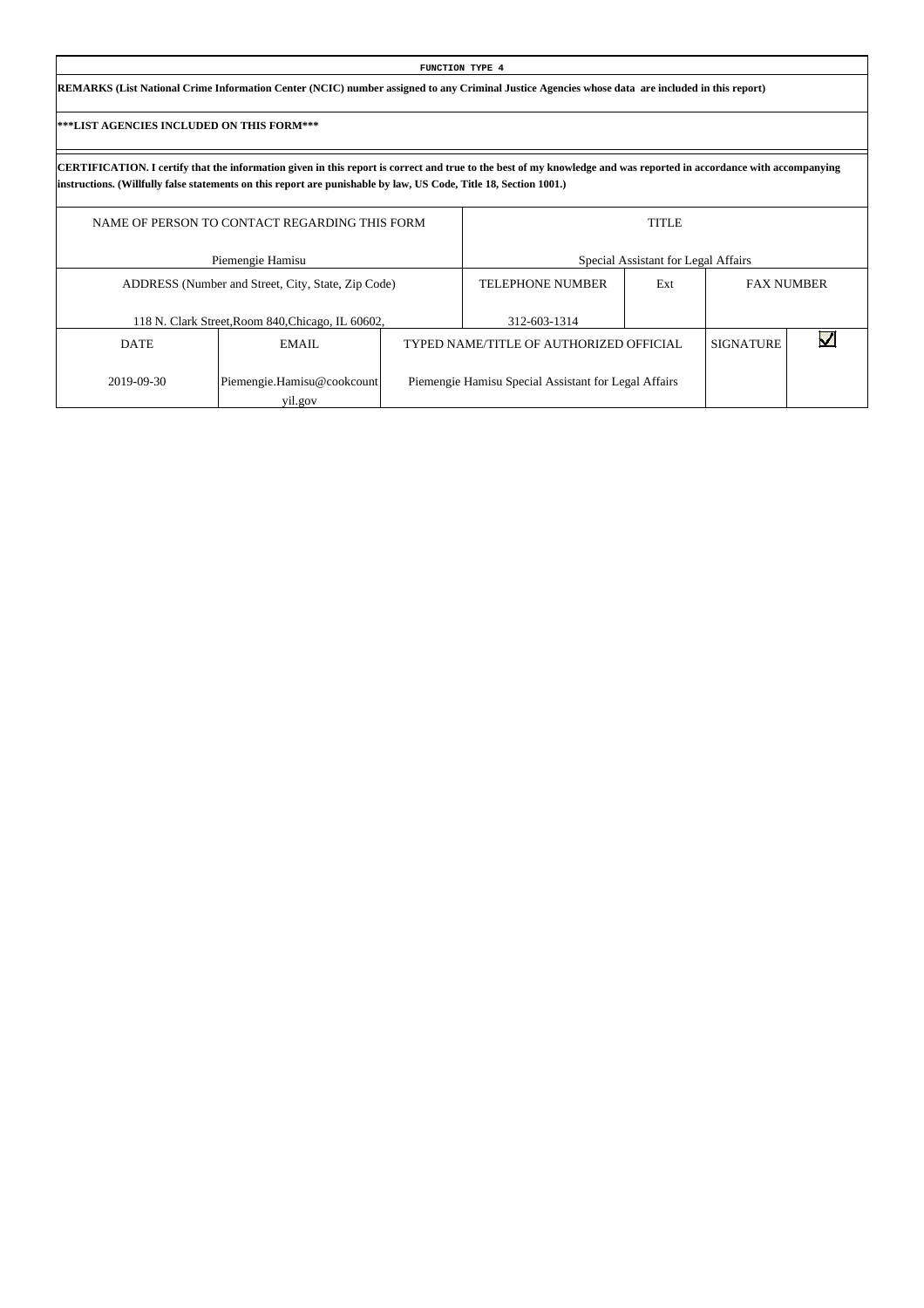| FUNCTION TYPE 4                                                                                                                                 |  |
|-------------------------------------------------------------------------------------------------------------------------------------------------|--|
| REMARKS (List National Crime Information Center (NCIC) number assigned to any Criminal Justice Agencies whose data are included in this report) |  |

Г

|             | NAME OF PERSON TO CONTACT REGARDING THIS FORM      | <b>TITLE</b>                                         |     |                  |                   |  |  |  |
|-------------|----------------------------------------------------|------------------------------------------------------|-----|------------------|-------------------|--|--|--|
|             | Piemengie Hamisu                                   | Special Assistant for Legal Affairs                  |     |                  |                   |  |  |  |
|             | ADDRESS (Number and Street, City, State, Zip Code) | <b>TELEPHONE NUMBER</b>                              | Ext |                  | <b>FAX NUMBER</b> |  |  |  |
|             | 118 N. Clark Street, Room 840, Chicago, IL 60602,  | 312-603-1314                                         |     |                  |                   |  |  |  |
| <b>DATE</b> | EMAIL                                              | TYPED NAME/TITLE OF AUTHORIZED OFFICIAL              |     | <b>SIGNATURE</b> |                   |  |  |  |
| 2019-09-30  | Piemengie.Hamisu@cookcount<br>yil.gov              | Piemengie Hamisu Special Assistant for Legal Affairs |     |                  |                   |  |  |  |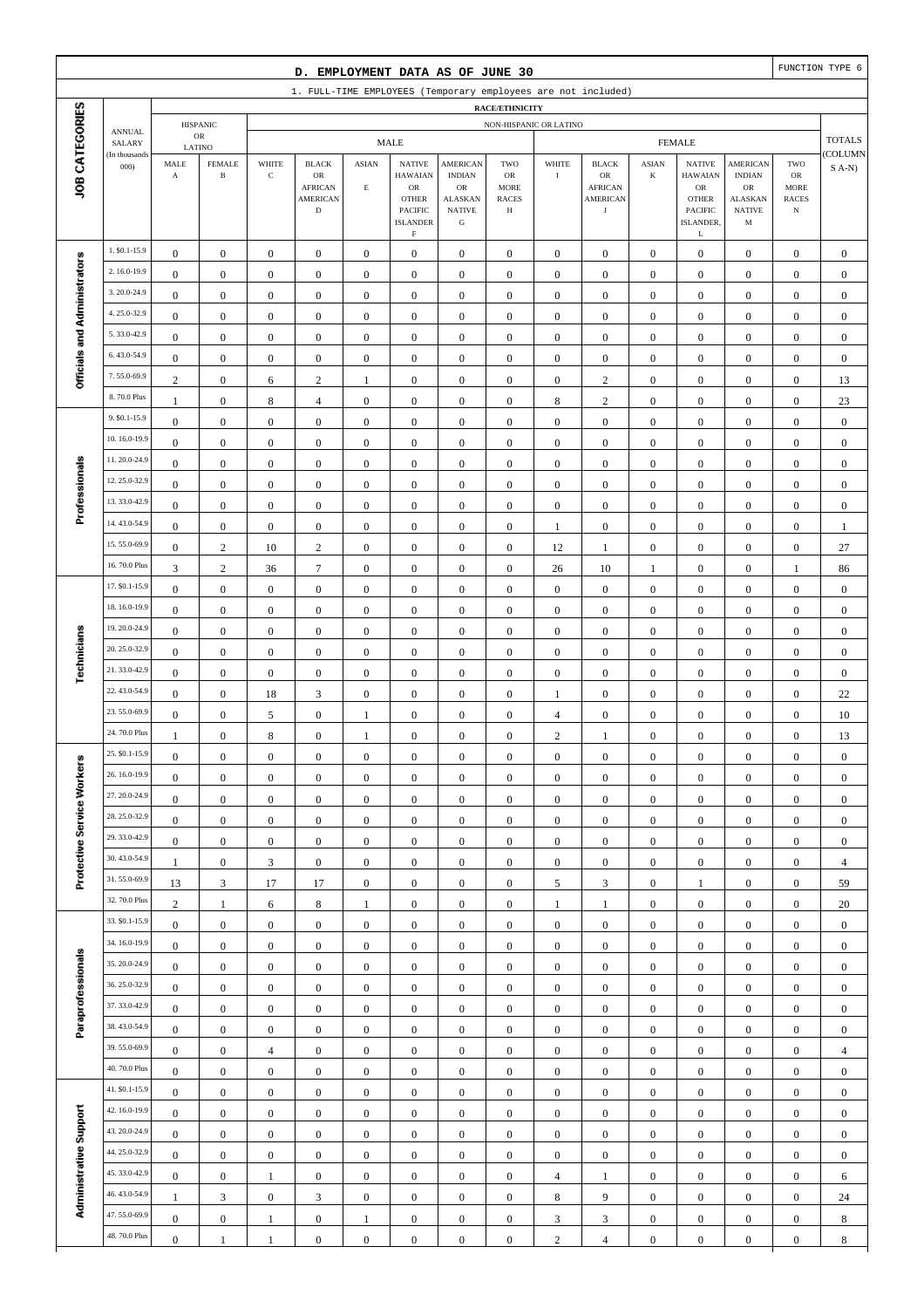|                                                                                                                              |                                |                                      |                               |                              | D. EMPLOYMENT DATA AS OF JUNE 30     |                                      |                                                           |                                                 |                                      |                           |                                      |                                      |                                                  |                                               |                                      | FUNCTION TYPE 6    |
|------------------------------------------------------------------------------------------------------------------------------|--------------------------------|--------------------------------------|-------------------------------|------------------------------|--------------------------------------|--------------------------------------|-----------------------------------------------------------|-------------------------------------------------|--------------------------------------|---------------------------|--------------------------------------|--------------------------------------|--------------------------------------------------|-----------------------------------------------|--------------------------------------|--------------------|
| 1. FULL-TIME EMPLOYEES (Temporary employees are not included)<br>RACE/ETHNICITY<br><b>HISPANIC</b><br>NON-HISPANIC OR LATINO |                                |                                      |                               |                              |                                      |                                      |                                                           |                                                 |                                      |                           |                                      |                                      |                                                  |                                               |                                      |                    |
|                                                                                                                              |                                |                                      |                               |                              |                                      |                                      |                                                           |                                                 |                                      |                           |                                      |                                      |                                                  |                                               |                                      |                    |
|                                                                                                                              | <b>ANNUAL</b><br>SALARY        |                                      | $_{\rm OR}$                   |                              |                                      |                                      | <b>MALE</b>                                               |                                                 |                                      |                           |                                      |                                      | <b>FEMALE</b>                                    |                                               |                                      | <b>TOTALS</b>      |
| JOB CATEGORIES                                                                                                               | (In thousands<br>000           | LATINO<br>MALE<br>$\mathbf A$        | <b>FEMALE</b><br>$\, {\bf B}$ | WHITE<br>$\mathbf C$         | <b>BLACK</b><br>OR<br><b>AFRICAN</b> | <b>ASIAN</b><br>$\mathbf E$          | <b>NATIVE</b><br><b>HAWAIAN</b><br>$_{\rm OR}$            | <b>AMERICAN</b><br><b>INDIAN</b><br>$_{\rm OR}$ | TWO<br>OR<br><b>MORE</b>             | WHITE<br>$\mathbf I$      | <b>BLACK</b><br>OR<br><b>AFRICAN</b> | <b>ASIAN</b><br>K                    | <b>NATIVE</b><br><b>HAWAIAN</b><br>${\rm OR}$    | <b>AMERICAN</b><br><b>INDIAN</b><br><b>OR</b> | TWO<br>${\sf OR}$<br><b>MORE</b>     | COLUMN<br>$S(A-N)$ |
|                                                                                                                              |                                |                                      |                               |                              | <b>AMERICAN</b><br>$\mathbf D$       |                                      | <b>OTHER</b><br>PACIFIC<br><b>ISLANDER</b><br>$\mathbf F$ | <b>ALASKAN</b><br><b>NATIVE</b><br>${\bf G}$    | <b>RACES</b><br>Н                    |                           | <b>AMERICAN</b><br>J                 |                                      | <b>OTHER</b><br><b>PACIFIC</b><br>ISLANDER,<br>L | <b>ALASKAN</b><br><b>NATIVE</b><br>M          | <b>RACES</b><br>$_{\rm N}$           |                    |
|                                                                                                                              | 1. \$0.1-15.9                  | $\boldsymbol{0}$                     | $\boldsymbol{0}$              | $\boldsymbol{0}$             | $\boldsymbol{0}$                     | $\boldsymbol{0}$                     | $\boldsymbol{0}$                                          | $\mathbf{0}$                                    | $\boldsymbol{0}$                     | $\boldsymbol{0}$          | $\boldsymbol{0}$                     | $\boldsymbol{0}$                     | $\boldsymbol{0}$                                 | $\boldsymbol{0}$                              | $\boldsymbol{0}$                     | $\mathbf{0}$       |
|                                                                                                                              | 2.16.0-19.9                    | $\boldsymbol{0}$                     | $\boldsymbol{0}$              | $\boldsymbol{0}$             | $\boldsymbol{0}$                     | $\boldsymbol{0}$                     | $\mathbf{0}$                                              | $\boldsymbol{0}$                                | $\boldsymbol{0}$                     | $\boldsymbol{0}$          | $\boldsymbol{0}$                     | $\boldsymbol{0}$                     | $\boldsymbol{0}$                                 | $\boldsymbol{0}$                              | $\boldsymbol{0}$                     | $\boldsymbol{0}$   |
|                                                                                                                              | 3.20.0-24.9                    | $\boldsymbol{0}$                     | $\mathbf{0}$                  | $\boldsymbol{0}$             | $\boldsymbol{0}$                     | $\boldsymbol{0}$                     | $\mathbf{0}$                                              | $\boldsymbol{0}$                                | $\boldsymbol{0}$                     | $\boldsymbol{0}$          | $\boldsymbol{0}$                     | $\boldsymbol{0}$                     | $\boldsymbol{0}$                                 | $\boldsymbol{0}$                              | $\boldsymbol{0}$                     | $\boldsymbol{0}$   |
| Officials and Administrators                                                                                                 | 4.25.0-32.9                    | $\boldsymbol{0}$                     | $\mathbf{0}$                  | $\boldsymbol{0}$             | $\boldsymbol{0}$                     | $\boldsymbol{0}$                     | $\mathbf{0}$                                              | $\boldsymbol{0}$                                | $\mathbf{0}$                         | $\boldsymbol{0}$          | $\boldsymbol{0}$                     | $\boldsymbol{0}$                     | $\boldsymbol{0}$                                 | $\boldsymbol{0}$                              | $\boldsymbol{0}$                     | $\boldsymbol{0}$   |
|                                                                                                                              | 5.33.0-42.9                    | $\boldsymbol{0}$                     | $\mathbf{0}$                  | $\boldsymbol{0}$             | $\boldsymbol{0}$                     | $\boldsymbol{0}$                     | $\mathbf{0}$                                              | $\boldsymbol{0}$                                | $\boldsymbol{0}$                     | $\boldsymbol{0}$          | $\boldsymbol{0}$                     | $\boldsymbol{0}$                     | $\boldsymbol{0}$                                 | $\boldsymbol{0}$                              | $\boldsymbol{0}$                     | $\boldsymbol{0}$   |
|                                                                                                                              | 6.43.0-54.9                    | $\boldsymbol{0}$                     | $\boldsymbol{0}$              | $\boldsymbol{0}$             | $\boldsymbol{0}$                     | $\boldsymbol{0}$                     | $\boldsymbol{0}$                                          | $\boldsymbol{0}$                                | $\boldsymbol{0}$                     | $\boldsymbol{0}$          | $\boldsymbol{0}$                     | $\boldsymbol{0}$                     | $\boldsymbol{0}$                                 | $\boldsymbol{0}$                              | $\boldsymbol{0}$                     | $\boldsymbol{0}$   |
|                                                                                                                              | 7.55.0-69.9                    | $\overline{c}$                       | $\boldsymbol{0}$              | 6                            | $\sqrt{2}$                           | 1                                    | $\boldsymbol{0}$                                          | $\boldsymbol{0}$                                | $\boldsymbol{0}$                     | $\boldsymbol{0}$          | $\sqrt{2}$                           | $\boldsymbol{0}$                     | $\boldsymbol{0}$                                 | $\boldsymbol{0}$                              | $\boldsymbol{0}$                     | 13                 |
|                                                                                                                              | 8.70.0 Plus                    | $\mathbf{1}$                         | $\boldsymbol{0}$              | $\,8\,$                      | $\overline{4}$                       | $\boldsymbol{0}$                     | $\mathbf{0}$                                              | $\boldsymbol{0}$                                | $\mathbf{0}$                         | 8                         | $\mathbf{2}$                         | $\boldsymbol{0}$                     | $\boldsymbol{0}$                                 | $\overline{0}$                                | $\boldsymbol{0}$                     | 23                 |
|                                                                                                                              | 9. \$0.1-15.9                  | $\boldsymbol{0}$                     | $\mathbf{0}$                  | $\boldsymbol{0}$             | $\boldsymbol{0}$                     | $\boldsymbol{0}$                     | $\mathbf{0}$                                              | $\boldsymbol{0}$                                | $\boldsymbol{0}$                     | $\boldsymbol{0}$          | $\boldsymbol{0}$                     | $\boldsymbol{0}$                     | $\boldsymbol{0}$                                 | $\boldsymbol{0}$                              | $\boldsymbol{0}$                     | $\boldsymbol{0}$   |
|                                                                                                                              | 10.16.0-19.9<br>11.20.0-24.9   | $\boldsymbol{0}$                     | $\mathbf{0}$                  | $\boldsymbol{0}$             | $\boldsymbol{0}$                     | $\boldsymbol{0}$                     | $\mathbf{0}$                                              | $\boldsymbol{0}$                                | $\boldsymbol{0}$                     | $\mathbf{0}$              | $\boldsymbol{0}$                     | $\boldsymbol{0}$                     | $\boldsymbol{0}$                                 | $\boldsymbol{0}$                              | $\boldsymbol{0}$                     | $\boldsymbol{0}$   |
|                                                                                                                              | 12.25.0-32.9                   | $\boldsymbol{0}$                     | $\mathbf{0}$                  | $\boldsymbol{0}$             | $\boldsymbol{0}$                     | $\boldsymbol{0}$                     | $\boldsymbol{0}$                                          | $\boldsymbol{0}$                                | $\boldsymbol{0}$                     | $\mathbf{0}$              | $\boldsymbol{0}$                     | $\boldsymbol{0}$                     | $\boldsymbol{0}$                                 | $\boldsymbol{0}$                              | $\boldsymbol{0}$                     | $\boldsymbol{0}$   |
| Professionals                                                                                                                | 13.33.0-42.9                   | $\boldsymbol{0}$                     | $\mathbf{0}$                  | $\boldsymbol{0}$             | $\boldsymbol{0}$                     | $\boldsymbol{0}$                     | $\boldsymbol{0}$                                          | $\boldsymbol{0}$                                | $\mathbf{0}$                         | $\boldsymbol{0}$          | $\boldsymbol{0}$                     | $\boldsymbol{0}$                     | $\boldsymbol{0}$                                 | $\boldsymbol{0}$                              | $\boldsymbol{0}$                     | $\boldsymbol{0}$   |
|                                                                                                                              | 14.43.0-54.9                   | $\boldsymbol{0}$                     | $\mathbf{0}$                  | $\boldsymbol{0}$             | $\boldsymbol{0}$                     | $\boldsymbol{0}$                     | $\boldsymbol{0}$                                          | $\boldsymbol{0}$                                | $\boldsymbol{0}$                     | $\boldsymbol{0}$          | $\boldsymbol{0}$                     | $\boldsymbol{0}$                     | $\boldsymbol{0}$                                 | $\boldsymbol{0}$                              | $\boldsymbol{0}$                     | $\boldsymbol{0}$   |
|                                                                                                                              | 15.55.0-69.9                   | $\boldsymbol{0}$<br>$\boldsymbol{0}$ | $\boldsymbol{0}$              | $\boldsymbol{0}$             | $\boldsymbol{0}$                     | $\boldsymbol{0}$<br>$\boldsymbol{0}$ | $\boldsymbol{0}$<br>$\boldsymbol{0}$                      | $\boldsymbol{0}$<br>$\boldsymbol{0}$            | $\boldsymbol{0}$                     | $\mathbf{1}$              | $\boldsymbol{0}$                     | $\boldsymbol{0}$<br>$\boldsymbol{0}$ | $\boldsymbol{0}$                                 | $\boldsymbol{0}$                              | $\boldsymbol{0}$                     | 1                  |
|                                                                                                                              | 16.70.0 Plus                   | 3                                    | $\sqrt{2}$<br>$\overline{2}$  | 10<br>36                     | $\sqrt{2}$<br>$\tau$                 | $\boldsymbol{0}$                     | $\boldsymbol{0}$                                          | $\boldsymbol{0}$                                | $\boldsymbol{0}$<br>$\mathbf{0}$     | 12<br>26                  | 1<br>10                              | 1                                    | $\boldsymbol{0}$<br>$\boldsymbol{0}$             | $\boldsymbol{0}$<br>$\overline{0}$            | $\boldsymbol{0}$<br>$\mathbf{1}$     | 27<br>86           |
|                                                                                                                              | 17. \$0.1-15.9                 | $\boldsymbol{0}$                     | $\mathbf{0}$                  | $\boldsymbol{0}$             | $\boldsymbol{0}$                     | $\boldsymbol{0}$                     | $\mathbf{0}$                                              | $\boldsymbol{0}$                                | $\boldsymbol{0}$                     | $\boldsymbol{0}$          | $\boldsymbol{0}$                     | $\boldsymbol{0}$                     | $\boldsymbol{0}$                                 | $\boldsymbol{0}$                              | $\boldsymbol{0}$                     | $\boldsymbol{0}$   |
|                                                                                                                              | 18.16.0-19.9                   | $\boldsymbol{0}$                     | $\boldsymbol{0}$              | $\boldsymbol{0}$             | $\boldsymbol{0}$                     | $\boldsymbol{0}$                     | $\mathbf{0}$                                              | $\boldsymbol{0}$                                | $\boldsymbol{0}$                     | $\mathbf{0}$              | $\boldsymbol{0}$                     | $\boldsymbol{0}$                     | $\boldsymbol{0}$                                 | $\boldsymbol{0}$                              | $\boldsymbol{0}$                     | $\boldsymbol{0}$   |
|                                                                                                                              | 19.20.0-24.9                   | $\boldsymbol{0}$                     | $\mathbf{0}$                  | $\boldsymbol{0}$             | $\boldsymbol{0}$                     | $\boldsymbol{0}$                     | $\mathbf{0}$                                              | $\boldsymbol{0}$                                | $\boldsymbol{0}$                     | $\mathbf{0}$              | $\boldsymbol{0}$                     | $\boldsymbol{0}$                     | $\boldsymbol{0}$                                 | $\boldsymbol{0}$                              | $\boldsymbol{0}$                     | $\boldsymbol{0}$   |
|                                                                                                                              | 20.25.0-32.9                   | $\mathbf{0}$                         | $\boldsymbol{0}$              | $\boldsymbol{0}$             | $\boldsymbol{0}$                     | $\mathbf{0}$                         | $\mathbf{0}$                                              | $\boldsymbol{0}$                                | $\mathbf{0}$                         | $\boldsymbol{0}$          | $\boldsymbol{0}$                     | $\boldsymbol{0}$                     | $\boldsymbol{0}$                                 | $\boldsymbol{0}$                              | $\boldsymbol{0}$                     | $\boldsymbol{0}$   |
| Technicians                                                                                                                  | 21.33.0-42.9                   | $\boldsymbol{0}$                     | $\mathbf{0}$                  | $\boldsymbol{0}$             | $\boldsymbol{0}$                     | $\boldsymbol{0}$                     | $\mathbf{0}$                                              | $\boldsymbol{0}$                                | $\boldsymbol{0}$                     | $\boldsymbol{0}$          | $\boldsymbol{0}$                     | $\boldsymbol{0}$                     | $\boldsymbol{0}$                                 | $\boldsymbol{0}$                              | $\boldsymbol{0}$                     | $\boldsymbol{0}$   |
|                                                                                                                              | 22.43.0-54.9                   | $\boldsymbol{0}$                     | $\boldsymbol{0}$              | 18                           | $\mathfrak{Z}$                       | $\boldsymbol{0}$                     | $\mathbf{0}$                                              | $\boldsymbol{0}$                                | $\boldsymbol{0}$                     | $\mathbf{1}$              | $\boldsymbol{0}$                     | $\boldsymbol{0}$                     | $\boldsymbol{0}$                                 | $\boldsymbol{0}$                              | $\boldsymbol{0}$                     | $22\,$             |
|                                                                                                                              | 23.55.0-69.9                   | $\boldsymbol{0}$                     | $\mathbf{0}$                  | 5                            | $\boldsymbol{0}$                     | 1                                    | $\mathbf{0}$                                              | $\boldsymbol{0}$                                | $\boldsymbol{0}$                     | $\overline{4}$            | $\boldsymbol{0}$                     | $\boldsymbol{0}$                     | $\boldsymbol{0}$                                 | $\boldsymbol{0}$                              | $\boldsymbol{0}$                     | 10                 |
|                                                                                                                              | 24.70.0 Plus                   | $\mathbf{1}$                         | $\mathbf{0}$                  | $\,8\,$                      | $\boldsymbol{0}$                     | 1                                    | $\boldsymbol{0}$                                          | $\boldsymbol{0}$                                | $\mathbf{0}$                         | $\overline{c}$            | 1                                    | $\boldsymbol{0}$                     | $\boldsymbol{0}$                                 | $\overline{0}$                                | $\boldsymbol{0}$                     | 13                 |
|                                                                                                                              | 25. \$0.1-15.9                 | $\boldsymbol{0}$                     | $\boldsymbol{0}$              | $\boldsymbol{0}$             | $\boldsymbol{0}$                     | $\boldsymbol{0}$                     | $\boldsymbol{0}$                                          | $\bf{0}$                                        | $\boldsymbol{0}$                     | $\boldsymbol{0}$          | $\boldsymbol{0}$                     | $\boldsymbol{0}$                     | $\boldsymbol{0}$                                 | 0                                             | $\boldsymbol{0}$                     | $\boldsymbol{0}$   |
|                                                                                                                              | 26.16.0-19.9                   | $\boldsymbol{0}$                     | $\boldsymbol{0}$              | $\boldsymbol{0}$             | $\mathbf{0}$                         | $\boldsymbol{0}$                     | $\boldsymbol{0}$                                          | $\boldsymbol{0}$                                | $\boldsymbol{0}$                     | $\boldsymbol{0}$          | $\boldsymbol{0}$                     | $\mathbf{0}$                         | $\boldsymbol{0}$                                 | $\boldsymbol{0}$                              | $\boldsymbol{0}$                     | $\boldsymbol{0}$   |
|                                                                                                                              | 27.20.0-24.9                   | $\boldsymbol{0}$                     | $\boldsymbol{0}$              | $\boldsymbol{0}$             | $\boldsymbol{0}$                     | $\boldsymbol{0}$                     | $\boldsymbol{0}$                                          | $\boldsymbol{0}$                                | $\boldsymbol{0}$                     | $\boldsymbol{0}$          | $\boldsymbol{0}$                     | $\mathbf{0}$                         | $\boldsymbol{0}$                                 | $\boldsymbol{0}$                              | $\boldsymbol{0}$                     | $\boldsymbol{0}$   |
|                                                                                                                              | 28.25.0-32.9                   | $\boldsymbol{0}$                     | $\boldsymbol{0}$              | $\boldsymbol{0}$             | $\overline{0}$                       | $\mathbf{0}$                         | $\boldsymbol{0}$                                          | $\mathbf{0}$                                    | $\boldsymbol{0}$                     | $\overline{0}$            | $\boldsymbol{0}$                     | $\boldsymbol{0}$                     | $\boldsymbol{0}$                                 | $\boldsymbol{0}$                              | $\boldsymbol{0}$                     | $\boldsymbol{0}$   |
| Protective Service Workers                                                                                                   | 29.33.0-42.9                   | $\boldsymbol{0}$                     | $\boldsymbol{0}$              | $\boldsymbol{0}$             | $\boldsymbol{0}$                     | $\mathbf{0}$                         | $\boldsymbol{0}$                                          | $\boldsymbol{0}$                                | $\boldsymbol{0}$                     | $\boldsymbol{0}$          | $\boldsymbol{0}$                     | $\boldsymbol{0}$                     | $\boldsymbol{0}$                                 | $\boldsymbol{0}$                              | $\boldsymbol{0}$                     | $\boldsymbol{0}$   |
|                                                                                                                              | 30.43.0-54.9                   | $\mathbf{1}$                         | $\boldsymbol{0}$              | $\mathfrak{Z}$               | $\boldsymbol{0}$                     | $\boldsymbol{0}$                     | $\boldsymbol{0}$                                          | $\boldsymbol{0}$                                | $\boldsymbol{0}$                     | $\boldsymbol{0}$          | $\boldsymbol{0}$                     | $\boldsymbol{0}$                     | $\boldsymbol{0}$                                 | $\boldsymbol{0}$                              | $\boldsymbol{0}$                     | $\overline{4}$     |
|                                                                                                                              | 31.55.0-69.9                   | 13                                   | 3                             | 17                           | 17                                   | $\overline{0}$                       | $\boldsymbol{0}$                                          | $\boldsymbol{0}$                                | $\boldsymbol{0}$                     | $\sqrt{5}$                | $\mathfrak{Z}$                       | $\boldsymbol{0}$                     | $\mathbf{1}$                                     | $\boldsymbol{0}$                              | $\boldsymbol{0}$                     | 59                 |
|                                                                                                                              | 32.70.0 Plus                   | 2                                    | $\mathbf{1}$                  | 6                            | $\,8\,$                              | $\mathbf{1}$                         | $\boldsymbol{0}$                                          | $\boldsymbol{0}$                                | $\boldsymbol{0}$                     | $\,1$                     | $\mathbf{1}$                         | $\boldsymbol{0}$                     | $\boldsymbol{0}$                                 | $\boldsymbol{0}$                              | $\boldsymbol{0}$                     | 20                 |
|                                                                                                                              | 33. \$0.1-15.9                 | $\boldsymbol{0}$                     | $\boldsymbol{0}$              | $\boldsymbol{0}$             | $\boldsymbol{0}$                     | $\boldsymbol{0}$                     | $\boldsymbol{0}$                                          | $\boldsymbol{0}$                                | $\boldsymbol{0}$                     | $\boldsymbol{0}$          | $\boldsymbol{0}$                     | $\boldsymbol{0}$                     | $\boldsymbol{0}$                                 | $\boldsymbol{0}$                              | $\boldsymbol{0}$                     | $\boldsymbol{0}$   |
|                                                                                                                              | 34.16.0-19.9                   | $\boldsymbol{0}$                     | $\boldsymbol{0}$              | $\boldsymbol{0}$             | $\boldsymbol{0}$                     | $\boldsymbol{0}$                     | $\boldsymbol{0}$                                          | $\boldsymbol{0}$                                | $\boldsymbol{0}$                     | $\boldsymbol{0}$          | $\boldsymbol{0}$                     | $\boldsymbol{0}$                     | $\boldsymbol{0}$                                 | $\boldsymbol{0}$                              | $\boldsymbol{0}$                     | $\boldsymbol{0}$   |
|                                                                                                                              | 35.20.0-24.9                   | $\boldsymbol{0}$                     | $\boldsymbol{0}$              | $\boldsymbol{0}$             | $\boldsymbol{0}$                     | $\boldsymbol{0}$                     | $\boldsymbol{0}$                                          | $\boldsymbol{0}$                                | $\boldsymbol{0}$                     | $\boldsymbol{0}$          | $\boldsymbol{0}$                     | $\boldsymbol{0}$                     | $\boldsymbol{0}$                                 | $\boldsymbol{0}$                              | $\boldsymbol{0}$                     | $\boldsymbol{0}$   |
| Paraprofessionals                                                                                                            | 36.25.0-32.9                   | $\boldsymbol{0}$                     | $\boldsymbol{0}$              | $\boldsymbol{0}$             | $\overline{0}$                       | $\mathbf{0}$                         | $\boldsymbol{0}$                                          | $\boldsymbol{0}$                                | $\boldsymbol{0}$                     | $\overline{0}$            | $\boldsymbol{0}$                     | $\boldsymbol{0}$                     | $\boldsymbol{0}$                                 | $\boldsymbol{0}$                              | $\boldsymbol{0}$                     | $\boldsymbol{0}$   |
|                                                                                                                              | 37.33.0-42.9                   | $\boldsymbol{0}$                     | $\boldsymbol{0}$              | $\boldsymbol{0}$             | $\boldsymbol{0}$                     | $\mathbf{0}$                         | $\boldsymbol{0}$                                          | $\boldsymbol{0}$                                | $\boldsymbol{0}$                     | $\boldsymbol{0}$          | $\boldsymbol{0}$                     | $\boldsymbol{0}$                     | $\boldsymbol{0}$                                 | $\boldsymbol{0}$                              | $\boldsymbol{0}$                     | $\boldsymbol{0}$   |
|                                                                                                                              | 38.43.0-54.9                   | $\boldsymbol{0}$                     | $\boldsymbol{0}$              | $\boldsymbol{0}$             | $\boldsymbol{0}$                     | $\boldsymbol{0}$                     | $\boldsymbol{0}$                                          | $\boldsymbol{0}$                                | $\boldsymbol{0}$                     | $\boldsymbol{0}$          | $\boldsymbol{0}$                     | $\boldsymbol{0}$                     | $\boldsymbol{0}$                                 | $\boldsymbol{0}$                              | $\boldsymbol{0}$                     | $\boldsymbol{0}$   |
|                                                                                                                              | 39.55.0-69.9                   | $\boldsymbol{0}$                     | $\boldsymbol{0}$              | $\overline{4}$               | $\boldsymbol{0}$                     | $\boldsymbol{0}$                     | $\boldsymbol{0}$                                          | $\boldsymbol{0}$                                | $\boldsymbol{0}$                     | $\boldsymbol{0}$          | $\boldsymbol{0}$                     | $\boldsymbol{0}$                     | $\boldsymbol{0}$                                 | $\boldsymbol{0}$                              | $\boldsymbol{0}$                     | 4                  |
|                                                                                                                              | 40.70.0 Plus<br>41. \$0.1-15.9 | $\boldsymbol{0}$                     | $\boldsymbol{0}$              | $\boldsymbol{0}$             | $\boldsymbol{0}$                     | $\mathbf{0}$                         | $\boldsymbol{0}$                                          | $\boldsymbol{0}$                                | $\boldsymbol{0}$                     | $\mathbf{0}$              | $\boldsymbol{0}$                     | $\boldsymbol{0}$                     | $\boldsymbol{0}$                                 | $\boldsymbol{0}$                              | $\boldsymbol{0}$                     | $\boldsymbol{0}$   |
|                                                                                                                              | 42.16.0-19.9                   | $\boldsymbol{0}$                     | $\boldsymbol{0}$              | $\boldsymbol{0}$             | $\boldsymbol{0}$                     | $\boldsymbol{0}$                     | $\boldsymbol{0}$                                          | $\boldsymbol{0}$                                | $\boldsymbol{0}$                     | $\boldsymbol{0}$          | $\boldsymbol{0}$                     | $\boldsymbol{0}$                     | $\boldsymbol{0}$                                 | $\boldsymbol{0}$                              | $\boldsymbol{0}$                     | $\boldsymbol{0}$   |
| Administrative Support                                                                                                       | 43.20.0-24.9                   | $\boldsymbol{0}$                     | $\boldsymbol{0}$              | $\boldsymbol{0}$             | $\boldsymbol{0}$                     | $\boldsymbol{0}$                     | $\boldsymbol{0}$                                          | $\boldsymbol{0}$                                | $\boldsymbol{0}$                     | $\boldsymbol{0}$          | $\boldsymbol{0}$                     | $\boldsymbol{0}$                     | $\boldsymbol{0}$                                 | $\boldsymbol{0}$                              | $\boldsymbol{0}$                     | $\boldsymbol{0}$   |
|                                                                                                                              | 44.25.0-32.9                   | $\boldsymbol{0}$                     | $\boldsymbol{0}$              | $\boldsymbol{0}$             | $\boldsymbol{0}$                     | $\boldsymbol{0}$                     | $\boldsymbol{0}$                                          | $\boldsymbol{0}$                                | $\boldsymbol{0}$                     | $\boldsymbol{0}$          | $\boldsymbol{0}$                     | $\boldsymbol{0}$                     | $\boldsymbol{0}$                                 | $\boldsymbol{0}$                              | $\boldsymbol{0}$                     | $\boldsymbol{0}$   |
|                                                                                                                              | 45.33.0-42.9                   | $\boldsymbol{0}$                     | $\boldsymbol{0}$              | $\boldsymbol{0}$             | $\boldsymbol{0}$                     | $\mathbf{0}$                         | $\boldsymbol{0}$                                          | $\boldsymbol{0}$                                | $\boldsymbol{0}$                     | $\mathbf{0}$              | $\boldsymbol{0}$                     | $\boldsymbol{0}$                     | $\boldsymbol{0}$                                 | $\boldsymbol{0}$                              | $\boldsymbol{0}$                     | $\boldsymbol{0}$   |
|                                                                                                                              | 46.43.0-54.9                   | $\boldsymbol{0}$                     | $\boldsymbol{0}$              | 1                            | $\boldsymbol{0}$                     | $\boldsymbol{0}$                     | $\boldsymbol{0}$                                          | $\boldsymbol{0}$                                | $\boldsymbol{0}$                     | 4                         | $\mathbf{1}$                         | $\boldsymbol{0}$                     | $\boldsymbol{0}$                                 | $\boldsymbol{0}$                              | $\boldsymbol{0}$                     | 6                  |
|                                                                                                                              | 47.55.0-69.9                   | $\mathbf{1}$<br>$\boldsymbol{0}$     | 3<br>$\boldsymbol{0}$         | $\boldsymbol{0}$             | 3<br>$\boldsymbol{0}$                | $\boldsymbol{0}$<br>$\mathbf{1}$     | $\boldsymbol{0}$<br>$\boldsymbol{0}$                      | $\boldsymbol{0}$<br>$\boldsymbol{0}$            | $\boldsymbol{0}$                     | $\,8\,$<br>$\mathfrak{Z}$ | 9                                    | $\boldsymbol{0}$<br>$\boldsymbol{0}$ | $\boldsymbol{0}$<br>$\boldsymbol{0}$             | $\boldsymbol{0}$                              | $\boldsymbol{0}$                     | 24                 |
|                                                                                                                              | 48.70.0 Plus                   | $\boldsymbol{0}$                     | $\mathbf{1}$                  | $\mathbf{1}$<br>$\mathbf{1}$ | $\boldsymbol{0}$                     | $\boldsymbol{0}$                     | $\boldsymbol{0}$                                          | $\boldsymbol{0}$                                | $\boldsymbol{0}$<br>$\boldsymbol{0}$ | $\sqrt{2}$                | 3<br>$\overline{4}$                  | $\boldsymbol{0}$                     | $\boldsymbol{0}$                                 | $\boldsymbol{0}$<br>$\boldsymbol{0}$          | $\boldsymbol{0}$<br>$\boldsymbol{0}$ | 8<br>$\,$ 8 $\,$   |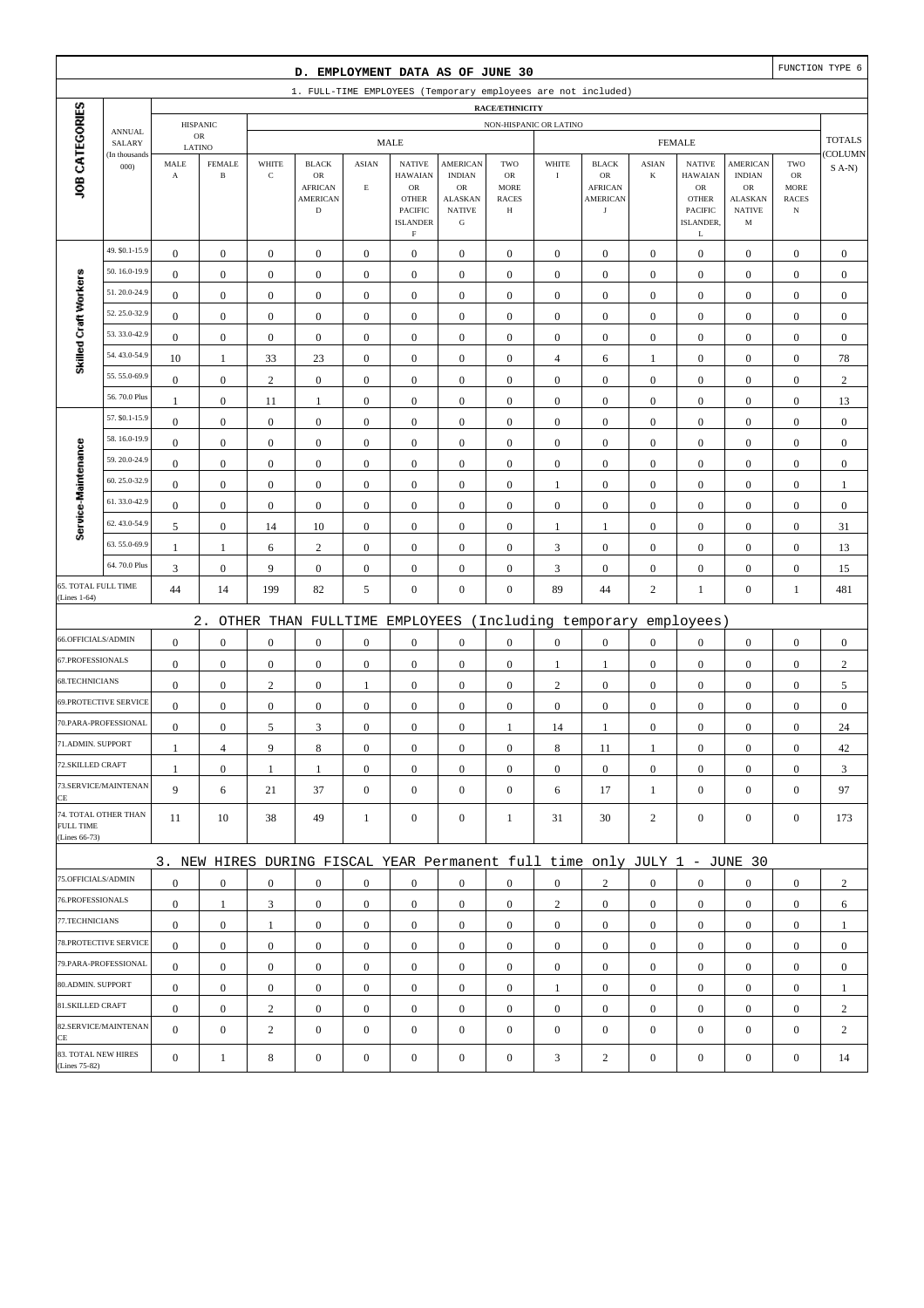| D. EMPLOYMENT DATA AS OF JUNE 30     |                              |                       |                  |                  |                                                                           |                  |                                                                                   |                                                                     |                                                        |                  |                                                       |                  | FUNCTION TYPE 6                                                                  |                                                      |                                                  |                  |
|--------------------------------------|------------------------------|-----------------------|------------------|------------------|---------------------------------------------------------------------------|------------------|-----------------------------------------------------------------------------------|---------------------------------------------------------------------|--------------------------------------------------------|------------------|-------------------------------------------------------|------------------|----------------------------------------------------------------------------------|------------------------------------------------------|--------------------------------------------------|------------------|
|                                      |                              |                       |                  |                  | 1. FULL-TIME EMPLOYEES (Temporary employees are not included)             |                  |                                                                                   |                                                                     |                                                        |                  |                                                       |                  |                                                                                  |                                                      |                                                  |                  |
|                                      |                              |                       | <b>HISPANIC</b>  |                  |                                                                           |                  |                                                                                   |                                                                     | <b>RACE/ETHNICITY</b><br>NON-HISPANIC OR LATINO        |                  |                                                       |                  |                                                                                  |                                                      |                                                  |                  |
|                                      | <b>ANNUAL</b><br>SALARY      |                       | ${\sf OR}$       |                  |                                                                           |                  | <b>MALE</b>                                                                       |                                                                     |                                                        |                  |                                                       |                  | <b>FEMALE</b>                                                                    |                                                      |                                                  | <b>TOTALS</b>    |
|                                      | (In thousands                | LATINO<br>MALE        | <b>FEMALE</b>    | WHITE            | <b>BLACK</b>                                                              | <b>ASIAN</b>     | <b>NATIVE</b>                                                                     | <b>AMERICAN</b>                                                     | TWO                                                    | WHITE            | <b>BLACK</b>                                          | <b>ASIAN</b>     | <b>NATIVE</b>                                                                    | <b>AMERICAN</b>                                      | TWO                                              | COLUMN           |
| JOB CATEGORIES                       | 000                          | $\boldsymbol{\rm{A}}$ | $\, {\bf B}$     | $\mathbf C$      | $_{\rm OR}$<br><b>AFRICAN</b><br><b>AMERICAN</b><br>$\mathbf D$           | $\mathbf E$      | <b>HAWAIAN</b><br>OR<br><b>OTHER</b><br>PACIFIC<br><b>ISLANDER</b><br>$\mathbf F$ | <b>INDIAN</b><br>OR<br><b>ALASKAN</b><br><b>NATIVE</b><br>${\bf G}$ | <b>OR</b><br><b>MORE</b><br><b>RACES</b><br>$_{\rm H}$ | $\rm I$          | OR<br><b>AFRICAN</b><br><b>AMERICAN</b><br>$_{\rm J}$ | $\bf K$          | <b>HAWAIAN</b><br>${\rm OR}$<br><b>OTHER</b><br><b>PACIFIC</b><br>ISLANDER.<br>L | <b>INDIAN</b><br>OR<br>ALASKAN<br><b>NATIVE</b><br>M | ${\rm OR}$<br>MORE<br><b>RACES</b><br>$_{\rm N}$ | $S$ A-N)         |
|                                      | 49. \$0.1-15.9               | $\boldsymbol{0}$      | $\mathbf{0}$     | $\boldsymbol{0}$ | $\boldsymbol{0}$                                                          | $\boldsymbol{0}$ | $\boldsymbol{0}$                                                                  | $\boldsymbol{0}$                                                    | $\boldsymbol{0}$                                       | $\boldsymbol{0}$ | $\boldsymbol{0}$                                      | $\mathbf{0}$     | $\boldsymbol{0}$                                                                 | $\boldsymbol{0}$                                     | $\boldsymbol{0}$                                 | $\boldsymbol{0}$ |
|                                      | 50.16.0-19.9                 | $\mathbf{0}$          | $\boldsymbol{0}$ | $\boldsymbol{0}$ | $\boldsymbol{0}$                                                          | $\boldsymbol{0}$ | $\boldsymbol{0}$                                                                  | $\boldsymbol{0}$                                                    | $\boldsymbol{0}$                                       | $\boldsymbol{0}$ | $\boldsymbol{0}$                                      | $\boldsymbol{0}$ | $\boldsymbol{0}$                                                                 | $\boldsymbol{0}$                                     | $\boldsymbol{0}$                                 | $\mathbf{0}$     |
| Skilled Craft Workers                | 51.20.0-24.9                 | $\mathbf{0}$          | $\boldsymbol{0}$ | $\boldsymbol{0}$ | $\boldsymbol{0}$                                                          | $\mathbf{0}$     | $\boldsymbol{0}$                                                                  | $\mathbf{0}$                                                        | $\mathbf{0}$                                           | $\boldsymbol{0}$ | $\boldsymbol{0}$                                      | $\boldsymbol{0}$ | $\boldsymbol{0}$                                                                 | $\boldsymbol{0}$                                     | $\boldsymbol{0}$                                 | $\mathbf{0}$     |
|                                      | 52.25.0-32.9                 | $\boldsymbol{0}$      | $\boldsymbol{0}$ | $\boldsymbol{0}$ | $\boldsymbol{0}$                                                          | $\boldsymbol{0}$ | $\boldsymbol{0}$                                                                  | $\boldsymbol{0}$                                                    | $\boldsymbol{0}$                                       | $\boldsymbol{0}$ | $\boldsymbol{0}$                                      | $\boldsymbol{0}$ | $\boldsymbol{0}$                                                                 | $\boldsymbol{0}$                                     | $\boldsymbol{0}$                                 | $\boldsymbol{0}$ |
|                                      | 53.33.0-42.9                 | $\boldsymbol{0}$      | $\boldsymbol{0}$ | $\boldsymbol{0}$ | $\boldsymbol{0}$                                                          | $\boldsymbol{0}$ | $\boldsymbol{0}$                                                                  | $\boldsymbol{0}$                                                    | $\boldsymbol{0}$                                       | $\boldsymbol{0}$ | $\boldsymbol{0}$                                      | $\boldsymbol{0}$ | $\boldsymbol{0}$                                                                 | $\boldsymbol{0}$                                     | $\boldsymbol{0}$                                 | $\boldsymbol{0}$ |
|                                      | 54.43.0-54.9                 | 10                    | $\mathbf{1}$     | 33               | 23                                                                        | $\boldsymbol{0}$ | $\boldsymbol{0}$                                                                  | $\boldsymbol{0}$                                                    | $\boldsymbol{0}$                                       | $\overline{4}$   | 6                                                     | 1                | $\boldsymbol{0}$                                                                 | $\boldsymbol{0}$                                     | $\boldsymbol{0}$                                 | 78               |
|                                      | 55.55.0-69.9                 | $\boldsymbol{0}$      | $\boldsymbol{0}$ | $\mathbf{2}$     | $\boldsymbol{0}$                                                          | $\mathbf{0}$     | $\boldsymbol{0}$                                                                  | $\mathbf{0}$                                                        | $\boldsymbol{0}$                                       | $\boldsymbol{0}$ | $\boldsymbol{0}$                                      | $\boldsymbol{0}$ | $\boldsymbol{0}$                                                                 | $\boldsymbol{0}$                                     | $\boldsymbol{0}$                                 | $\sqrt{2}$       |
|                                      | 56.70.0 Plus                 | -1                    | $\boldsymbol{0}$ | 11               | $\mathbf{1}$                                                              | $\boldsymbol{0}$ | $\boldsymbol{0}$                                                                  | $\boldsymbol{0}$                                                    | $\boldsymbol{0}$                                       | $\boldsymbol{0}$ | $\boldsymbol{0}$                                      | $\boldsymbol{0}$ | $\boldsymbol{0}$                                                                 | $\boldsymbol{0}$                                     | $\boldsymbol{0}$                                 | 13               |
|                                      | 57. \$0.1-15.9               | $\boldsymbol{0}$      | $\boldsymbol{0}$ | $\boldsymbol{0}$ | $\boldsymbol{0}$                                                          | $\boldsymbol{0}$ | $\mathbf{0}$                                                                      | $\boldsymbol{0}$                                                    | $\boldsymbol{0}$                                       | $\boldsymbol{0}$ | $\boldsymbol{0}$                                      | $\boldsymbol{0}$ | $\boldsymbol{0}$                                                                 | $\boldsymbol{0}$                                     | $\boldsymbol{0}$                                 | $\boldsymbol{0}$ |
|                                      | 58.16.0-19.9                 | $\boldsymbol{0}$      | $\boldsymbol{0}$ | $\boldsymbol{0}$ | $\boldsymbol{0}$                                                          | $\boldsymbol{0}$ | $\boldsymbol{0}$                                                                  | $\boldsymbol{0}$                                                    | $\boldsymbol{0}$                                       | $\boldsymbol{0}$ | $\boldsymbol{0}$                                      | $\boldsymbol{0}$ | $\boldsymbol{0}$                                                                 | $\boldsymbol{0}$                                     | $\boldsymbol{0}$                                 | $\boldsymbol{0}$ |
| Service-Maintenance                  | 59.20.0-24.9                 | $\mathbf{0}$          | $\boldsymbol{0}$ | $\boldsymbol{0}$ | $\boldsymbol{0}$                                                          | $\mathbf{0}$     | $\boldsymbol{0}$                                                                  | $\mathbf{0}$                                                        | $\mathbf{0}$                                           | $\boldsymbol{0}$ | $\boldsymbol{0}$                                      | $\boldsymbol{0}$ | $\boldsymbol{0}$                                                                 | $\boldsymbol{0}$                                     | $\boldsymbol{0}$                                 | $\boldsymbol{0}$ |
|                                      | 60.25.0-32.9                 | $\boldsymbol{0}$      | $\boldsymbol{0}$ | $\boldsymbol{0}$ | $\boldsymbol{0}$                                                          | $\boldsymbol{0}$ | $\boldsymbol{0}$                                                                  | $\boldsymbol{0}$                                                    | $\boldsymbol{0}$                                       | $\mathbf{1}$     | $\boldsymbol{0}$                                      | $\boldsymbol{0}$ | $\boldsymbol{0}$                                                                 | $\boldsymbol{0}$                                     | $\boldsymbol{0}$                                 | $\mathbf{1}$     |
|                                      | 61.33.0-42.9                 | $\boldsymbol{0}$      | $\boldsymbol{0}$ | $\boldsymbol{0}$ | $\boldsymbol{0}$                                                          | $\boldsymbol{0}$ | $\boldsymbol{0}$                                                                  | $\boldsymbol{0}$                                                    | $\boldsymbol{0}$                                       | $\boldsymbol{0}$ | $\boldsymbol{0}$                                      | $\mathbf{0}$     | $\boldsymbol{0}$                                                                 | $\boldsymbol{0}$                                     | $\boldsymbol{0}$                                 | $\boldsymbol{0}$ |
|                                      | 62.43.0-54.9                 | 5                     | $\boldsymbol{0}$ | 14               | 10                                                                        | $\boldsymbol{0}$ | $\boldsymbol{0}$                                                                  | $\boldsymbol{0}$                                                    | $\boldsymbol{0}$                                       | $\mathbf{1}$     | 1                                                     | $\boldsymbol{0}$ | $\boldsymbol{0}$                                                                 | $\boldsymbol{0}$                                     | $\boldsymbol{0}$                                 | 31               |
|                                      | 63.55.0-69.9                 | 1                     | $\mathbf{1}$     | 6                | $\sqrt{2}$                                                                | $\mathbf{0}$     | $\boldsymbol{0}$                                                                  | $\mathbf{0}$                                                        | $\boldsymbol{0}$                                       | $\sqrt{3}$       | $\boldsymbol{0}$                                      | $\boldsymbol{0}$ | $\boldsymbol{0}$                                                                 | $\boldsymbol{0}$                                     | $\boldsymbol{0}$                                 | 13               |
|                                      | 64.70.0 Plus                 | 3                     | $\boldsymbol{0}$ | 9                | $\boldsymbol{0}$                                                          | $\boldsymbol{0}$ | $\boldsymbol{0}$                                                                  | $\boldsymbol{0}$                                                    | $\boldsymbol{0}$                                       | 3                | $\boldsymbol{0}$                                      | $\boldsymbol{0}$ | $\boldsymbol{0}$                                                                 | $\boldsymbol{0}$                                     | $\boldsymbol{0}$                                 | 15               |
| 65. TOTAL FULL TIME<br>(Lines 1-64)  |                              | 44                    | 14               | 199              | 82                                                                        | $\mathfrak{S}$   | $\boldsymbol{0}$                                                                  | $\boldsymbol{0}$                                                    | $\boldsymbol{0}$                                       | 89               | 44                                                    | $\sqrt{2}$       | $\mathbf{1}$                                                                     | $\boldsymbol{0}$                                     | $\mathbf{1}$                                     | 481              |
|                                      |                              |                       | $2$ .            |                  | OTHER THAN FULLTIME                                                       |                  | EMPLOYEES                                                                         |                                                                     |                                                        |                  | (Including temporary                                  |                  | employees)                                                                       |                                                      |                                                  |                  |
| 66.OFFICIALS/ADMIN                   |                              | $\mathbf{0}$          | $\boldsymbol{0}$ | $\boldsymbol{0}$ | $\boldsymbol{0}$                                                          | $\boldsymbol{0}$ | $\boldsymbol{0}$                                                                  | $\boldsymbol{0}$                                                    | $\boldsymbol{0}$                                       | $\boldsymbol{0}$ | $\boldsymbol{0}$                                      | $\boldsymbol{0}$ | $\boldsymbol{0}$                                                                 | $\boldsymbol{0}$                                     | $\boldsymbol{0}$                                 | $\boldsymbol{0}$ |
| 67.PROFESSIONALS                     |                              | $\boldsymbol{0}$      | $\boldsymbol{0}$ | $\boldsymbol{0}$ | $\boldsymbol{0}$                                                          | $\boldsymbol{0}$ | $\boldsymbol{0}$                                                                  | $\boldsymbol{0}$                                                    | $\boldsymbol{0}$                                       | $\mathbf{1}$     | 1                                                     | $\mathbf{0}$     | $\boldsymbol{0}$                                                                 | $\boldsymbol{0}$                                     | $\boldsymbol{0}$                                 | $\sqrt{2}$       |
| 68.TECHNICIANS                       |                              | $\boldsymbol{0}$      | $\boldsymbol{0}$ | $\sqrt{2}$       | $\boldsymbol{0}$                                                          | $\mathbf{1}$     | $\boldsymbol{0}$                                                                  | $\boldsymbol{0}$                                                    | $\boldsymbol{0}$                                       | $\sqrt{2}$       | $\boldsymbol{0}$                                      | $\boldsymbol{0}$ | $\boldsymbol{0}$                                                                 | $\boldsymbol{0}$                                     | $\boldsymbol{0}$                                 | 5                |
|                                      | <b>69.PROTECTIVE SERVICE</b> | $\boldsymbol{0}$      | $\boldsymbol{0}$ | $\boldsymbol{0}$ | $\boldsymbol{0}$                                                          | $\mathbf{0}$     | $\boldsymbol{0}$                                                                  | $\mathbf{0}$                                                        | $\mathbf{0}$                                           | $\boldsymbol{0}$ | $\boldsymbol{0}$                                      | $\mathbf{0}$     | $\mathbf{0}$                                                                     | $\boldsymbol{0}$                                     | $\boldsymbol{0}$                                 | $\mathbf{0}$     |
|                                      | 70.PARA-PROFESSIONAL         | $\boldsymbol{0}$      | $\boldsymbol{0}$ | 5                | 3                                                                         | $\boldsymbol{0}$ | $\boldsymbol{0}$                                                                  | $\mathbf{0}$                                                        | 1                                                      | 14               | 1                                                     | $\boldsymbol{0}$ | $\boldsymbol{0}$                                                                 | $\boldsymbol{0}$                                     | $\boldsymbol{0}$                                 | 24               |
| 71.ADMIN. SUPPORT                    |                              | $\mathbf{1}$          | 4                | 9                | $\,$ 8 $\,$                                                               | $\theta$         | $\boldsymbol{0}$                                                                  | $\boldsymbol{0}$                                                    | $\mathbf{0}$                                           | 8                | 11                                                    | 1                | $\boldsymbol{0}$                                                                 | $\theta$                                             | $\boldsymbol{0}$                                 | 42               |
| 72.SKILLED CRAFT                     |                              | 1                     | $\boldsymbol{0}$ | 1                | $\mathbf{1}$                                                              | $\boldsymbol{0}$ | $\boldsymbol{0}$                                                                  | $\boldsymbol{0}$                                                    | $\boldsymbol{0}$                                       | $\mathbf{0}$     | $\mathbf{0}$                                          | $\mathbf{0}$     | $\mathbf{0}$                                                                     | $\mathbf{0}$                                         | $\overline{0}$                                   | 3                |
| CE                                   | 73.SERVICE/MAINTENAN         | 9                     | 6                | 21               | 37                                                                        | $\mathbf{0}$     | $\overline{0}$                                                                    | $\mathbf{0}$                                                        | $\boldsymbol{0}$                                       | 6                | 17                                                    | $\mathbf{1}$     | $\mathbf{0}$                                                                     | $\overline{0}$                                       | $\mathbf{0}$                                     | 97               |
| <b>FULL TIME</b><br>(Lines 66-73)    | 74. TOTAL OTHER THAN         | 11                    | 10               | 38               | 49                                                                        | $\mathbf{1}$     | $\mathbf{0}$                                                                      | $\boldsymbol{0}$                                                    | 1                                                      | 31               | 30                                                    | 2                | $\mathbf{0}$                                                                     | $\overline{0}$                                       | $\boldsymbol{0}$                                 | 173              |
|                                      |                              |                       |                  |                  | 3. NEW HIRES DURING FISCAL YEAR Permanent full time only JULY 1 - JUNE 30 |                  |                                                                                   |                                                                     |                                                        |                  |                                                       |                  |                                                                                  |                                                      |                                                  |                  |
| 75.OFFICIALS/ADMIN                   |                              | $\boldsymbol{0}$      | $\mathbf{0}$     | $\boldsymbol{0}$ | $\mathbf{0}$                                                              | $\mathbf{0}$     | $\mathbf{0}$                                                                      | $\mathbf{0}$                                                        | $\overline{0}$                                         | $\overline{0}$   | $\overline{2}$                                        | $\mathbf{0}$     | $\mathbf{0}$                                                                     | $\overline{0}$                                       | $\mathbf{0}$                                     | 2                |
| 76.PROFESSIONALS                     |                              | $\mathbf{0}$          | $\mathbf{1}$     | 3                | $\boldsymbol{0}$                                                          | $\mathbf{0}$     | $\mathbf{0}$                                                                      | $\boldsymbol{0}$                                                    | $\boldsymbol{0}$                                       | $\overline{c}$   | $\boldsymbol{0}$                                      | $\mathbf{0}$     | $\mathbf{0}$                                                                     | $\mathbf{0}$                                         | $\mathbf{0}$                                     | 6                |
| 77.TECHNICIANS                       |                              | $\boldsymbol{0}$      | $\boldsymbol{0}$ | $\mathbf{1}$     | $\boldsymbol{0}$                                                          | $\boldsymbol{0}$ | $\boldsymbol{0}$                                                                  | $\boldsymbol{0}$                                                    | $\boldsymbol{0}$                                       | $\boldsymbol{0}$ | $\boldsymbol{0}$                                      | $\overline{0}$   | $\mathbf{0}$                                                                     | $\boldsymbol{0}$                                     | $\boldsymbol{0}$                                 | 1                |
|                                      | 78. PROTECTIVE SERVICE       | $\mathbf{0}$          | $\mathbf{0}$     | $\boldsymbol{0}$ | $\mathbf{0}$                                                              | $\boldsymbol{0}$ | $\mathbf{0}$                                                                      | $\boldsymbol{0}$                                                    | $\overline{0}$                                         | $\overline{0}$   | $\boldsymbol{0}$                                      | $\overline{0}$   | $\mathbf{0}$                                                                     | $\overline{0}$                                       | $\overline{0}$                                   | $\mathbf{0}$     |
|                                      | 79.PARA-PROFESSIONAL         | $\overline{0}$        | $\mathbf{0}$     | $\mathbf{0}$     | $\mathbf{0}$                                                              | $\mathbf{0}$     | $\boldsymbol{0}$                                                                  | $\mathbf{0}$                                                        | $\overline{0}$                                         | $\mathbf{0}$     | $\boldsymbol{0}$                                      | $\overline{0}$   | $\overline{0}$                                                                   | $\overline{0}$                                       | $\mathbf{0}$                                     | $\mathbf{0}$     |
| 80.ADMIN. SUPPORT                    |                              | $\mathbf{0}$          | $\boldsymbol{0}$ | $\boldsymbol{0}$ | $\boldsymbol{0}$                                                          | $\boldsymbol{0}$ | $\boldsymbol{0}$                                                                  | $\boldsymbol{0}$                                                    | $\boldsymbol{0}$                                       | 1                | $\mathbf{0}$                                          | $\mathbf{0}$     | $\mathbf{0}$                                                                     | $\boldsymbol{0}$                                     | $\boldsymbol{0}$                                 | $\mathbf{1}$     |
| 81.SKILLED CRAFT                     |                              | $\mathbf{0}$          | $\mathbf{0}$     | $\overline{c}$   | $\boldsymbol{0}$                                                          | $\boldsymbol{0}$ | $\boldsymbol{0}$                                                                  | $\boldsymbol{0}$                                                    | $\boldsymbol{0}$                                       | $\boldsymbol{0}$ | $\boldsymbol{0}$                                      | $\overline{0}$   | $\mathbf{0}$                                                                     | $\boldsymbol{0}$                                     | $\boldsymbol{0}$                                 | $\overline{c}$   |
| CE                                   | 82.SERVICE/MAINTENAN         | $\overline{0}$        | $\boldsymbol{0}$ | $\sqrt{2}$       | $\boldsymbol{0}$                                                          | $\mathbf{0}$     | $\boldsymbol{0}$                                                                  | $\mathbf{0}$                                                        | $\mathbf{0}$                                           | $\boldsymbol{0}$ | $\boldsymbol{0}$                                      | $\mathbf{0}$     | $\mathbf{0}$                                                                     | $\overline{0}$                                       | $\mathbf{0}$                                     | $\mathbf{2}$     |
| 83. TOTAL NEW HIRES<br>(Lines 75-82) |                              | $\mathbf{0}$          | $\mathbf{1}$     | 8                | $\boldsymbol{0}$                                                          | $\boldsymbol{0}$ | $\boldsymbol{0}$                                                                  | $\boldsymbol{0}$                                                    | $\boldsymbol{0}$                                       | $\mathfrak{Z}$   | $\sqrt{2}$                                            | $\boldsymbol{0}$ | $\boldsymbol{0}$                                                                 | $\boldsymbol{0}$                                     | $\boldsymbol{0}$                                 | 14               |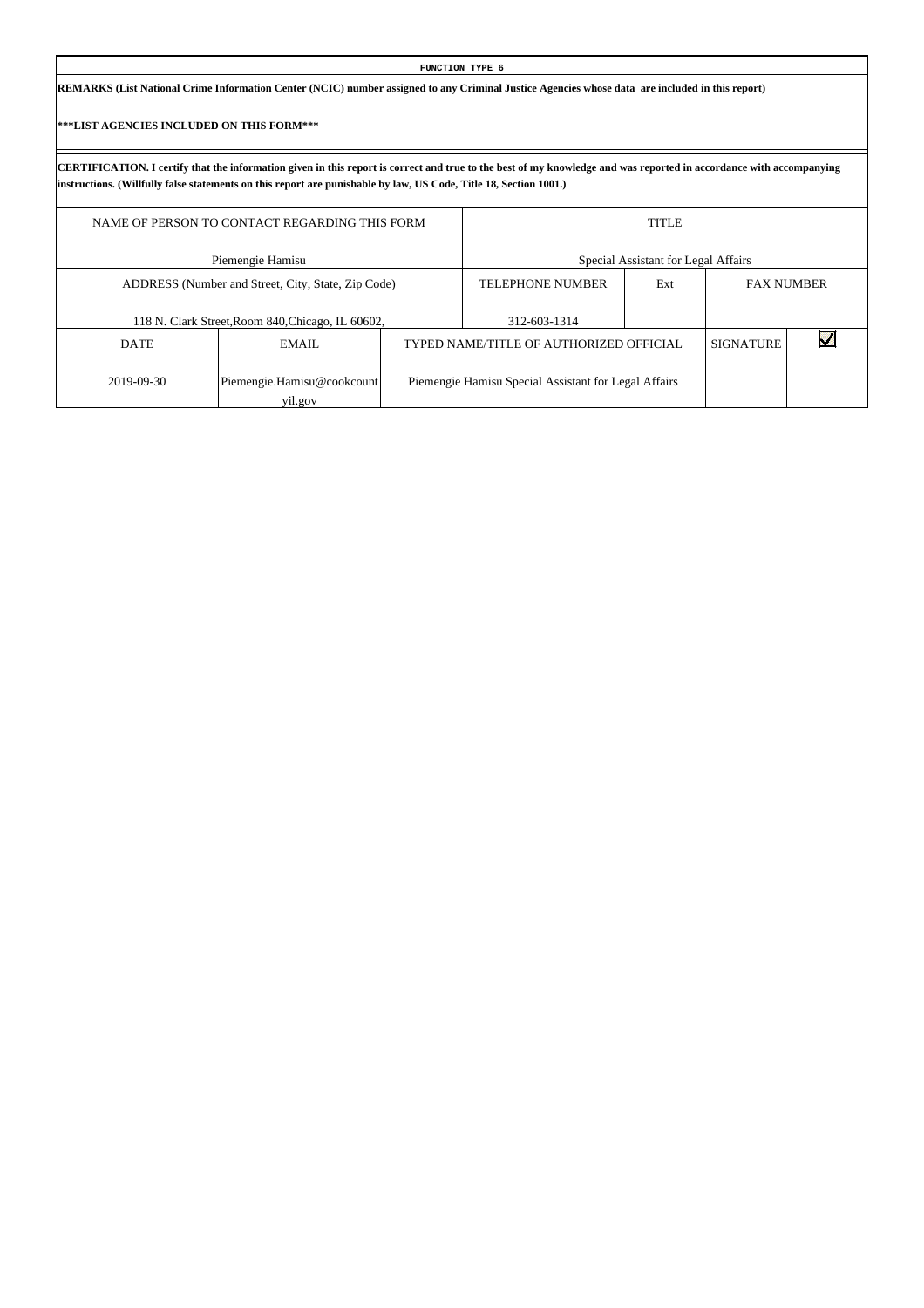| FUNCTION TYPE 6                                                                                                                                 |
|-------------------------------------------------------------------------------------------------------------------------------------------------|
| REMARKS (List National Crime Information Center (NCIC) number assigned to any Criminal Justice Agencies whose data are included in this report) |
|                                                                                                                                                 |

 $\mathsf{L}$ 

|             | NAME OF PERSON TO CONTACT REGARDING THIS FORM      | <b>TITLE</b>                                         |     |                  |                   |  |  |  |
|-------------|----------------------------------------------------|------------------------------------------------------|-----|------------------|-------------------|--|--|--|
|             | Piemengie Hamisu                                   | Special Assistant for Legal Affairs                  |     |                  |                   |  |  |  |
|             | ADDRESS (Number and Street, City, State, Zip Code) | <b>TELEPHONE NUMBER</b>                              | Ext |                  | <b>FAX NUMBER</b> |  |  |  |
|             | 118 N. Clark Street, Room 840, Chicago, IL 60602,  | 312-603-1314                                         |     |                  |                   |  |  |  |
| <b>DATE</b> | EMAIL                                              | TYPED NAME/TITLE OF AUTHORIZED OFFICIAL              |     | <b>SIGNATURE</b> |                   |  |  |  |
| 2019-09-30  | Piemengie.Hamisu@cookcount<br>yil.gov              | Piemengie Hamisu Special Assistant for Legal Affairs |     |                  |                   |  |  |  |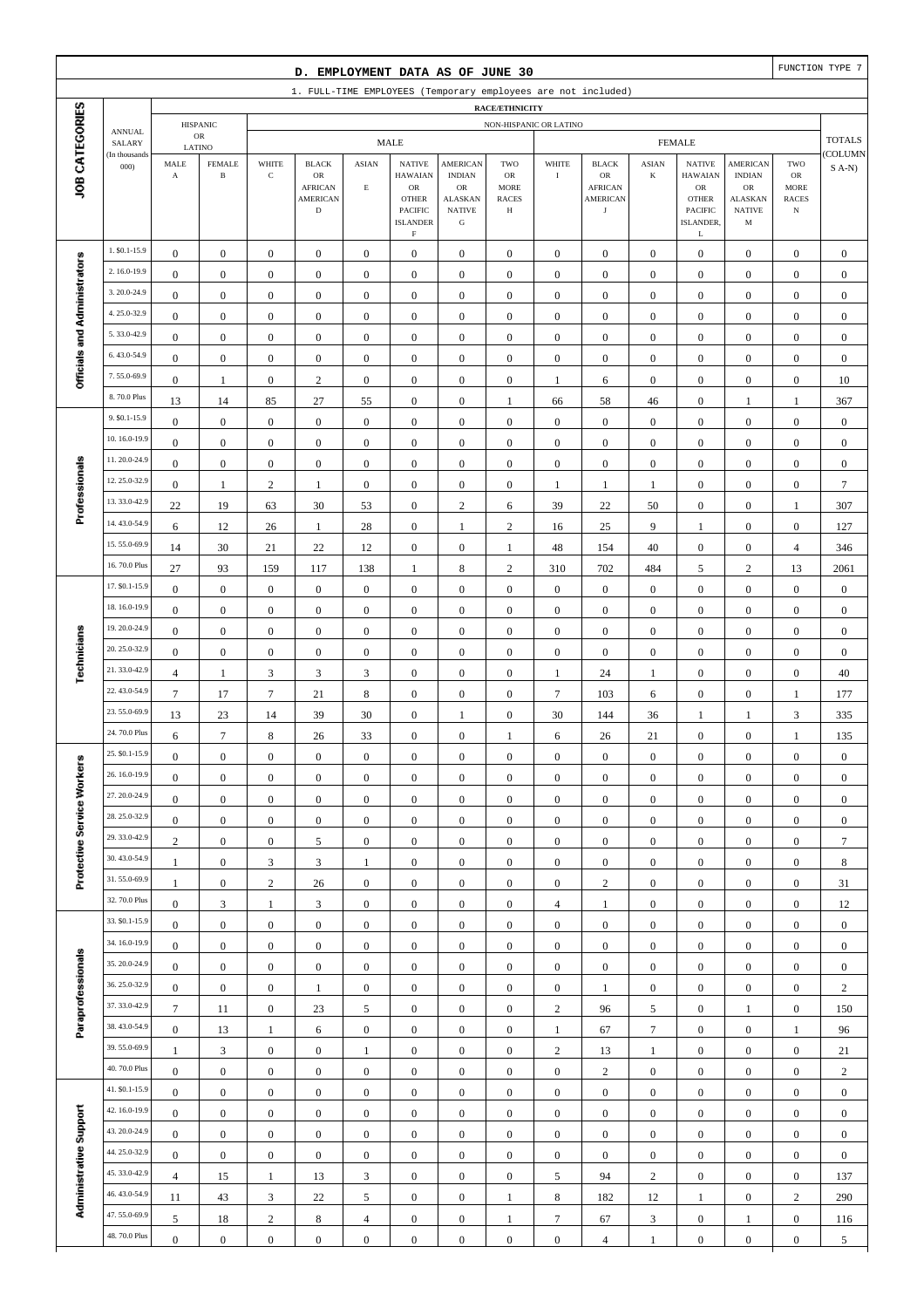|                              |                                |                                               |                                         |                            | D. EMPLOYMENT DATA AS OF JUNE 30                                               |                                |                                                                                                                   |                                                                                                 |                                                                 |                                      |                                                                               |                                      |                                                                                                      |                                                                                                  |                                                                 | FUNCTION TYPE 7    |
|------------------------------|--------------------------------|-----------------------------------------------|-----------------------------------------|----------------------------|--------------------------------------------------------------------------------|--------------------------------|-------------------------------------------------------------------------------------------------------------------|-------------------------------------------------------------------------------------------------|-----------------------------------------------------------------|--------------------------------------|-------------------------------------------------------------------------------|--------------------------------------|------------------------------------------------------------------------------------------------------|--------------------------------------------------------------------------------------------------|-----------------------------------------------------------------|--------------------|
|                              |                                |                                               |                                         |                            |                                                                                |                                |                                                                                                                   |                                                                                                 |                                                                 |                                      | 1. FULL-TIME EMPLOYEES (Temporary employees are not included)                 |                                      |                                                                                                      |                                                                                                  |                                                                 |                    |
|                              |                                |                                               | <b>HISPANIC</b>                         |                            |                                                                                |                                |                                                                                                                   |                                                                                                 | RACE/ETHNICITY<br>NON-HISPANIC OR LATINO                        |                                      |                                                                               |                                      |                                                                                                      |                                                                                                  |                                                                 |                    |
|                              | <b>ANNUAL</b><br>SALARY        |                                               | ${\sf OR}$                              |                            |                                                                                |                                | <b>MALE</b>                                                                                                       |                                                                                                 |                                                                 |                                      |                                                                               |                                      | <b>FEMALE</b>                                                                                        |                                                                                                  |                                                                 | <b>TOTALS</b>      |
| JOB CATEGORIES               | (In thousands<br>000           | $\operatorname{\mathsf{MALE}}$<br>$\mathbf A$ | LATINO<br><b>FEMALE</b><br>$\, {\bf B}$ | WHITE<br>$\mathbf C$       | <b>BLACK</b><br>${\sf OR}$<br><b>AFRICAN</b><br><b>AMERICAN</b><br>$\mathbf D$ | <b>ASIAN</b><br>$\mathbf E$    | <b>NATIVE</b><br><b>HAWAIAN</b><br>${\sf OR}$<br><b>OTHER</b><br><b>PACIFIC</b><br><b>ISLANDER</b><br>$\mathbf F$ | <b>AMERICAN</b><br><b>INDIAN</b><br>$_{\rm OR}$<br><b>ALASKAN</b><br><b>NATIVE</b><br>${\bf G}$ | TWO<br>$_{\rm OR}$<br><b>MORE</b><br><b>RACES</b><br>$_{\rm H}$ | WHITE<br>$\rm I$                     | <b>BLACK</b><br>${\sf OR}$<br><b>AFRICAN</b><br><b>AMERICAN</b><br>$_{\rm J}$ | <b>ASIAN</b><br>K                    | <b>NATIVE</b><br><b>HAWAIAN</b><br>${\sf OR}$<br><b>OTHER</b><br>PACIFIC<br>ISLANDER,<br>$\mathbf L$ | <b>AMERICAN</b><br><b>INDIAN</b><br>${\rm OR}$<br><b>ALASKAN</b><br><b>NATIVE</b><br>$\mathbf M$ | TWO<br>$_{\rm OR}$<br><b>MORE</b><br><b>RACES</b><br>$_{\rm N}$ | COLUMN<br>$S$ A-N) |
|                              | 1. \$0.1-15.9                  | $\boldsymbol{0}$                              | $\boldsymbol{0}$                        | $\boldsymbol{0}$           | $\boldsymbol{0}$                                                               | $\boldsymbol{0}$               | $\mathbf{0}$                                                                                                      | $\boldsymbol{0}$                                                                                | $\boldsymbol{0}$                                                | $\boldsymbol{0}$                     | $\boldsymbol{0}$                                                              | $\boldsymbol{0}$                     | $\boldsymbol{0}$                                                                                     | $\boldsymbol{0}$                                                                                 | $\boldsymbol{0}$                                                | $\boldsymbol{0}$   |
|                              | 2.16.0-19.9                    | $\boldsymbol{0}$                              | $\boldsymbol{0}$                        | $\boldsymbol{0}$           | $\boldsymbol{0}$                                                               | $\boldsymbol{0}$               | $\boldsymbol{0}$                                                                                                  | $\boldsymbol{0}$                                                                                | $\boldsymbol{0}$                                                | $\boldsymbol{0}$                     | $\boldsymbol{0}$                                                              | $\boldsymbol{0}$                     | $\boldsymbol{0}$                                                                                     | $\boldsymbol{0}$                                                                                 | $\boldsymbol{0}$                                                | $\boldsymbol{0}$   |
|                              | 3.20.0-24.9                    | $\boldsymbol{0}$                              | $\boldsymbol{0}$                        | $\boldsymbol{0}$           | $\boldsymbol{0}$                                                               | $\boldsymbol{0}$               | $\mathbf{0}$                                                                                                      | $\boldsymbol{0}$                                                                                | $\boldsymbol{0}$                                                | $\boldsymbol{0}$                     | $\boldsymbol{0}$                                                              | $\boldsymbol{0}$                     | $\boldsymbol{0}$                                                                                     | $\boldsymbol{0}$                                                                                 | $\boldsymbol{0}$                                                | $\boldsymbol{0}$   |
|                              | 4.25.0-32.9                    | $\boldsymbol{0}$                              | $\boldsymbol{0}$                        | $\boldsymbol{0}$           | $\boldsymbol{0}$                                                               | $\boldsymbol{0}$               | $\mathbf{0}$                                                                                                      | $\boldsymbol{0}$                                                                                | $\boldsymbol{0}$                                                | $\boldsymbol{0}$                     | $\boldsymbol{0}$                                                              | $\boldsymbol{0}$                     | $\boldsymbol{0}$                                                                                     | $\boldsymbol{0}$                                                                                 | $\boldsymbol{0}$                                                | $\boldsymbol{0}$   |
| Officials and Administrators | 5.33.0-42.9                    | $\boldsymbol{0}$                              | $\boldsymbol{0}$                        | $\boldsymbol{0}$           | $\boldsymbol{0}$                                                               | $\boldsymbol{0}$               | $\boldsymbol{0}$                                                                                                  | $\boldsymbol{0}$                                                                                | $\boldsymbol{0}$                                                | $\boldsymbol{0}$                     | $\boldsymbol{0}$                                                              | $\boldsymbol{0}$                     | $\boldsymbol{0}$                                                                                     | $\boldsymbol{0}$                                                                                 | $\boldsymbol{0}$                                                | $\boldsymbol{0}$   |
|                              | 6.43.0-54.9                    | $\boldsymbol{0}$                              | $\boldsymbol{0}$                        | $\boldsymbol{0}$           | $\boldsymbol{0}$                                                               | $\boldsymbol{0}$               | $\boldsymbol{0}$                                                                                                  | $\boldsymbol{0}$                                                                                | $\boldsymbol{0}$                                                | $\boldsymbol{0}$                     | $\boldsymbol{0}$                                                              | $\boldsymbol{0}$                     | $\boldsymbol{0}$                                                                                     | $\boldsymbol{0}$                                                                                 | $\boldsymbol{0}$                                                | $\boldsymbol{0}$   |
|                              | 7.55.0-69.9                    | $\boldsymbol{0}$                              | 1                                       | $\boldsymbol{0}$           | $\sqrt{2}$                                                                     | $\mathbf{0}$                   | $\boldsymbol{0}$                                                                                                  | $\boldsymbol{0}$                                                                                | $\boldsymbol{0}$                                                | $\mathbf{1}$                         | 6                                                                             | $\boldsymbol{0}$                     | $\boldsymbol{0}$                                                                                     | $\boldsymbol{0}$                                                                                 | $\boldsymbol{0}$                                                | 10                 |
|                              | 8.70.0 Plus                    | 13                                            | 14                                      | 85                         | 27                                                                             | 55                             | $\boldsymbol{0}$                                                                                                  | $\boldsymbol{0}$                                                                                | $\mathbf{1}$                                                    | 66                                   | 58                                                                            | 46                                   | $\boldsymbol{0}$                                                                                     | 1                                                                                                | $\mathbf{1}$                                                    | 367                |
|                              | 9. \$0.1-15.9                  | $\boldsymbol{0}$                              | $\boldsymbol{0}$                        | $\boldsymbol{0}$           | $\boldsymbol{0}$                                                               | $\boldsymbol{0}$               | $\boldsymbol{0}$                                                                                                  | $\boldsymbol{0}$                                                                                | $\boldsymbol{0}$                                                | $\boldsymbol{0}$                     | $\boldsymbol{0}$                                                              | $\boldsymbol{0}$                     | $\boldsymbol{0}$                                                                                     | $\boldsymbol{0}$                                                                                 | $\boldsymbol{0}$                                                | $\boldsymbol{0}$   |
|                              | 10.16.0-19.9                   | $\boldsymbol{0}$                              | $\boldsymbol{0}$                        | $\boldsymbol{0}$           | $\boldsymbol{0}$                                                               | $\boldsymbol{0}$               | $\boldsymbol{0}$                                                                                                  | $\boldsymbol{0}$                                                                                | $\boldsymbol{0}$                                                | $\boldsymbol{0}$                     | $\boldsymbol{0}$                                                              | $\boldsymbol{0}$                     | $\boldsymbol{0}$                                                                                     | $\boldsymbol{0}$                                                                                 | $\boldsymbol{0}$                                                | $\boldsymbol{0}$   |
|                              | 11.20.0-24.9                   | $\boldsymbol{0}$                              | $\boldsymbol{0}$                        | $\boldsymbol{0}$           | $\boldsymbol{0}$                                                               | $\mathbf{0}$                   | $\boldsymbol{0}$                                                                                                  | $\boldsymbol{0}$                                                                                | $\boldsymbol{0}$                                                | $\boldsymbol{0}$                     | $\boldsymbol{0}$                                                              | $\boldsymbol{0}$                     | $\boldsymbol{0}$                                                                                     | $\boldsymbol{0}$                                                                                 | $\boldsymbol{0}$                                                | $\boldsymbol{0}$   |
| Professionals                | 12.25.0-32.9                   | $\boldsymbol{0}$                              | 1                                       | $\boldsymbol{2}$           | $\mathbf{1}$                                                                   | $\boldsymbol{0}$               | $\boldsymbol{0}$                                                                                                  | $\boldsymbol{0}$                                                                                | $\boldsymbol{0}$                                                | $\mathbf{1}$                         | 1                                                                             | 1                                    | $\boldsymbol{0}$                                                                                     | $\boldsymbol{0}$                                                                                 | $\boldsymbol{0}$                                                | $\tau$             |
|                              | 13.33.0-42.9                   | 22                                            | 19                                      | 63                         | 30                                                                             | 53                             | $\mathbf{0}$                                                                                                      | $\sqrt{2}$                                                                                      | 6                                                               | 39                                   | 22                                                                            | 50                                   | $\boldsymbol{0}$                                                                                     | $\boldsymbol{0}$                                                                                 | $\mathbf{1}$                                                    | 307                |
|                              | 14.43.0-54.9                   | 6                                             | 12                                      | 26                         | $\mathbf{1}$                                                                   | 28                             | $\boldsymbol{0}$                                                                                                  | $\mathbf{1}$                                                                                    | $\overline{c}$                                                  | 16                                   | 25                                                                            | 9                                    | $\mathbf{1}$                                                                                         | $\boldsymbol{0}$                                                                                 | $\boldsymbol{0}$                                                | 127                |
|                              | 15.55.0-69.9                   | 14                                            | 30                                      | 21                         | $22\,$                                                                         | 12                             | $\boldsymbol{0}$                                                                                                  | $\boldsymbol{0}$                                                                                | 1                                                               | 48                                   | 154                                                                           | 40                                   | $\boldsymbol{0}$                                                                                     | $\boldsymbol{0}$                                                                                 | $\overline{4}$                                                  | 346                |
|                              | 16.70.0 Plus                   | 27                                            | 93                                      | 159                        | 117                                                                            | 138                            | $\mathbf{1}$                                                                                                      | $\,8\,$                                                                                         | $\overline{c}$                                                  | 310                                  | 702                                                                           | 484                                  | $\sqrt{5}$                                                                                           | $\overline{c}$                                                                                   | 13                                                              | 2061               |
|                              | 17. \$0.1-15.9                 | $\boldsymbol{0}$                              | $\boldsymbol{0}$                        | $\boldsymbol{0}$           | $\boldsymbol{0}$                                                               | $\boldsymbol{0}$               | $\mathbf{0}$                                                                                                      | $\boldsymbol{0}$                                                                                | $\boldsymbol{0}$                                                | $\boldsymbol{0}$                     | $\boldsymbol{0}$                                                              | $\boldsymbol{0}$                     | $\boldsymbol{0}$                                                                                     | $\boldsymbol{0}$                                                                                 | $\boldsymbol{0}$                                                | $\boldsymbol{0}$   |
|                              | 18.16.0-19.9                   | $\boldsymbol{0}$                              | $\boldsymbol{0}$                        | $\boldsymbol{0}$           | $\boldsymbol{0}$                                                               | $\boldsymbol{0}$               | $\boldsymbol{0}$                                                                                                  | $\boldsymbol{0}$                                                                                | $\boldsymbol{0}$                                                | $\boldsymbol{0}$                     | $\boldsymbol{0}$                                                              | $\boldsymbol{0}$                     | $\boldsymbol{0}$                                                                                     | $\boldsymbol{0}$                                                                                 | $\boldsymbol{0}$                                                | $\boldsymbol{0}$   |
|                              | 19.20.0-24.9                   | $\boldsymbol{0}$                              | $\boldsymbol{0}$                        | $\boldsymbol{0}$           | $\boldsymbol{0}$                                                               | $\boldsymbol{0}$               | $\boldsymbol{0}$                                                                                                  | $\boldsymbol{0}$                                                                                | $\boldsymbol{0}$                                                | $\boldsymbol{0}$                     | $\boldsymbol{0}$                                                              | $\boldsymbol{0}$                     | $\boldsymbol{0}$                                                                                     | $\boldsymbol{0}$                                                                                 | $\boldsymbol{0}$                                                | $\boldsymbol{0}$   |
| Technicians                  | 20.25.0-32.9                   | $\boldsymbol{0}$                              | $\boldsymbol{0}$                        | $\boldsymbol{0}$           | $\boldsymbol{0}$                                                               | $\mathbf{0}$                   | $\mathbf{0}$                                                                                                      | $\boldsymbol{0}$                                                                                | $\boldsymbol{0}$                                                | $\boldsymbol{0}$                     | $\boldsymbol{0}$                                                              | $\boldsymbol{0}$                     | $\boldsymbol{0}$                                                                                     | $\boldsymbol{0}$                                                                                 | $\boldsymbol{0}$                                                | $\boldsymbol{0}$   |
|                              | 21.33.0-42.9                   | $\overline{4}$                                | $\mathbf{1}$                            | 3                          | 3                                                                              | 3                              | $\mathbf{0}$                                                                                                      | $\boldsymbol{0}$                                                                                | $\boldsymbol{0}$                                                | $\mathbf{1}$                         | 24                                                                            | 1                                    | $\boldsymbol{0}$                                                                                     | $\boldsymbol{0}$                                                                                 | $\boldsymbol{0}$                                                | 40                 |
|                              | 22.43.0-54.9                   | $\boldsymbol{7}$                              | 17                                      | $\tau$                     | 21                                                                             | $\,8\,$                        | $\boldsymbol{0}$                                                                                                  | $\boldsymbol{0}$                                                                                | $\boldsymbol{0}$                                                | $\boldsymbol{7}$                     | 103                                                                           | 6                                    | $\boldsymbol{0}$                                                                                     | $\boldsymbol{0}$                                                                                 | $\mathbf{1}$                                                    | 177                |
|                              | 23.55.0-69.9                   | 13                                            | 23                                      | 14                         | 39                                                                             | 30                             | $\boldsymbol{0}$                                                                                                  | $\mathbf{1}$                                                                                    | $\boldsymbol{0}$                                                | 30                                   | 144                                                                           | 36                                   | $\mathbf{1}$                                                                                         | 1                                                                                                | 3                                                               | 335                |
|                              | 24.70.0 Plus                   | 6                                             | $\tau$                                  | $\,$ 8 $\,$                | 26                                                                             | 33                             | $\boldsymbol{0}$                                                                                                  | $\boldsymbol{0}$                                                                                | 1                                                               | 6                                    | 26                                                                            | 21                                   | $\boldsymbol{0}$                                                                                     | $\boldsymbol{0}$                                                                                 | $\mathbf{1}$                                                    | 135                |
|                              | 25. \$0.1-15.9<br>26.16.0-19.9 | $\boldsymbol{0}$                              | $\bf{0}$                                | $\boldsymbol{0}$           | $\boldsymbol{0}$                                                               | $\boldsymbol{0}$               | $\boldsymbol{0}$                                                                                                  | $\boldsymbol{0}$                                                                                | $\boldsymbol{0}$                                                | 0                                    | $\boldsymbol{0}$                                                              | $\boldsymbol{0}$                     | $\boldsymbol{0}$                                                                                     | $\boldsymbol{0}$                                                                                 | $\boldsymbol{0}$                                                | $\boldsymbol{0}$   |
|                              | 27.20.0-24.9                   | $\boldsymbol{0}$                              | $\boldsymbol{0}$                        | $\boldsymbol{0}$           | $\boldsymbol{0}$                                                               | $\boldsymbol{0}$               | $\boldsymbol{0}$                                                                                                  | $\boldsymbol{0}$                                                                                | $\boldsymbol{0}$                                                | $\boldsymbol{0}$                     | $\boldsymbol{0}$                                                              | $\boldsymbol{0}$                     | $\boldsymbol{0}$                                                                                     | $\boldsymbol{0}$                                                                                 | $\boldsymbol{0}$                                                | $\boldsymbol{0}$   |
|                              | 28.25.0-32.9                   | $\boldsymbol{0}$                              | $\boldsymbol{0}$                        | $\boldsymbol{0}$           | $\boldsymbol{0}$                                                               | $\overline{0}$                 | $\boldsymbol{0}$                                                                                                  | $\boldsymbol{0}$                                                                                | $\boldsymbol{0}$                                                | $\boldsymbol{0}$                     | $\boldsymbol{0}$                                                              | $\boldsymbol{0}$                     | $\boldsymbol{0}$                                                                                     | $\boldsymbol{0}$                                                                                 | $\boldsymbol{0}$                                                | $\boldsymbol{0}$   |
|                              | 29.33.0-42.9                   | $\boldsymbol{0}$                              | $\boldsymbol{0}$                        | $\boldsymbol{0}$           | $\boldsymbol{0}$                                                               | $\mathbf{0}$                   | $\boldsymbol{0}$                                                                                                  | $\boldsymbol{0}$                                                                                | $\boldsymbol{0}$                                                | $\boldsymbol{0}$                     | $\boldsymbol{0}$                                                              | $\boldsymbol{0}$                     | $\boldsymbol{0}$                                                                                     | $\boldsymbol{0}$                                                                                 | $\boldsymbol{0}$                                                | $\boldsymbol{0}$   |
|                              | 30.43.0-54.9                   | $\overline{c}$                                | $\boldsymbol{0}$                        | $\boldsymbol{0}$           | $\sqrt{5}$                                                                     | $\boldsymbol{0}$               | $\boldsymbol{0}$                                                                                                  | $\boldsymbol{0}$                                                                                | $\boldsymbol{0}$                                                | $\boldsymbol{0}$                     | $\boldsymbol{0}$                                                              | $\boldsymbol{0}$                     | $\boldsymbol{0}$                                                                                     | $\boldsymbol{0}$                                                                                 | $\boldsymbol{0}$                                                | $\tau$             |
| Protective Service Workers   | 31.55.0-69.9                   | $\mathbf{1}$                                  | $\boldsymbol{0}$<br>$\boldsymbol{0}$    | 3                          | 3                                                                              | $\mathbf{1}$<br>$\overline{0}$ | $\boldsymbol{0}$<br>$\boldsymbol{0}$                                                                              | $\boldsymbol{0}$<br>$\boldsymbol{0}$                                                            | $\boldsymbol{0}$<br>$\boldsymbol{0}$                            | $\boldsymbol{0}$<br>$\boldsymbol{0}$ | $\boldsymbol{0}$<br>$\overline{c}$                                            | $\boldsymbol{0}$<br>$\boldsymbol{0}$ | $\boldsymbol{0}$<br>$\boldsymbol{0}$                                                                 | $\boldsymbol{0}$<br>$\boldsymbol{0}$                                                             | $\boldsymbol{0}$                                                | $\,8\,$            |
|                              | 32.70.0 Plus                   | $\mathbf{1}$<br>$\boldsymbol{0}$              | 3                                       | $\sqrt{2}$<br>$\mathbf{1}$ | 26<br>$\mathfrak{Z}$                                                           | $\boldsymbol{0}$               | $\boldsymbol{0}$                                                                                                  | $\boldsymbol{0}$                                                                                | $\boldsymbol{0}$                                                | $\overline{4}$                       | $\mathbf{1}$                                                                  | $\boldsymbol{0}$                     | $\boldsymbol{0}$                                                                                     | $\boldsymbol{0}$                                                                                 | $\boldsymbol{0}$<br>$\boldsymbol{0}$                            | 31<br>12           |
|                              | 33. \$0.1-15.9                 | $\boldsymbol{0}$                              | $\boldsymbol{0}$                        | $\boldsymbol{0}$           | $\boldsymbol{0}$                                                               | $\boldsymbol{0}$               | $\boldsymbol{0}$                                                                                                  | $\boldsymbol{0}$                                                                                | $\boldsymbol{0}$                                                | $\boldsymbol{0}$                     | $\boldsymbol{0}$                                                              | $\boldsymbol{0}$                     | $\boldsymbol{0}$                                                                                     | $\boldsymbol{0}$                                                                                 | $\boldsymbol{0}$                                                | $\boldsymbol{0}$   |
|                              | 34.16.0-19.9                   | $\boldsymbol{0}$                              | $\boldsymbol{0}$                        | $\boldsymbol{0}$           | $\boldsymbol{0}$                                                               | $\boldsymbol{0}$               | $\boldsymbol{0}$                                                                                                  | $\boldsymbol{0}$                                                                                | $\boldsymbol{0}$                                                | $\boldsymbol{0}$                     | $\boldsymbol{0}$                                                              | $\boldsymbol{0}$                     | $\boldsymbol{0}$                                                                                     | $\boldsymbol{0}$                                                                                 | $\boldsymbol{0}$                                                | $\boldsymbol{0}$   |
| Paraprofessionals            | 35.20.0-24.9                   | $\boldsymbol{0}$                              | $\boldsymbol{0}$                        | $\boldsymbol{0}$           | $\boldsymbol{0}$                                                               | $\boldsymbol{0}$               | $\boldsymbol{0}$                                                                                                  | $\boldsymbol{0}$                                                                                | $\boldsymbol{0}$                                                | $\boldsymbol{0}$                     | $\boldsymbol{0}$                                                              | $\boldsymbol{0}$                     | $\boldsymbol{0}$                                                                                     | $\boldsymbol{0}$                                                                                 | $\boldsymbol{0}$                                                | $\boldsymbol{0}$   |
|                              | 36.25.0-32.9                   | $\boldsymbol{0}$                              | $\boldsymbol{0}$                        | $\boldsymbol{0}$           | $\mathbf{1}$                                                                   | $\boldsymbol{0}$               | $\boldsymbol{0}$                                                                                                  | $\boldsymbol{0}$                                                                                | $\boldsymbol{0}$                                                | $\boldsymbol{0}$                     | $\mathbf{1}$                                                                  | $\boldsymbol{0}$                     | $\boldsymbol{0}$                                                                                     | $\boldsymbol{0}$                                                                                 | $\boldsymbol{0}$                                                | $\sqrt{2}$         |
|                              | 37.33.0-42.9                   | $\boldsymbol{7}$                              | 11                                      | $\boldsymbol{0}$           | 23                                                                             | 5                              | $\mathbf{0}$                                                                                                      | $\boldsymbol{0}$                                                                                | $\boldsymbol{0}$                                                | $\sqrt{2}$                           | 96                                                                            | 5                                    | $\boldsymbol{0}$                                                                                     | 1                                                                                                | $\boldsymbol{0}$                                                | 150                |
|                              | 38.43.0-54.9                   | $\boldsymbol{0}$                              | 13                                      | $\mathbf{1}$               | 6                                                                              | $\boldsymbol{0}$               | $\boldsymbol{0}$                                                                                                  | $\boldsymbol{0}$                                                                                | $\boldsymbol{0}$                                                | $\mathbf{1}$                         | 67                                                                            | $\tau$                               | $\boldsymbol{0}$                                                                                     | $\boldsymbol{0}$                                                                                 | 1                                                               | 96                 |
|                              | 39.55.0-69.9                   | $\mathbf{1}$                                  | 3                                       | $\boldsymbol{0}$           | $\boldsymbol{0}$                                                               | $\mathbf{1}$                   | $\boldsymbol{0}$                                                                                                  | $\boldsymbol{0}$                                                                                | $\boldsymbol{0}$                                                | $\sqrt{2}$                           | 13                                                                            | $\mathbf{1}$                         | $\boldsymbol{0}$                                                                                     | $\boldsymbol{0}$                                                                                 | $\boldsymbol{0}$                                                | 21                 |
|                              | 40.70.0 Plus                   | $\boldsymbol{0}$                              | $\boldsymbol{0}$                        | $\boldsymbol{0}$           | $\boldsymbol{0}$                                                               | $\boldsymbol{0}$               | $\boldsymbol{0}$                                                                                                  | $\boldsymbol{0}$                                                                                | $\boldsymbol{0}$                                                | $\boldsymbol{0}$                     | $\overline{c}$                                                                | $\boldsymbol{0}$                     | $\boldsymbol{0}$                                                                                     | $\boldsymbol{0}$                                                                                 | $\boldsymbol{0}$                                                | $\overline{c}$     |
|                              | 41. \$0.1-15.9                 | $\boldsymbol{0}$                              | $\boldsymbol{0}$                        | $\boldsymbol{0}$           | $\boldsymbol{0}$                                                               | $\boldsymbol{0}$               | $\boldsymbol{0}$                                                                                                  | $\boldsymbol{0}$                                                                                | $\boldsymbol{0}$                                                | $\boldsymbol{0}$                     | $\boldsymbol{0}$                                                              | $\boldsymbol{0}$                     | $\boldsymbol{0}$                                                                                     | $\boldsymbol{0}$                                                                                 | $\boldsymbol{0}$                                                | $\boldsymbol{0}$   |
|                              | 42.16.0-19.9                   | $\boldsymbol{0}$                              | $\boldsymbol{0}$                        | $\boldsymbol{0}$           | $\boldsymbol{0}$                                                               | $\boldsymbol{0}$               | $\boldsymbol{0}$                                                                                                  | $\boldsymbol{0}$                                                                                | $\boldsymbol{0}$                                                | $\boldsymbol{0}$                     | $\boldsymbol{0}$                                                              | $\boldsymbol{0}$                     | $\boldsymbol{0}$                                                                                     | $\boldsymbol{0}$                                                                                 | $\boldsymbol{0}$                                                | $\boldsymbol{0}$   |
| Administrative Support       | 43.20.0-24.9                   | $\boldsymbol{0}$                              | $\boldsymbol{0}$                        | $\boldsymbol{0}$           | $\boldsymbol{0}$                                                               | $\boldsymbol{0}$               | $\boldsymbol{0}$                                                                                                  | $\boldsymbol{0}$                                                                                | $\boldsymbol{0}$                                                | $\boldsymbol{0}$                     | $\boldsymbol{0}$                                                              | $\boldsymbol{0}$                     | $\boldsymbol{0}$                                                                                     | $\boldsymbol{0}$                                                                                 | $\boldsymbol{0}$                                                | $\boldsymbol{0}$   |
|                              | 44.25.0-32.9                   | $\boldsymbol{0}$                              | $\boldsymbol{0}$                        | $\boldsymbol{0}$           | $\boldsymbol{0}$                                                               | $\mathbf{0}$                   | $\boldsymbol{0}$                                                                                                  | $\boldsymbol{0}$                                                                                | $\boldsymbol{0}$                                                | $\boldsymbol{0}$                     | $\mathbf{0}$                                                                  | $\boldsymbol{0}$                     | $\boldsymbol{0}$                                                                                     | $\boldsymbol{0}$                                                                                 | $\boldsymbol{0}$                                                | $\boldsymbol{0}$   |
|                              | 45.33.0-42.9                   | $\overline{4}$                                | 15                                      | $\mathbf{1}$               | 13                                                                             | 3                              | $\boldsymbol{0}$                                                                                                  | $\boldsymbol{0}$                                                                                | $\boldsymbol{0}$                                                | $\sqrt{5}$                           | 94                                                                            | $\sqrt{2}$                           | $\boldsymbol{0}$                                                                                     | $\boldsymbol{0}$                                                                                 | $\boldsymbol{0}$                                                | 137                |
|                              | 46.43.0-54.9                   | 11                                            | 43                                      | $\sqrt{3}$                 | 22                                                                             | $5\overline{)}$                | $\boldsymbol{0}$                                                                                                  | $\boldsymbol{0}$                                                                                | $\mathbf{1}$                                                    | 8                                    | 182                                                                           | 12                                   | $\mathbf{1}$                                                                                         | $\boldsymbol{0}$                                                                                 | $\sqrt{2}$                                                      | 290                |
|                              | 47.55.0-69.9                   | $\sqrt{5}$                                    | 18                                      | $\sqrt{2}$                 | $\,8\,$                                                                        | $\overline{4}$                 | $\boldsymbol{0}$                                                                                                  | $\boldsymbol{0}$                                                                                | 1                                                               | $\boldsymbol{7}$                     | 67                                                                            | 3                                    | $\boldsymbol{0}$                                                                                     | 1                                                                                                | $\boldsymbol{0}$                                                | 116                |
|                              | 48.70.0 Plus                   | $\boldsymbol{0}$                              | $\boldsymbol{0}$                        | $\boldsymbol{0}$           | $\boldsymbol{0}$                                                               | $\boldsymbol{0}$               | $\boldsymbol{0}$                                                                                                  | $\boldsymbol{0}$                                                                                | $\boldsymbol{0}$                                                | $\boldsymbol{0}$                     | $\overline{4}$                                                                | $\mathbf{1}$                         | $\boldsymbol{0}$                                                                                     | $\boldsymbol{0}$                                                                                 | $\boldsymbol{0}$                                                | 5                  |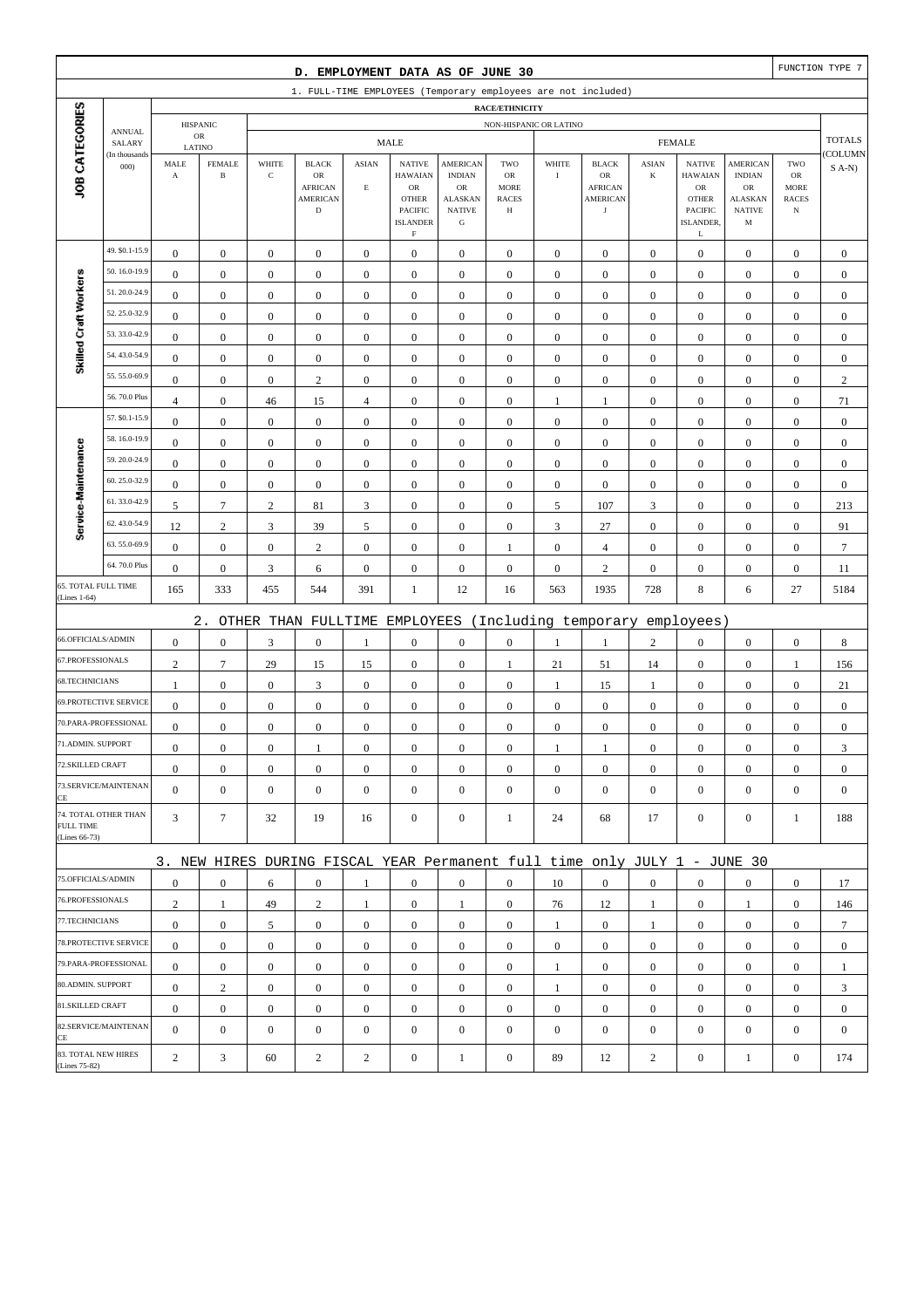| D. EMPLOYMENT DATA AS OF JUNE 30 |                              |                       |                               |                  |                                                                           |                  |                                                                    |                                                                     |                                                        |                  |                                                       |                  | FUNCTION TYPE 7                                                             |                                                      |                                                  |                  |
|----------------------------------|------------------------------|-----------------------|-------------------------------|------------------|---------------------------------------------------------------------------|------------------|--------------------------------------------------------------------|---------------------------------------------------------------------|--------------------------------------------------------|------------------|-------------------------------------------------------|------------------|-----------------------------------------------------------------------------|------------------------------------------------------|--------------------------------------------------|------------------|
|                                  |                              |                       |                               |                  | 1. FULL-TIME EMPLOYEES (Temporary employees are not included)             |                  |                                                                    |                                                                     |                                                        |                  |                                                       |                  |                                                                             |                                                      |                                                  |                  |
|                                  |                              |                       |                               |                  |                                                                           |                  |                                                                    |                                                                     | <b>RACE/ETHNICITY</b>                                  |                  |                                                       |                  |                                                                             |                                                      |                                                  |                  |
|                                  | <b>ANNUAL</b><br>SALARY      |                       | <b>HISPANIC</b><br>${\sf OR}$ |                  |                                                                           |                  | <b>MALE</b>                                                        |                                                                     | NON-HISPANIC OR LATINO                                 |                  |                                                       |                  | <b>FEMALE</b>                                                               |                                                      |                                                  | <b>TOTALS</b>    |
|                                  | (In thousands                | LATINO<br>MALE        | <b>FEMALE</b>                 | WHITE            | <b>BLACK</b>                                                              | <b>ASIAN</b>     | <b>NATIVE</b>                                                      | <b>AMERICAN</b>                                                     | TWO                                                    | WHITE            | <b>BLACK</b>                                          | <b>ASIAN</b>     | <b>NATIVE</b>                                                               | <b>AMERICAN</b>                                      | TWO                                              | COLUMN           |
| JOB CATEGORIES                   | 000                          | $\boldsymbol{\rm{A}}$ | $\, {\bf B}$                  | $\mathbf C$      | $_{\rm OR}$<br><b>AFRICAN</b><br><b>AMERICAN</b><br>$\mathbf D$           | $\mathbf E$      | <b>HAWAIAN</b><br>OR<br><b>OTHER</b><br>PACIFIC<br><b>ISLANDER</b> | <b>INDIAN</b><br>OR<br><b>ALASKAN</b><br><b>NATIVE</b><br>${\bf G}$ | <b>OR</b><br><b>MORE</b><br><b>RACES</b><br>$_{\rm H}$ | $\rm I$          | OR<br><b>AFRICAN</b><br><b>AMERICAN</b><br>$_{\rm J}$ | $\bf K$          | <b>HAWAIAN</b><br>${\rm OR}$<br><b>OTHER</b><br><b>PACIFIC</b><br>ISLANDER. | <b>INDIAN</b><br>OR<br>ALASKAN<br><b>NATIVE</b><br>M | ${\rm OR}$<br>MORE<br><b>RACES</b><br>$_{\rm N}$ | $S$ A-N)         |
|                                  | 49. \$0.1-15.9               |                       |                               |                  |                                                                           |                  | $\rm F$                                                            |                                                                     |                                                        |                  |                                                       |                  | L                                                                           |                                                      |                                                  |                  |
|                                  | 50.16.0-19.9                 | $\boldsymbol{0}$      | $\mathbf{0}$                  | $\boldsymbol{0}$ | $\boldsymbol{0}$                                                          | $\boldsymbol{0}$ | $\boldsymbol{0}$                                                   | $\boldsymbol{0}$                                                    | $\boldsymbol{0}$                                       | $\boldsymbol{0}$ | $\boldsymbol{0}$                                      | $\mathbf{0}$     | $\mathbf{0}$                                                                | $\boldsymbol{0}$                                     | $\boldsymbol{0}$                                 | $\boldsymbol{0}$ |
| Skilled Craft Workers            | 51.20.0-24.9                 | $\mathbf{0}$          | $\boldsymbol{0}$              | $\boldsymbol{0}$ | $\boldsymbol{0}$                                                          | $\boldsymbol{0}$ | $\boldsymbol{0}$                                                   | $\boldsymbol{0}$                                                    | $\boldsymbol{0}$                                       | $\boldsymbol{0}$ | $\boldsymbol{0}$                                      | $\boldsymbol{0}$ | $\boldsymbol{0}$                                                            | $\boldsymbol{0}$                                     | $\boldsymbol{0}$                                 | $\mathbf{0}$     |
|                                  | 52.25.0-32.9                 | $\mathbf{0}$          | $\boldsymbol{0}$              | $\boldsymbol{0}$ | $\boldsymbol{0}$                                                          | $\mathbf{0}$     | $\boldsymbol{0}$                                                   | $\mathbf{0}$                                                        | $\mathbf{0}$                                           | $\boldsymbol{0}$ | $\boldsymbol{0}$                                      | $\boldsymbol{0}$ | $\boldsymbol{0}$                                                            | $\boldsymbol{0}$                                     | $\boldsymbol{0}$                                 | $\mathbf{0}$     |
|                                  | 53.33.0-42.9                 | $\boldsymbol{0}$      | $\boldsymbol{0}$              | $\boldsymbol{0}$ | $\boldsymbol{0}$                                                          | $\boldsymbol{0}$ | $\boldsymbol{0}$                                                   | $\boldsymbol{0}$                                                    | $\boldsymbol{0}$                                       | $\boldsymbol{0}$ | $\boldsymbol{0}$                                      | $\boldsymbol{0}$ | $\boldsymbol{0}$                                                            | $\boldsymbol{0}$                                     | $\boldsymbol{0}$                                 | $\boldsymbol{0}$ |
|                                  | 54.43.0-54.9                 | $\boldsymbol{0}$      | $\boldsymbol{0}$              | $\boldsymbol{0}$ | $\boldsymbol{0}$                                                          | $\boldsymbol{0}$ | $\mathbf{0}$                                                       | $\boldsymbol{0}$                                                    | $\boldsymbol{0}$                                       | $\boldsymbol{0}$ | $\boldsymbol{0}$                                      | $\boldsymbol{0}$ | $\boldsymbol{0}$                                                            | $\boldsymbol{0}$                                     | $\boldsymbol{0}$                                 | $\boldsymbol{0}$ |
|                                  | 55.55.0-69.9                 | $\boldsymbol{0}$      | $\boldsymbol{0}$              | $\boldsymbol{0}$ | $\boldsymbol{0}$                                                          | $\boldsymbol{0}$ | $\boldsymbol{0}$                                                   | $\boldsymbol{0}$                                                    | $\boldsymbol{0}$                                       | $\boldsymbol{0}$ | $\boldsymbol{0}$                                      | $\boldsymbol{0}$ | $\boldsymbol{0}$                                                            | $\boldsymbol{0}$                                     | $\boldsymbol{0}$                                 | $\mathbf{0}$     |
|                                  | 56.70.0 Plus                 | $\mathbf{0}$          | $\boldsymbol{0}$              | $\boldsymbol{0}$ | $\mathbf{2}$                                                              | $\mathbf{0}$     | $\boldsymbol{0}$                                                   | $\mathbf{0}$                                                        | $\boldsymbol{0}$                                       | $\boldsymbol{0}$ | $\boldsymbol{0}$                                      | $\boldsymbol{0}$ | $\boldsymbol{0}$                                                            | $\boldsymbol{0}$                                     | $\boldsymbol{0}$                                 | $\sqrt{2}$       |
|                                  | 57. \$0.1-15.9               | $\overline{4}$        | $\boldsymbol{0}$              | 46               | 15                                                                        | $\overline{4}$   | $\mathbf{0}$                                                       | $\boldsymbol{0}$                                                    | $\boldsymbol{0}$                                       | $\mathbf{1}$     | $\mathbf{1}$                                          | $\boldsymbol{0}$ | $\boldsymbol{0}$                                                            | $\boldsymbol{0}$                                     | $\boldsymbol{0}$                                 | 71               |
|                                  | 58.16.0-19.9                 | $\boldsymbol{0}$      | $\boldsymbol{0}$              | $\boldsymbol{0}$ | $\boldsymbol{0}$                                                          | $\boldsymbol{0}$ | $\mathbf{0}$                                                       | $\boldsymbol{0}$                                                    | $\boldsymbol{0}$                                       | $\boldsymbol{0}$ | $\boldsymbol{0}$                                      | $\boldsymbol{0}$ | $\boldsymbol{0}$                                                            | $\boldsymbol{0}$                                     | $\boldsymbol{0}$                                 | $\boldsymbol{0}$ |
| Service-Maintenance              | 59.20.0-24.9                 | $\boldsymbol{0}$      | $\boldsymbol{0}$              | $\boldsymbol{0}$ | $\boldsymbol{0}$                                                          | $\boldsymbol{0}$ | $\boldsymbol{0}$                                                   | $\boldsymbol{0}$                                                    | $\boldsymbol{0}$                                       | $\boldsymbol{0}$ | $\boldsymbol{0}$                                      | $\boldsymbol{0}$ | $\boldsymbol{0}$                                                            | $\boldsymbol{0}$                                     | $\boldsymbol{0}$                                 | $\boldsymbol{0}$ |
|                                  | 60.25.0-32.9                 | $\mathbf{0}$          | $\mathbf{0}$                  | $\boldsymbol{0}$ | $\boldsymbol{0}$                                                          | $\mathbf{0}$     | $\boldsymbol{0}$                                                   | $\boldsymbol{0}$                                                    | $\mathbf{0}$                                           | $\boldsymbol{0}$ | $\boldsymbol{0}$                                      | $\boldsymbol{0}$ | $\boldsymbol{0}$                                                            | $\boldsymbol{0}$                                     | $\boldsymbol{0}$                                 | $\mathbf{0}$     |
|                                  | 61.33.0-42.9                 | $\bf{0}$              | $\boldsymbol{0}$              | $\boldsymbol{0}$ | $\boldsymbol{0}$                                                          | $\boldsymbol{0}$ | $\boldsymbol{0}$                                                   | $\boldsymbol{0}$                                                    | $\boldsymbol{0}$                                       | $\boldsymbol{0}$ | $\boldsymbol{0}$                                      | $\boldsymbol{0}$ | $\boldsymbol{0}$                                                            | $\boldsymbol{0}$                                     | $\boldsymbol{0}$                                 | $\mathbf{0}$     |
|                                  | 62.43.0-54.9                 | 5                     | $\tau$                        | $\sqrt{2}$       | 81                                                                        | 3                | $\boldsymbol{0}$                                                   | $\boldsymbol{0}$                                                    | $\boldsymbol{0}$                                       | 5                | 107                                                   | 3                | $\boldsymbol{0}$                                                            | $\boldsymbol{0}$                                     | $\boldsymbol{0}$                                 | 213              |
|                                  | 63.55.0-69.9                 | 12                    | $\sqrt{2}$                    | $\mathfrak{Z}$   | 39                                                                        | 5                | $\mathbf{0}$                                                       | $\boldsymbol{0}$                                                    | $\boldsymbol{0}$                                       | $\mathfrak{Z}$   | 27                                                    | $\boldsymbol{0}$ | $\boldsymbol{0}$                                                            | $\boldsymbol{0}$                                     | $\boldsymbol{0}$                                 | 91               |
|                                  | 64.70.0 Plus                 | $\boldsymbol{0}$      | $\boldsymbol{0}$              | $\boldsymbol{0}$ | $\mathbf{2}$                                                              | $\boldsymbol{0}$ | $\boldsymbol{0}$                                                   | $\mathbf{0}$                                                        | 1                                                      | $\boldsymbol{0}$ | $\overline{4}$                                        | $\boldsymbol{0}$ | $\boldsymbol{0}$                                                            | $\boldsymbol{0}$                                     | $\boldsymbol{0}$                                 | $\overline{7}$   |
|                                  | 65. TOTAL FULL TIME          | $\boldsymbol{0}$      | $\boldsymbol{0}$              | $\mathfrak{Z}$   | 6                                                                         | $\boldsymbol{0}$ | $\boldsymbol{0}$                                                   | $\mathbf{0}$                                                        | $\boldsymbol{0}$                                       | $\boldsymbol{0}$ | $\sqrt{2}$                                            | $\boldsymbol{0}$ | $\boldsymbol{0}$                                                            | $\boldsymbol{0}$                                     | $\boldsymbol{0}$                                 | 11               |
| (Lines 1-64)                     |                              | 165                   | 333                           | 455              | 544                                                                       | 391              | 1                                                                  | 12                                                                  | 16                                                     | 563              | 1935                                                  | 728              | 8                                                                           | 6                                                    | 27                                               | 5184             |
|                                  |                              |                       | $2$ .                         |                  | OTHER THAN FULLTIME                                                       |                  | EMPLOYEES                                                          |                                                                     |                                                        |                  | (Including temporary                                  |                  | employees)                                                                  |                                                      |                                                  |                  |
| 66.OFFICIALS/ADMIN               |                              | $\mathbf{0}$          | $\boldsymbol{0}$              | $\mathfrak{Z}$   | $\boldsymbol{0}$                                                          | 1                | $\boldsymbol{0}$                                                   | $\boldsymbol{0}$                                                    | $\boldsymbol{0}$                                       | 1                | 1                                                     | $\sqrt{2}$       | $\boldsymbol{0}$                                                            | $\boldsymbol{0}$                                     | $\boldsymbol{0}$                                 | 8                |
| 67.PROFESSIONALS                 |                              | $\mathbf{2}$          | $\overline{7}$                | 29               | 15                                                                        | 15               | $\boldsymbol{0}$                                                   | $\mathbf{0}$                                                        | 1                                                      | 21               | 51                                                    | 14               | $\boldsymbol{0}$                                                            | $\boldsymbol{0}$                                     | $\mathbf{1}$                                     | 156              |
| 68.TECHNICIANS                   |                              | $\mathbf{1}$          | $\boldsymbol{0}$              | $\boldsymbol{0}$ | 3                                                                         | $\boldsymbol{0}$ | $\boldsymbol{0}$                                                   | $\boldsymbol{0}$                                                    | $\boldsymbol{0}$                                       | $\mathbf{1}$     | 15                                                    | $\mathbf{1}$     | $\boldsymbol{0}$                                                            | $\boldsymbol{0}$                                     | $\boldsymbol{0}$                                 | 21               |
|                                  | <b>69.PROTECTIVE SERVICE</b> | $\boldsymbol{0}$      | $\boldsymbol{0}$              | $\boldsymbol{0}$ | $\boldsymbol{0}$                                                          | $\mathbf{0}$     | $\boldsymbol{0}$                                                   | $\mathbf{0}$                                                        | $\mathbf{0}$                                           | $\boldsymbol{0}$ | $\boldsymbol{0}$                                      | $\boldsymbol{0}$ | $\mathbf{0}$                                                                | $\boldsymbol{0}$                                     | $\boldsymbol{0}$                                 | $\mathbf{0}$     |
|                                  | 70.PARA-PROFESSIONAL         | $\boldsymbol{0}$      | $\boldsymbol{0}$              | $\boldsymbol{0}$ | $\boldsymbol{0}$                                                          | $\boldsymbol{0}$ | $\boldsymbol{0}$                                                   | $\mathbf{0}$                                                        | $\mathbf{0}$                                           | $\boldsymbol{0}$ | $\boldsymbol{0}$                                      | $\boldsymbol{0}$ | $\boldsymbol{0}$                                                            | $\boldsymbol{0}$                                     | $\boldsymbol{0}$                                 | $\mathbf{0}$     |
| 71.ADMIN. SUPPORT                |                              | $\overline{0}$        | $\boldsymbol{0}$              | $\Omega$         | 1                                                                         | $\mathbf{0}$     | $\boldsymbol{0}$                                                   | $\boldsymbol{0}$                                                    | $\mathbf{0}$                                           | 1                | 1                                                     | $\overline{0}$   | $\boldsymbol{0}$                                                            | $\theta$                                             | $\boldsymbol{0}$                                 | 3                |
| 72.SKILLED CRAFT                 |                              | $\mathbf{0}$          | $\boldsymbol{0}$              | $\boldsymbol{0}$ | $\mathbf{0}$                                                              | $\boldsymbol{0}$ | $\boldsymbol{0}$                                                   | $\boldsymbol{0}$                                                    | $\boldsymbol{0}$                                       | $\mathbf{0}$     | $\mathbf{0}$                                          | $\mathbf{0}$     | $\mathbf{0}$                                                                | $\mathbf{0}$                                         | $\mathbf{0}$                                     | $\mathbf{0}$     |
| CE                               | 73.SERVICE/MAINTENAN         | $\overline{0}$        | $\mathbf{0}$                  | $\boldsymbol{0}$ | $\boldsymbol{0}$                                                          | $\mathbf{0}$     | $\mathbf{0}$                                                       | $\mathbf{0}$                                                        | $\mathbf{0}$                                           | $\boldsymbol{0}$ | $\boldsymbol{0}$                                      | $\mathbf{0}$     | $\mathbf{0}$                                                                | $\overline{0}$                                       | $\mathbf{0}$                                     | $\mathbf{0}$     |
| FULL TIME<br>(Lines 66-73)       | 74. TOTAL OTHER THAN         | 3                     | $\tau$                        | 32               | 19                                                                        | 16               | $\mathbf{0}$                                                       | $\boldsymbol{0}$                                                    | 1                                                      | 24               | 68                                                    | 17               | $\mathbf{0}$                                                                | $\overline{0}$                                       | 1                                                | 188              |
|                                  |                              |                       |                               |                  | 3. NEW HIRES DURING FISCAL YEAR Permanent full time only JULY 1 - JUNE 30 |                  |                                                                    |                                                                     |                                                        |                  |                                                       |                  |                                                                             |                                                      |                                                  |                  |
| 75.OFFICIALS/ADMIN               |                              | $\boldsymbol{0}$      | $\mathbf{0}$                  | 6                | $\mathbf{0}$                                                              | 1                | $\mathbf{0}$                                                       | $\mathbf{0}$                                                        | $\overline{0}$                                         | 10               | $\boldsymbol{0}$                                      | $\mathbf{0}$     | $\mathbf{0}$                                                                | $\boldsymbol{0}$                                     | $\mathbf{0}$                                     | 17               |
| 76.PROFESSIONALS                 |                              | $\overline{c}$        | $\mathbf{1}$                  | 49               | $\sqrt{2}$                                                                | 1                | $\boldsymbol{0}$                                                   | 1                                                                   | $\boldsymbol{0}$                                       | 76               | 12                                                    | $\mathbf{1}$     | $\mathbf{0}$                                                                | $\mathbf{1}$                                         | $\boldsymbol{0}$                                 | 146              |
| 77.TECHNICIANS                   |                              | $\boldsymbol{0}$      | $\boldsymbol{0}$              | 5                | $\boldsymbol{0}$                                                          | $\boldsymbol{0}$ | $\boldsymbol{0}$                                                   | $\boldsymbol{0}$                                                    | $\boldsymbol{0}$                                       | $\mathbf{1}$     | $\mathbf{0}$                                          | $\mathbf{1}$     | $\mathbf{0}$                                                                | $\boldsymbol{0}$                                     | $\boldsymbol{0}$                                 | $7\phantom{.0}$  |
|                                  | 78.PROTECTIVE SERVICE        | $\mathbf{0}$          | $\mathbf{0}$                  | $\boldsymbol{0}$ | $\mathbf{0}$                                                              | $\boldsymbol{0}$ | $\mathbf{0}$                                                       | $\boldsymbol{0}$                                                    | $\overline{0}$                                         | $\overline{0}$   | $\boldsymbol{0}$                                      | $\mathbf{0}$     | $\boldsymbol{0}$                                                            | $\overline{0}$                                       | $\overline{0}$                                   | $\mathbf{0}$     |
|                                  | 79.PARA-PROFESSIONAL         | $\mathbf{0}$          | $\mathbf{0}$                  | $\mathbf{0}$     | $\mathbf{0}$                                                              | $\boldsymbol{0}$ | $\boldsymbol{0}$                                                   | $\mathbf{0}$                                                        | $\overline{0}$                                         | 1                | $\boldsymbol{0}$                                      | $\overline{0}$   | $\overline{0}$                                                              | $\overline{0}$                                       | $\mathbf{0}$                                     | 1                |
| 80.ADMIN. SUPPORT                |                              | $\mathbf{0}$          | $\boldsymbol{2}$              | $\boldsymbol{0}$ | $\boldsymbol{0}$                                                          | $\mathbf{0}$     | $\boldsymbol{0}$                                                   | $\boldsymbol{0}$                                                    | $\boldsymbol{0}$                                       | $\mathbf{1}$     | $\mathbf{0}$                                          | $\mathbf{0}$     | $\mathbf{0}$                                                                | $\boldsymbol{0}$                                     | $\boldsymbol{0}$                                 | 3                |
| 81.SKILLED CRAFT                 |                              | $\mathbf{0}$          | $\boldsymbol{0}$              | $\boldsymbol{0}$ | $\boldsymbol{0}$                                                          | $\boldsymbol{0}$ | $\boldsymbol{0}$                                                   | $\boldsymbol{0}$                                                    | $\boldsymbol{0}$                                       | $\boldsymbol{0}$ | $\boldsymbol{0}$                                      | $\mathbf{0}$     | $\mathbf{0}$                                                                | $\boldsymbol{0}$                                     | $\boldsymbol{0}$                                 | $\boldsymbol{0}$ |
| CE                               | 82.SERVICE/MAINTENAN         | $\overline{0}$        | $\boldsymbol{0}$              | $\boldsymbol{0}$ | $\boldsymbol{0}$                                                          | $\mathbf{0}$     | $\boldsymbol{0}$                                                   | $\mathbf{0}$                                                        | $\mathbf{0}$                                           | $\boldsymbol{0}$ | $\boldsymbol{0}$                                      | $\mathbf{0}$     | $\boldsymbol{0}$                                                            | $\overline{0}$                                       | $\mathbf{0}$                                     | $\boldsymbol{0}$ |
| (Lines 75-82)                    | 83. TOTAL NEW HIRES          | $\overline{c}$        | 3                             | 60               | $\overline{c}$                                                            | $\overline{2}$   | $\boldsymbol{0}$                                                   | $\mathbf{1}$                                                        | $\boldsymbol{0}$                                       | 89               | 12                                                    | $\sqrt{2}$       | $\boldsymbol{0}$                                                            | $\mathbf{1}$                                         | $\boldsymbol{0}$                                 | 174              |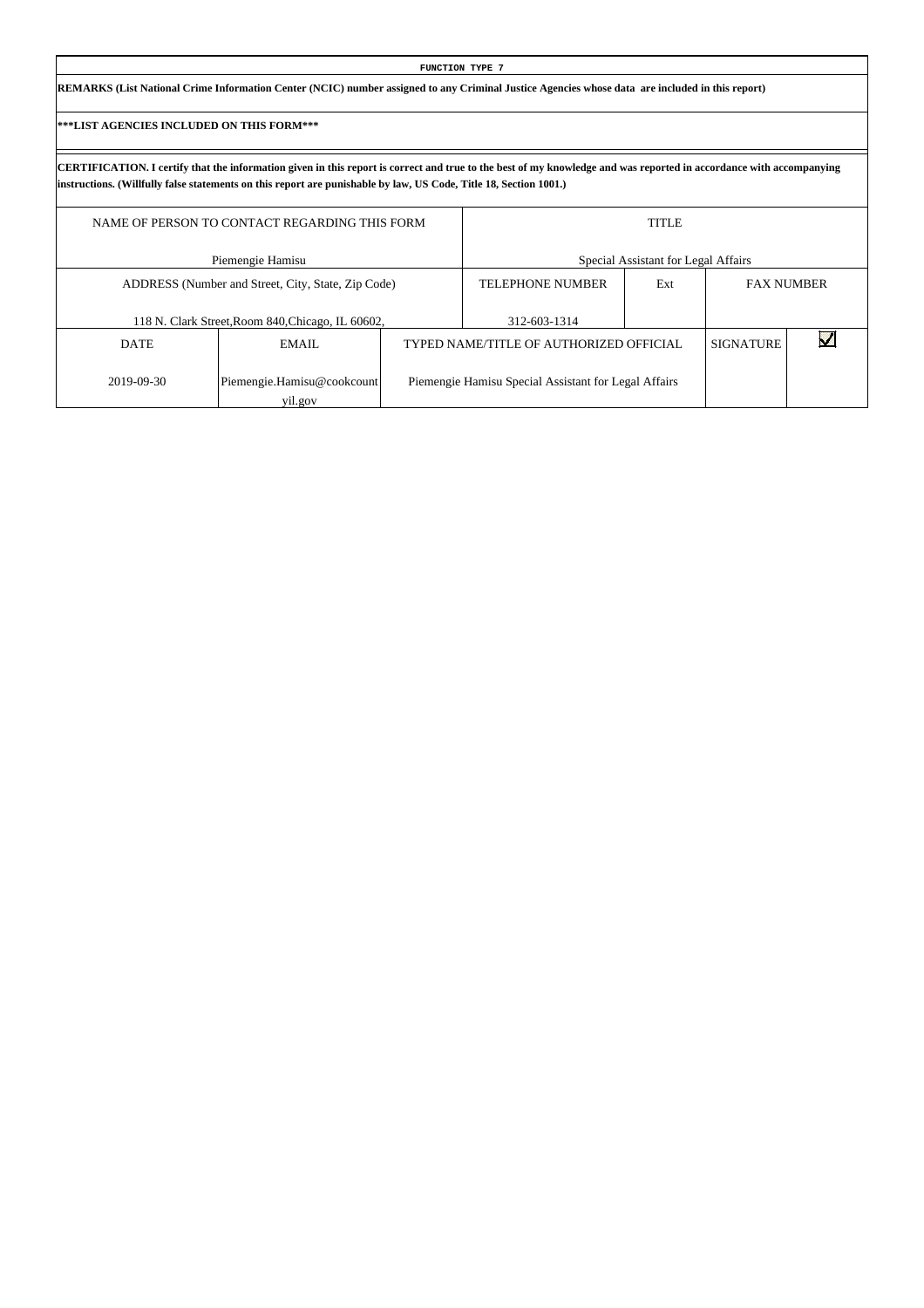| FUNCTION TYPE 7                                                                                                                                 |  |
|-------------------------------------------------------------------------------------------------------------------------------------------------|--|
| REMARKS (List National Crime Information Center (NCIC) number assigned to any Criminal Justice Agencies whose data are included in this report) |  |

|             | NAME OF PERSON TO CONTACT REGARDING THIS FORM      | <b>TITLE</b>                                         |     |                  |                   |  |  |  |
|-------------|----------------------------------------------------|------------------------------------------------------|-----|------------------|-------------------|--|--|--|
|             | Piemengie Hamisu                                   | Special Assistant for Legal Affairs                  |     |                  |                   |  |  |  |
|             | ADDRESS (Number and Street, City, State, Zip Code) | <b>TELEPHONE NUMBER</b>                              | Ext |                  | <b>FAX NUMBER</b> |  |  |  |
|             | 118 N. Clark Street, Room 840, Chicago, IL 60602,  | 312-603-1314                                         |     |                  |                   |  |  |  |
| <b>DATE</b> | EMAIL                                              | TYPED NAME/TITLE OF AUTHORIZED OFFICIAL              |     | <b>SIGNATURE</b> |                   |  |  |  |
| 2019-09-30  | Piemengie.Hamisu@cookcount<br>yil.gov              | Piemengie Hamisu Special Assistant for Legal Affairs |     |                  |                   |  |  |  |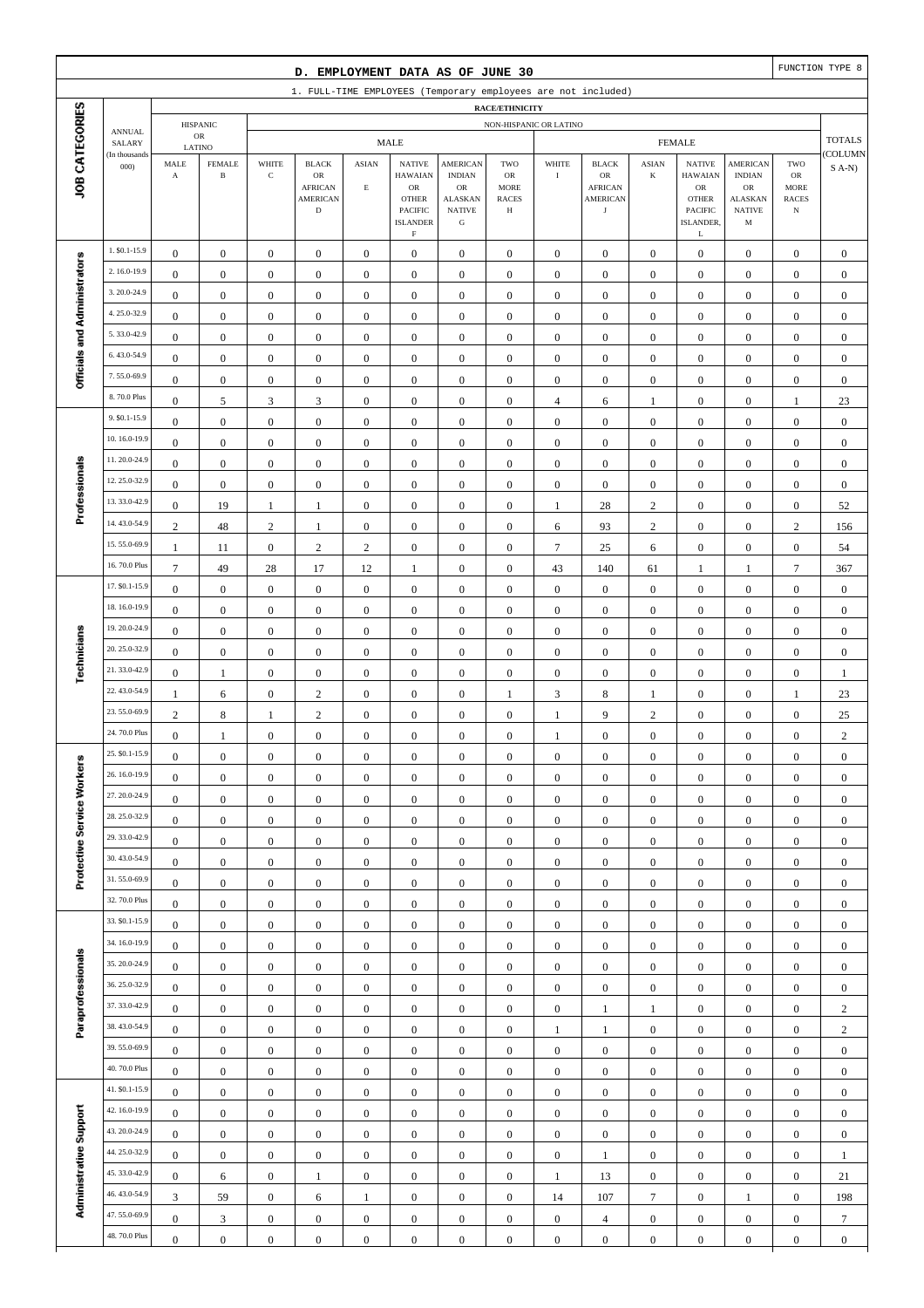|                              |                                |                                      |                                         |                                      | D. EMPLOYMENT DATA AS OF JUNE 30                                               |                                  |                                                                                                                   |                                                                                                 |                                                                 |                                      |                                                                               |                                      |                                                                                                             |                                                                                                  |                                                          | FUNCTION TYPE 8                      |
|------------------------------|--------------------------------|--------------------------------------|-----------------------------------------|--------------------------------------|--------------------------------------------------------------------------------|----------------------------------|-------------------------------------------------------------------------------------------------------------------|-------------------------------------------------------------------------------------------------|-----------------------------------------------------------------|--------------------------------------|-------------------------------------------------------------------------------|--------------------------------------|-------------------------------------------------------------------------------------------------------------|--------------------------------------------------------------------------------------------------|----------------------------------------------------------|--------------------------------------|
|                              |                                |                                      |                                         |                                      |                                                                                |                                  |                                                                                                                   |                                                                                                 |                                                                 |                                      | 1. FULL-TIME EMPLOYEES (Temporary employees are not included)                 |                                      |                                                                                                             |                                                                                                  |                                                          |                                      |
|                              |                                |                                      | <b>HISPANIC</b>                         |                                      |                                                                                |                                  |                                                                                                                   |                                                                                                 | RACE/ETHNICITY<br>NON-HISPANIC OR LATINO                        |                                      |                                                                               |                                      |                                                                                                             |                                                                                                  |                                                          |                                      |
|                              | <b>ANNUAL</b><br>SALARY        |                                      | ${\sf OR}$                              |                                      |                                                                                |                                  | <b>MALE</b>                                                                                                       |                                                                                                 |                                                                 |                                      |                                                                               |                                      | <b>FEMALE</b>                                                                                               |                                                                                                  |                                                          | <b>TOTALS</b>                        |
| JOB CATEGORIES               | (In thousands<br>000           | MALE<br>$\mathbf A$                  | LATINO<br><b>FEMALE</b><br>$\, {\bf B}$ | WHITE<br>$\mathbf C$                 | <b>BLACK</b><br>${\sf OR}$<br><b>AFRICAN</b><br><b>AMERICAN</b><br>$\mathbf D$ | <b>ASIAN</b><br>$\mathbf E$      | <b>NATIVE</b><br><b>HAWAIAN</b><br>${\sf OR}$<br><b>OTHER</b><br><b>PACIFIC</b><br><b>ISLANDER</b><br>$\mathbf F$ | <b>AMERICAN</b><br><b>INDIAN</b><br>$_{\rm OR}$<br><b>ALASKAN</b><br><b>NATIVE</b><br>${\bf G}$ | TWO<br>$_{\rm OR}$<br><b>MORE</b><br><b>RACES</b><br>$_{\rm H}$ | WHITE<br>$\rm I$                     | <b>BLACK</b><br>${\sf OR}$<br><b>AFRICAN</b><br><b>AMERICAN</b><br>$_{\rm J}$ | <b>ASIAN</b><br>$\bf K$              | <b>NATIVE</b><br><b>HAWAIAN</b><br>${\sf OR}$<br><b>OTHER</b><br><b>PACIFIC</b><br>ISLANDER,<br>$\mathbf L$ | <b>AMERICAN</b><br><b>INDIAN</b><br>${\rm OR}$<br><b>ALASKAN</b><br><b>NATIVE</b><br>$\mathbf M$ | TWO<br>$_{\rm OR}$<br>MORE<br><b>RACES</b><br>$_{\rm N}$ | <b>COLUMN</b><br>$S$ A-N)            |
|                              | 1. \$0.1-15.9                  | $\boldsymbol{0}$                     | $\boldsymbol{0}$                        | $\boldsymbol{0}$                     | $\boldsymbol{0}$                                                               | $\boldsymbol{0}$                 | $\mathbf{0}$                                                                                                      | $\boldsymbol{0}$                                                                                | $\boldsymbol{0}$                                                | $\boldsymbol{0}$                     | $\boldsymbol{0}$                                                              | $\boldsymbol{0}$                     | $\boldsymbol{0}$                                                                                            | $\boldsymbol{0}$                                                                                 | $\boldsymbol{0}$                                         | $\boldsymbol{0}$                     |
|                              | 2.16.0-19.9                    | $\boldsymbol{0}$                     | $\boldsymbol{0}$                        | $\boldsymbol{0}$                     | $\boldsymbol{0}$                                                               | $\boldsymbol{0}$                 | $\boldsymbol{0}$                                                                                                  | $\boldsymbol{0}$                                                                                | $\boldsymbol{0}$                                                | $\boldsymbol{0}$                     | $\boldsymbol{0}$                                                              | $\boldsymbol{0}$                     | $\boldsymbol{0}$                                                                                            | $\boldsymbol{0}$                                                                                 | $\boldsymbol{0}$                                         | $\boldsymbol{0}$                     |
|                              | 3.20.0-24.9                    | $\boldsymbol{0}$                     | $\boldsymbol{0}$                        | $\boldsymbol{0}$                     | $\boldsymbol{0}$                                                               | $\boldsymbol{0}$                 | $\boldsymbol{0}$                                                                                                  | $\boldsymbol{0}$                                                                                | $\boldsymbol{0}$                                                | $\boldsymbol{0}$                     | $\boldsymbol{0}$                                                              | $\boldsymbol{0}$                     | $\boldsymbol{0}$                                                                                            | $\boldsymbol{0}$                                                                                 | $\boldsymbol{0}$                                         | $\boldsymbol{0}$                     |
|                              | 4.25.0-32.9                    | $\boldsymbol{0}$                     | $\boldsymbol{0}$                        | $\boldsymbol{0}$                     | $\boldsymbol{0}$                                                               | $\boldsymbol{0}$                 | $\boldsymbol{0}$                                                                                                  | $\boldsymbol{0}$                                                                                | $\boldsymbol{0}$                                                | $\boldsymbol{0}$                     | $\boldsymbol{0}$                                                              | $\boldsymbol{0}$                     | $\boldsymbol{0}$                                                                                            | $\boldsymbol{0}$                                                                                 | $\boldsymbol{0}$                                         | $\boldsymbol{0}$                     |
| Officials and Administrators | 5.33.0-42.9                    | $\boldsymbol{0}$                     | $\boldsymbol{0}$                        | $\boldsymbol{0}$                     | $\boldsymbol{0}$                                                               | $\boldsymbol{0}$                 | $\boldsymbol{0}$                                                                                                  | $\boldsymbol{0}$                                                                                | $\boldsymbol{0}$                                                | $\boldsymbol{0}$                     | $\boldsymbol{0}$                                                              | $\boldsymbol{0}$                     | $\boldsymbol{0}$                                                                                            | $\boldsymbol{0}$                                                                                 | $\boldsymbol{0}$                                         | $\boldsymbol{0}$                     |
|                              | 6.43.0-54.9                    | $\boldsymbol{0}$                     | $\boldsymbol{0}$                        | $\boldsymbol{0}$                     | $\boldsymbol{0}$                                                               | $\boldsymbol{0}$                 | $\boldsymbol{0}$                                                                                                  | $\boldsymbol{0}$                                                                                | $\boldsymbol{0}$                                                | $\boldsymbol{0}$                     | $\boldsymbol{0}$                                                              | $\boldsymbol{0}$                     | $\boldsymbol{0}$                                                                                            | $\boldsymbol{0}$                                                                                 | $\boldsymbol{0}$                                         | $\boldsymbol{0}$                     |
|                              | 7.55.0-69.9                    | $\boldsymbol{0}$                     | $\boldsymbol{0}$                        | $\boldsymbol{0}$                     | $\boldsymbol{0}$                                                               | $\boldsymbol{0}$                 | $\boldsymbol{0}$                                                                                                  | $\boldsymbol{0}$                                                                                | $\boldsymbol{0}$                                                | $\boldsymbol{0}$                     | $\boldsymbol{0}$                                                              | $\boldsymbol{0}$                     | $\boldsymbol{0}$                                                                                            | $\boldsymbol{0}$                                                                                 | $\boldsymbol{0}$                                         | $\boldsymbol{0}$                     |
|                              | 8.70.0 Plus                    | $\boldsymbol{0}$                     | $\sqrt{5}$                              | $\mathfrak{Z}$                       | $\mathfrak{Z}$                                                                 | $\boldsymbol{0}$                 | $\mathbf{0}$                                                                                                      | $\boldsymbol{0}$                                                                                | $\boldsymbol{0}$                                                | $\overline{\mathcal{L}}$             | 6                                                                             | 1                                    | $\boldsymbol{0}$                                                                                            | $\boldsymbol{0}$                                                                                 | $\mathbf{1}$                                             | 23                                   |
|                              | 9. \$0.1-15.9                  | $\boldsymbol{0}$                     | $\boldsymbol{0}$                        | $\boldsymbol{0}$                     | $\boldsymbol{0}$                                                               | $\boldsymbol{0}$                 | $\mathbf{0}$                                                                                                      | $\boldsymbol{0}$                                                                                | $\boldsymbol{0}$                                                | $\boldsymbol{0}$                     | $\boldsymbol{0}$                                                              | $\boldsymbol{0}$                     | $\boldsymbol{0}$                                                                                            | $\boldsymbol{0}$                                                                                 | $\boldsymbol{0}$                                         | $\boldsymbol{0}$                     |
|                              | 10.16.0-19.9                   | $\boldsymbol{0}$                     | $\boldsymbol{0}$                        | $\boldsymbol{0}$                     | $\boldsymbol{0}$                                                               | $\boldsymbol{0}$                 | $\boldsymbol{0}$                                                                                                  | $\boldsymbol{0}$                                                                                | $\boldsymbol{0}$                                                | $\boldsymbol{0}$                     | $\boldsymbol{0}$                                                              | $\boldsymbol{0}$                     | $\boldsymbol{0}$                                                                                            | $\boldsymbol{0}$                                                                                 | $\boldsymbol{0}$                                         | $\boldsymbol{0}$                     |
|                              | 11.20.0-24.9                   | $\boldsymbol{0}$                     | $\boldsymbol{0}$                        | $\boldsymbol{0}$                     | $\boldsymbol{0}$                                                               | $\boldsymbol{0}$                 | $\boldsymbol{0}$                                                                                                  | $\boldsymbol{0}$                                                                                | $\boldsymbol{0}$                                                | $\boldsymbol{0}$                     | $\boldsymbol{0}$                                                              | $\boldsymbol{0}$                     | $\boldsymbol{0}$                                                                                            | $\boldsymbol{0}$                                                                                 | $\boldsymbol{0}$                                         | $\boldsymbol{0}$                     |
| Professionals                | 12.25.0-32.9                   | $\boldsymbol{0}$                     | $\boldsymbol{0}$                        | $\boldsymbol{0}$                     | $\boldsymbol{0}$                                                               | $\boldsymbol{0}$                 | $\mathbf{0}$                                                                                                      | $\boldsymbol{0}$                                                                                | $\boldsymbol{0}$                                                | $\boldsymbol{0}$                     | $\boldsymbol{0}$                                                              | $\boldsymbol{0}$                     | $\boldsymbol{0}$                                                                                            | $\boldsymbol{0}$                                                                                 | $\boldsymbol{0}$                                         | $\boldsymbol{0}$                     |
|                              | 13.33.0-42.9                   | $\boldsymbol{0}$                     | 19                                      | $\mathbf{1}$                         | 1                                                                              | $\boldsymbol{0}$                 | $\mathbf{0}$                                                                                                      | $\boldsymbol{0}$                                                                                | $\boldsymbol{0}$                                                | $\mathbf{1}$                         | 28                                                                            | $\sqrt{2}$                           | $\boldsymbol{0}$                                                                                            | $\boldsymbol{0}$                                                                                 | $\boldsymbol{0}$                                         | 52                                   |
|                              | 14.43.0-54.9                   | $\mathbf{2}$                         | 48                                      | $\sqrt{2}$                           | $\mathbf{1}$                                                                   | $\boldsymbol{0}$                 | $\boldsymbol{0}$                                                                                                  | $\boldsymbol{0}$                                                                                | $\boldsymbol{0}$                                                | 6                                    | 93                                                                            | $\sqrt{2}$                           | $\boldsymbol{0}$                                                                                            | $\boldsymbol{0}$                                                                                 | $\sqrt{2}$                                               | 156                                  |
|                              | 15.55.0-69.9                   | $\mathbf{1}$                         | 11                                      | $\boldsymbol{0}$                     | $\sqrt{2}$                                                                     | $\sqrt{2}$                       | $\boldsymbol{0}$                                                                                                  | $\boldsymbol{0}$                                                                                | $\boldsymbol{0}$                                                | $\boldsymbol{7}$                     | 25                                                                            | 6                                    | $\boldsymbol{0}$                                                                                            | $\boldsymbol{0}$                                                                                 | $\boldsymbol{0}$                                         | 54                                   |
|                              | 16.70.0 Plus                   | $\tau$                               | 49                                      | 28                                   | 17                                                                             | 12                               | $\mathbf{1}$                                                                                                      | $\boldsymbol{0}$                                                                                | $\boldsymbol{0}$                                                | 43                                   | 140                                                                           | 61                                   | $\mathbf{1}$                                                                                                | 1                                                                                                | $\boldsymbol{7}$                                         | 367                                  |
|                              | 17. \$0.1-15.9                 | $\boldsymbol{0}$                     | $\boldsymbol{0}$                        | $\boldsymbol{0}$                     | $\boldsymbol{0}$                                                               | $\boldsymbol{0}$                 | $\mathbf{0}$                                                                                                      | $\boldsymbol{0}$                                                                                | $\boldsymbol{0}$                                                | $\boldsymbol{0}$                     | $\boldsymbol{0}$                                                              | $\boldsymbol{0}$                     | $\boldsymbol{0}$                                                                                            | $\boldsymbol{0}$                                                                                 | $\boldsymbol{0}$                                         | $\boldsymbol{0}$                     |
|                              | 18.16.0-19.9                   | $\boldsymbol{0}$                     | $\boldsymbol{0}$                        | $\boldsymbol{0}$                     | $\boldsymbol{0}$                                                               | $\boldsymbol{0}$                 | $\boldsymbol{0}$                                                                                                  | $\boldsymbol{0}$                                                                                | $\boldsymbol{0}$                                                | $\boldsymbol{0}$                     | $\boldsymbol{0}$                                                              | $\boldsymbol{0}$                     | $\boldsymbol{0}$                                                                                            | $\boldsymbol{0}$                                                                                 | $\boldsymbol{0}$                                         | $\boldsymbol{0}$                     |
|                              | 19.20.0-24.9                   | $\boldsymbol{0}$                     | $\boldsymbol{0}$                        | $\boldsymbol{0}$                     | $\boldsymbol{0}$                                                               | $\boldsymbol{0}$                 | $\boldsymbol{0}$                                                                                                  | $\boldsymbol{0}$                                                                                | $\boldsymbol{0}$                                                | $\boldsymbol{0}$                     | $\boldsymbol{0}$                                                              | $\boldsymbol{0}$                     | $\boldsymbol{0}$                                                                                            | $\boldsymbol{0}$                                                                                 | $\boldsymbol{0}$                                         | $\boldsymbol{0}$                     |
| Technicians                  | 20.25.0-32.9                   | $\boldsymbol{0}$                     | $\boldsymbol{0}$                        | $\boldsymbol{0}$                     | $\boldsymbol{0}$                                                               | $\mathbf{0}$                     | $\boldsymbol{0}$                                                                                                  | $\boldsymbol{0}$                                                                                | $\boldsymbol{0}$                                                | $\boldsymbol{0}$                     | $\boldsymbol{0}$                                                              | $\boldsymbol{0}$                     | $\boldsymbol{0}$                                                                                            | $\boldsymbol{0}$                                                                                 | $\boldsymbol{0}$                                         | $\boldsymbol{0}$                     |
|                              | 21.33.0-42.9                   | $\boldsymbol{0}$                     | 1                                       | $\boldsymbol{0}$                     | $\boldsymbol{0}$                                                               | $\boldsymbol{0}$                 | $\boldsymbol{0}$                                                                                                  | $\boldsymbol{0}$                                                                                | $\boldsymbol{0}$                                                | $\boldsymbol{0}$                     | $\boldsymbol{0}$                                                              | $\boldsymbol{0}$                     | $\boldsymbol{0}$                                                                                            | $\boldsymbol{0}$                                                                                 | $\boldsymbol{0}$                                         | 1                                    |
|                              | 22.43.0-54.9                   | $\mathbf{1}$                         | 6                                       | $\boldsymbol{0}$                     | $\sqrt{2}$                                                                     | $\boldsymbol{0}$                 | $\boldsymbol{0}$                                                                                                  | $\boldsymbol{0}$                                                                                | 1                                                               | $\sqrt{3}$                           | $\,$ 8 $\,$                                                                   | $\mathbf{1}$                         | $\boldsymbol{0}$                                                                                            | $\boldsymbol{0}$                                                                                 | $\mathbf{1}$                                             | 23                                   |
|                              | 23.55.0-69.9                   | $\mathbf{2}$                         | $\,$ 8 $\,$                             | $\mathbf{1}$                         | $\sqrt{2}$                                                                     | $\boldsymbol{0}$                 | $\boldsymbol{0}$                                                                                                  | $\boldsymbol{0}$                                                                                | $\boldsymbol{0}$                                                | $\mathbf{1}$                         | 9                                                                             | $\sqrt{2}$                           | $\boldsymbol{0}$                                                                                            | $\boldsymbol{0}$                                                                                 | $\boldsymbol{0}$                                         | 25                                   |
|                              | 24.70.0 Plus<br>25. \$0.1-15.9 | $\boldsymbol{0}$                     | 1                                       | $\boldsymbol{0}$                     | $\boldsymbol{0}$                                                               | $\boldsymbol{0}$                 | $\boldsymbol{0}$                                                                                                  | $\boldsymbol{0}$                                                                                | $\boldsymbol{0}$                                                | $\mathbf{1}$                         | $\boldsymbol{0}$                                                              | $\boldsymbol{0}$                     | $\boldsymbol{0}$                                                                                            | $\boldsymbol{0}$                                                                                 | $\boldsymbol{0}$                                         | $\sqrt{2}$                           |
|                              | 26.16.0-19.9                   | $\boldsymbol{0}$                     | $\bf{0}$                                | $\boldsymbol{0}$                     | $\boldsymbol{0}$                                                               | $\boldsymbol{0}$                 | $\boldsymbol{0}$                                                                                                  | $\bf{0}$                                                                                        | $\boldsymbol{0}$                                                | 0                                    | $\boldsymbol{0}$                                                              | $\boldsymbol{0}$                     | $\boldsymbol{0}$                                                                                            | 0                                                                                                | $\boldsymbol{0}$                                         | $\boldsymbol{0}$                     |
|                              | 27.20.0-24.9                   | $\boldsymbol{0}$                     | $\boldsymbol{0}$                        | $\boldsymbol{0}$                     | $\boldsymbol{0}$                                                               | $\boldsymbol{0}$                 | $\boldsymbol{0}$                                                                                                  | $\boldsymbol{0}$                                                                                | $\boldsymbol{0}$                                                | $\boldsymbol{0}$                     | $\boldsymbol{0}$                                                              | $\boldsymbol{0}$                     | $\boldsymbol{0}$                                                                                            | $\boldsymbol{0}$                                                                                 | $\boldsymbol{0}$                                         | $\boldsymbol{0}$                     |
|                              | 28.25.0-32.9                   | $\boldsymbol{0}$                     | $\boldsymbol{0}$                        | $\boldsymbol{0}$                     | $\boldsymbol{0}$                                                               | $\overline{0}$                   | $\boldsymbol{0}$                                                                                                  | $\boldsymbol{0}$                                                                                | $\boldsymbol{0}$                                                | $\boldsymbol{0}$                     | $\boldsymbol{0}$                                                              | $\boldsymbol{0}$                     | $\boldsymbol{0}$                                                                                            | $\boldsymbol{0}$                                                                                 | $\boldsymbol{0}$                                         | $\boldsymbol{0}$                     |
| Protective Service Workers   | 29.33.0-42.9                   | $\boldsymbol{0}$<br>$\boldsymbol{0}$ | $\boldsymbol{0}$<br>$\boldsymbol{0}$    | $\boldsymbol{0}$                     | $\boldsymbol{0}$<br>$\boldsymbol{0}$                                           | $\mathbf{0}$<br>$\boldsymbol{0}$ | $\boldsymbol{0}$<br>$\boldsymbol{0}$                                                                              | $\boldsymbol{0}$                                                                                | $\boldsymbol{0}$<br>$\boldsymbol{0}$                            | $\boldsymbol{0}$<br>$\boldsymbol{0}$ | $\boldsymbol{0}$<br>$\boldsymbol{0}$                                          | $\boldsymbol{0}$<br>$\boldsymbol{0}$ | $\boldsymbol{0}$                                                                                            | $\boldsymbol{0}$<br>$\boldsymbol{0}$                                                             | $\boldsymbol{0}$                                         | $\boldsymbol{0}$                     |
|                              | 30.43.0-54.9                   | $\boldsymbol{0}$                     | $\boldsymbol{0}$                        | $\boldsymbol{0}$<br>$\boldsymbol{0}$ | $\boldsymbol{0}$                                                               | $\boldsymbol{0}$                 | $\boldsymbol{0}$                                                                                                  | $\boldsymbol{0}$<br>$\boldsymbol{0}$                                                            | $\boldsymbol{0}$                                                | $\boldsymbol{0}$                     | $\boldsymbol{0}$                                                              | $\boldsymbol{0}$                     | $\boldsymbol{0}$<br>$\boldsymbol{0}$                                                                        | $\boldsymbol{0}$                                                                                 | $\boldsymbol{0}$<br>$\boldsymbol{0}$                     | $\boldsymbol{0}$<br>$\boldsymbol{0}$ |
|                              | 31.55.0-69.9                   | $\boldsymbol{0}$                     | $\boldsymbol{0}$                        | $\boldsymbol{0}$                     | $\boldsymbol{0}$                                                               | $\boldsymbol{0}$                 | $\boldsymbol{0}$                                                                                                  | $\boldsymbol{0}$                                                                                | $\boldsymbol{0}$                                                | $\boldsymbol{0}$                     | $\boldsymbol{0}$                                                              | $\boldsymbol{0}$                     | $\boldsymbol{0}$                                                                                            | $\boldsymbol{0}$                                                                                 | $\boldsymbol{0}$                                         | $\boldsymbol{0}$                     |
|                              | 32.70.0 Plus                   | $\boldsymbol{0}$                     | $\boldsymbol{0}$                        | $\boldsymbol{0}$                     | $\boldsymbol{0}$                                                               | $\boldsymbol{0}$                 | $\boldsymbol{0}$                                                                                                  | $\boldsymbol{0}$                                                                                | $\boldsymbol{0}$                                                | $\boldsymbol{0}$                     | $\boldsymbol{0}$                                                              | $\boldsymbol{0}$                     | $\boldsymbol{0}$                                                                                            | $\boldsymbol{0}$                                                                                 | $\boldsymbol{0}$                                         | $\boldsymbol{0}$                     |
|                              | 33. \$0.1-15.9                 | $\boldsymbol{0}$                     | $\boldsymbol{0}$                        | $\boldsymbol{0}$                     | $\boldsymbol{0}$                                                               | $\boldsymbol{0}$                 | $\boldsymbol{0}$                                                                                                  | $\boldsymbol{0}$                                                                                | $\boldsymbol{0}$                                                | $\boldsymbol{0}$                     | $\boldsymbol{0}$                                                              | $\boldsymbol{0}$                     | $\boldsymbol{0}$                                                                                            | $\boldsymbol{0}$                                                                                 | $\boldsymbol{0}$                                         | $\boldsymbol{0}$                     |
|                              | 34.16.0-19.9                   | $\boldsymbol{0}$                     | $\boldsymbol{0}$                        | $\boldsymbol{0}$                     | $\boldsymbol{0}$                                                               | $\boldsymbol{0}$                 | $\boldsymbol{0}$                                                                                                  | $\boldsymbol{0}$                                                                                | $\boldsymbol{0}$                                                | $\boldsymbol{0}$                     | $\boldsymbol{0}$                                                              | $\boldsymbol{0}$                     | $\boldsymbol{0}$                                                                                            | $\boldsymbol{0}$                                                                                 | $\boldsymbol{0}$                                         | $\boldsymbol{0}$                     |
| Paraprofessionals            | 35.20.0-24.9                   | $\boldsymbol{0}$                     | $\boldsymbol{0}$                        | $\boldsymbol{0}$                     | $\boldsymbol{0}$                                                               | $\boldsymbol{0}$                 | $\boldsymbol{0}$                                                                                                  | $\boldsymbol{0}$                                                                                | $\boldsymbol{0}$                                                | $\boldsymbol{0}$                     | $\boldsymbol{0}$                                                              | $\boldsymbol{0}$                     | $\boldsymbol{0}$                                                                                            | $\boldsymbol{0}$                                                                                 | $\boldsymbol{0}$                                         | $\boldsymbol{0}$                     |
|                              | 36.25.0-32.9                   | $\boldsymbol{0}$                     | $\boldsymbol{0}$                        | $\boldsymbol{0}$                     | $\boldsymbol{0}$                                                               | $\mathbf{0}$                     | $\boldsymbol{0}$                                                                                                  | $\boldsymbol{0}$                                                                                | $\boldsymbol{0}$                                                | $\boldsymbol{0}$                     | $\boldsymbol{0}$                                                              | $\boldsymbol{0}$                     | $\boldsymbol{0}$                                                                                            | $\boldsymbol{0}$                                                                                 | $\boldsymbol{0}$                                         | $\boldsymbol{0}$                     |
|                              | 37.33.0-42.9                   | $\boldsymbol{0}$                     | $\boldsymbol{0}$                        | $\boldsymbol{0}$                     | $\boldsymbol{0}$                                                               | $\boldsymbol{0}$                 | $\mathbf{0}$                                                                                                      | $\boldsymbol{0}$                                                                                | $\boldsymbol{0}$                                                | $\boldsymbol{0}$                     | $\mathbf{1}$                                                                  | $\mathbf{1}$                         | $\boldsymbol{0}$                                                                                            | $\boldsymbol{0}$                                                                                 | $\boldsymbol{0}$                                         | $\overline{c}$                       |
|                              | 38.43.0-54.9                   | $\boldsymbol{0}$                     | $\boldsymbol{0}$                        | $\boldsymbol{0}$                     | $\boldsymbol{0}$                                                               | $\boldsymbol{0}$                 | $\boldsymbol{0}$                                                                                                  | $\boldsymbol{0}$                                                                                | $\boldsymbol{0}$                                                | $\mathbf{1}$                         | $\mathbf{1}$                                                                  | $\boldsymbol{0}$                     | $\boldsymbol{0}$                                                                                            | $\boldsymbol{0}$                                                                                 | $\boldsymbol{0}$                                         | $\mathbf{2}$                         |
|                              | 39.55.0-69.9                   | $\boldsymbol{0}$                     | $\boldsymbol{0}$                        | $\boldsymbol{0}$                     | $\boldsymbol{0}$                                                               | $\boldsymbol{0}$                 | $\boldsymbol{0}$                                                                                                  | $\boldsymbol{0}$                                                                                | $\boldsymbol{0}$                                                | $\boldsymbol{0}$                     | $\boldsymbol{0}$                                                              | $\boldsymbol{0}$                     | $\boldsymbol{0}$                                                                                            | $\boldsymbol{0}$                                                                                 | $\boldsymbol{0}$                                         | $\boldsymbol{0}$                     |
|                              | 40.70.0 Plus                   | $\boldsymbol{0}$                     | $\boldsymbol{0}$                        | $\boldsymbol{0}$                     | $\boldsymbol{0}$                                                               | $\boldsymbol{0}$                 | $\boldsymbol{0}$                                                                                                  | $\boldsymbol{0}$                                                                                | $\boldsymbol{0}$                                                | $\boldsymbol{0}$                     | $\boldsymbol{0}$                                                              | $\boldsymbol{0}$                     | $\boldsymbol{0}$                                                                                            | $\boldsymbol{0}$                                                                                 | $\boldsymbol{0}$                                         | $\boldsymbol{0}$                     |
|                              | 41. \$0.1-15.9                 | $\boldsymbol{0}$                     | $\boldsymbol{0}$                        | $\boldsymbol{0}$                     | $\boldsymbol{0}$                                                               | $\boldsymbol{0}$                 | $\boldsymbol{0}$                                                                                                  | $\boldsymbol{0}$                                                                                | $\boldsymbol{0}$                                                | $\boldsymbol{0}$                     | $\boldsymbol{0}$                                                              | $\boldsymbol{0}$                     | $\boldsymbol{0}$                                                                                            | $\boldsymbol{0}$                                                                                 | $\boldsymbol{0}$                                         | $\boldsymbol{0}$                     |
|                              | 42.16.0-19.9                   | $\boldsymbol{0}$                     | $\boldsymbol{0}$                        | $\boldsymbol{0}$                     | $\boldsymbol{0}$                                                               | $\boldsymbol{0}$                 | $\boldsymbol{0}$                                                                                                  | $\boldsymbol{0}$                                                                                | $\boldsymbol{0}$                                                | $\boldsymbol{0}$                     | $\boldsymbol{0}$                                                              | $\boldsymbol{0}$                     | $\boldsymbol{0}$                                                                                            | $\boldsymbol{0}$                                                                                 | $\boldsymbol{0}$                                         | $\boldsymbol{0}$                     |
| Administrative Support       | 43.20.0-24.9                   | $\boldsymbol{0}$                     | $\boldsymbol{0}$                        | $\boldsymbol{0}$                     | $\boldsymbol{0}$                                                               | $\mathbf{0}$                     | $\boldsymbol{0}$                                                                                                  | $\boldsymbol{0}$                                                                                | $\boldsymbol{0}$                                                | $\boldsymbol{0}$                     | $\boldsymbol{0}$                                                              | $\boldsymbol{0}$                     | $\boldsymbol{0}$                                                                                            | $\boldsymbol{0}$                                                                                 | $\boldsymbol{0}$                                         | $\boldsymbol{0}$                     |
|                              | 44.25.0-32.9                   | $\boldsymbol{0}$                     | $\boldsymbol{0}$                        | $\boldsymbol{0}$                     | $\boldsymbol{0}$                                                               | $\mathbf{0}$                     | $\boldsymbol{0}$                                                                                                  | $\boldsymbol{0}$                                                                                | $\boldsymbol{0}$                                                | $\boldsymbol{0}$                     | $\mathbf{1}$                                                                  | $\boldsymbol{0}$                     | $\boldsymbol{0}$                                                                                            | $\boldsymbol{0}$                                                                                 | $\boldsymbol{0}$                                         | $\mathbf{1}$                         |
|                              | 45.33.0-42.9                   | $\boldsymbol{0}$                     | 6                                       | $\boldsymbol{0}$                     | $\mathbf{1}$                                                                   | $\boldsymbol{0}$                 | $\boldsymbol{0}$                                                                                                  | $\boldsymbol{0}$                                                                                | $\boldsymbol{0}$                                                | $\mathbf{1}$                         | 13                                                                            | $\boldsymbol{0}$                     | $\boldsymbol{0}$                                                                                            | $\boldsymbol{0}$                                                                                 | $\boldsymbol{0}$                                         | 21                                   |
|                              | 46.43.0-54.9                   | 3                                    | 59                                      | $\boldsymbol{0}$                     | 6                                                                              | $\mathbf{1}$                     | $\boldsymbol{0}$                                                                                                  | $\boldsymbol{0}$                                                                                | $\boldsymbol{0}$                                                | 14                                   | 107                                                                           | $\tau$                               | $\boldsymbol{0}$                                                                                            | $\mathbf{1}$                                                                                     | $\boldsymbol{0}$                                         | 198                                  |
|                              | 47.55.0-69.9                   | $\boldsymbol{0}$                     | 3                                       | $\boldsymbol{0}$                     | $\boldsymbol{0}$                                                               | $\boldsymbol{0}$                 | $\boldsymbol{0}$                                                                                                  | $\boldsymbol{0}$                                                                                | $\boldsymbol{0}$                                                | $\boldsymbol{0}$                     | $\overline{4}$                                                                | $\boldsymbol{0}$                     | $\boldsymbol{0}$                                                                                            | $\boldsymbol{0}$                                                                                 | $\boldsymbol{0}$                                         | $\tau$                               |
|                              | 48.70.0 Plus                   | $\boldsymbol{0}$                     | $\boldsymbol{0}$                        | $\boldsymbol{0}$                     | $\boldsymbol{0}$                                                               | $\boldsymbol{0}$                 | $\boldsymbol{0}$                                                                                                  | $\boldsymbol{0}$                                                                                | $\boldsymbol{0}$                                                | $\boldsymbol{0}$                     | $\boldsymbol{0}$                                                              | $\boldsymbol{0}$                     | $\boldsymbol{0}$                                                                                            | $\boldsymbol{0}$                                                                                 | $\boldsymbol{0}$                                         | $\boldsymbol{0}$                     |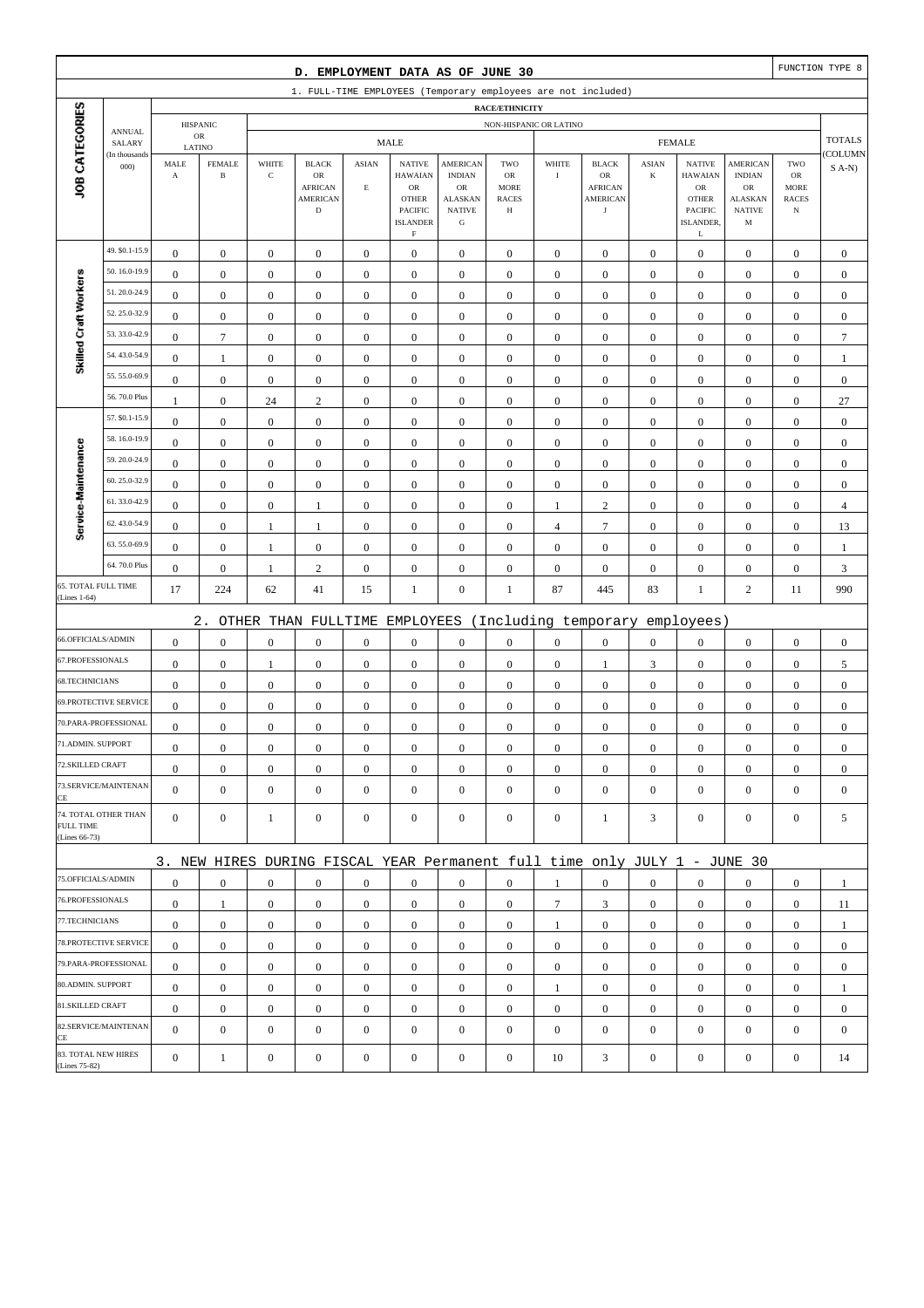| D. EMPLOYMENT DATA AS OF JUNE 30        |                         |                       |                               |                       |                                                                           |                                      |                                                                                           |                                                                     |                                        |                                      |                                                | FUNCTION TYPE 8  |                                                                           |                                                      |                                                         |                       |
|-----------------------------------------|-------------------------|-----------------------|-------------------------------|-----------------------|---------------------------------------------------------------------------|--------------------------------------|-------------------------------------------------------------------------------------------|---------------------------------------------------------------------|----------------------------------------|--------------------------------------|------------------------------------------------|------------------|---------------------------------------------------------------------------|------------------------------------------------------|---------------------------------------------------------|-----------------------|
|                                         |                         |                       |                               |                       | 1. FULL-TIME EMPLOYEES (Temporary employees are not included)             |                                      |                                                                                           |                                                                     |                                        |                                      |                                                |                  |                                                                           |                                                      |                                                         |                       |
|                                         |                         |                       |                               |                       |                                                                           |                                      |                                                                                           |                                                                     | RACE/ETHNICITY                         |                                      |                                                |                  |                                                                           |                                                      |                                                         |                       |
|                                         | <b>ANNUAL</b><br>SALARY |                       | <b>HISPANIC</b><br>${\sf OR}$ |                       |                                                                           |                                      | <b>MALE</b>                                                                               |                                                                     | NON-HISPANIC OR LATINO                 |                                      |                                                |                  | <b>FEMALE</b>                                                             |                                                      |                                                         | <b>TOTALS</b>         |
|                                         | (In thousands           | LATINO<br>MALE        | <b>FEMALE</b>                 | WHITE                 | <b>BLACK</b>                                                              | <b>ASIAN</b>                         | <b>NATIVE</b>                                                                             | <b>AMERICAN</b>                                                     | TWO                                    | WHITE                                | <b>BLACK</b>                                   | <b>ASIAN</b>     | <b>NATIVE</b>                                                             | AMERICAN                                             | TWO                                                     | COLUMN                |
| JOB CATEGORIES                          | 000                     | $\boldsymbol{\rm{A}}$ | $\, {\bf B}$                  | $\mathbf C$           | OR<br><b>AFRICAN</b><br><b>AMERICAN</b><br>$\mathbf D$                    | $\mathbf E$                          | <b>HAWAIAN</b><br>${\sf OR}$<br><b>OTHER</b><br>PACIFIC<br><b>ISLANDER</b><br>$\mathbf F$ | <b>INDIAN</b><br>OR<br><b>ALASKAN</b><br><b>NATIVE</b><br>${\bf G}$ | OR<br><b>MORE</b><br><b>RACES</b><br>Н | $\bf I$                              | OR<br><b>AFRICAN</b><br>AMERICAN<br>$_{\rm J}$ | $\bf K$          | <b>HAWAIAN</b><br>${\sf OR}$<br><b>OTHER</b><br>PACIFIC<br>ISLANDER,<br>L | <b>INDIAN</b><br>OR<br>ALASKAN<br><b>NATIVE</b><br>M | ${\rm OR}$<br><b>MORE</b><br><b>RACES</b><br>$_{\rm N}$ | $S(A-N)$              |
|                                         | 49. \$0.1-15.9          | $\boldsymbol{0}$      | $\boldsymbol{0}$              | $\boldsymbol{0}$      | $\boldsymbol{0}$                                                          | $\boldsymbol{0}$                     | $\boldsymbol{0}$                                                                          | $\boldsymbol{0}$                                                    | $\boldsymbol{0}$                       | $\boldsymbol{0}$                     | $\boldsymbol{0}$                               | $\mathbf{0}$     | $\boldsymbol{0}$                                                          | $\boldsymbol{0}$                                     | $\boldsymbol{0}$                                        | $\boldsymbol{0}$      |
|                                         | 50.16.0-19.9            | $\boldsymbol{0}$      | $\boldsymbol{0}$              | $\boldsymbol{0}$      | $\boldsymbol{0}$                                                          | $\boldsymbol{0}$                     | $\boldsymbol{0}$                                                                          | $\boldsymbol{0}$                                                    | $\boldsymbol{0}$                       | $\boldsymbol{0}$                     | $\boldsymbol{0}$                               | $\boldsymbol{0}$ | $\boldsymbol{0}$                                                          | $\boldsymbol{0}$                                     | $\boldsymbol{0}$                                        | $\boldsymbol{0}$      |
| Skilled Craft Workers                   | 51.20.0-24.9            | $\mathbf{0}$          | $\boldsymbol{0}$              | $\boldsymbol{0}$      | $\boldsymbol{0}$                                                          | $\boldsymbol{0}$                     | $\mathbf{0}$                                                                              | $\boldsymbol{0}$                                                    | $\boldsymbol{0}$                       | $\boldsymbol{0}$                     | $\boldsymbol{0}$                               | $\boldsymbol{0}$ | $\boldsymbol{0}$                                                          | $\boldsymbol{0}$                                     | $\boldsymbol{0}$                                        | $\boldsymbol{0}$      |
|                                         | 52.25.0-32.9            | $\boldsymbol{0}$      | $\boldsymbol{0}$              | $\boldsymbol{0}$      | $\boldsymbol{0}$                                                          | $\mathbf{0}$                         | $\mathbf{0}$                                                                              | $\boldsymbol{0}$                                                    | $\boldsymbol{0}$                       | $\boldsymbol{0}$                     | $\mathbf{0}$                                   | $\boldsymbol{0}$ | $\boldsymbol{0}$                                                          | $\boldsymbol{0}$                                     | $\boldsymbol{0}$                                        | $\boldsymbol{0}$      |
|                                         | 53.33.0-42.9            | $\boldsymbol{0}$      | $\tau$                        | $\boldsymbol{0}$      | $\boldsymbol{0}$                                                          | $\boldsymbol{0}$                     | $\boldsymbol{0}$                                                                          | $\boldsymbol{0}$                                                    | $\boldsymbol{0}$                       | $\boldsymbol{0}$                     | $\boldsymbol{0}$                               | $\boldsymbol{0}$ | $\boldsymbol{0}$                                                          | $\boldsymbol{0}$                                     | $\boldsymbol{0}$                                        | $\overline{7}$        |
|                                         | 54.43.0-54.9            | $\boldsymbol{0}$      | $\mathbf{1}$                  | $\boldsymbol{0}$      | $\boldsymbol{0}$                                                          | $\boldsymbol{0}$                     | $\boldsymbol{0}$                                                                          | $\boldsymbol{0}$                                                    | $\boldsymbol{0}$                       | $\boldsymbol{0}$                     | $\boldsymbol{0}$                               | $\boldsymbol{0}$ | $\boldsymbol{0}$                                                          | $\boldsymbol{0}$                                     | $\boldsymbol{0}$                                        | $\mathbf{1}$          |
|                                         | 55.55.0-69.9            | $\boldsymbol{0}$      | $\boldsymbol{0}$              | $\boldsymbol{0}$      | $\boldsymbol{0}$                                                          | $\mathbf{0}$                         | $\mathbf{0}$                                                                              | $\boldsymbol{0}$                                                    | $\boldsymbol{0}$                       | $\mathbf{0}$                         | $\mathbf{0}$                                   | $\boldsymbol{0}$ | $\boldsymbol{0}$                                                          | $\boldsymbol{0}$                                     | $\boldsymbol{0}$                                        | $\boldsymbol{0}$      |
|                                         | 56.70.0 Plus            | $\mathbf{1}$          | $\boldsymbol{0}$              | 24                    | $\sqrt{2}$                                                                | $\mathbf{0}$                         | $\mathbf{0}$                                                                              | $\boldsymbol{0}$                                                    | $\boldsymbol{0}$                       | $\mathbf{0}$                         | $\mathbf{0}$                                   | $\boldsymbol{0}$ | $\boldsymbol{0}$                                                          | $\boldsymbol{0}$                                     | $\boldsymbol{0}$                                        | 27                    |
|                                         | 57. \$0.1-15.9          | $\boldsymbol{0}$      | $\boldsymbol{0}$              | $\boldsymbol{0}$      | $\boldsymbol{0}$                                                          | $\boldsymbol{0}$                     | $\mathbf{0}$                                                                              | $\boldsymbol{0}$                                                    | $\boldsymbol{0}$                       | $\boldsymbol{0}$                     | $\boldsymbol{0}$                               | $\boldsymbol{0}$ | $\boldsymbol{0}$                                                          | $\boldsymbol{0}$                                     | $\boldsymbol{0}$                                        | $\boldsymbol{0}$      |
|                                         | 58.16.0-19.9            | $\boldsymbol{0}$      | $\boldsymbol{0}$              | $\boldsymbol{0}$      | $\boldsymbol{0}$                                                          | $\boldsymbol{0}$                     | $\mathbf{0}$                                                                              | $\boldsymbol{0}$                                                    | $\boldsymbol{0}$                       | $\mathbf{0}$                         | $\boldsymbol{0}$                               | $\boldsymbol{0}$ | $\boldsymbol{0}$                                                          | $\boldsymbol{0}$                                     | $\boldsymbol{0}$                                        | $\boldsymbol{0}$      |
|                                         | 59.20.0-24.9            | $\boldsymbol{0}$      | $\boldsymbol{0}$              | $\boldsymbol{0}$      | $\boldsymbol{0}$                                                          | $\boldsymbol{0}$                     | $\mathbf{0}$                                                                              | $\boldsymbol{0}$                                                    | $\boldsymbol{0}$                       | $\boldsymbol{0}$                     | $\boldsymbol{0}$                               | $\boldsymbol{0}$ | $\boldsymbol{0}$                                                          | $\boldsymbol{0}$                                     | $\boldsymbol{0}$                                        | $\boldsymbol{0}$      |
|                                         | 60.25.0-32.9            | $\boldsymbol{0}$      | $\boldsymbol{0}$              | $\boldsymbol{0}$      | $\boldsymbol{0}$                                                          | $\boldsymbol{0}$                     | $\mathbf{0}$                                                                              | $\boldsymbol{0}$                                                    | $\boldsymbol{0}$                       | $\boldsymbol{0}$                     | $\boldsymbol{0}$                               | $\boldsymbol{0}$ | $\boldsymbol{0}$                                                          | $\boldsymbol{0}$                                     | $\boldsymbol{0}$                                        | $\boldsymbol{0}$      |
|                                         | 61.33.0-42.9            | $\boldsymbol{0}$      | $\boldsymbol{0}$              | $\boldsymbol{0}$      | 1                                                                         | $\boldsymbol{0}$                     | $\boldsymbol{0}$                                                                          | $\boldsymbol{0}$                                                    | $\boldsymbol{0}$                       | $\mathbf{1}$                         | $\overline{c}$                                 | $\boldsymbol{0}$ | $\boldsymbol{0}$                                                          | $\boldsymbol{0}$                                     | $\boldsymbol{0}$                                        | $\overline{4}$        |
| Service-Maintenance                     | 62.43.0-54.9            | $\boldsymbol{0}$      | $\boldsymbol{0}$              | $\mathbf{1}$          | 1                                                                         | $\boldsymbol{0}$                     | $\mathbf{0}$                                                                              | $\boldsymbol{0}$                                                    | $\boldsymbol{0}$                       | 4                                    | $\overline{7}$                                 | $\boldsymbol{0}$ | $\boldsymbol{0}$                                                          | $\boldsymbol{0}$                                     | $\boldsymbol{0}$                                        | 13                    |
|                                         | 63.55.0-69.9            | $\boldsymbol{0}$      | $\boldsymbol{0}$              | 1                     | $\boldsymbol{0}$                                                          | $\boldsymbol{0}$                     | $\mathbf{0}$                                                                              | $\boldsymbol{0}$                                                    | $\boldsymbol{0}$                       | $\boldsymbol{0}$                     | $\boldsymbol{0}$                               | $\boldsymbol{0}$ | $\boldsymbol{0}$                                                          | $\boldsymbol{0}$                                     | $\boldsymbol{0}$                                        | 1                     |
|                                         | 64.70.0 Plus            | $\boldsymbol{0}$      | $\boldsymbol{0}$              | 1                     | $\sqrt{2}$                                                                | $\boldsymbol{0}$                     | $\mathbf{0}$                                                                              | $\boldsymbol{0}$                                                    | $\boldsymbol{0}$                       | $\boldsymbol{0}$                     | $\boldsymbol{0}$                               | $\boldsymbol{0}$ | $\boldsymbol{0}$                                                          | $\boldsymbol{0}$                                     | $\boldsymbol{0}$                                        | 3                     |
| 65. TOTAL FULL TIME<br>(Lines 1-64)     |                         | 17                    | 224                           | 62                    | 41                                                                        | 15                                   | $\mathbf{1}$                                                                              | $\boldsymbol{0}$                                                    | $\mathbf{1}$                           | 87                                   | 445                                            | 83               | $\mathbf{1}$                                                              | $\overline{c}$                                       | 11                                                      | 990                   |
|                                         |                         |                       | $2$ .                         |                       |                                                                           |                                      |                                                                                           |                                                                     |                                        |                                      |                                                |                  |                                                                           |                                                      |                                                         |                       |
| 66.OFFICIALS/ADMIN                      |                         | $\boldsymbol{0}$      | $\boldsymbol{0}$              |                       | OTHER THAN FULLTIME                                                       |                                      | EMPLOYEES<br>$\mathbf{0}$                                                                 |                                                                     |                                        |                                      | (Including temporary                           | $\boldsymbol{0}$ | employees)                                                                |                                                      |                                                         |                       |
| 67.PROFESSIONALS                        |                         | $\boldsymbol{0}$      | $\boldsymbol{0}$              | $\boldsymbol{0}$<br>1 | $\boldsymbol{0}$<br>$\boldsymbol{0}$                                      | $\boldsymbol{0}$<br>$\boldsymbol{0}$ | $\boldsymbol{0}$                                                                          | $\boldsymbol{0}$<br>$\boldsymbol{0}$                                | $\boldsymbol{0}$<br>$\boldsymbol{0}$   | $\boldsymbol{0}$<br>$\boldsymbol{0}$ | $\boldsymbol{0}$<br>1                          | 3                | $\boldsymbol{0}$<br>$\boldsymbol{0}$                                      | $\boldsymbol{0}$<br>$\boldsymbol{0}$                 | $\boldsymbol{0}$<br>$\boldsymbol{0}$                    | $\boldsymbol{0}$<br>5 |
| 68.TECHNICIANS                          |                         | $\boldsymbol{0}$      | $\boldsymbol{0}$              | $\boldsymbol{0}$      | $\boldsymbol{0}$                                                          | $\boldsymbol{0}$                     | $\mathbf{0}$                                                                              | $\boldsymbol{0}$                                                    | $\boldsymbol{0}$                       | $\mathbf{0}$                         | $\boldsymbol{0}$                               | $\boldsymbol{0}$ | $\boldsymbol{0}$                                                          | $\boldsymbol{0}$                                     | $\boldsymbol{0}$                                        | $\boldsymbol{0}$      |
|                                         | 69.PROTECTIVE SERVICE   | $\boldsymbol{0}$      | $\boldsymbol{0}$              | $\boldsymbol{0}$      | $\boldsymbol{0}$                                                          | $\mathbf{0}$                         | $\boldsymbol{0}$                                                                          | $\boldsymbol{0}$                                                    | $\boldsymbol{0}$                       | $\boldsymbol{0}$                     | $\mathbf{0}$                                   | $\boldsymbol{0}$ | $\boldsymbol{0}$                                                          | $\boldsymbol{0}$                                     | $\boldsymbol{0}$                                        | $\boldsymbol{0}$      |
|                                         | 70.PARA-PROFESSIONAL    | $\boldsymbol{0}$      | $\boldsymbol{0}$              | $\boldsymbol{0}$      | $\boldsymbol{0}$                                                          | $\boldsymbol{0}$                     | $\mathbf{0}$                                                                              | $\boldsymbol{0}$                                                    | $\boldsymbol{0}$                       | $\boldsymbol{0}$                     | $\boldsymbol{0}$                               | $\boldsymbol{0}$ | $\boldsymbol{0}$                                                          | $\boldsymbol{0}$                                     | $\boldsymbol{0}$                                        | $\boldsymbol{0}$      |
| 71.ADMIN. SUPPORT                       |                         | $\boldsymbol{0}$      | $\boldsymbol{0}$              | $\boldsymbol{0}$      | $\boldsymbol{0}$                                                          | $\boldsymbol{0}$                     | $\boldsymbol{0}$                                                                          | $\boldsymbol{0}$                                                    | $\Omega$                               | $\Omega$                             | $\boldsymbol{0}$                               | $\overline{0}$   | $\boldsymbol{0}$                                                          | $\Omega$                                             | $\boldsymbol{0}$                                        | $\boldsymbol{0}$      |
| 72.SKILLED CRAFT                        |                         | $\boldsymbol{0}$      | $\boldsymbol{0}$              | $\boldsymbol{0}$      | $\mathbf{0}$                                                              | $\boldsymbol{0}$                     | $\boldsymbol{0}$                                                                          | $\mathbf{0}$                                                        | $\mathbf{0}$                           | $\mathbf{0}$                         | $\mathbf{0}$                                   | $\mathbf{0}$     | $\boldsymbol{0}$                                                          | $\boldsymbol{0}$                                     | $\mathbf{0}$                                            | $\mathbf{0}$          |
|                                         | 73.SERVICE/MAINTENAN    | $\mathbf{0}$          | $\boldsymbol{0}$              | $\boldsymbol{0}$      | $\mathbf{0}$                                                              | $\mathbf{0}$                         | $\overline{0}$                                                                            | $\boldsymbol{0}$                                                    | $\mathbf{0}$                           | $\mathbf{0}$                         | $\mathbf{0}$                                   | $\mathbf{0}$     | $\boldsymbol{0}$                                                          | $\boldsymbol{0}$                                     | $\mathbf{0}$                                            | $\mathbf{0}$          |
| CE<br><b>FULL TIME</b><br>(Lines 66-73) | 74. TOTAL OTHER THAN    | $\mathbf{0}$          | $\boldsymbol{0}$              | $\mathbf{1}$          | $\boldsymbol{0}$                                                          | $\mathbf{0}$                         | $\mathbf{0}$                                                                              | $\boldsymbol{0}$                                                    | $\boldsymbol{0}$                       | $\boldsymbol{0}$                     | 1                                              | 3                | $\mathbf{0}$                                                              | $\mathbf{0}$                                         | $\boldsymbol{0}$                                        | 5                     |
|                                         |                         |                       |                               |                       | 3. NEW HIRES DURING FISCAL YEAR Permanent full time only JULY 1 - JUNE 30 |                                      |                                                                                           |                                                                     |                                        |                                      |                                                |                  |                                                                           |                                                      |                                                         |                       |
| 75.OFFICIALS/ADMIN                      |                         | $\boldsymbol{0}$      | $\boldsymbol{0}$              | $\boldsymbol{0}$      | $\mathbf{0}$                                                              | $\boldsymbol{0}$                     | $\mathbf{0}$                                                                              | $\boldsymbol{0}$                                                    | $\mathbf{0}$                           | $\mathbf{1}$                         | $\mathbf{0}$                                   | $\overline{0}$   | $\boldsymbol{0}$                                                          | $\mathbf{0}$                                         | $\mathbf{0}$                                            | 1                     |
| 76.PROFESSIONALS                        |                         | $\boldsymbol{0}$      | $\mathbf{1}$                  | $\boldsymbol{0}$      | $\mathbf{0}$                                                              | $\boldsymbol{0}$                     | $\overline{0}$                                                                            | $\mathbf{0}$                                                        | $\boldsymbol{0}$                       | $\tau$                               | 3                                              | $\mathbf{0}$     | $\mathbf{0}$                                                              | $\boldsymbol{0}$                                     | $\boldsymbol{0}$                                        | 11                    |
| 77.TECHNICIANS                          |                         | $\boldsymbol{0}$      | $\boldsymbol{0}$              | $\boldsymbol{0}$      | $\mathbf{0}$                                                              | $\boldsymbol{0}$                     | $\overline{0}$                                                                            | $\boldsymbol{0}$                                                    | $\boldsymbol{0}$                       | $\mathbf{1}$                         | $\boldsymbol{0}$                               | $\overline{0}$   | $\mathbf{0}$                                                              | $\boldsymbol{0}$                                     | $\boldsymbol{0}$                                        | 1                     |
|                                         | 78.PROTECTIVE SERVICE   | $\overline{0}$        | $\boldsymbol{0}$              | $\boldsymbol{0}$      | $\mathbf{0}$                                                              | $\boldsymbol{0}$                     | $\overline{0}$                                                                            | $\boldsymbol{0}$                                                    | $\boldsymbol{0}$                       | $\overline{0}$                       | $\boldsymbol{0}$                               | $\overline{0}$   | $\boldsymbol{0}$                                                          | $\mathbf{0}$                                         | $\mathbf{0}$                                            | $\mathbf{0}$          |
|                                         | 79.PARA-PROFESSIONAL    | $\boldsymbol{0}$      | $\boldsymbol{0}$              | $\mathbf{0}$          | $\mathbf{0}$                                                              | $\overline{0}$                       | $\boldsymbol{0}$                                                                          | $\mathbf{0}$                                                        | $\mathbf{0}$                           | $\mathbf{0}$                         | $\mathbf{0}$                                   | $\overline{0}$   | $\mathbf{0}$                                                              | $\overline{0}$                                       | $\mathbf{0}$                                            | $\mathbf{0}$          |
| 80.ADMIN. SUPPORT                       |                         | $\boldsymbol{0}$      | $\boldsymbol{0}$              | $\boldsymbol{0}$      | $\mathbf{0}$                                                              | $\mathbf{0}$                         | $\boldsymbol{0}$                                                                          | $\mathbf{0}$                                                        | $\mathbf{0}$                           | 1                                    | $\mathbf{0}$                                   | $\mathbf{0}$     | $\mathbf{0}$                                                              | $\boldsymbol{0}$                                     | $\mathbf{0}$                                            | $\mathbf{1}$          |
| 81.SKILLED CRAFT                        |                         | $\boldsymbol{0}$      | $\boldsymbol{0}$              | $\boldsymbol{0}$      | $\boldsymbol{0}$                                                          | $\boldsymbol{0}$                     | $\overline{0}$                                                                            | $\boldsymbol{0}$                                                    | $\boldsymbol{0}$                       | $\boldsymbol{0}$                     | $\boldsymbol{0}$                               | $\mathbf{0}$     | $\mathbf{0}$                                                              | $\boldsymbol{0}$                                     | $\boldsymbol{0}$                                        | $\boldsymbol{0}$      |
|                                         | 82.SERVICE/MAINTENAN    | $\overline{0}$        | $\boldsymbol{0}$              | $\boldsymbol{0}$      | $\boldsymbol{0}$                                                          | $\mathbf{0}$                         | $\overline{0}$                                                                            | $\boldsymbol{0}$                                                    | $\mathbf{0}$                           | $\mathbf{0}$                         | $\mathbf{0}$                                   | $\mathbf{0}$     | $\boldsymbol{0}$                                                          | $\overline{0}$                                       | $\mathbf{0}$                                            | $\mathbf{0}$          |
| CE<br>83. TOTAL NEW HIRES               |                         |                       |                               |                       |                                                                           |                                      |                                                                                           |                                                                     |                                        |                                      |                                                |                  |                                                                           |                                                      |                                                         |                       |
| (Lines 75-82)                           |                         | $\boldsymbol{0}$      | $\mathbf{1}$                  | $\boldsymbol{0}$      | $\boldsymbol{0}$                                                          | $\boldsymbol{0}$                     | $\boldsymbol{0}$                                                                          | $\boldsymbol{0}$                                                    | $\boldsymbol{0}$                       | 10                                   | 3                                              | $\boldsymbol{0}$ | $\boldsymbol{0}$                                                          | $\boldsymbol{0}$                                     | $\boldsymbol{0}$                                        | 14                    |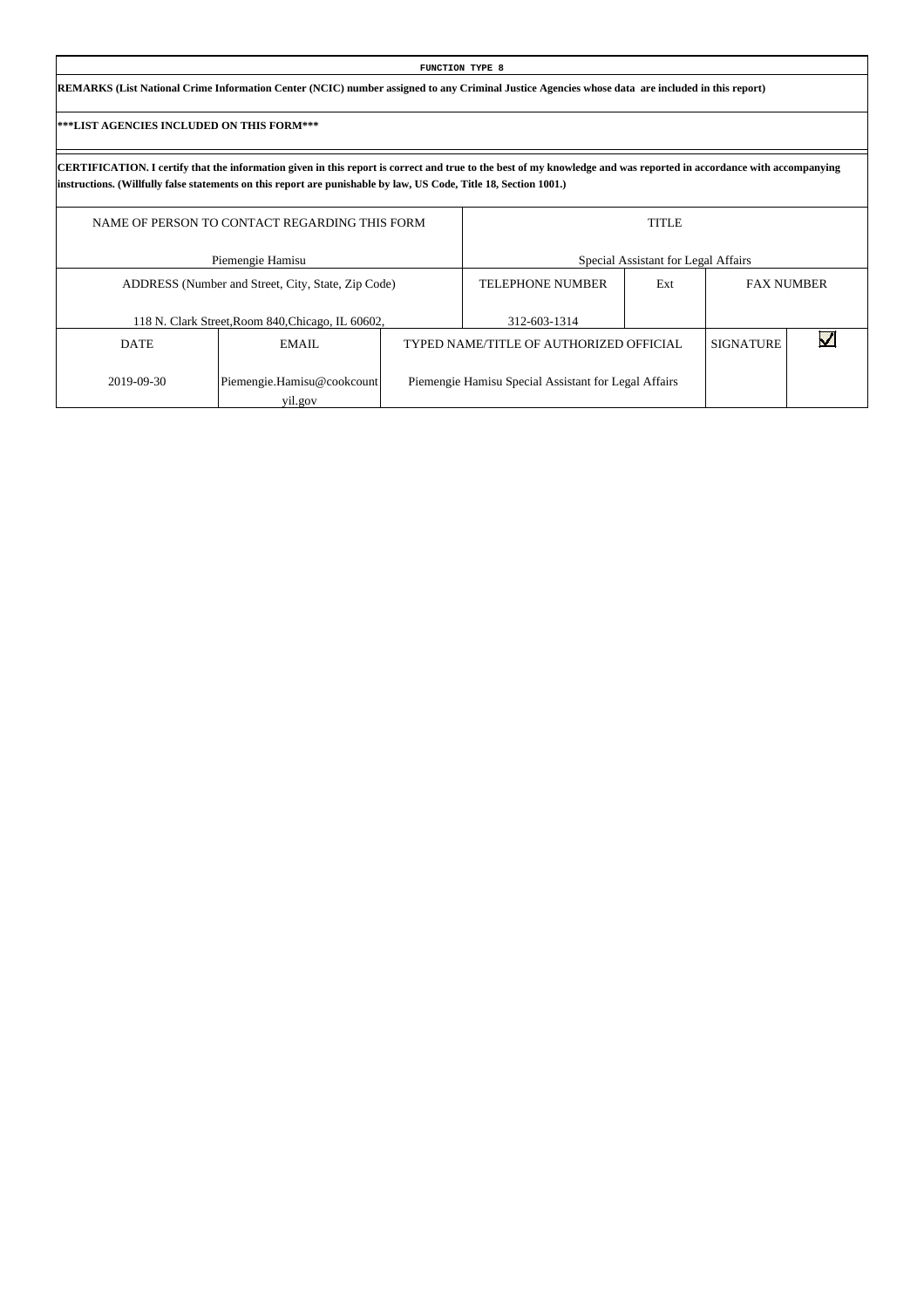| <b>FUNCTION TYPE 8</b>                                                                                                                          |  |
|-------------------------------------------------------------------------------------------------------------------------------------------------|--|
| REMARKS (List National Crime Information Center (NCIC) number assigned to any Criminal Justice Agencies whose data are included in this report) |  |

Г

|             | NAME OF PERSON TO CONTACT REGARDING THIS FORM      |                                                      | <b>TITLE</b>                        |                  |                   |
|-------------|----------------------------------------------------|------------------------------------------------------|-------------------------------------|------------------|-------------------|
|             | Piemengie Hamisu                                   |                                                      | Special Assistant for Legal Affairs |                  |                   |
|             | ADDRESS (Number and Street, City, State, Zip Code) | <b>TELEPHONE NUMBER</b>                              | Ext                                 |                  | <b>FAX NUMBER</b> |
|             | 118 N. Clark Street, Room 840, Chicago, IL 60602,  | 312-603-1314                                         |                                     |                  |                   |
| <b>DATE</b> | EMAIL                                              | TYPED NAME/TITLE OF AUTHORIZED OFFICIAL              |                                     | <b>SIGNATURE</b> |                   |
| 2019-09-30  | Piemengie.Hamisu@cookcount<br>yil.gov              | Piemengie Hamisu Special Assistant for Legal Affairs |                                     |                  |                   |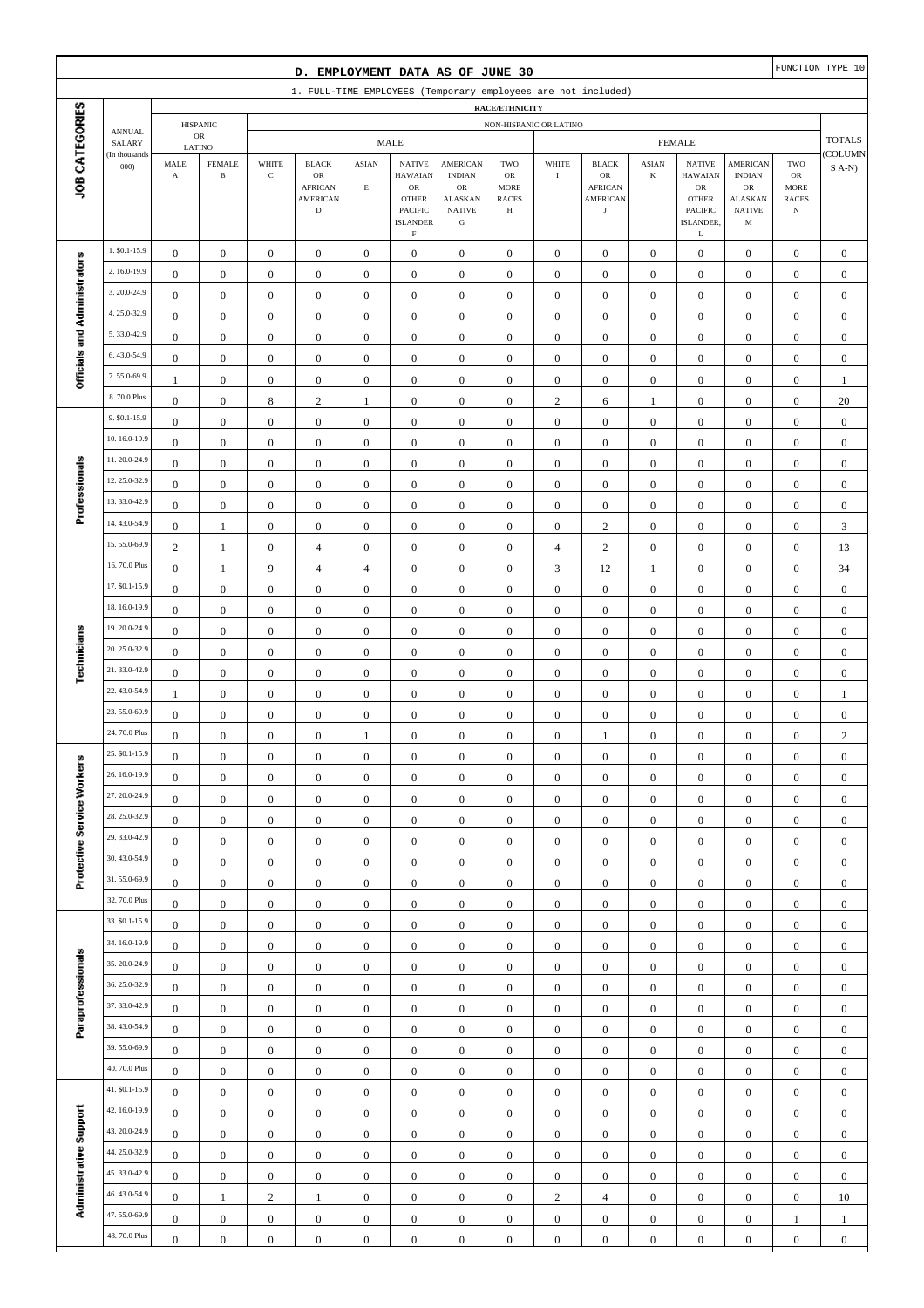| FUNCTION TYPE 10<br>D. EMPLOYMENT DATA AS OF JUNE 30<br>1. FULL-TIME EMPLOYEES (Temporary employees are not included) |                              |                                             |                                      |                                      |                                                                        |                             |                                                                                                                    |                                                                                |                                               |                                  |                                                                               |                                   |                                                                                                      |                                                                                        |                                        |                                |
|-----------------------------------------------------------------------------------------------------------------------|------------------------------|---------------------------------------------|--------------------------------------|--------------------------------------|------------------------------------------------------------------------|-----------------------------|--------------------------------------------------------------------------------------------------------------------|--------------------------------------------------------------------------------|-----------------------------------------------|----------------------------------|-------------------------------------------------------------------------------|-----------------------------------|------------------------------------------------------------------------------------------------------|----------------------------------------------------------------------------------------|----------------------------------------|--------------------------------|
|                                                                                                                       |                              |                                             |                                      |                                      |                                                                        |                             |                                                                                                                    |                                                                                |                                               |                                  |                                                                               |                                   |                                                                                                      |                                                                                        |                                        |                                |
|                                                                                                                       |                              |                                             | <b>HISPANIC</b>                      |                                      |                                                                        |                             |                                                                                                                    |                                                                                | RACE/ETHNICITY                                | NON-HISPANIC OR LATINO           |                                                                               |                                   |                                                                                                      |                                                                                        |                                        |                                |
|                                                                                                                       | <b>ANNUAL</b><br>SALARY      |                                             | OR                                   |                                      |                                                                        |                             | MALE                                                                                                               |                                                                                |                                               |                                  |                                                                               |                                   | <b>FEMALE</b>                                                                                        |                                                                                        |                                        | <b>TOTALS</b>                  |
| JOB CATEGORIES                                                                                                        | (In thousands<br>000)        | LATINO<br>MALE<br>$\boldsymbol{\mathrm{A}}$ | <b>FEMALE</b><br>$\, {\bf B}$        | WHITE<br>$\mathbf C$                 | <b>BLACK</b><br>OR<br><b>AFRICAN</b><br><b>AMERICAN</b><br>$\mathbf D$ | <b>ASIAN</b><br>$\mathbf E$ | <b>NATIVE</b><br><b>HAWAIAN</b><br>$_{\rm OR}$<br><b>OTHER</b><br><b>PACIFIC</b><br><b>ISLANDER</b><br>$\mathbf F$ | <b>AMERICAN</b><br><b>INDIAN</b><br>OR<br><b>ALASKAN</b><br><b>NATIVE</b><br>G | TWO<br>OR<br><b>MORE</b><br><b>RACES</b><br>Н | WHITE<br>$\;$ I                  | <b>BLACK</b><br>${\sf OR}$<br><b>AFRICAN</b><br><b>AMERICAN</b><br>$_{\rm J}$ | $\operatorname{ASIAN}$<br>$\bf K$ | <b>NATIVE</b><br><b>HAWAIAN</b><br>${\sf OR}$<br><b>OTHER</b><br>PACIFIC<br>ISLANDER,<br>$\mathbf L$ | <b>AMERICAN</b><br><b>INDIAN</b><br>${\rm OR}$<br><b>ALASKAN</b><br><b>NATIVE</b><br>M | TWO<br>OR<br>MORE<br><b>RACES</b><br>N | <b>COLUMN</b><br>$S(A-N)$      |
|                                                                                                                       | 1. \$0.1-15.9                | $\boldsymbol{0}$                            | $\overline{0}$                       | $\boldsymbol{0}$                     | $\mathbf{0}$                                                           | $\boldsymbol{0}$            | $\mathbf{0}$                                                                                                       | $\mathbf{0}$                                                                   | $\mathbf{0}$                                  | $\boldsymbol{0}$                 | $\boldsymbol{0}$                                                              | $\boldsymbol{0}$                  | $\boldsymbol{0}$                                                                                     | $\boldsymbol{0}$                                                                       | $\mathbf{0}$                           | $\boldsymbol{0}$               |
|                                                                                                                       | 2.16.0-19.9                  | $\boldsymbol{0}$                            | $\boldsymbol{0}$                     | $\boldsymbol{0}$                     | $\boldsymbol{0}$                                                       | $\boldsymbol{0}$            | $\boldsymbol{0}$                                                                                                   | $\boldsymbol{0}$                                                               | $\boldsymbol{0}$                              | $\boldsymbol{0}$                 | $\boldsymbol{0}$                                                              | $\boldsymbol{0}$                  | $\boldsymbol{0}$                                                                                     | $\boldsymbol{0}$                                                                       | $\mathbf{0}$                           | $\boldsymbol{0}$               |
|                                                                                                                       | 3.20.0-24.9                  | $\boldsymbol{0}$                            | $\boldsymbol{0}$                     | $\mathbf{0}$                         | $\mathbf{0}$                                                           | $\boldsymbol{0}$            | $\boldsymbol{0}$                                                                                                   | $\mathbf{0}$                                                                   | $\mathbf{0}$                                  | $\boldsymbol{0}$                 | $\boldsymbol{0}$                                                              | $\boldsymbol{0}$                  | $\mathbf{0}$                                                                                         | $\boldsymbol{0}$                                                                       | $\overline{0}$                         | $\mathbf{0}$                   |
|                                                                                                                       | 4.25.0-32.9                  | $\mathbf{0}$                                | $\boldsymbol{0}$                     | $\mathbf{0}$                         | $\boldsymbol{0}$                                                       | $\boldsymbol{0}$            | $\boldsymbol{0}$                                                                                                   | $\overline{0}$                                                                 | $\boldsymbol{0}$                              | $\boldsymbol{0}$                 | $\boldsymbol{0}$                                                              | $\boldsymbol{0}$                  | $\mathbf{0}$                                                                                         | $\boldsymbol{0}$                                                                       | $\overline{0}$                         | $\mathbf{0}$                   |
|                                                                                                                       | 5.33.0-42.9                  | $\boldsymbol{0}$                            | $\boldsymbol{0}$                     | $\mathbf{0}$                         | $\mathbf{0}$                                                           | $\boldsymbol{0}$            | $\boldsymbol{0}$                                                                                                   | $\boldsymbol{0}$                                                               | $\boldsymbol{0}$                              | $\boldsymbol{0}$                 | $\boldsymbol{0}$                                                              | $\mathbf{0}$                      | $\boldsymbol{0}$                                                                                     | $\boldsymbol{0}$                                                                       | $\mathbf{0}$                           | $\mathbf{0}$                   |
| Officials and Administrators                                                                                          | 6.43.0-54.9                  | $\boldsymbol{0}$                            | $\boldsymbol{0}$                     | $\boldsymbol{0}$                     | $\boldsymbol{0}$                                                       | $\boldsymbol{0}$            | $\boldsymbol{0}$                                                                                                   | $\boldsymbol{0}$                                                               | $\boldsymbol{0}$                              | $\boldsymbol{0}$                 | $\boldsymbol{0}$                                                              | $\boldsymbol{0}$                  | $\boldsymbol{0}$                                                                                     | $\boldsymbol{0}$                                                                       | $\mathbf{0}$                           | $\boldsymbol{0}$               |
|                                                                                                                       | 7.55.0-69.9                  | 1                                           | $\boldsymbol{0}$                     | $\boldsymbol{0}$                     | $\boldsymbol{0}$                                                       | $\boldsymbol{0}$            | $\mathbf{0}$                                                                                                       | $\boldsymbol{0}$                                                               | $\mathbf{0}$                                  | $\boldsymbol{0}$                 | $\boldsymbol{0}$                                                              | $\boldsymbol{0}$                  | $\boldsymbol{0}$                                                                                     | $\boldsymbol{0}$                                                                       | $\overline{0}$                         | $\mathbf{1}$                   |
|                                                                                                                       | 8.70.0 Plus                  | $\mathbf{0}$                                | $\boldsymbol{0}$                     | $\,$ 8 $\,$                          | $\overline{c}$                                                         | 1                           | $\mathbf{0}$                                                                                                       | $\mathbf{0}$                                                                   | $\boldsymbol{0}$                              | $\mathfrak{2}$                   | 6                                                                             | $\mathbf{1}$                      | $\mathbf{0}$                                                                                         | $\boldsymbol{0}$                                                                       | $\mathbf{0}$                           | 20                             |
|                                                                                                                       | 9. \$0.1-15.9                | $\boldsymbol{0}$                            | $\boldsymbol{0}$                     | $\boldsymbol{0}$                     | $\mathbf{0}$                                                           | $\boldsymbol{0}$            | $\boldsymbol{0}$                                                                                                   | $\boldsymbol{0}$                                                               | $\mathbf{0}$                                  | $\boldsymbol{0}$                 | $\boldsymbol{0}$                                                              | $\boldsymbol{0}$                  | $\boldsymbol{0}$                                                                                     | $\boldsymbol{0}$                                                                       | $\mathbf{0}$                           | $\mathbf{0}$                   |
|                                                                                                                       | 10.16.0-19.9                 | $\boldsymbol{0}$                            | $\mathbf{0}$                         | $\boldsymbol{0}$                     | $\boldsymbol{0}$                                                       | $\boldsymbol{0}$            | $\boldsymbol{0}$                                                                                                   | $\boldsymbol{0}$                                                               | $\boldsymbol{0}$                              | $\boldsymbol{0}$                 | $\boldsymbol{0}$                                                              | $\boldsymbol{0}$                  | $\boldsymbol{0}$                                                                                     | $\boldsymbol{0}$                                                                       | $\mathbf{0}$                           | $\boldsymbol{0}$               |
|                                                                                                                       | 11.20.0-24.9                 | $\overline{0}$                              | $\boldsymbol{0}$                     | $\boldsymbol{0}$                     | $\mathbf{0}$                                                           | $\boldsymbol{0}$            | $\boldsymbol{0}$                                                                                                   | $\boldsymbol{0}$                                                               | $\mathbf{0}$                                  | $\boldsymbol{0}$                 | $\boldsymbol{0}$                                                              | $\boldsymbol{0}$                  | $\mathbf{0}$                                                                                         | $\boldsymbol{0}$                                                                       | $\mathbf{0}$                           | $\mathbf{0}$                   |
| Professionals                                                                                                         | 12.25.0-32.9                 | $\mathbf{0}$                                | $\boldsymbol{0}$                     | $\boldsymbol{0}$                     | $\boldsymbol{0}$                                                       | $\boldsymbol{0}$            | $\boldsymbol{0}$                                                                                                   | $\mathbf{0}$                                                                   | $\boldsymbol{0}$                              | $\boldsymbol{0}$                 | $\boldsymbol{0}$                                                              | $\boldsymbol{0}$                  | $\mathbf{0}$                                                                                         | $\boldsymbol{0}$                                                                       | $\mathbf{0}$                           | $\boldsymbol{0}$               |
|                                                                                                                       | 13.33.0-42.9                 | $\boldsymbol{0}$                            | $\boldsymbol{0}$                     | $\boldsymbol{0}$                     | $\mathbf{0}$                                                           | $\boldsymbol{0}$            | $\boldsymbol{0}$                                                                                                   | $\boldsymbol{0}$                                                               | $\boldsymbol{0}$                              | $\boldsymbol{0}$                 | $\boldsymbol{0}$                                                              | $\boldsymbol{0}$                  | $\boldsymbol{0}$                                                                                     | $\boldsymbol{0}$                                                                       | $\mathbf{0}$                           | $\boldsymbol{0}$               |
|                                                                                                                       | 14.43.0-54.9                 | $\boldsymbol{0}$                            | -1                                   | $\boldsymbol{0}$                     | $\boldsymbol{0}$                                                       | $\boldsymbol{0}$            | $\boldsymbol{0}$                                                                                                   | $\boldsymbol{0}$                                                               | $\boldsymbol{0}$                              | $\boldsymbol{0}$                 | $\sqrt{2}$                                                                    | $\boldsymbol{0}$                  | $\boldsymbol{0}$                                                                                     | $\boldsymbol{0}$                                                                       | $\boldsymbol{0}$                       | 3                              |
|                                                                                                                       | 15.55.0-69.9                 | $\mathbf{2}$                                | $\mathbf{1}$                         | $\boldsymbol{0}$                     | $\overline{4}$                                                         | $\boldsymbol{0}$            | $\boldsymbol{0}$                                                                                                   | $\mathbf{0}$                                                                   | $\mathbf{0}$                                  | $\overline{4}$                   | $\sqrt{2}$                                                                    | $\boldsymbol{0}$                  | $\mathbf{0}$                                                                                         | $\boldsymbol{0}$                                                                       | $\overline{0}$                         | 13                             |
|                                                                                                                       | 16.70.0 Plus                 | $\boldsymbol{0}$                            | $\mathbf{1}$                         | 9                                    | $\overline{4}$                                                         | 4                           | $\boldsymbol{0}$                                                                                                   | $\overline{0}$                                                                 | $\boldsymbol{0}$                              | 3                                | 12                                                                            | 1                                 | $\mathbf{0}$                                                                                         | $\boldsymbol{0}$                                                                       | $\overline{0}$                         | 34                             |
|                                                                                                                       | 17. \$0.1-15.9               | $\boldsymbol{0}$                            | $\boldsymbol{0}$                     | $\mathbf{0}$                         | $\mathbf{0}$                                                           | $\boldsymbol{0}$            | $\mathbf{0}$                                                                                                       | $\boldsymbol{0}$                                                               | $\boldsymbol{0}$                              | $\boldsymbol{0}$                 | $\boldsymbol{0}$                                                              | $\boldsymbol{0}$                  | $\boldsymbol{0}$                                                                                     | $\boldsymbol{0}$                                                                       | $\mathbf{0}$                           | $\mathbf{0}$                   |
|                                                                                                                       | 18.16.0-19.9                 | $\boldsymbol{0}$                            | $\boldsymbol{0}$                     | $\boldsymbol{0}$                     | $\boldsymbol{0}$                                                       | $\boldsymbol{0}$            | $\boldsymbol{0}$                                                                                                   | $\boldsymbol{0}$                                                               | $\boldsymbol{0}$                              | $\boldsymbol{0}$                 | $\boldsymbol{0}$                                                              | $\boldsymbol{0}$                  | $\boldsymbol{0}$                                                                                     | $\boldsymbol{0}$                                                                       | $\boldsymbol{0}$                       | $\boldsymbol{0}$               |
|                                                                                                                       | 19.20.0-24.9<br>20.25.0-32.9 | $\overline{0}$                              | $\boldsymbol{0}$                     | $\boldsymbol{0}$                     | $\mathbf{0}$                                                           | $\boldsymbol{0}$            | $\boldsymbol{0}$                                                                                                   | $\boldsymbol{0}$                                                               | $\mathbf{0}$                                  | $\boldsymbol{0}$                 | $\boldsymbol{0}$                                                              | $\boldsymbol{0}$                  | $\mathbf{0}$                                                                                         | $\boldsymbol{0}$                                                                       | $\mathbf{0}$                           | $\mathbf{0}$                   |
| Technicians                                                                                                           | 21.33.0-42.9                 | $\boldsymbol{0}$                            | $\boldsymbol{0}$                     | $\mathbf{0}$                         | $\boldsymbol{0}$                                                       | $\boldsymbol{0}$            | $\boldsymbol{0}$                                                                                                   | $\boldsymbol{0}$                                                               | $\boldsymbol{0}$                              | $\boldsymbol{0}$                 | $\boldsymbol{0}$                                                              | $\boldsymbol{0}$                  | $\boldsymbol{0}$                                                                                     | $\boldsymbol{0}$                                                                       | $\mathbf{0}$                           | $\boldsymbol{0}$               |
|                                                                                                                       | 22.43.0-54.9                 | $\boldsymbol{0}$                            | $\boldsymbol{0}$                     | $\mathbf{0}$                         | $\mathbf{0}$                                                           | $\boldsymbol{0}$            | $\boldsymbol{0}$                                                                                                   | $\boldsymbol{0}$                                                               | $\boldsymbol{0}$                              | $\boldsymbol{0}$                 | $\boldsymbol{0}$                                                              | $\boldsymbol{0}$                  | $\boldsymbol{0}$                                                                                     | $\boldsymbol{0}$                                                                       | $\mathbf{0}$                           | $\mathbf{0}$                   |
|                                                                                                                       | 23.55.0-69.9                 | -1                                          | $\boldsymbol{0}$                     | $\boldsymbol{0}$                     | $\boldsymbol{0}$                                                       | $\boldsymbol{0}$            | $\boldsymbol{0}$                                                                                                   | $\boldsymbol{0}$                                                               | $\boldsymbol{0}$                              | $\boldsymbol{0}$                 | $\boldsymbol{0}$                                                              | $\boldsymbol{0}$                  | $\boldsymbol{0}$                                                                                     | $\boldsymbol{0}$                                                                       | $\boldsymbol{0}$                       | $\mathbf{1}$                   |
|                                                                                                                       | 24.70.0 Plus                 | $\boldsymbol{0}$<br>$\boldsymbol{0}$        | $\boldsymbol{0}$<br>$\boldsymbol{0}$ | $\boldsymbol{0}$                     | $\boldsymbol{0}$                                                       | $\boldsymbol{0}$            | $\boldsymbol{0}$                                                                                                   | $\boldsymbol{0}$                                                               | $\boldsymbol{0}$                              | $\boldsymbol{0}$<br>$\mathbf{0}$ | $\mathbf{0}$                                                                  | $\boldsymbol{0}$                  | $\boldsymbol{0}$<br>$\boldsymbol{0}$                                                                 | $\boldsymbol{0}$                                                                       | $\mathbf{0}$                           | $\boldsymbol{0}$<br>$\sqrt{2}$ |
|                                                                                                                       | 25. \$0.1-15.9               | $\boldsymbol{0}$                            | $\boldsymbol{0}$                     | $\boldsymbol{0}$<br>$\boldsymbol{0}$ | $\boldsymbol{0}$<br>$\boldsymbol{0}$                                   | 1<br>$\boldsymbol{0}$       | $\boldsymbol{0}$<br>$\boldsymbol{0}$                                                                               | $\mathbf{0}$<br>0                                                              | $\boldsymbol{0}$<br>$\boldsymbol{0}$          | $\boldsymbol{0}$                 | 1<br>$\boldsymbol{0}$                                                         | $\boldsymbol{0}$<br>0             | $\boldsymbol{0}$                                                                                     | $\boldsymbol{0}$<br>$\boldsymbol{0}$                                                   | $\boldsymbol{0}$<br>0                  | $\boldsymbol{0}$               |
|                                                                                                                       | 26.16.0-19.9                 | $\boldsymbol{0}$                            | $\boldsymbol{0}$                     | $\boldsymbol{0}$                     | $\boldsymbol{0}$                                                       | $\boldsymbol{0}$            | $\boldsymbol{0}$                                                                                                   | $\boldsymbol{0}$                                                               | $\boldsymbol{0}$                              | $\boldsymbol{0}$                 | $\boldsymbol{0}$                                                              | $\boldsymbol{0}$                  | $\boldsymbol{0}$                                                                                     | $\boldsymbol{0}$                                                                       | $\boldsymbol{0}$                       | $\boldsymbol{0}$               |
|                                                                                                                       | 27.20.0-24.9                 | $\overline{0}$                              | $\boldsymbol{0}$                     | $\boldsymbol{0}$                     | $\boldsymbol{0}$                                                       | $\boldsymbol{0}$            | $\boldsymbol{0}$                                                                                                   | $\boldsymbol{0}$                                                               | $\boldsymbol{0}$                              | $\boldsymbol{0}$                 | $\boldsymbol{0}$                                                              | $\boldsymbol{0}$                  | $\boldsymbol{0}$                                                                                     | $\boldsymbol{0}$                                                                       | $\boldsymbol{0}$                       | $\boldsymbol{0}$               |
|                                                                                                                       | 28.25.0-32.9                 | $\mathbf{0}$                                | $\boldsymbol{0}$                     | $\boldsymbol{0}$                     | $\boldsymbol{0}$                                                       | $\boldsymbol{0}$            | $\boldsymbol{0}$                                                                                                   | $\overline{0}$                                                                 | $\boldsymbol{0}$                              | $\boldsymbol{0}$                 | $\boldsymbol{0}$                                                              | $\boldsymbol{0}$                  | $\boldsymbol{0}$                                                                                     | $\boldsymbol{0}$                                                                       | $\overline{0}$                         | $\boldsymbol{0}$               |
| Protective Service Workers                                                                                            | 29.33.0-42.9                 | $\boldsymbol{0}$                            | $\boldsymbol{0}$                     | $\boldsymbol{0}$                     | $\boldsymbol{0}$                                                       | $\boldsymbol{0}$            | $\boldsymbol{0}$                                                                                                   | $\overline{0}$                                                                 | $\boldsymbol{0}$                              | $\boldsymbol{0}$                 | $\boldsymbol{0}$                                                              | $\boldsymbol{0}$                  | $\boldsymbol{0}$                                                                                     | $\boldsymbol{0}$                                                                       | $\overline{0}$                         | $\boldsymbol{0}$               |
|                                                                                                                       | 30.43.0-54.9                 | $\boldsymbol{0}$                            | $\boldsymbol{0}$                     | $\boldsymbol{0}$                     | $\boldsymbol{0}$                                                       | $\boldsymbol{0}$            | $\boldsymbol{0}$                                                                                                   | $\boldsymbol{0}$                                                               | $\boldsymbol{0}$                              | $\boldsymbol{0}$                 | $\boldsymbol{0}$                                                              | $\boldsymbol{0}$                  | $\boldsymbol{0}$                                                                                     | $\boldsymbol{0}$                                                                       | $\boldsymbol{0}$                       | $\boldsymbol{0}$               |
|                                                                                                                       | 31.55.0-69.9                 | $\mathbf{0}$                                | $\boldsymbol{0}$                     | $\boldsymbol{0}$                     | $\boldsymbol{0}$                                                       | $\boldsymbol{0}$            | $\boldsymbol{0}$                                                                                                   | $\boldsymbol{0}$                                                               | $\boldsymbol{0}$                              | $\boldsymbol{0}$                 | $\boldsymbol{0}$                                                              | $\boldsymbol{0}$                  | $\boldsymbol{0}$                                                                                     | $\boldsymbol{0}$                                                                       | $\boldsymbol{0}$                       | $\boldsymbol{0}$               |
|                                                                                                                       | 32.70.0 Plus                 | $\mathbf{0}$                                | $\mathbf{0}$                         | $\boldsymbol{0}$                     | $\boldsymbol{0}$                                                       | $\boldsymbol{0}$            | $\boldsymbol{0}$                                                                                                   | $\overline{0}$                                                                 | $\boldsymbol{0}$                              | $\boldsymbol{0}$                 | $\boldsymbol{0}$                                                              | $\boldsymbol{0}$                  | $\boldsymbol{0}$                                                                                     | $\boldsymbol{0}$                                                                       | $\overline{0}$                         | $\boldsymbol{0}$               |
|                                                                                                                       | 33. \$0.1-15.9               | $\boldsymbol{0}$                            | $\boldsymbol{0}$                     | $\boldsymbol{0}$                     | $\boldsymbol{0}$                                                       | $\boldsymbol{0}$            | $\boldsymbol{0}$                                                                                                   | $\boldsymbol{0}$                                                               | $\boldsymbol{0}$                              | $\boldsymbol{0}$                 | $\boldsymbol{0}$                                                              | $\boldsymbol{0}$                  | $\boldsymbol{0}$                                                                                     | $\boldsymbol{0}$                                                                       | $\overline{0}$                         | $\boldsymbol{0}$               |
|                                                                                                                       | 34. 16.0-19.9                | $\boldsymbol{0}$                            | $\boldsymbol{0}$                     | $\boldsymbol{0}$                     | $\boldsymbol{0}$                                                       | $\boldsymbol{0}$            | $\boldsymbol{0}$                                                                                                   | $\boldsymbol{0}$                                                               | $\boldsymbol{0}$                              | $\boldsymbol{0}$                 | $\boldsymbol{0}$                                                              | $\boldsymbol{0}$                  | $\boldsymbol{0}$                                                                                     | $\boldsymbol{0}$                                                                       | $\boldsymbol{0}$                       | $\boldsymbol{0}$               |
| Paraprofessionals                                                                                                     | 35.20.0-24.9                 | $\overline{0}$                              | $\boldsymbol{0}$                     | $\boldsymbol{0}$                     | $\boldsymbol{0}$                                                       | $\boldsymbol{0}$            | $\boldsymbol{0}$                                                                                                   | $\boldsymbol{0}$                                                               | $\boldsymbol{0}$                              | $\boldsymbol{0}$                 | $\boldsymbol{0}$                                                              | $\boldsymbol{0}$                  | $\boldsymbol{0}$                                                                                     | $\boldsymbol{0}$                                                                       | $\mathbf{0}$                           | $\boldsymbol{0}$               |
|                                                                                                                       | 36.25.0-32.9                 | $\mathbf{0}$                                | $\boldsymbol{0}$                     | $\boldsymbol{0}$                     | $\boldsymbol{0}$                                                       | $\boldsymbol{0}$            | $\boldsymbol{0}$                                                                                                   | $\overline{0}$                                                                 | $\boldsymbol{0}$                              | $\boldsymbol{0}$                 | $\boldsymbol{0}$                                                              | $\boldsymbol{0}$                  | $\boldsymbol{0}$                                                                                     | $\boldsymbol{0}$                                                                       | $\overline{0}$                         | $\boldsymbol{0}$               |
|                                                                                                                       | 37.33.0-42.9                 | $\boldsymbol{0}$                            | $\boldsymbol{0}$                     | $\boldsymbol{0}$                     | $\boldsymbol{0}$                                                       | $\boldsymbol{0}$            | $\boldsymbol{0}$                                                                                                   | $\mathbf{0}$                                                                   | $\boldsymbol{0}$                              | $\boldsymbol{0}$                 | $\boldsymbol{0}$                                                              | $\boldsymbol{0}$                  | $\boldsymbol{0}$                                                                                     | $\boldsymbol{0}$                                                                       | $\overline{0}$                         | $\boldsymbol{0}$               |
|                                                                                                                       | 38.43.0-54.9                 | $\boldsymbol{0}$                            | $\boldsymbol{0}$                     | $\boldsymbol{0}$                     | $\boldsymbol{0}$                                                       | $\boldsymbol{0}$            | $\boldsymbol{0}$                                                                                                   | $\boldsymbol{0}$                                                               | $\boldsymbol{0}$                              | $\boldsymbol{0}$                 | $\boldsymbol{0}$                                                              | $\boldsymbol{0}$                  | $\boldsymbol{0}$                                                                                     | $\boldsymbol{0}$                                                                       | $\boldsymbol{0}$                       | $\boldsymbol{0}$               |
|                                                                                                                       | 39.55.0-69.9                 | $\mathbf{0}$                                | $\mathbf{0}$                         | $\boldsymbol{0}$                     | $\boldsymbol{0}$                                                       | $\boldsymbol{0}$            | $\boldsymbol{0}$                                                                                                   | $\mathbf{0}$                                                                   | $\boldsymbol{0}$                              | $\boldsymbol{0}$                 | $\boldsymbol{0}$                                                              | $\boldsymbol{0}$                  | $\boldsymbol{0}$                                                                                     | $\boldsymbol{0}$                                                                       | $\boldsymbol{0}$                       | $\boldsymbol{0}$               |
|                                                                                                                       | 40.70.0 Plus                 | $\mathbf{0}$                                | $\boldsymbol{0}$                     | $\boldsymbol{0}$                     | $\boldsymbol{0}$                                                       | $\boldsymbol{0}$            | $\boldsymbol{0}$                                                                                                   | $\overline{0}$                                                                 | $\boldsymbol{0}$                              | $\boldsymbol{0}$                 | $\boldsymbol{0}$                                                              | $\boldsymbol{0}$                  | $\boldsymbol{0}$                                                                                     | $\boldsymbol{0}$                                                                       | $\overline{0}$                         | $\boldsymbol{0}$               |
|                                                                                                                       | 41. \$0.1-15.9               | $\boldsymbol{0}$                            | $\boldsymbol{0}$                     | $\boldsymbol{0}$                     | $\boldsymbol{0}$                                                       | $\boldsymbol{0}$            | $\boldsymbol{0}$                                                                                                   | $\boldsymbol{0}$                                                               | $\boldsymbol{0}$                              | $\boldsymbol{0}$                 | $\boldsymbol{0}$                                                              | $\boldsymbol{0}$                  | $\boldsymbol{0}$                                                                                     | $\boldsymbol{0}$                                                                       | $\mathbf{0}$                           | $\boldsymbol{0}$               |
|                                                                                                                       | 42. 16.0-19.9                | $\boldsymbol{0}$                            | $\boldsymbol{0}$                     | $\boldsymbol{0}$                     | $\boldsymbol{0}$                                                       | $\boldsymbol{0}$            | $\boldsymbol{0}$                                                                                                   | $\boldsymbol{0}$                                                               | $\boldsymbol{0}$                              | $\boldsymbol{0}$                 | $\boldsymbol{0}$                                                              | $\boldsymbol{0}$                  | $\boldsymbol{0}$                                                                                     | $\boldsymbol{0}$                                                                       | $\boldsymbol{0}$                       | $\boldsymbol{0}$               |
|                                                                                                                       | 43.20.0-24.9                 | $\overline{0}$                              | $\mathbf{0}$                         | $\boldsymbol{0}$                     | $\boldsymbol{0}$                                                       | $\boldsymbol{0}$            | $\boldsymbol{0}$                                                                                                   | $\overline{0}$                                                                 | $\boldsymbol{0}$                              | $\boldsymbol{0}$                 | $\boldsymbol{0}$                                                              | $\boldsymbol{0}$                  | $\boldsymbol{0}$                                                                                     | $\boldsymbol{0}$                                                                       | $\overline{0}$                         | $\mathbf{0}$                   |
|                                                                                                                       | 44.25.0-32.9                 | $\mathbf{0}$                                | $\boldsymbol{0}$                     | $\boldsymbol{0}$                     | $\boldsymbol{0}$                                                       | $\boldsymbol{0}$            | $\boldsymbol{0}$                                                                                                   | $\overline{0}$                                                                 | $\boldsymbol{0}$                              | $\boldsymbol{0}$                 | $\boldsymbol{0}$                                                              | $\boldsymbol{0}$                  | $\boldsymbol{0}$                                                                                     | $\boldsymbol{0}$                                                                       | $\overline{0}$                         | $\boldsymbol{0}$               |
|                                                                                                                       | 45.33.0-42.9                 | $\boldsymbol{0}$                            | $\boldsymbol{0}$                     | $\boldsymbol{0}$                     | $\boldsymbol{0}$                                                       | $\boldsymbol{0}$            | $\boldsymbol{0}$                                                                                                   | $\boldsymbol{0}$                                                               | $\boldsymbol{0}$                              | $\boldsymbol{0}$                 | $\boldsymbol{0}$                                                              | $\boldsymbol{0}$                  | $\boldsymbol{0}$                                                                                     | $\boldsymbol{0}$                                                                       | $\overline{0}$                         | $\boldsymbol{0}$               |
| Administrative Support                                                                                                | 46.43.0-54.9                 | $\boldsymbol{0}$                            | $\mathbf{1}$                         | $\boldsymbol{2}$                     | 1                                                                      | $\boldsymbol{0}$            | $\boldsymbol{0}$                                                                                                   | $\boldsymbol{0}$                                                               | $\boldsymbol{0}$                              | $\overline{c}$                   | $\overline{4}$                                                                | $\boldsymbol{0}$                  | $\boldsymbol{0}$                                                                                     | $\boldsymbol{0}$                                                                       | $\mathbf{0}$                           | 10                             |
|                                                                                                                       | 47.55.0-69.9                 | $\boldsymbol{0}$                            | $\boldsymbol{0}$                     | $\boldsymbol{0}$                     | $\boldsymbol{0}$                                                       | $\boldsymbol{0}$            | $\boldsymbol{0}$                                                                                                   | $\boldsymbol{0}$                                                               | $\boldsymbol{0}$                              | $\boldsymbol{0}$                 | $\boldsymbol{0}$                                                              | $\boldsymbol{0}$                  | $\boldsymbol{0}$                                                                                     | $\boldsymbol{0}$                                                                       | 1                                      | 1                              |
|                                                                                                                       | 48.70.0 Plus                 | $\boldsymbol{0}$                            | $\boldsymbol{0}$                     | $\boldsymbol{0}$                     | $\boldsymbol{0}$                                                       | $\boldsymbol{0}$            | $\boldsymbol{0}$                                                                                                   | $\mathbf{0}$                                                                   | $\boldsymbol{0}$                              | $\boldsymbol{0}$                 | $\boldsymbol{0}$                                                              | $\boldsymbol{0}$                  | $\mathbf{0}$                                                                                         | $\boldsymbol{0}$                                                                       | $\boldsymbol{0}$                       | $\boldsymbol{0}$               |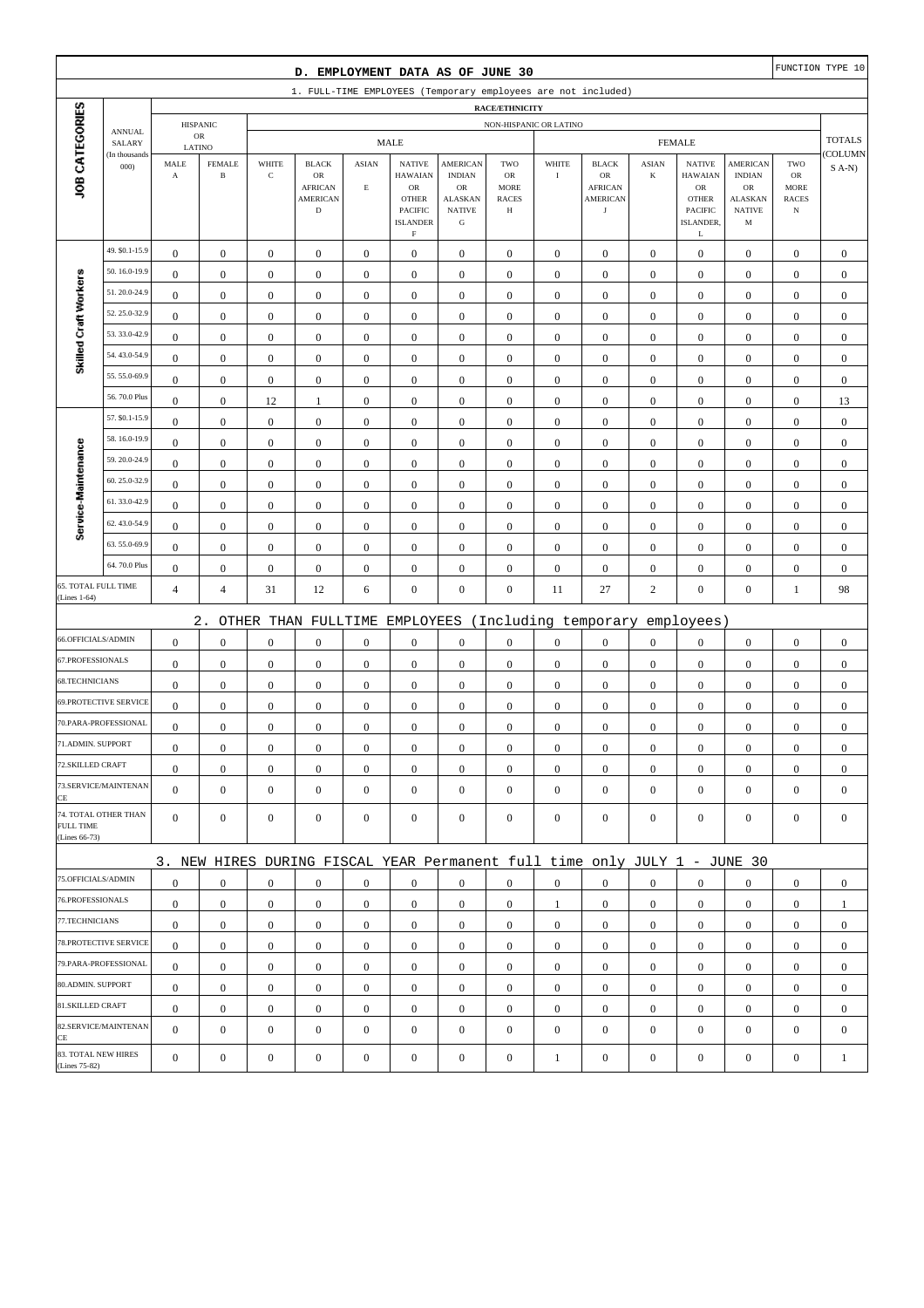|                                      |                                |                       |                               |                  | D. EMPLOYMENT DATA AS OF JUNE 30                                          |                         |                                                                    |                                                                     |                                                        |                  |                                                       |                  |                                                                             |                                                      |                                                  | FUNCTION TYPE 10 |
|--------------------------------------|--------------------------------|-----------------------|-------------------------------|------------------|---------------------------------------------------------------------------|-------------------------|--------------------------------------------------------------------|---------------------------------------------------------------------|--------------------------------------------------------|------------------|-------------------------------------------------------|------------------|-----------------------------------------------------------------------------|------------------------------------------------------|--------------------------------------------------|------------------|
|                                      |                                |                       |                               |                  | 1. FULL-TIME EMPLOYEES (Temporary employees are not included)             |                         |                                                                    |                                                                     |                                                        |                  |                                                       |                  |                                                                             |                                                      |                                                  |                  |
|                                      |                                |                       |                               |                  |                                                                           |                         |                                                                    |                                                                     | <b>RACE/ETHNICITY</b>                                  |                  |                                                       |                  |                                                                             |                                                      |                                                  |                  |
|                                      | <b>ANNUAL</b><br>SALARY        |                       | <b>HISPANIC</b><br>${\sf OR}$ |                  |                                                                           |                         | <b>MALE</b>                                                        |                                                                     | NON-HISPANIC OR LATINO                                 |                  |                                                       |                  | <b>FEMALE</b>                                                               |                                                      |                                                  | <b>TOTALS</b>    |
|                                      | (In thousands                  | LATINO<br>MALE        | <b>FEMALE</b>                 | WHITE            | <b>BLACK</b>                                                              | <b>ASIAN</b>            | <b>NATIVE</b>                                                      | <b>AMERICAN</b>                                                     | TWO                                                    | WHITE            | <b>BLACK</b>                                          | <b>ASIAN</b>     | <b>NATIVE</b>                                                               | <b>AMERICAN</b>                                      | TWO                                              | COLUMN           |
| JOB CATEGORIES                       | 000                            | $\boldsymbol{\rm{A}}$ | $\, {\bf B}$                  | $\mathbf C$      | $_{\rm OR}$<br><b>AFRICAN</b><br><b>AMERICAN</b><br>$\mathbf D$           | $\mathop{\hbox{\bf E}}$ | <b>HAWAIAN</b><br>OR<br><b>OTHER</b><br>PACIFIC<br><b>ISLANDER</b> | <b>INDIAN</b><br>OR<br><b>ALASKAN</b><br><b>NATIVE</b><br>${\bf G}$ | <b>OR</b><br><b>MORE</b><br><b>RACES</b><br>$_{\rm H}$ | $\rm I$          | OR<br><b>AFRICAN</b><br><b>AMERICAN</b><br>$_{\rm J}$ | $\bf K$          | <b>HAWAIAN</b><br>${\rm OR}$<br><b>OTHER</b><br><b>PACIFIC</b><br>ISLANDER, | <b>INDIAN</b><br>OR<br>ALASKAN<br><b>NATIVE</b><br>M | ${\rm OR}$<br>MORE<br><b>RACES</b><br>$_{\rm N}$ | $S$ A-N)         |
|                                      |                                |                       |                               |                  |                                                                           |                         | $\mathbf F$                                                        |                                                                     |                                                        |                  |                                                       |                  | L                                                                           |                                                      |                                                  |                  |
|                                      | 49. \$0.1-15.9<br>50.16.0-19.9 | $\boldsymbol{0}$      | $\boldsymbol{0}$              | $\boldsymbol{0}$ | $\boldsymbol{0}$                                                          | $\boldsymbol{0}$        | $\boldsymbol{0}$                                                   | $\boldsymbol{0}$                                                    | $\boldsymbol{0}$                                       | $\boldsymbol{0}$ | $\boldsymbol{0}$                                      | $\mathbf{0}$     | $\boldsymbol{0}$                                                            | $\boldsymbol{0}$                                     | $\boldsymbol{0}$                                 | $\boldsymbol{0}$ |
| Skilled Craft Workers                | 51.20.0-24.9                   | $\mathbf{0}$          | $\boldsymbol{0}$              | $\boldsymbol{0}$ | $\boldsymbol{0}$                                                          | $\boldsymbol{0}$        | $\boldsymbol{0}$                                                   | $\boldsymbol{0}$                                                    | $\boldsymbol{0}$                                       | $\boldsymbol{0}$ | $\boldsymbol{0}$                                      | $\boldsymbol{0}$ | $\boldsymbol{0}$                                                            | $\boldsymbol{0}$                                     | $\boldsymbol{0}$                                 | $\mathbf{0}$     |
|                                      | 52.25.0-32.9                   | $\mathbf{0}$          | $\boldsymbol{0}$              | $\boldsymbol{0}$ | $\boldsymbol{0}$                                                          | $\mathbf{0}$            | $\boldsymbol{0}$                                                   | $\boldsymbol{0}$                                                    | $\mathbf{0}$                                           | $\boldsymbol{0}$ | $\boldsymbol{0}$                                      | $\boldsymbol{0}$ | $\boldsymbol{0}$                                                            | $\boldsymbol{0}$                                     | $\boldsymbol{0}$                                 | $\mathbf{0}$     |
|                                      | 53.33.0-42.9                   | $\bf{0}$              | $\boldsymbol{0}$              | $\boldsymbol{0}$ | $\boldsymbol{0}$                                                          | $\boldsymbol{0}$        | $\boldsymbol{0}$                                                   | $\boldsymbol{0}$                                                    | $\boldsymbol{0}$                                       | $\boldsymbol{0}$ | $\boldsymbol{0}$                                      | $\boldsymbol{0}$ | $\boldsymbol{0}$                                                            | $\boldsymbol{0}$                                     | $\boldsymbol{0}$                                 | $\boldsymbol{0}$ |
|                                      | 54.43.0-54.9                   | $\boldsymbol{0}$      | $\boldsymbol{0}$              | $\boldsymbol{0}$ | $\boldsymbol{0}$                                                          | $\boldsymbol{0}$        | $\boldsymbol{0}$                                                   | $\boldsymbol{0}$                                                    | $\boldsymbol{0}$                                       | $\boldsymbol{0}$ | $\boldsymbol{0}$                                      | $\mathbf{0}$     | $\boldsymbol{0}$                                                            | $\boldsymbol{0}$                                     | $\boldsymbol{0}$                                 | $\boldsymbol{0}$ |
|                                      | 55.55.0-69.9                   | $\boldsymbol{0}$      | $\boldsymbol{0}$              | $\boldsymbol{0}$ | $\boldsymbol{0}$                                                          | $\boldsymbol{0}$        | $\boldsymbol{0}$                                                   | $\boldsymbol{0}$                                                    | $\boldsymbol{0}$                                       | $\boldsymbol{0}$ | $\boldsymbol{0}$                                      | $\boldsymbol{0}$ | $\boldsymbol{0}$                                                            | $\boldsymbol{0}$                                     | $\boldsymbol{0}$                                 | $\mathbf{0}$     |
|                                      | 56.70.0 Plus                   | $\mathbf{0}$          | $\boldsymbol{0}$              | $\boldsymbol{0}$ | $\boldsymbol{0}$                                                          | $\boldsymbol{0}$        | $\boldsymbol{0}$                                                   | $\boldsymbol{0}$                                                    | $\boldsymbol{0}$                                       | $\boldsymbol{0}$ | $\boldsymbol{0}$                                      | $\boldsymbol{0}$ | $\boldsymbol{0}$                                                            | $\boldsymbol{0}$                                     | $\boldsymbol{0}$                                 | $\boldsymbol{0}$ |
|                                      | 57. \$0.1-15.9                 | $\boldsymbol{0}$      | $\boldsymbol{0}$              | 12               | $\mathbf{1}$                                                              | $\boldsymbol{0}$        | $\boldsymbol{0}$                                                   | $\boldsymbol{0}$                                                    | $\boldsymbol{0}$                                       | $\boldsymbol{0}$ | $\boldsymbol{0}$                                      | $\boldsymbol{0}$ | $\boldsymbol{0}$                                                            | $\boldsymbol{0}$                                     | $\boldsymbol{0}$                                 | 13               |
|                                      | 58.16.0-19.9                   | $\boldsymbol{0}$      | $\boldsymbol{0}$              | $\boldsymbol{0}$ | $\boldsymbol{0}$                                                          | $\boldsymbol{0}$        | $\mathbf{0}$                                                       | $\boldsymbol{0}$                                                    | $\boldsymbol{0}$                                       | $\boldsymbol{0}$ | $\boldsymbol{0}$                                      | $\mathbf{0}$     | $\boldsymbol{0}$                                                            | $\boldsymbol{0}$                                     | $\boldsymbol{0}$                                 | $\boldsymbol{0}$ |
| Service-Maintenance                  | 59.20.0-24.9                   | $\boldsymbol{0}$      | $\boldsymbol{0}$              | $\boldsymbol{0}$ | $\boldsymbol{0}$                                                          | $\boldsymbol{0}$        | $\boldsymbol{0}$                                                   | $\boldsymbol{0}$                                                    | $\boldsymbol{0}$                                       | $\boldsymbol{0}$ | $\boldsymbol{0}$                                      | $\boldsymbol{0}$ | $\boldsymbol{0}$                                                            | $\boldsymbol{0}$                                     | $\boldsymbol{0}$                                 | $\boldsymbol{0}$ |
|                                      | 60.25.0-32.9                   | $\mathbf{0}$          | $\boldsymbol{0}$              | $\boldsymbol{0}$ | $\boldsymbol{0}$                                                          | $\mathbf{0}$            | $\boldsymbol{0}$                                                   | $\boldsymbol{0}$                                                    | $\mathbf{0}$                                           | $\boldsymbol{0}$ | $\boldsymbol{0}$                                      | $\boldsymbol{0}$ | $\boldsymbol{0}$                                                            | $\boldsymbol{0}$                                     | $\boldsymbol{0}$                                 | $\mathbf{0}$     |
|                                      | 61.33.0-42.9                   | $\boldsymbol{0}$      | $\boldsymbol{0}$              | $\boldsymbol{0}$ | $\boldsymbol{0}$                                                          | $\boldsymbol{0}$        | $\boldsymbol{0}$                                                   | $\boldsymbol{0}$                                                    | $\boldsymbol{0}$                                       | $\boldsymbol{0}$ | $\boldsymbol{0}$                                      | $\boldsymbol{0}$ | $\boldsymbol{0}$                                                            | $\boldsymbol{0}$                                     | $\boldsymbol{0}$                                 | $\mathbf{0}$     |
|                                      | 62.43.0-54.9                   | $\boldsymbol{0}$      | $\boldsymbol{0}$              | $\boldsymbol{0}$ | $\boldsymbol{0}$                                                          | $\boldsymbol{0}$        | $\boldsymbol{0}$                                                   | $\boldsymbol{0}$                                                    | $\boldsymbol{0}$                                       | $\boldsymbol{0}$ | $\boldsymbol{0}$                                      | $\mathbf{0}$     | $\boldsymbol{0}$                                                            | $\boldsymbol{0}$                                     | $\boldsymbol{0}$                                 | $\boldsymbol{0}$ |
|                                      | 63.55.0-69.9                   | $\bf{0}$              | $\boldsymbol{0}$              | $\boldsymbol{0}$ | $\boldsymbol{0}$                                                          | $\boldsymbol{0}$        | $\boldsymbol{0}$                                                   | $\boldsymbol{0}$                                                    | $\boldsymbol{0}$                                       | $\boldsymbol{0}$ | $\boldsymbol{0}$                                      | $\boldsymbol{0}$ | $\boldsymbol{0}$                                                            | $\boldsymbol{0}$                                     | $\boldsymbol{0}$                                 | $\boldsymbol{0}$ |
|                                      | 64.70.0 Plus                   | $\boldsymbol{0}$      | $\boldsymbol{0}$              | $\boldsymbol{0}$ | $\boldsymbol{0}$                                                          | $\boldsymbol{0}$        | $\boldsymbol{0}$                                                   | $\boldsymbol{0}$                                                    | $\boldsymbol{0}$                                       | $\boldsymbol{0}$ | $\boldsymbol{0}$                                      | $\boldsymbol{0}$ | $\boldsymbol{0}$                                                            | $\boldsymbol{0}$                                     | $\boldsymbol{0}$                                 | $\mathbf{0}$     |
| 65. TOTAL FULL TIME                  |                                | $\boldsymbol{0}$      | $\boldsymbol{0}$              | $\boldsymbol{0}$ | $\boldsymbol{0}$                                                          | $\boldsymbol{0}$        | $\boldsymbol{0}$                                                   | $\boldsymbol{0}$                                                    | $\boldsymbol{0}$                                       | $\boldsymbol{0}$ | $\boldsymbol{0}$                                      | $\boldsymbol{0}$ | $\boldsymbol{0}$                                                            | $\boldsymbol{0}$                                     | $\boldsymbol{0}$                                 | $\mathbf{0}$     |
| (Lines 1-64)                         |                                | $\overline{4}$        | $\overline{4}$                | 31               | 12                                                                        | 6                       | $\boldsymbol{0}$                                                   | $\boldsymbol{0}$                                                    | $\boldsymbol{0}$                                       | 11               | 27                                                    | $\sqrt{2}$       | $\boldsymbol{0}$                                                            | $\boldsymbol{0}$                                     | $\mathbf{1}$                                     | 98               |
|                                      |                                |                       | $2$ .                         |                  | OTHER THAN FULLTIME                                                       |                         | EMPLOYEES                                                          |                                                                     |                                                        |                  | (Including temporary                                  |                  | employees)                                                                  |                                                      |                                                  |                  |
| 66.OFFICIALS/ADMIN                   |                                | $\mathbf{0}$          | $\boldsymbol{0}$              | $\boldsymbol{0}$ | $\boldsymbol{0}$                                                          | $\boldsymbol{0}$        | $\boldsymbol{0}$                                                   | $\boldsymbol{0}$                                                    | $\boldsymbol{0}$                                       | $\boldsymbol{0}$ | $\boldsymbol{0}$                                      | $\boldsymbol{0}$ | $\boldsymbol{0}$                                                            | $\boldsymbol{0}$                                     | $\boldsymbol{0}$                                 | $\boldsymbol{0}$ |
| 67.PROFESSIONALS                     |                                | $\boldsymbol{0}$      | $\boldsymbol{0}$              | $\boldsymbol{0}$ | $\boldsymbol{0}$                                                          | $\boldsymbol{0}$        | $\boldsymbol{0}$                                                   | $\boldsymbol{0}$                                                    | $\boldsymbol{0}$                                       | $\boldsymbol{0}$ | $\boldsymbol{0}$                                      | $\mathbf{0}$     | $\boldsymbol{0}$                                                            | $\boldsymbol{0}$                                     | $\boldsymbol{0}$                                 | $\boldsymbol{0}$ |
| 68.TECHNICIANS                       |                                | $\boldsymbol{0}$      | $\boldsymbol{0}$              | $\boldsymbol{0}$ | $\boldsymbol{0}$                                                          | $\boldsymbol{0}$        | $\boldsymbol{0}$                                                   | $\boldsymbol{0}$                                                    | $\boldsymbol{0}$                                       | $\boldsymbol{0}$ | $\boldsymbol{0}$                                      | $\boldsymbol{0}$ | $\boldsymbol{0}$                                                            | $\boldsymbol{0}$                                     | $\boldsymbol{0}$                                 | $\mathbf{0}$     |
|                                      | <b>69.PROTECTIVE SERVICE</b>   | $\boldsymbol{0}$      | $\boldsymbol{0}$              | $\boldsymbol{0}$ | $\boldsymbol{0}$                                                          | $\boldsymbol{0}$        | $\boldsymbol{0}$                                                   | $\boldsymbol{0}$                                                    | $\boldsymbol{0}$                                       | $\boldsymbol{0}$ | $\boldsymbol{0}$                                      | $\mathbf{0}$     | $\mathbf{0}$                                                                | $\boldsymbol{0}$                                     | $\boldsymbol{0}$                                 | $\mathbf{0}$     |
|                                      | 70.PARA-PROFESSIONAL           | $\boldsymbol{0}$      | $\boldsymbol{0}$              | $\boldsymbol{0}$ | $\boldsymbol{0}$                                                          | $\boldsymbol{0}$        | $\boldsymbol{0}$                                                   | $\mathbf{0}$                                                        | $\mathbf{0}$                                           | $\boldsymbol{0}$ | $\boldsymbol{0}$                                      | $\boldsymbol{0}$ | $\boldsymbol{0}$                                                            | $\boldsymbol{0}$                                     | $\boldsymbol{0}$                                 | $\boldsymbol{0}$ |
| 71.ADMIN. SUPPORT                    |                                | $\overline{0}$        | $\boldsymbol{0}$              | $\boldsymbol{0}$ | $\Omega$                                                                  | $\mathbf{0}$            | $\boldsymbol{0}$                                                   | $\boldsymbol{0}$                                                    | $\Omega$                                               | $\boldsymbol{0}$ | $\boldsymbol{0}$                                      | $\boldsymbol{0}$ | $\boldsymbol{0}$                                                            | $\theta$                                             | $\boldsymbol{0}$                                 | $\theta$         |
| 72.SKILLED CRAFT                     |                                | $\mathbf{0}$          | $\boldsymbol{0}$              | $\boldsymbol{0}$ | $\mathbf{0}$                                                              | $\boldsymbol{0}$        | $\boldsymbol{0}$                                                   | $\boldsymbol{0}$                                                    | $\boldsymbol{0}$                                       | $\mathbf{0}$     | $\mathbf{0}$                                          | $\mathbf{0}$     | $\mathbf{0}$                                                                | $\overline{0}$                                       | $\mathbf{0}$                                     | $\mathbf{0}$     |
| CE                                   | 73.SERVICE/MAINTENAN           | $\overline{0}$        | $\mathbf{0}$                  | $\boldsymbol{0}$ | $\boldsymbol{0}$                                                          | $\mathbf{0}$            | $\mathbf{0}$                                                       | $\mathbf{0}$                                                        | $\mathbf{0}$                                           | $\boldsymbol{0}$ | $\boldsymbol{0}$                                      | $\mathbf{0}$     | $\mathbf{0}$                                                                | $\overline{0}$                                       | $\mathbf{0}$                                     | $\mathbf{0}$     |
| FULL TIME<br>(Lines 66-73)           | 74. TOTAL OTHER THAN           | $\overline{0}$        | $\mathbf{0}$                  | $\boldsymbol{0}$ | $\mathbf{0}$                                                              | $\mathbf{0}$            | $\mathbf{0}$                                                       | $\boldsymbol{0}$                                                    | $\boldsymbol{0}$                                       | $\mathbf{0}$     | $\boldsymbol{0}$                                      | $\mathbf{0}$     | $\mathbf{0}$                                                                | $\overline{0}$                                       | $\mathbf{0}$                                     | $\mathbf{0}$     |
|                                      |                                |                       |                               |                  | 3. NEW HIRES DURING FISCAL YEAR Permanent full time only JULY 1 - JUNE 30 |                         |                                                                    |                                                                     |                                                        |                  |                                                       |                  |                                                                             |                                                      |                                                  |                  |
| 75.OFFICIALS/ADMIN                   |                                | $\boldsymbol{0}$      | $\mathbf{0}$                  | $\boldsymbol{0}$ | $\mathbf{0}$                                                              | $\mathbf{0}$            | $\mathbf{0}$                                                       | $\mathbf{0}$                                                        | $\overline{0}$                                         | $\overline{0}$   | $\boldsymbol{0}$                                      | $\mathbf{0}$     | $\mathbf{0}$                                                                | $\overline{0}$                                       | $\mathbf{0}$                                     | $\mathbf{0}$     |
| 76.PROFESSIONALS                     |                                | $\mathbf{0}$          | $\boldsymbol{0}$              | $\boldsymbol{0}$ | $\mathbf{0}$                                                              | $\mathbf{0}$            | $\mathbf{0}$                                                       | $\boldsymbol{0}$                                                    | $\boldsymbol{0}$                                       | 1                | $\mathbf{0}$                                          | $\mathbf{0}$     | $\mathbf{0}$                                                                | $\mathbf{0}$                                         | $\boldsymbol{0}$                                 | $\mathbf{1}$     |
| 77.TECHNICIANS                       |                                | $\boldsymbol{0}$      | $\boldsymbol{0}$              | $\boldsymbol{0}$ | $\boldsymbol{0}$                                                          | $\boldsymbol{0}$        | $\boldsymbol{0}$                                                   | $\boldsymbol{0}$                                                    | $\boldsymbol{0}$                                       | $\boldsymbol{0}$ | $\boldsymbol{0}$                                      | $\overline{0}$   | $\mathbf{0}$                                                                | $\boldsymbol{0}$                                     | $\boldsymbol{0}$                                 | $\boldsymbol{0}$ |
|                                      | 78.PROTECTIVE SERVICE          | $\mathbf{0}$          | $\mathbf{0}$                  | $\boldsymbol{0}$ | $\mathbf{0}$                                                              | $\boldsymbol{0}$        | $\mathbf{0}$                                                       | $\mathbf{0}$                                                        | $\overline{0}$                                         | $\overline{0}$   | $\boldsymbol{0}$                                      | $\mathbf{0}$     | $\mathbf{0}$                                                                | $\overline{0}$                                       | $\overline{0}$                                   | $\boldsymbol{0}$ |
|                                      | 79.PARA-PROFESSIONAL           | $\mathbf{0}$          | $\mathbf{0}$                  | $\mathbf{0}$     | $\mathbf{0}$                                                              | $\mathbf{0}$            | $\mathbf{0}$                                                       | $\mathbf{0}$                                                        | $\overline{0}$                                         | $\mathbf{0}$     | $\boldsymbol{0}$                                      | $\overline{0}$   | $\overline{0}$                                                              | $\overline{0}$                                       | $\mathbf{0}$                                     | $\mathbf{0}$     |
| 80.ADMIN. SUPPORT                    |                                | $\mathbf{0}$          | $\boldsymbol{0}$              | $\boldsymbol{0}$ | $\mathbf{0}$                                                              | $\mathbf{0}$            | $\boldsymbol{0}$                                                   | $\boldsymbol{0}$                                                    | $\boldsymbol{0}$                                       | $\mathbf{0}$     | $\boldsymbol{0}$                                      | $\mathbf{0}$     | $\mathbf{0}$                                                                | $\boldsymbol{0}$                                     | $\boldsymbol{0}$                                 | $\mathbf{0}$     |
| 81.SKILLED CRAFT                     |                                | $\mathbf{0}$          | $\mathbf{0}$                  | $\boldsymbol{0}$ | $\boldsymbol{0}$                                                          | $\boldsymbol{0}$        | $\mathbf{0}$                                                       | $\boldsymbol{0}$                                                    | $\boldsymbol{0}$                                       | $\boldsymbol{0}$ | $\boldsymbol{0}$                                      | $\mathbf{0}$     | $\mathbf{0}$                                                                | $\boldsymbol{0}$                                     | $\boldsymbol{0}$                                 | $\boldsymbol{0}$ |
| CE                                   | 82.SERVICE/MAINTENAN           | $\overline{0}$        | $\boldsymbol{0}$              | $\boldsymbol{0}$ | $\boldsymbol{0}$                                                          | $\mathbf{0}$            | $\boldsymbol{0}$                                                   | $\mathbf{0}$                                                        | $\mathbf{0}$                                           | $\boldsymbol{0}$ | $\boldsymbol{0}$                                      | $\mathbf{0}$     | $\boldsymbol{0}$                                                            | $\overline{0}$                                       | $\mathbf{0}$                                     | $\boldsymbol{0}$ |
| 83. TOTAL NEW HIRES<br>(Lines 75-82) |                                | $\mathbf{0}$          | $\boldsymbol{0}$              | $\boldsymbol{0}$ | $\boldsymbol{0}$                                                          | $\boldsymbol{0}$        | $\boldsymbol{0}$                                                   | $\boldsymbol{0}$                                                    | $\boldsymbol{0}$                                       | $\mathbf{1}$     | $\boldsymbol{0}$                                      | $\boldsymbol{0}$ | $\boldsymbol{0}$                                                            | $\boldsymbol{0}$                                     | $\boldsymbol{0}$                                 | 1                |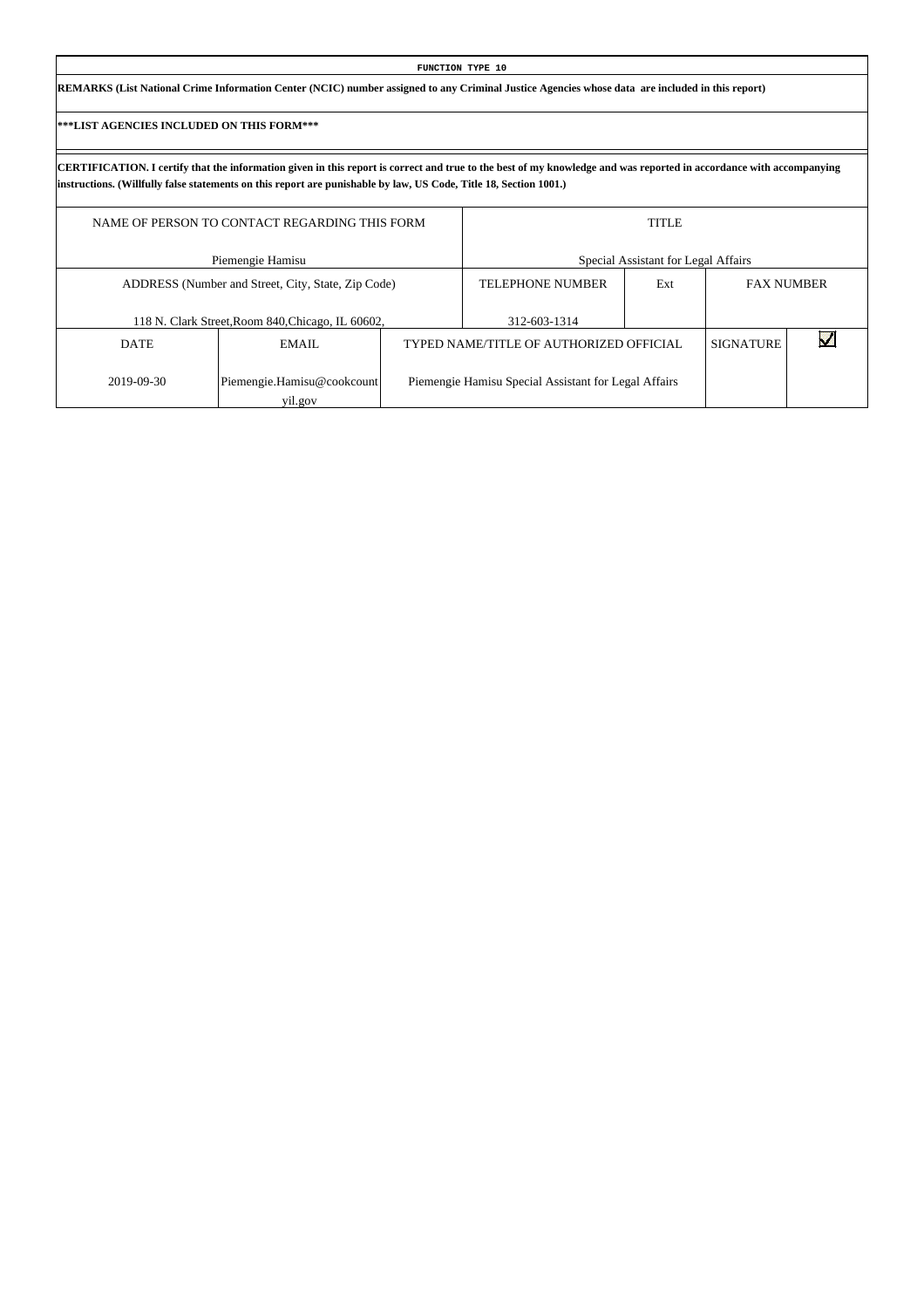| FUNCTION TYPE 10                                                                                                                                |  |
|-------------------------------------------------------------------------------------------------------------------------------------------------|--|
| REMARKS (List National Crime Information Center (NCIC) number assigned to any Criminal Justice Agencies whose data are included in this report) |  |

|             | NAME OF PERSON TO CONTACT REGARDING THIS FORM      |                                                      | <b>TITLE</b>                        |                  |                   |
|-------------|----------------------------------------------------|------------------------------------------------------|-------------------------------------|------------------|-------------------|
|             | Piemengie Hamisu                                   |                                                      | Special Assistant for Legal Affairs |                  |                   |
|             | ADDRESS (Number and Street, City, State, Zip Code) | <b>TELEPHONE NUMBER</b>                              | Ext                                 |                  | <b>FAX NUMBER</b> |
|             | 118 N. Clark Street, Room 840, Chicago, IL 60602,  | 312-603-1314                                         |                                     |                  |                   |
| <b>DATE</b> | EMAIL                                              | TYPED NAME/TITLE OF AUTHORIZED OFFICIAL              |                                     | <b>SIGNATURE</b> |                   |
| 2019-09-30  | Piemengie.Hamisu@cookcount<br>yil.gov              | Piemengie Hamisu Special Assistant for Legal Affairs |                                     |                  |                   |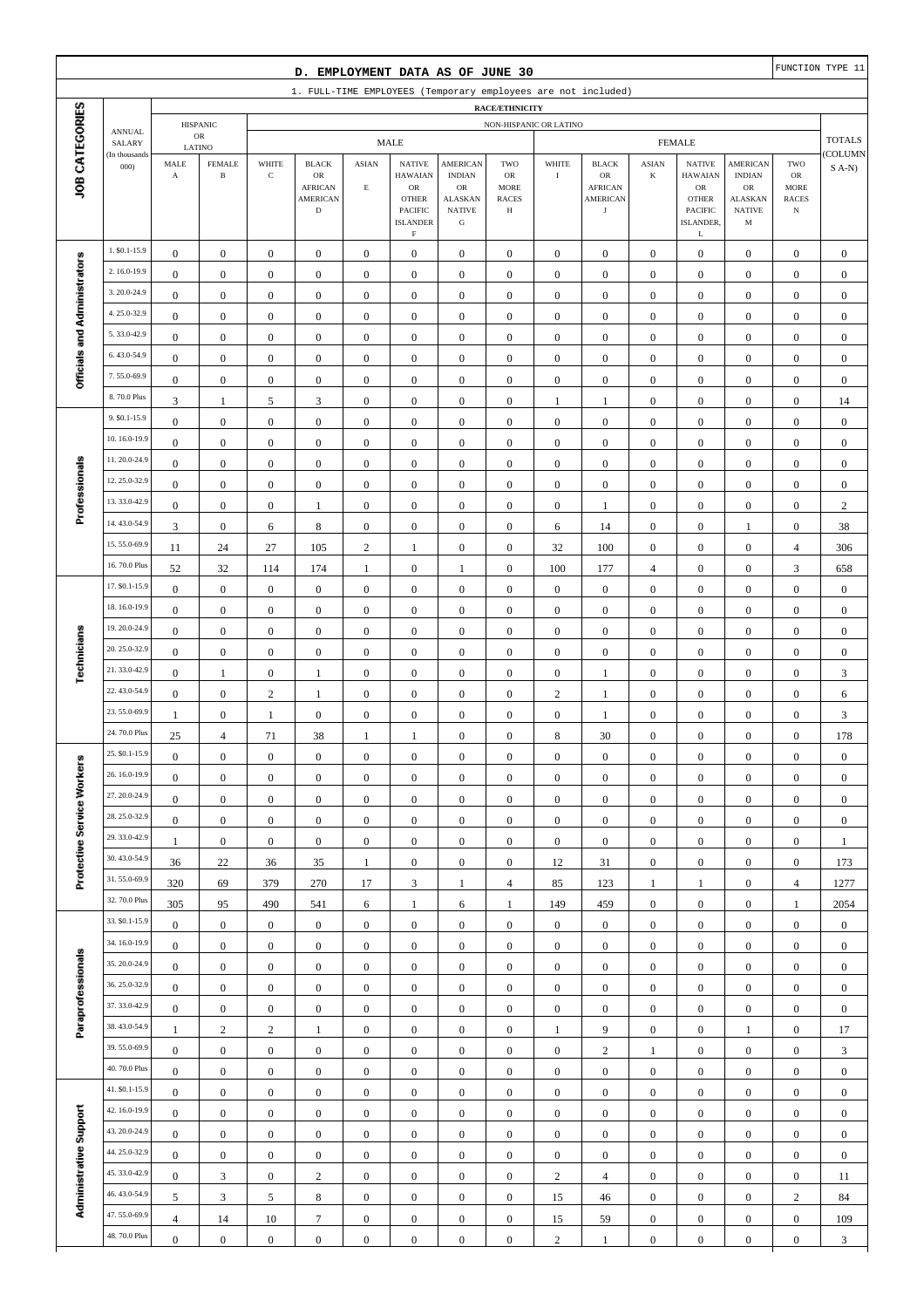|                                                                                                                     |                              |                                      |                                         |                                      |                                                                        |                                      |                                                                                              |                                                                                                 |                                               |                                  |                                                                       |                                      |                                                                                              |                                                                                       |                                                                | FUNCTION TYPE 11                     |
|---------------------------------------------------------------------------------------------------------------------|------------------------------|--------------------------------------|-----------------------------------------|--------------------------------------|------------------------------------------------------------------------|--------------------------------------|----------------------------------------------------------------------------------------------|-------------------------------------------------------------------------------------------------|-----------------------------------------------|----------------------------------|-----------------------------------------------------------------------|--------------------------------------|----------------------------------------------------------------------------------------------|---------------------------------------------------------------------------------------|----------------------------------------------------------------|--------------------------------------|
| D. EMPLOYMENT DATA AS OF JUNE 30<br>1. FULL-TIME EMPLOYEES (Temporary employees are not included)<br>RACE/ETHNICITY |                              |                                      |                                         |                                      |                                                                        |                                      |                                                                                              |                                                                                                 |                                               |                                  |                                                                       |                                      |                                                                                              |                                                                                       |                                                                |                                      |
|                                                                                                                     |                              |                                      |                                         |                                      |                                                                        |                                      |                                                                                              |                                                                                                 |                                               |                                  |                                                                       |                                      |                                                                                              |                                                                                       |                                                                |                                      |
|                                                                                                                     | <b>ANNUAL</b><br>SALARY      |                                      | <b>HISPANIC</b><br>$_{\rm OR}$          |                                      |                                                                        |                                      | <b>MALE</b>                                                                                  |                                                                                                 | NON-HISPANIC OR LATINO                        |                                  |                                                                       |                                      | <b>FEMALE</b>                                                                                |                                                                                       |                                                                | <b>TOTALS</b>                        |
| JOB CATEGORIES                                                                                                      | (In thousands<br>000         | MALE<br>$\mathbf A$                  | LATINO<br><b>FEMALE</b><br>$\, {\bf B}$ | WHITE<br>$\mathbf C$                 | <b>BLACK</b><br>OR<br><b>AFRICAN</b><br><b>AMERICAN</b><br>$\mathbf D$ | <b>ASIAN</b><br>$\mathbf E$          | <b>NATIVE</b><br><b>HAWAIAN</b><br>$_{\rm OR}$<br><b>OTHER</b><br>PACIFIC<br><b>ISLANDER</b> | <b>AMERICAN</b><br><b>INDIAN</b><br>$_{\rm OR}$<br><b>ALASKAN</b><br><b>NATIVE</b><br>${\bf G}$ | TWO<br>OR<br><b>MORE</b><br><b>RACES</b><br>Н | WHITE<br>$\mathbf I$             | <b>BLACK</b><br>OR<br><b>AFRICAN</b><br><b>AMERICAN</b><br>$_{\rm J}$ | <b>ASIAN</b><br>K                    | <b>NATIVE</b><br><b>HAWAIAN</b><br>${\rm OR}$<br><b>OTHER</b><br><b>PACIFIC</b><br>ISLANDER, | <b>AMERICAN</b><br><b>INDIAN</b><br><b>OR</b><br><b>ALASKAN</b><br><b>NATIVE</b><br>M | TWO<br>${\sf OR}$<br><b>MORE</b><br><b>RACES</b><br>$_{\rm N}$ | COLUMN<br>$S(A-N)$                   |
|                                                                                                                     |                              |                                      |                                         |                                      |                                                                        |                                      | $\mathbf F$                                                                                  |                                                                                                 |                                               |                                  |                                                                       |                                      | L                                                                                            |                                                                                       |                                                                |                                      |
|                                                                                                                     | 1. \$0.1-15.9<br>2.16.0-19.9 | $\boldsymbol{0}$                     | $\boldsymbol{0}$                        | $\boldsymbol{0}$                     | $\boldsymbol{0}$                                                       | $\boldsymbol{0}$                     | $\boldsymbol{0}$                                                                             | $\mathbf{0}$                                                                                    | $\boldsymbol{0}$                              | $\boldsymbol{0}$                 | $\boldsymbol{0}$                                                      | $\boldsymbol{0}$                     | $\boldsymbol{0}$                                                                             | $\boldsymbol{0}$                                                                      | $\boldsymbol{0}$                                               | $\mathbf{0}$                         |
|                                                                                                                     | 3.20.0-24.9                  | $\boldsymbol{0}$                     | $\boldsymbol{0}$                        | $\boldsymbol{0}$                     | $\boldsymbol{0}$                                                       | $\boldsymbol{0}$                     | $\mathbf{0}$                                                                                 | $\boldsymbol{0}$                                                                                | $\boldsymbol{0}$                              | $\boldsymbol{0}$                 | $\boldsymbol{0}$                                                      | $\boldsymbol{0}$                     | $\boldsymbol{0}$                                                                             | $\boldsymbol{0}$                                                                      | $\boldsymbol{0}$                                               | $\boldsymbol{0}$                     |
|                                                                                                                     | 4.25.0-32.9                  | $\boldsymbol{0}$                     | $\mathbf{0}$                            | $\boldsymbol{0}$                     | $\boldsymbol{0}$                                                       | $\boldsymbol{0}$                     | $\mathbf{0}$                                                                                 | $\boldsymbol{0}$                                                                                | $\boldsymbol{0}$                              | $\boldsymbol{0}$                 | $\boldsymbol{0}$                                                      | $\boldsymbol{0}$                     | $\boldsymbol{0}$                                                                             | $\boldsymbol{0}$                                                                      | $\boldsymbol{0}$                                               | $\boldsymbol{0}$                     |
|                                                                                                                     | 5.33.0-42.9                  | $\boldsymbol{0}$                     | $\mathbf{0}$                            | $\boldsymbol{0}$                     | $\boldsymbol{0}$                                                       | $\boldsymbol{0}$                     | $\mathbf{0}$                                                                                 | $\boldsymbol{0}$                                                                                | $\mathbf{0}$                                  | $\boldsymbol{0}$                 | $\boldsymbol{0}$                                                      | $\boldsymbol{0}$                     | $\boldsymbol{0}$                                                                             | $\boldsymbol{0}$                                                                      | $\boldsymbol{0}$                                               | $\boldsymbol{0}$                     |
|                                                                                                                     | 6.43.0-54.9                  | $\boldsymbol{0}$                     | $\mathbf{0}$                            | $\boldsymbol{0}$                     | $\boldsymbol{0}$                                                       | $\boldsymbol{0}$                     | $\mathbf{0}$                                                                                 | $\boldsymbol{0}$                                                                                | $\boldsymbol{0}$                              | $\boldsymbol{0}$                 | $\boldsymbol{0}$                                                      | $\boldsymbol{0}$                     | $\boldsymbol{0}$                                                                             | $\boldsymbol{0}$                                                                      | $\boldsymbol{0}$                                               | $\boldsymbol{0}$                     |
| Officials and Administrators                                                                                        | 7.55.0-69.9                  | $\boldsymbol{0}$<br>$\boldsymbol{0}$ | $\boldsymbol{0}$                        | $\boldsymbol{0}$                     | $\boldsymbol{0}$                                                       | $\boldsymbol{0}$<br>$\boldsymbol{0}$ | $\mathbf{0}$<br>$\mathbf{0}$                                                                 | $\boldsymbol{0}$                                                                                | $\boldsymbol{0}$                              | $\boldsymbol{0}$<br>$\mathbf{0}$ | $\boldsymbol{0}$                                                      | $\boldsymbol{0}$<br>$\boldsymbol{0}$ | $\boldsymbol{0}$                                                                             | $\boldsymbol{0}$                                                                      | $\boldsymbol{0}$                                               | $\boldsymbol{0}$<br>$\boldsymbol{0}$ |
|                                                                                                                     | 8.70.0 Plus                  | 3                                    | $\boldsymbol{0}$<br>1                   | $\boldsymbol{0}$<br>5                | $\boldsymbol{0}$<br>3                                                  | $\boldsymbol{0}$                     | $\mathbf{0}$                                                                                 | $\boldsymbol{0}$<br>$\boldsymbol{0}$                                                            | $\boldsymbol{0}$<br>$\mathbf{0}$              | $\mathbf{1}$                     | $\boldsymbol{0}$<br>1                                                 | $\boldsymbol{0}$                     | $\boldsymbol{0}$<br>$\boldsymbol{0}$                                                         | $\boldsymbol{0}$<br>$\overline{0}$                                                    | $\boldsymbol{0}$<br>$\boldsymbol{0}$                           | 14                                   |
|                                                                                                                     | 9. \$0.1-15.9                | $\boldsymbol{0}$                     | $\mathbf{0}$                            | $\boldsymbol{0}$                     | $\boldsymbol{0}$                                                       | $\boldsymbol{0}$                     | $\mathbf{0}$                                                                                 | $\boldsymbol{0}$                                                                                | $\boldsymbol{0}$                              | $\boldsymbol{0}$                 | $\boldsymbol{0}$                                                      | $\boldsymbol{0}$                     | $\boldsymbol{0}$                                                                             | $\boldsymbol{0}$                                                                      | $\boldsymbol{0}$                                               | $\boldsymbol{0}$                     |
|                                                                                                                     | 10.16.0-19.9                 | $\boldsymbol{0}$                     | $\mathbf{0}$                            | $\boldsymbol{0}$                     | $\boldsymbol{0}$                                                       | $\boldsymbol{0}$                     | $\mathbf{0}$                                                                                 | $\boldsymbol{0}$                                                                                | $\boldsymbol{0}$                              | $\mathbf{0}$                     | $\boldsymbol{0}$                                                      | $\boldsymbol{0}$                     | $\boldsymbol{0}$                                                                             | $\boldsymbol{0}$                                                                      | $\boldsymbol{0}$                                               | $\boldsymbol{0}$                     |
|                                                                                                                     | 11.20.0-24.9                 | $\boldsymbol{0}$                     | $\mathbf{0}$                            | $\boldsymbol{0}$                     | $\boldsymbol{0}$                                                       | $\boldsymbol{0}$                     | $\mathbf{0}$                                                                                 | $\boldsymbol{0}$                                                                                | $\boldsymbol{0}$                              | $\boldsymbol{0}$                 | $\boldsymbol{0}$                                                      | $\boldsymbol{0}$                     | $\boldsymbol{0}$                                                                             | $\boldsymbol{0}$                                                                      | $\boldsymbol{0}$                                               | $\boldsymbol{0}$                     |
| Professionals                                                                                                       | 12.25.0-32.9                 | $\boldsymbol{0}$                     | $\boldsymbol{0}$                        | $\boldsymbol{0}$                     | $\boldsymbol{0}$                                                       | $\mathbf{0}$                         | $\mathbf{0}$                                                                                 | $\boldsymbol{0}$                                                                                | $\mathbf{0}$                                  | $\boldsymbol{0}$                 | $\boldsymbol{0}$                                                      | $\boldsymbol{0}$                     | $\boldsymbol{0}$                                                                             | $\boldsymbol{0}$                                                                      | $\boldsymbol{0}$                                               | $\boldsymbol{0}$                     |
|                                                                                                                     | 13.33.0-42.9                 | $\boldsymbol{0}$                     | $\mathbf{0}$                            | $\boldsymbol{0}$                     | $\mathbf{1}$                                                           | $\boldsymbol{0}$                     | $\mathbf{0}$                                                                                 | $\boldsymbol{0}$                                                                                | $\boldsymbol{0}$                              | $\boldsymbol{0}$                 | $\mathbf{1}$                                                          | $\boldsymbol{0}$                     | $\boldsymbol{0}$                                                                             | $\boldsymbol{0}$                                                                      | $\boldsymbol{0}$                                               | $\sqrt{2}$                           |
|                                                                                                                     | 14.43.0-54.9                 | $\mathfrak{Z}$                       | $\boldsymbol{0}$                        | 6                                    | 8                                                                      | $\boldsymbol{0}$                     | $\mathbf{0}$                                                                                 | $\boldsymbol{0}$                                                                                | $\boldsymbol{0}$                              | 6                                | 14                                                                    | $\boldsymbol{0}$                     | $\boldsymbol{0}$                                                                             | 1                                                                                     | $\boldsymbol{0}$                                               | 38                                   |
|                                                                                                                     | 15.55.0-69.9                 | 11                                   | 24                                      | 27                                   | 105                                                                    | $\sqrt{2}$                           | 1                                                                                            | $\boldsymbol{0}$                                                                                | $\boldsymbol{0}$                              | 32                               | 100                                                                   | $\boldsymbol{0}$                     | $\boldsymbol{0}$                                                                             | $\boldsymbol{0}$                                                                      | $\overline{4}$                                                 | 306                                  |
|                                                                                                                     | 16.70.0 Plus                 | 52                                   | 32                                      | 114                                  | 174                                                                    | 1                                    | $\mathbf{0}$                                                                                 | $\mathbf{1}$                                                                                    | $\mathbf{0}$                                  | 100                              | 177                                                                   | $\overline{4}$                       | $\boldsymbol{0}$                                                                             | $\overline{0}$                                                                        | 3                                                              | 658                                  |
|                                                                                                                     | 17. \$0.1-15.9               | $\boldsymbol{0}$                     | $\boldsymbol{0}$                        | $\boldsymbol{0}$                     | $\boldsymbol{0}$                                                       | $\boldsymbol{0}$                     | $\mathbf{0}$                                                                                 | $\boldsymbol{0}$                                                                                | $\boldsymbol{0}$                              | $\boldsymbol{0}$                 | $\boldsymbol{0}$                                                      | $\boldsymbol{0}$                     | $\boldsymbol{0}$                                                                             | $\boldsymbol{0}$                                                                      | $\boldsymbol{0}$                                               | $\boldsymbol{0}$                     |
|                                                                                                                     | 18.16.0-19.9                 | $\boldsymbol{0}$                     | $\boldsymbol{0}$                        | $\boldsymbol{0}$                     | $\boldsymbol{0}$                                                       | $\boldsymbol{0}$                     | $\mathbf{0}$                                                                                 | $\boldsymbol{0}$                                                                                | $\boldsymbol{0}$                              | $\boldsymbol{0}$                 | $\boldsymbol{0}$                                                      | $\boldsymbol{0}$                     | $\boldsymbol{0}$                                                                             | $\boldsymbol{0}$                                                                      | $\boldsymbol{0}$                                               | $\boldsymbol{0}$                     |
|                                                                                                                     | 19.20.0-24.9                 | $\boldsymbol{0}$                     | $\mathbf{0}$                            | $\boldsymbol{0}$                     | $\boldsymbol{0}$                                                       | $\boldsymbol{0}$                     | $\mathbf{0}$                                                                                 | $\boldsymbol{0}$                                                                                | $\boldsymbol{0}$                              | $\mathbf{0}$                     | $\boldsymbol{0}$                                                      | $\boldsymbol{0}$                     | $\boldsymbol{0}$                                                                             | $\boldsymbol{0}$                                                                      | $\boldsymbol{0}$                                               | $\boldsymbol{0}$                     |
| Technicians                                                                                                         | 20.25.0-32.9                 | $\mathbf{0}$                         | $\boldsymbol{0}$                        | $\boldsymbol{0}$                     | $\boldsymbol{0}$                                                       | $\mathbf{0}$                         | $\mathbf{0}$                                                                                 | $\boldsymbol{0}$                                                                                | $\mathbf{0}$                                  | $\mathbf{0}$                     | $\boldsymbol{0}$                                                      | $\boldsymbol{0}$                     | $\boldsymbol{0}$                                                                             | $\boldsymbol{0}$                                                                      | $\boldsymbol{0}$                                               | $\boldsymbol{0}$                     |
|                                                                                                                     | 21.33.0-42.9                 | $\boldsymbol{0}$                     | 1                                       | $\boldsymbol{0}$                     | $\mathbf{1}$                                                           | $\boldsymbol{0}$                     | $\mathbf{0}$                                                                                 | $\boldsymbol{0}$                                                                                | $\boldsymbol{0}$                              | $\boldsymbol{0}$                 | 1                                                                     | $\boldsymbol{0}$                     | $\boldsymbol{0}$                                                                             | $\boldsymbol{0}$                                                                      | $\boldsymbol{0}$                                               | $\mathfrak{Z}$                       |
|                                                                                                                     | 22.43.0-54.9                 | $\boldsymbol{0}$                     | $\boldsymbol{0}$                        | $\sqrt{2}$                           | $\mathbf{1}$                                                           | $\boldsymbol{0}$                     | $\mathbf{0}$                                                                                 | $\boldsymbol{0}$                                                                                | $\boldsymbol{0}$                              | $\sqrt{2}$                       | 1                                                                     | $\boldsymbol{0}$                     | $\boldsymbol{0}$                                                                             | $\boldsymbol{0}$                                                                      | $\boldsymbol{0}$                                               | 6                                    |
|                                                                                                                     | 23.55.0-69.9                 | 1                                    | $\mathbf{0}$                            | $\mathbf{1}$                         | $\boldsymbol{0}$                                                       | $\boldsymbol{0}$                     | $\mathbf{0}$                                                                                 | $\boldsymbol{0}$                                                                                | $\boldsymbol{0}$                              | $\boldsymbol{0}$                 | 1                                                                     | $\boldsymbol{0}$                     | $\boldsymbol{0}$                                                                             | $\boldsymbol{0}$                                                                      | $\boldsymbol{0}$                                               | $\mathfrak{Z}$                       |
|                                                                                                                     | 24.70.0 Plus                 | 25                                   | $\overline{4}$                          | 71                                   | 38                                                                     | 1                                    | 1                                                                                            | $\boldsymbol{0}$                                                                                | $\mathbf{0}$                                  | 8                                | 30                                                                    | $\boldsymbol{0}$                     | $\boldsymbol{0}$                                                                             | $\overline{0}$                                                                        | $\boldsymbol{0}$                                               | 178                                  |
|                                                                                                                     | 25. \$0.1-15.9               | $\boldsymbol{0}$                     | $\boldsymbol{0}$                        | $\boldsymbol{0}$                     | $\boldsymbol{0}$                                                       | $\boldsymbol{0}$                     | $\boldsymbol{0}$                                                                             | $\bf{0}$                                                                                        | $\boldsymbol{0}$                              | $\boldsymbol{0}$                 | $\boldsymbol{0}$                                                      | $\boldsymbol{0}$                     | $\boldsymbol{0}$                                                                             | 0                                                                                     | $\boldsymbol{0}$                                               | $\boldsymbol{0}$                     |
|                                                                                                                     | 26.16.0-19.9                 | $\boldsymbol{0}$                     | $\boldsymbol{0}$                        | $\boldsymbol{0}$                     | $\mathbf{0}$                                                           | $\boldsymbol{0}$                     | $\boldsymbol{0}$                                                                             | $\boldsymbol{0}$                                                                                | $\boldsymbol{0}$                              | $\boldsymbol{0}$                 | $\boldsymbol{0}$                                                      | $\mathbf{0}$                         | $\boldsymbol{0}$                                                                             | $\boldsymbol{0}$                                                                      | $\boldsymbol{0}$                                               | $\boldsymbol{0}$                     |
|                                                                                                                     | 27.20.0-24.9                 | $\boldsymbol{0}$                     | $\boldsymbol{0}$                        | $\boldsymbol{0}$                     | $\boldsymbol{0}$                                                       | $\boldsymbol{0}$                     | $\boldsymbol{0}$                                                                             | $\boldsymbol{0}$                                                                                | $\boldsymbol{0}$                              | $\boldsymbol{0}$                 | $\boldsymbol{0}$                                                      | $\boldsymbol{0}$                     | $\boldsymbol{0}$                                                                             | $\boldsymbol{0}$                                                                      | $\boldsymbol{0}$                                               | $\boldsymbol{0}$                     |
|                                                                                                                     | 28.25.0-32.9                 | $\boldsymbol{0}$                     | $\boldsymbol{0}$                        | $\boldsymbol{0}$                     | $\overline{0}$                                                         | $\mathbf{0}$                         | $\boldsymbol{0}$                                                                             | $\boldsymbol{0}$                                                                                | $\boldsymbol{0}$                              | $\overline{0}$                   | $\boldsymbol{0}$                                                      | $\boldsymbol{0}$                     | $\boldsymbol{0}$                                                                             | $\boldsymbol{0}$                                                                      | $\boldsymbol{0}$                                               | $\boldsymbol{0}$                     |
| Protective Service Workers                                                                                          | 29.33.0-42.9<br>30.43.0-54.9 | $\mathbf{1}$                         | $\boldsymbol{0}$                        | $\boldsymbol{0}$                     | $\boldsymbol{0}$                                                       | $\boldsymbol{0}$                     | $\boldsymbol{0}$                                                                             | $\boldsymbol{0}$                                                                                | $\boldsymbol{0}$                              | $\boldsymbol{0}$                 | $\boldsymbol{0}$                                                      | $\boldsymbol{0}$                     | $\boldsymbol{0}$                                                                             | $\boldsymbol{0}$                                                                      | $\boldsymbol{0}$                                               | $\mathbf{1}$                         |
|                                                                                                                     | 31.55.0-69.9                 | 36                                   | 22                                      | 36                                   | 35                                                                     | $\mathbf{1}$                         | $\boldsymbol{0}$                                                                             | $\boldsymbol{0}$                                                                                | $\boldsymbol{0}$                              | 12                               | $31\,$                                                                | $\boldsymbol{0}$                     | $\boldsymbol{0}$                                                                             | $\boldsymbol{0}$                                                                      | $\boldsymbol{0}$                                               | 173                                  |
|                                                                                                                     | 32.70.0 Plus                 | 320                                  | 69                                      | 379                                  | 270                                                                    | 17                                   | 3                                                                                            | $\mathbf{1}$                                                                                    | $\overline{4}$                                | 85                               | 123                                                                   | $\mathbf{1}$                         | $\mathbf{1}$                                                                                 | $\boldsymbol{0}$                                                                      | $\overline{4}$                                                 | 1277                                 |
|                                                                                                                     | 33. \$0.1-15.9               | 305<br>$\boldsymbol{0}$              | 95<br>$\boldsymbol{0}$                  | 490                                  | 541<br>$\boldsymbol{0}$                                                | 6<br>$\boldsymbol{0}$                | $\mathbf{1}$<br>$\boldsymbol{0}$                                                             | 6<br>$\boldsymbol{0}$                                                                           | $\mathbf{1}$<br>$\boldsymbol{0}$              | 149<br>$\boldsymbol{0}$          | 459<br>$\boldsymbol{0}$                                               | $\boldsymbol{0}$<br>$\boldsymbol{0}$ | $\boldsymbol{0}$<br>$\boldsymbol{0}$                                                         | $\boldsymbol{0}$                                                                      | $\mathbf{1}$<br>$\boldsymbol{0}$                               | 2054                                 |
|                                                                                                                     | 34.16.0-19.9                 | $\boldsymbol{0}$                     | $\boldsymbol{0}$                        | $\boldsymbol{0}$<br>$\boldsymbol{0}$ | $\mathbf{0}$                                                           | $\boldsymbol{0}$                     | $\boldsymbol{0}$                                                                             | $\boldsymbol{0}$                                                                                | $\boldsymbol{0}$                              | $\boldsymbol{0}$                 | $\boldsymbol{0}$                                                      | $\boldsymbol{0}$                     | $\boldsymbol{0}$                                                                             | $\boldsymbol{0}$<br>$\boldsymbol{0}$                                                  | $\boldsymbol{0}$                                               | $\boldsymbol{0}$<br>$\boldsymbol{0}$ |
|                                                                                                                     | 35.20.0-24.9                 | $\boldsymbol{0}$                     | $\boldsymbol{0}$                        | $\boldsymbol{0}$                     | $\boldsymbol{0}$                                                       | $\boldsymbol{0}$                     | $\boldsymbol{0}$                                                                             | $\boldsymbol{0}$                                                                                | $\boldsymbol{0}$                              | $\mathbf{0}$                     | $\boldsymbol{0}$                                                      | $\boldsymbol{0}$                     | $\boldsymbol{0}$                                                                             | $\boldsymbol{0}$                                                                      | $\boldsymbol{0}$                                               | $\boldsymbol{0}$                     |
| Paraprofessionals                                                                                                   | 36.25.0-32.9                 | $\boldsymbol{0}$                     | $\boldsymbol{0}$                        | $\boldsymbol{0}$                     | $\boldsymbol{0}$                                                       | $\mathbf{0}$                         | $\boldsymbol{0}$                                                                             | $\boldsymbol{0}$                                                                                | $\boldsymbol{0}$                              | $\mathbf{0}$                     | $\boldsymbol{0}$                                                      | $\boldsymbol{0}$                     | $\boldsymbol{0}$                                                                             | $\boldsymbol{0}$                                                                      | $\boldsymbol{0}$                                               | $\boldsymbol{0}$                     |
|                                                                                                                     | 37.33.0-42.9                 | $\boldsymbol{0}$                     | $\boldsymbol{0}$                        | $\boldsymbol{0}$                     | $\boldsymbol{0}$                                                       | $\boldsymbol{0}$                     | $\boldsymbol{0}$                                                                             | $\boldsymbol{0}$                                                                                | $\boldsymbol{0}$                              | $\boldsymbol{0}$                 | $\boldsymbol{0}$                                                      | $\boldsymbol{0}$                     | $\boldsymbol{0}$                                                                             | $\boldsymbol{0}$                                                                      | $\boldsymbol{0}$                                               | $\boldsymbol{0}$                     |
|                                                                                                                     | 38.43.0-54.9                 | $\mathbf{1}$                         | $\sqrt{2}$                              | $\sqrt{2}$                           | $\mathbf{1}$                                                           | $\boldsymbol{0}$                     | $\boldsymbol{0}$                                                                             | $\boldsymbol{0}$                                                                                | $\boldsymbol{0}$                              | $\mathbf{1}$                     | 9                                                                     | $\boldsymbol{0}$                     | $\boldsymbol{0}$                                                                             | $\mathbf{1}$                                                                          | $\boldsymbol{0}$                                               | 17                                   |
|                                                                                                                     | 39.55.0-69.9                 | $\boldsymbol{0}$                     | $\boldsymbol{0}$                        | $\boldsymbol{0}$                     | $\boldsymbol{0}$                                                       | $\boldsymbol{0}$                     | $\boldsymbol{0}$                                                                             | $\boldsymbol{0}$                                                                                | $\boldsymbol{0}$                              | $\boldsymbol{0}$                 | $\sqrt{2}$                                                            | $\mathbf{1}$                         | $\boldsymbol{0}$                                                                             | $\boldsymbol{0}$                                                                      | $\boldsymbol{0}$                                               | 3                                    |
|                                                                                                                     | 40.70.0 Plus                 | $\boldsymbol{0}$                     | $\boldsymbol{0}$                        | $\boldsymbol{0}$                     | $\boldsymbol{0}$                                                       | $\mathbf{0}$                         | $\boldsymbol{0}$                                                                             | $\boldsymbol{0}$                                                                                | $\boldsymbol{0}$                              | $\mathbf{0}$                     | $\boldsymbol{0}$                                                      | $\boldsymbol{0}$                     | $\boldsymbol{0}$                                                                             | $\boldsymbol{0}$                                                                      | $\boldsymbol{0}$                                               | $\boldsymbol{0}$                     |
|                                                                                                                     | 41. \$0.1-15.9               | $\boldsymbol{0}$                     | $\boldsymbol{0}$                        | $\boldsymbol{0}$                     | $\boldsymbol{0}$                                                       | $\boldsymbol{0}$                     | $\boldsymbol{0}$                                                                             | $\boldsymbol{0}$                                                                                | $\boldsymbol{0}$                              | $\boldsymbol{0}$                 | $\boldsymbol{0}$                                                      | $\boldsymbol{0}$                     | $\boldsymbol{0}$                                                                             | $\boldsymbol{0}$                                                                      | $\boldsymbol{0}$                                               | $\boldsymbol{0}$                     |
|                                                                                                                     | 42.16.0-19.9                 | $\boldsymbol{0}$                     | $\boldsymbol{0}$                        | $\boldsymbol{0}$                     | $\boldsymbol{0}$                                                       | $\boldsymbol{0}$                     | $\boldsymbol{0}$                                                                             | $\boldsymbol{0}$                                                                                | $\boldsymbol{0}$                              | $\boldsymbol{0}$                 | $\boldsymbol{0}$                                                      | $\boldsymbol{0}$                     | $\boldsymbol{0}$                                                                             | $\boldsymbol{0}$                                                                      | $\boldsymbol{0}$                                               | $\boldsymbol{0}$                     |
|                                                                                                                     | 43.20.0-24.9                 | $\boldsymbol{0}$                     | $\boldsymbol{0}$                        | $\boldsymbol{0}$                     | $\boldsymbol{0}$                                                       | $\boldsymbol{0}$                     | $\boldsymbol{0}$                                                                             | $\boldsymbol{0}$                                                                                | $\boldsymbol{0}$                              | $\boldsymbol{0}$                 | $\boldsymbol{0}$                                                      | $\boldsymbol{0}$                     | $\boldsymbol{0}$                                                                             | $\boldsymbol{0}$                                                                      | $\boldsymbol{0}$                                               | $\boldsymbol{0}$                     |
|                                                                                                                     | 44.25.0-32.9                 | $\boldsymbol{0}$                     | $\boldsymbol{0}$                        | $\boldsymbol{0}$                     | $\boldsymbol{0}$                                                       | $\mathbf{0}$                         | $\boldsymbol{0}$                                                                             | $\boldsymbol{0}$                                                                                | $\boldsymbol{0}$                              | $\boldsymbol{0}$                 | $\boldsymbol{0}$                                                      | $\boldsymbol{0}$                     | $\boldsymbol{0}$                                                                             | $\boldsymbol{0}$                                                                      | $\boldsymbol{0}$                                               | $\boldsymbol{0}$                     |
|                                                                                                                     | 45.33.0-42.9                 | $\boldsymbol{0}$                     | 3                                       | $\boldsymbol{0}$                     | $\sqrt{2}$                                                             | $\boldsymbol{0}$                     | $\boldsymbol{0}$                                                                             | $\boldsymbol{0}$                                                                                | $\boldsymbol{0}$                              | $\sqrt{2}$                       | $\overline{4}$                                                        | $\boldsymbol{0}$                     | $\boldsymbol{0}$                                                                             | $\boldsymbol{0}$                                                                      | $\boldsymbol{0}$                                               | 11                                   |
| Administrative Support                                                                                              | 46.43.0-54.9                 | 5                                    | $\ensuremath{\mathsf{3}}$               | 5                                    | $\,8\,$                                                                | $\boldsymbol{0}$                     | $\boldsymbol{0}$                                                                             | $\boldsymbol{0}$                                                                                | $\boldsymbol{0}$                              | 15                               | 46                                                                    | $\boldsymbol{0}$                     | $\boldsymbol{0}$                                                                             | $\boldsymbol{0}$                                                                      | $\boldsymbol{2}$                                               | 84                                   |
|                                                                                                                     | 47.55.0-69.9                 | $\overline{4}$                       | 14                                      | 10                                   | $\boldsymbol{7}$                                                       | $\boldsymbol{0}$                     | $\boldsymbol{0}$                                                                             | $\boldsymbol{0}$                                                                                | $\boldsymbol{0}$                              | 15                               | 59                                                                    | $\boldsymbol{0}$                     | $\boldsymbol{0}$                                                                             | $\boldsymbol{0}$                                                                      | $\boldsymbol{0}$                                               | 109                                  |
|                                                                                                                     | 48.70.0 Plus                 | $\boldsymbol{0}$                     | $\boldsymbol{0}$                        | $\boldsymbol{0}$                     | $\boldsymbol{0}$                                                       | $\boldsymbol{0}$                     | $\boldsymbol{0}$                                                                             | $\boldsymbol{0}$                                                                                | $\boldsymbol{0}$                              | $\sqrt{2}$                       | $\mathbf{1}$                                                          | $\boldsymbol{0}$                     | $\boldsymbol{0}$                                                                             | $\boldsymbol{0}$                                                                      | $\boldsymbol{0}$                                               | 3                                    |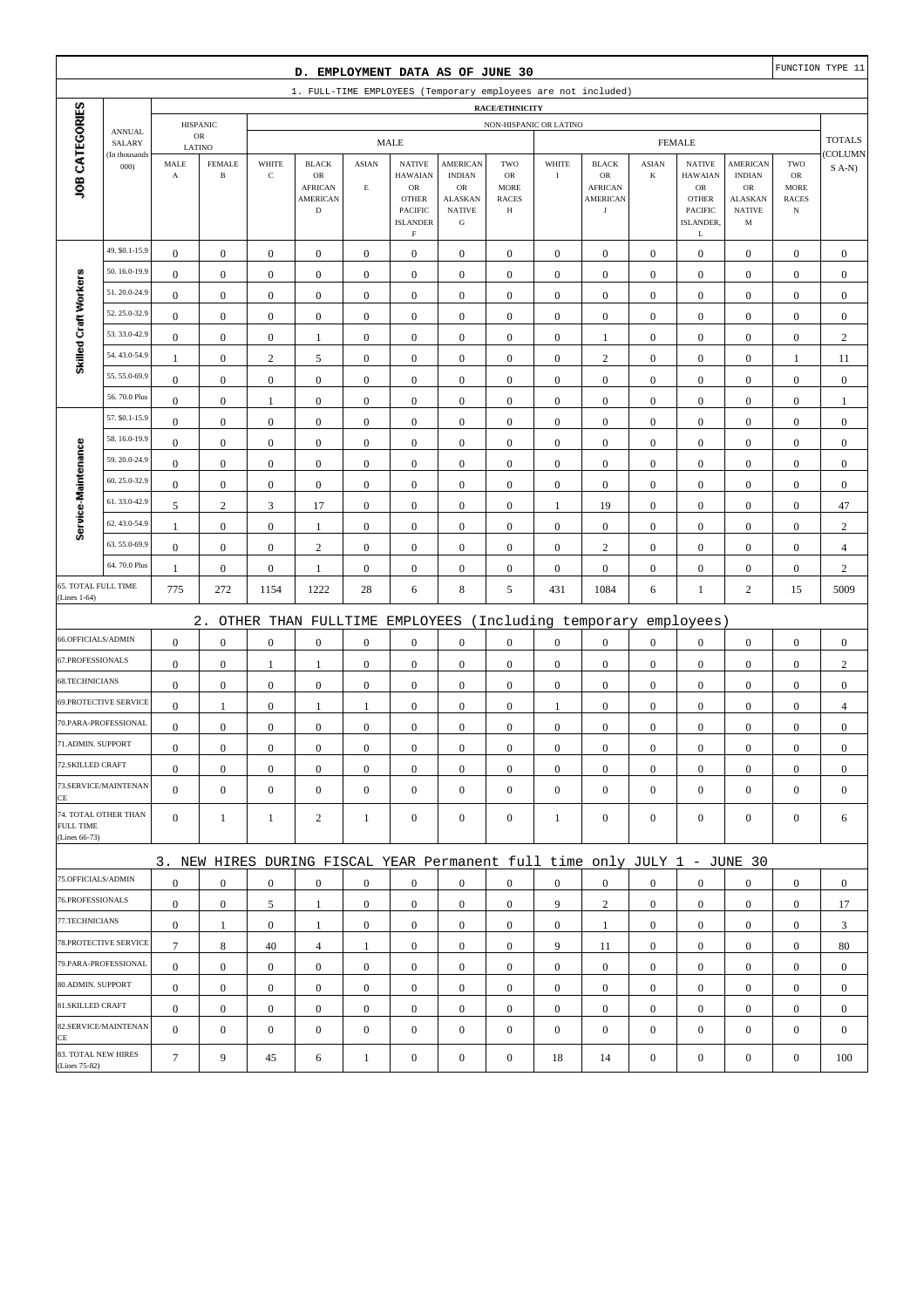|                                      |                                                                                 |                                    |                               |                      | D. EMPLOYMENT DATA AS OF JUNE 30                                          |                  |                                  |                            |                             |                        |                            |                         |                                 |                             |                             | FUNCTION TYPE 11 |
|--------------------------------------|---------------------------------------------------------------------------------|------------------------------------|-------------------------------|----------------------|---------------------------------------------------------------------------|------------------|----------------------------------|----------------------------|-----------------------------|------------------------|----------------------------|-------------------------|---------------------------------|-----------------------------|-----------------------------|------------------|
|                                      | 1. FULL-TIME EMPLOYEES (Temporary employees are not included)<br>RACE/ETHNICITY |                                    |                               |                      |                                                                           |                  |                                  |                            |                             |                        |                            |                         |                                 |                             |                             |                  |
|                                      |                                                                                 |                                    |                               |                      |                                                                           |                  |                                  |                            |                             |                        |                            |                         |                                 |                             |                             |                  |
|                                      | <b>ANNUAL</b>                                                                   |                                    | <b>HISPANIC</b><br>${\sf OR}$ |                      |                                                                           |                  | <b>MALE</b>                      |                            |                             | NON-HISPANIC OR LATINO |                            |                         | <b>FEMALE</b>                   |                             |                             | <b>TOTALS</b>    |
|                                      | SALARY<br>(In thousands                                                         | LATINO                             |                               |                      |                                                                           |                  |                                  |                            |                             |                        |                            |                         |                                 |                             |                             | COLUMN           |
| JOB CATEGORIES                       | 000                                                                             | MALE<br>$\boldsymbol{\rm{A}}$      | <b>FEMALE</b><br>$\, {\bf B}$ | WHITE<br>$\mathbf C$ | <b>BLACK</b><br>OR                                                        | <b>ASIAN</b>     | <b>NATIVE</b><br><b>HAWAIAN</b>  | AMERICAN<br><b>INDIAN</b>  | TWO<br>OR                   | WHITE<br>$\bf{I}$      | <b>BLACK</b><br>OR         | <b>ASIAN</b><br>$\bf K$ | <b>NATIVE</b><br><b>HAWAIAN</b> | AMERICAN<br><b>INDIAN</b>   | TWO<br>OR                   | $S(A-N)$         |
|                                      |                                                                                 |                                    |                               |                      | <b>AFRICAN</b><br><b>AMERICAN</b>                                         | $\mathbf E$      | ${\sf OR}$<br><b>OTHER</b>       | OR<br><b>ALASKAN</b>       | <b>MORE</b><br><b>RACES</b> |                        | <b>AFRICAN</b><br>AMERICAN |                         | ${\sf OR}$<br><b>OTHER</b>      | OR<br>ALASKAN               | <b>MORE</b><br><b>RACES</b> |                  |
|                                      |                                                                                 |                                    |                               |                      | $\mathbf D$                                                               |                  | PACIFIC<br><b>ISLANDER</b>       | <b>NATIVE</b><br>${\bf G}$ | Н                           |                        | $_{\rm J}$                 |                         | PACIFIC<br>ISLANDER,            | <b>NATIVE</b><br>$_{\rm M}$ | $_{\rm N}$                  |                  |
|                                      |                                                                                 |                                    |                               |                      |                                                                           |                  | $\mathbf F$                      |                            |                             |                        |                            |                         | L                               |                             |                             |                  |
|                                      | 49. \$0.1-15.9                                                                  | $\boldsymbol{0}$                   | $\boldsymbol{0}$              | $\boldsymbol{0}$     | $\boldsymbol{0}$                                                          | $\boldsymbol{0}$ | $\boldsymbol{0}$                 | $\boldsymbol{0}$           | $\boldsymbol{0}$            | $\boldsymbol{0}$       | $\boldsymbol{0}$           | $\mathbf{0}$            | $\boldsymbol{0}$                | $\boldsymbol{0}$            | $\boldsymbol{0}$            | $\boldsymbol{0}$ |
|                                      | 50.16.0-19.9                                                                    | $\boldsymbol{0}$                   | $\boldsymbol{0}$              | $\boldsymbol{0}$     | $\boldsymbol{0}$                                                          | $\boldsymbol{0}$ | $\boldsymbol{0}$                 | $\boldsymbol{0}$           | $\boldsymbol{0}$            | $\boldsymbol{0}$       | $\boldsymbol{0}$           | $\boldsymbol{0}$        | $\boldsymbol{0}$                | $\boldsymbol{0}$            | $\boldsymbol{0}$            | $\boldsymbol{0}$ |
| Skilled Craft Workers                | 51.20.0-24.9                                                                    | $\mathbf{0}$                       | $\boldsymbol{0}$              | $\boldsymbol{0}$     | $\boldsymbol{0}$                                                          | $\mathbf{0}$     | $\mathbf{0}$                     | $\boldsymbol{0}$           | $\boldsymbol{0}$            | $\boldsymbol{0}$       | $\mathbf{0}$               | $\boldsymbol{0}$        | $\boldsymbol{0}$                | $\boldsymbol{0}$            | $\boldsymbol{0}$            | $\boldsymbol{0}$ |
|                                      | 52.25.0-32.9                                                                    | $\boldsymbol{0}$                   | $\boldsymbol{0}$              | $\boldsymbol{0}$     | $\boldsymbol{0}$                                                          | $\mathbf{0}$     | $\mathbf{0}$                     | $\boldsymbol{0}$           | $\boldsymbol{0}$            | $\boldsymbol{0}$       | $\mathbf{0}$               | $\boldsymbol{0}$        | $\boldsymbol{0}$                | $\boldsymbol{0}$            | $\boldsymbol{0}$            | $\boldsymbol{0}$ |
|                                      | 53.33.0-42.9                                                                    | $\boldsymbol{0}$                   | $\boldsymbol{0}$              | $\boldsymbol{0}$     | 1                                                                         | $\boldsymbol{0}$ | $\boldsymbol{0}$                 | $\boldsymbol{0}$           | $\boldsymbol{0}$            | $\boldsymbol{0}$       | 1                          | $\boldsymbol{0}$        | $\boldsymbol{0}$                | $\boldsymbol{0}$            | $\boldsymbol{0}$            | $\sqrt{2}$       |
|                                      | 54.43.0-54.9                                                                    | $\mathbf{1}$                       | $\boldsymbol{0}$              | $\sqrt{2}$           | $\mathfrak s$                                                             | $\boldsymbol{0}$ | $\boldsymbol{0}$                 | $\boldsymbol{0}$           | $\boldsymbol{0}$            | $\boldsymbol{0}$       | $\sqrt{2}$                 | $\boldsymbol{0}$        | $\boldsymbol{0}$                | $\boldsymbol{0}$            | $\mathbf{1}$                | 11               |
|                                      | 55.55.0-69.9                                                                    | $\boldsymbol{0}$                   | $\boldsymbol{0}$              | $\boldsymbol{0}$     | $\boldsymbol{0}$                                                          | $\mathbf{0}$     | $\mathbf{0}$                     | $\boldsymbol{0}$           | $\boldsymbol{0}$            | $\mathbf{0}$           | $\mathbf{0}$               | $\boldsymbol{0}$        | $\boldsymbol{0}$                | $\boldsymbol{0}$            | $\boldsymbol{0}$            | $\boldsymbol{0}$ |
|                                      | 56.70.0 Plus                                                                    | $\boldsymbol{0}$                   | $\boldsymbol{0}$              | 1                    | $\boldsymbol{0}$                                                          | $\mathbf{0}$     | $\mathbf{0}$                     | $\boldsymbol{0}$           | $\boldsymbol{0}$            | $\boldsymbol{0}$       | $\boldsymbol{0}$           | $\boldsymbol{0}$        | $\boldsymbol{0}$                | $\boldsymbol{0}$            | $\boldsymbol{0}$            | $\mathbf{1}$     |
|                                      | 57. \$0.1-15.9                                                                  | $\boldsymbol{0}$                   | $\boldsymbol{0}$              | $\boldsymbol{0}$     | $\boldsymbol{0}$                                                          | $\boldsymbol{0}$ | $\mathbf{0}$                     | $\boldsymbol{0}$           | $\boldsymbol{0}$            | $\boldsymbol{0}$       | $\boldsymbol{0}$           | $\boldsymbol{0}$        | $\boldsymbol{0}$                | $\boldsymbol{0}$            | $\boldsymbol{0}$            | $\boldsymbol{0}$ |
|                                      | 58.16.0-19.9                                                                    | $\boldsymbol{0}$                   | $\boldsymbol{0}$              | $\boldsymbol{0}$     | $\boldsymbol{0}$                                                          | $\boldsymbol{0}$ | $\mathbf{0}$                     | $\boldsymbol{0}$           | $\boldsymbol{0}$            | $\boldsymbol{0}$       | $\boldsymbol{0}$           | $\boldsymbol{0}$        | $\boldsymbol{0}$                | $\boldsymbol{0}$            | $\boldsymbol{0}$            | $\boldsymbol{0}$ |
|                                      | 59.20.0-24.9                                                                    | $\boldsymbol{0}$                   | $\boldsymbol{0}$              | $\boldsymbol{0}$     | $\boldsymbol{0}$                                                          | $\boldsymbol{0}$ | $\mathbf{0}$                     | $\boldsymbol{0}$           | $\boldsymbol{0}$            | $\boldsymbol{0}$       | $\boldsymbol{0}$           | $\boldsymbol{0}$        | $\boldsymbol{0}$                | $\boldsymbol{0}$            | $\boldsymbol{0}$            | $\boldsymbol{0}$ |
|                                      | 60.25.0-32.9                                                                    | $\boldsymbol{0}$                   | $\boldsymbol{0}$              | $\boldsymbol{0}$     | $\boldsymbol{0}$                                                          | $\boldsymbol{0}$ | $\mathbf{0}$                     | $\boldsymbol{0}$           | $\boldsymbol{0}$            | $\boldsymbol{0}$       | $\boldsymbol{0}$           | $\boldsymbol{0}$        | $\boldsymbol{0}$                | $\boldsymbol{0}$            | $\boldsymbol{0}$            | $\boldsymbol{0}$ |
| Service-Maintenance                  | 61.33.0-42.9                                                                    | 5                                  | $\sqrt{2}$                    | $\mathfrak{Z}$       | 17                                                                        | $\boldsymbol{0}$ | $\boldsymbol{0}$                 | $\boldsymbol{0}$           | $\boldsymbol{0}$            | $\mathbf{1}$           | 19                         | $\boldsymbol{0}$        | $\boldsymbol{0}$                | $\boldsymbol{0}$            | $\boldsymbol{0}$            | 47               |
|                                      | 62.43.0-54.9                                                                    | $\mathbf{1}$                       | $\boldsymbol{0}$              | $\boldsymbol{0}$     | $\mathbf{1}$                                                              | $\boldsymbol{0}$ | $\mathbf{0}$                     | $\boldsymbol{0}$           | $\boldsymbol{0}$            | $\boldsymbol{0}$       | $\mathbf{0}$               | $\boldsymbol{0}$        | $\boldsymbol{0}$                | $\boldsymbol{0}$            | $\boldsymbol{0}$            | $\sqrt{2}$       |
|                                      | 63.55.0-69.9                                                                    | $\boldsymbol{0}$                   | $\boldsymbol{0}$              | $\boldsymbol{0}$     | $\mathbf{2}$                                                              | $\mathbf{0}$     | $\mathbf{0}$                     | $\boldsymbol{0}$           | $\boldsymbol{0}$            | $\mathbf{0}$           | $\overline{2}$             | $\boldsymbol{0}$        | $\boldsymbol{0}$                | $\boldsymbol{0}$            | $\boldsymbol{0}$            | $\overline{4}$   |
|                                      | 64.70.0 Plus                                                                    | $\mathbf{1}$                       | $\boldsymbol{0}$              | $\boldsymbol{0}$     | 1                                                                         | $\boldsymbol{0}$ | $\boldsymbol{0}$                 | $\boldsymbol{0}$           | $\boldsymbol{0}$            | $\boldsymbol{0}$       | $\boldsymbol{0}$           | $\boldsymbol{0}$        | $\boldsymbol{0}$                | $\boldsymbol{0}$            | $\boldsymbol{0}$            | $\sqrt{2}$       |
| 65. TOTAL FULL TIME<br>(Lines 1-64)  |                                                                                 | 775                                | 272                           | 1154                 | 1222                                                                      | 28               | 6                                | $\,8\,$                    | 5                           | 431                    | 1084                       | 6                       | $\mathbf{1}$                    | $\mathbf{2}$                | 15                          | 5009             |
|                                      |                                                                                 |                                    | $2$ .                         |                      | OTHER THAN FULLTIME EMPLOYEES                                             |                  |                                  |                            |                             |                        | (Including temporary       |                         | employees)                      |                             |                             |                  |
| 66.OFFICIALS/ADMIN                   |                                                                                 | $\boldsymbol{0}$                   | $\boldsymbol{0}$              | $\boldsymbol{0}$     | $\boldsymbol{0}$                                                          | $\boldsymbol{0}$ | $\mathbf{0}$                     | $\boldsymbol{0}$           | $\boldsymbol{0}$            | $\boldsymbol{0}$       | $\boldsymbol{0}$           | $\boldsymbol{0}$        | $\boldsymbol{0}$                | $\boldsymbol{0}$            | $\boldsymbol{0}$            | $\boldsymbol{0}$ |
| 67.PROFESSIONALS                     |                                                                                 | $\boldsymbol{0}$                   | $\boldsymbol{0}$              | 1                    | $\mathbf{1}$                                                              | $\boldsymbol{0}$ | $\boldsymbol{0}$                 | $\boldsymbol{0}$           | $\boldsymbol{0}$            | $\boldsymbol{0}$       | $\boldsymbol{0}$           | $\boldsymbol{0}$        | $\boldsymbol{0}$                | $\boldsymbol{0}$            | $\boldsymbol{0}$            | $\sqrt{2}$       |
| 68.TECHNICIANS                       |                                                                                 | $\boldsymbol{0}$                   | $\boldsymbol{0}$              | $\boldsymbol{0}$     | $\boldsymbol{0}$                                                          | $\boldsymbol{0}$ | $\mathbf{0}$                     | $\boldsymbol{0}$           | $\boldsymbol{0}$            | $\mathbf{0}$           | $\boldsymbol{0}$           | $\boldsymbol{0}$        | $\boldsymbol{0}$                | $\boldsymbol{0}$            | $\boldsymbol{0}$            | $\boldsymbol{0}$ |
|                                      | 69.PROTECTIVE SERVICE                                                           | $\boldsymbol{0}$                   | $\mathbf{1}$                  | $\boldsymbol{0}$     | 1                                                                         | 1                | $\boldsymbol{0}$                 | $\boldsymbol{0}$           | $\boldsymbol{0}$            | $\mathbf{1}$           | $\mathbf{0}$               | $\boldsymbol{0}$        | $\boldsymbol{0}$                | $\boldsymbol{0}$            | $\boldsymbol{0}$            | $\overline{4}$   |
|                                      | 70.PARA-PROFESSIONAL                                                            | $\boldsymbol{0}$                   | $\boldsymbol{0}$              | $\boldsymbol{0}$     | $\boldsymbol{0}$                                                          | $\boldsymbol{0}$ | $\mathbf{0}$                     | $\boldsymbol{0}$           | $\boldsymbol{0}$            | $\boldsymbol{0}$       | $\boldsymbol{0}$           | $\boldsymbol{0}$        | $\boldsymbol{0}$                | $\boldsymbol{0}$            | $\boldsymbol{0}$            | $\boldsymbol{0}$ |
| 71.ADMIN. SUPPORT                    |                                                                                 | $\boldsymbol{0}$                   | $\boldsymbol{0}$              | $\boldsymbol{0}$     | $\boldsymbol{0}$                                                          | $\boldsymbol{0}$ | $\boldsymbol{0}$                 | $\boldsymbol{0}$           | $\Omega$                    | $\Omega$               | $\boldsymbol{0}$           | $\overline{0}$          | $\boldsymbol{0}$                | $\Omega$                    | $\boldsymbol{0}$            | $\boldsymbol{0}$ |
| 72.SKILLED CRAFT                     |                                                                                 | $\boldsymbol{0}$                   | $\boldsymbol{0}$              | $\boldsymbol{0}$     | $\mathbf{0}$                                                              | $\boldsymbol{0}$ | $\boldsymbol{0}$                 | $\mathbf{0}$               | $\mathbf{0}$                | $\mathbf{0}$           | $\mathbf{0}$               | $\mathbf{0}$            | $\boldsymbol{0}$                | $\boldsymbol{0}$            | $\mathbf{0}$                | $\mathbf{0}$     |
|                                      | 73.SERVICE/MAINTENAN                                                            | $\mathbf{0}$                       | $\boldsymbol{0}$              | $\boldsymbol{0}$     | $\mathbf{0}$                                                              | $\boldsymbol{0}$ | $\overline{0}$                   | $\boldsymbol{0}$           | $\mathbf{0}$                | $\mathbf{0}$           | $\mathbf{0}$               | $\mathbf{0}$            | $\boldsymbol{0}$                | $\boldsymbol{0}$            | $\mathbf{0}$                | $\mathbf{0}$     |
| CE                                   | 74. TOTAL OTHER THAN                                                            | $\mathbf{0}$                       |                               |                      |                                                                           |                  |                                  |                            |                             |                        | $\mathbf{0}$               | $\overline{0}$          |                                 |                             |                             |                  |
| <b>FULL TIME</b><br>(Lines 66-73)    |                                                                                 |                                    | $\mathbf{1}$                  | 1                    | $\overline{c}$                                                            | 1                | $\boldsymbol{0}$                 | $\boldsymbol{0}$           | $\mathbf{0}$                | $\mathbf{1}$           |                            |                         | $\mathbf{0}$                    | $\mathbf{0}$                | $\boldsymbol{0}$            | 6                |
|                                      |                                                                                 |                                    |                               |                      |                                                                           |                  |                                  |                            |                             |                        |                            |                         |                                 |                             |                             |                  |
| 75.OFFICIALS/ADMIN                   |                                                                                 |                                    |                               |                      | 3. NEW HIRES DURING FISCAL YEAR Permanent full time only JULY 1 - JUNE 30 |                  |                                  |                            |                             |                        |                            |                         |                                 |                             |                             |                  |
| 76.PROFESSIONALS                     |                                                                                 | $\boldsymbol{0}$                   | $\boldsymbol{0}$              | $\mathbf{0}$         | $\mathbf{0}$                                                              | $\boldsymbol{0}$ | $\mathbf{0}$                     | $\boldsymbol{0}$           | $\mathbf{0}$                | $\overline{0}$         | $\mathbf{0}$               | $\overline{0}$          | $\boldsymbol{0}$                | $\mathbf{0}$                | $\mathbf{0}$                | $\mathbf{0}$     |
| 77.TECHNICIANS                       |                                                                                 | $\boldsymbol{0}$                   | $\boldsymbol{0}$              | 5                    | 1                                                                         | $\boldsymbol{0}$ | $\overline{0}$                   | $\mathbf{0}$               | $\boldsymbol{0}$            | 9                      | $\overline{c}$             | $\mathbf{0}$            | $\mathbf{0}$                    | $\boldsymbol{0}$            | $\mathbf{0}$                | 17               |
|                                      | 78.PROTECTIVE SERVICE                                                           | $\boldsymbol{0}$<br>$\overline{7}$ | $\mathbf{1}$                  | $\boldsymbol{0}$     | 1                                                                         | $\boldsymbol{0}$ | $\overline{0}$                   | $\boldsymbol{0}$           | $\boldsymbol{0}$            | $\overline{0}$         | $\mathbf{1}$               | $\overline{0}$          | $\mathbf{0}$                    | $\boldsymbol{0}$            | $\boldsymbol{0}$            | 3                |
|                                      | 79.PARA-PROFESSIONAL                                                            |                                    | $\,8\,$                       | 40                   | $\overline{4}$                                                            | 1                | $\overline{0}$                   | $\mathbf{0}$               | $\overline{0}$              | 9                      | 11                         | $\overline{0}$          | $\boldsymbol{0}$                | $\mathbf{0}$                | $\mathbf{0}$                | 80               |
| 80.ADMIN. SUPPORT                    |                                                                                 | $\mathbf{0}$                       | $\boldsymbol{0}$              | $\mathbf{0}$         | $\overline{0}$                                                            | $\overline{0}$   | $\mathbf{0}$                     | $\mathbf{0}$               | $\mathbf{0}$                | $\mathbf{0}$           | $\mathbf{0}$               | $\overline{0}$          | $\mathbf{0}$                    | $\overline{0}$              | $\mathbf{0}$                | $\mathbf{0}$     |
| 81.SKILLED CRAFT                     |                                                                                 | $\boldsymbol{0}$                   | $\boldsymbol{0}$              | $\boldsymbol{0}$     | $\mathbf{0}$                                                              | $\mathbf{0}$     | $\boldsymbol{0}$                 | $\mathbf{0}$               | $\mathbf{0}$                | $\mathbf{0}$           | $\mathbf{0}$               | $\mathbf{0}$            | $\mathbf{0}$                    | $\boldsymbol{0}$            | $\mathbf{0}$                | $\mathbf{0}$     |
|                                      | 82.SERVICE/MAINTENAN                                                            | $\boldsymbol{0}$<br>$\overline{0}$ | $\boldsymbol{0}$              | $\boldsymbol{0}$     | $\boldsymbol{0}$                                                          | $\boldsymbol{0}$ | $\overline{0}$<br>$\overline{0}$ | $\boldsymbol{0}$           | $\boldsymbol{0}$            | $\boldsymbol{0}$       | $\boldsymbol{0}$           | $\mathbf{0}$            | $\mathbf{0}$                    | $\boldsymbol{0}$            | $\boldsymbol{0}$            | $\boldsymbol{0}$ |
| CE                                   |                                                                                 |                                    | $\boldsymbol{0}$              | $\boldsymbol{0}$     | $\boldsymbol{0}$                                                          | $\mathbf{0}$     |                                  | $\boldsymbol{0}$           | $\mathbf{0}$                | $\mathbf{0}$           | $\mathbf{0}$               | $\mathbf{0}$            | $\boldsymbol{0}$                | $\boldsymbol{0}$            | $\mathbf{0}$                | $\mathbf{0}$     |
| 83. TOTAL NEW HIRES<br>(Lines 75-82) |                                                                                 | $\tau$                             | 9                             | 45                   | 6                                                                         | $\mathbf{1}$     | $\boldsymbol{0}$                 | $\boldsymbol{0}$           | $\boldsymbol{0}$            | 18                     | 14                         | $\boldsymbol{0}$        | $\boldsymbol{0}$                | $\boldsymbol{0}$            | $\boldsymbol{0}$            | 100              |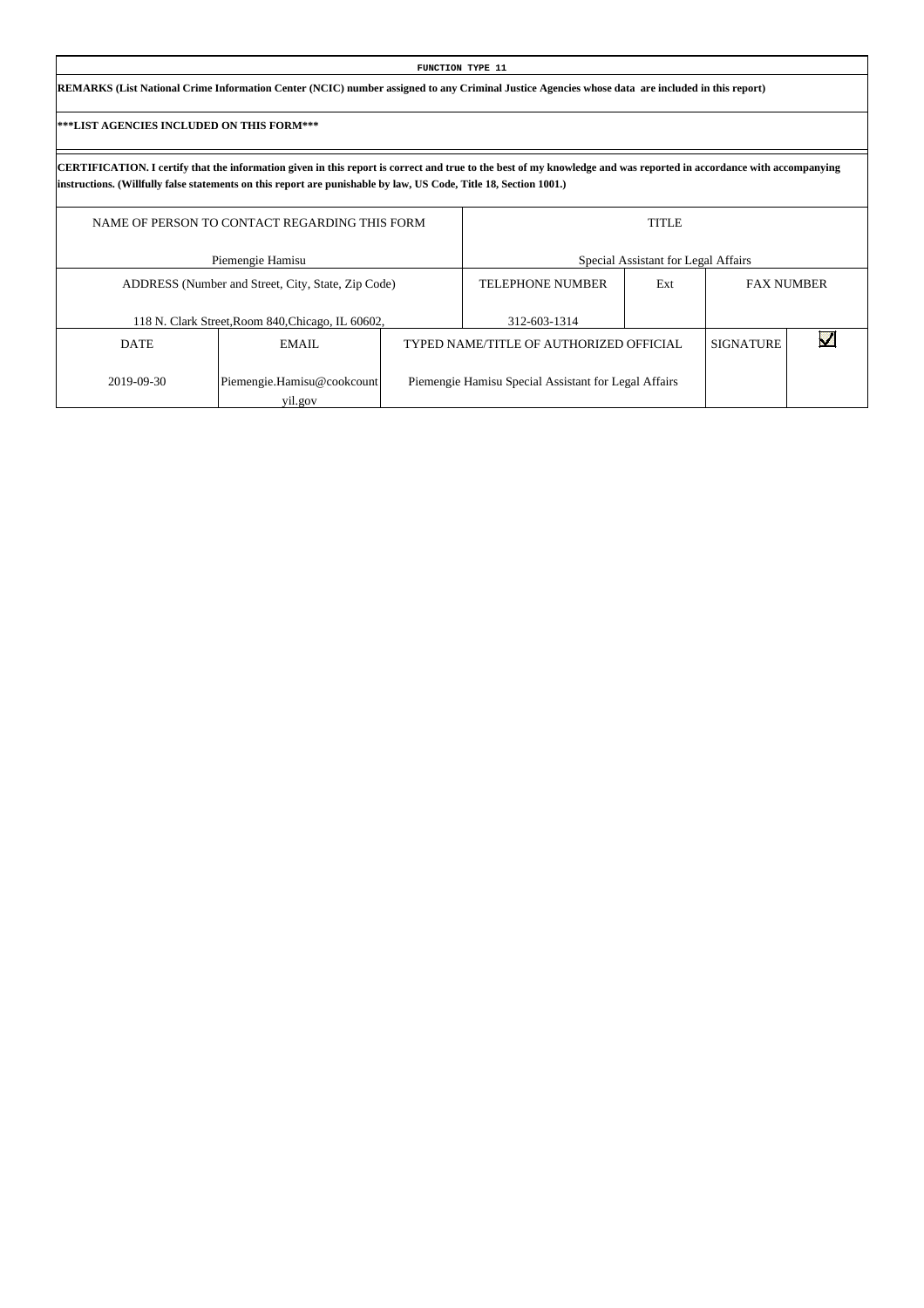| FUNCTION TYPE 11                                                                                                                                |  |
|-------------------------------------------------------------------------------------------------------------------------------------------------|--|
| REMARKS (List National Crime Information Center (NCIC) number assigned to any Criminal Justice Agencies whose data are included in this report) |  |

|             | NAME OF PERSON TO CONTACT REGARDING THIS FORM      |                                                      | <b>TITLE</b>                        |                  |                   |
|-------------|----------------------------------------------------|------------------------------------------------------|-------------------------------------|------------------|-------------------|
|             | Piemengie Hamisu                                   |                                                      | Special Assistant for Legal Affairs |                  |                   |
|             | ADDRESS (Number and Street, City, State, Zip Code) | <b>TELEPHONE NUMBER</b>                              | Ext                                 |                  | <b>FAX NUMBER</b> |
|             | 118 N. Clark Street, Room 840, Chicago, IL 60602,  | 312-603-1314                                         |                                     |                  |                   |
| <b>DATE</b> | EMAIL                                              | TYPED NAME/TITLE OF AUTHORIZED OFFICIAL              |                                     | <b>SIGNATURE</b> |                   |
| 2019-09-30  | Piemengie.Hamisu@cookcount<br>yil.gov              | Piemengie Hamisu Special Assistant for Legal Affairs |                                     |                  |                   |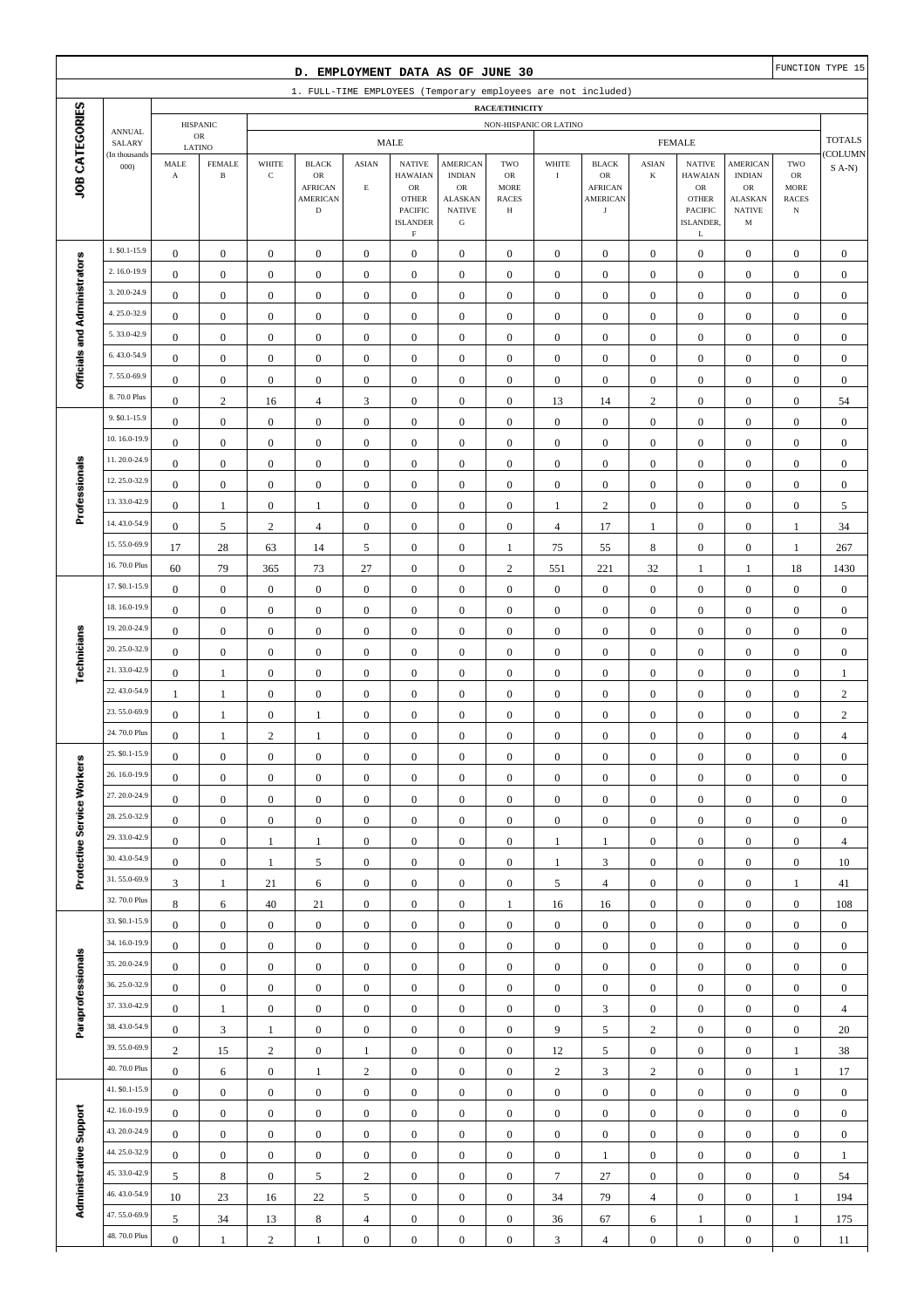|                                                                                                                     |                                |                                      |                                         |                                      |                                                                        |                                      |                                                                                              |                                                                                                 |                                               |                                  |                                                                       |                                      |                                                                                              |                                                                                       |                                                                | FUNCTION TYPE 15                     |
|---------------------------------------------------------------------------------------------------------------------|--------------------------------|--------------------------------------|-----------------------------------------|--------------------------------------|------------------------------------------------------------------------|--------------------------------------|----------------------------------------------------------------------------------------------|-------------------------------------------------------------------------------------------------|-----------------------------------------------|----------------------------------|-----------------------------------------------------------------------|--------------------------------------|----------------------------------------------------------------------------------------------|---------------------------------------------------------------------------------------|----------------------------------------------------------------|--------------------------------------|
| D. EMPLOYMENT DATA AS OF JUNE 30<br>1. FULL-TIME EMPLOYEES (Temporary employees are not included)<br>RACE/ETHNICITY |                                |                                      |                                         |                                      |                                                                        |                                      |                                                                                              |                                                                                                 |                                               |                                  |                                                                       |                                      |                                                                                              |                                                                                       |                                                                |                                      |
|                                                                                                                     |                                |                                      |                                         |                                      |                                                                        |                                      |                                                                                              |                                                                                                 |                                               |                                  |                                                                       |                                      |                                                                                              |                                                                                       |                                                                |                                      |
|                                                                                                                     | <b>ANNUAL</b><br>SALARY        |                                      | <b>HISPANIC</b><br>$_{\rm OR}$          |                                      |                                                                        |                                      | <b>MALE</b>                                                                                  |                                                                                                 | NON-HISPANIC OR LATINO                        |                                  |                                                                       |                                      | <b>FEMALE</b>                                                                                |                                                                                       |                                                                | <b>TOTALS</b>                        |
| JOB CATEGORIES                                                                                                      | (In thousands<br>000           | MALE<br>$\mathbf A$                  | LATINO<br><b>FEMALE</b><br>$\, {\bf B}$ | WHITE<br>$\mathbf C$                 | <b>BLACK</b><br>OR<br><b>AFRICAN</b><br><b>AMERICAN</b><br>$\mathbf D$ | <b>ASIAN</b><br>$\mathbf E$          | <b>NATIVE</b><br><b>HAWAIAN</b><br>$_{\rm OR}$<br><b>OTHER</b><br>PACIFIC<br><b>ISLANDER</b> | <b>AMERICAN</b><br><b>INDIAN</b><br>$_{\rm OR}$<br><b>ALASKAN</b><br><b>NATIVE</b><br>${\bf G}$ | TWO<br>OR<br><b>MORE</b><br><b>RACES</b><br>Н | WHITE<br>$\bf{I}$                | <b>BLACK</b><br>OR<br><b>AFRICAN</b><br><b>AMERICAN</b><br>$_{\rm J}$ | <b>ASIAN</b><br>K                    | <b>NATIVE</b><br><b>HAWAIAN</b><br>${\rm OR}$<br><b>OTHER</b><br><b>PACIFIC</b><br>ISLANDER, | <b>AMERICAN</b><br><b>INDIAN</b><br><b>OR</b><br><b>ALASKAN</b><br><b>NATIVE</b><br>M | TWO<br>${\sf OR}$<br><b>MORE</b><br><b>RACES</b><br>$_{\rm N}$ | COLUMN<br>$S(A-N)$                   |
|                                                                                                                     | 1. \$0.1-15.9                  |                                      |                                         |                                      |                                                                        |                                      | $\mathbf F$                                                                                  |                                                                                                 |                                               |                                  |                                                                       |                                      | L                                                                                            |                                                                                       |                                                                |                                      |
|                                                                                                                     | 2.16.0-19.9                    | $\boldsymbol{0}$                     | $\boldsymbol{0}$                        | $\boldsymbol{0}$                     | $\boldsymbol{0}$                                                       | $\boldsymbol{0}$                     | $\boldsymbol{0}$                                                                             | $\mathbf{0}$                                                                                    | $\boldsymbol{0}$                              | $\boldsymbol{0}$                 | $\boldsymbol{0}$                                                      | $\boldsymbol{0}$                     | $\boldsymbol{0}$                                                                             | $\boldsymbol{0}$                                                                      | $\boldsymbol{0}$                                               | $\mathbf{0}$                         |
|                                                                                                                     | 3.20.0-24.9                    | $\boldsymbol{0}$                     | $\boldsymbol{0}$                        | $\boldsymbol{0}$                     | $\boldsymbol{0}$                                                       | $\boldsymbol{0}$                     | $\boldsymbol{0}$                                                                             | $\boldsymbol{0}$                                                                                | $\boldsymbol{0}$                              | $\boldsymbol{0}$                 | $\boldsymbol{0}$                                                      | $\boldsymbol{0}$                     | $\boldsymbol{0}$                                                                             | $\boldsymbol{0}$                                                                      | $\boldsymbol{0}$                                               | $\boldsymbol{0}$                     |
|                                                                                                                     | 4.25.0-32.9                    | $\boldsymbol{0}$                     | $\mathbf{0}$                            | $\boldsymbol{0}$                     | $\boldsymbol{0}$                                                       | $\boldsymbol{0}$                     | $\boldsymbol{0}$                                                                             | $\boldsymbol{0}$                                                                                | $\boldsymbol{0}$                              | $\boldsymbol{0}$                 | $\boldsymbol{0}$                                                      | $\boldsymbol{0}$                     | $\boldsymbol{0}$                                                                             | $\boldsymbol{0}$                                                                      | $\boldsymbol{0}$                                               | $\boldsymbol{0}$                     |
| Officials and Administrators                                                                                        | 5.33.0-42.9                    | $\boldsymbol{0}$                     | $\mathbf{0}$                            | $\boldsymbol{0}$                     | $\boldsymbol{0}$                                                       | $\boldsymbol{0}$                     | $\boldsymbol{0}$                                                                             | $\boldsymbol{0}$                                                                                | $\mathbf{0}$                                  | $\boldsymbol{0}$                 | $\boldsymbol{0}$                                                      | $\boldsymbol{0}$                     | $\boldsymbol{0}$                                                                             | $\boldsymbol{0}$                                                                      | $\boldsymbol{0}$                                               | $\boldsymbol{0}$                     |
|                                                                                                                     | 6.43.0-54.9                    | $\boldsymbol{0}$                     | $\mathbf{0}$                            | $\boldsymbol{0}$                     | $\boldsymbol{0}$                                                       | $\boldsymbol{0}$                     | $\boldsymbol{0}$                                                                             | $\boldsymbol{0}$                                                                                | $\boldsymbol{0}$                              | $\boldsymbol{0}$                 | $\boldsymbol{0}$                                                      | $\boldsymbol{0}$                     | $\boldsymbol{0}$                                                                             | $\boldsymbol{0}$                                                                      | $\boldsymbol{0}$                                               | $\boldsymbol{0}$                     |
|                                                                                                                     | 7.55.0-69.9                    | $\boldsymbol{0}$                     | $\boldsymbol{0}$                        | $\boldsymbol{0}$                     | $\boldsymbol{0}$                                                       | $\boldsymbol{0}$                     | $\boldsymbol{0}$                                                                             | $\boldsymbol{0}$                                                                                | $\boldsymbol{0}$                              | $\boldsymbol{0}$                 | $\boldsymbol{0}$                                                      | $\boldsymbol{0}$                     | $\boldsymbol{0}$                                                                             | $\boldsymbol{0}$                                                                      | $\boldsymbol{0}$                                               | $\boldsymbol{0}$                     |
|                                                                                                                     | 8.70.0 Plus                    | $\boldsymbol{0}$                     | $\boldsymbol{0}$                        | $\boldsymbol{0}$                     | $\boldsymbol{0}$                                                       | $\boldsymbol{0}$                     | $\boldsymbol{0}$                                                                             | $\boldsymbol{0}$                                                                                | $\boldsymbol{0}$                              | $\boldsymbol{0}$                 | $\boldsymbol{0}$                                                      | $\boldsymbol{0}$                     | $\boldsymbol{0}$                                                                             | $\boldsymbol{0}$                                                                      | $\boldsymbol{0}$                                               | $\boldsymbol{0}$                     |
|                                                                                                                     | 9. \$0.1-15.9                  | $\boldsymbol{0}$                     | $\overline{2}$                          | 16                                   | $\overline{4}$                                                         | 3                                    | $\mathbf{0}$                                                                                 | $\boldsymbol{0}$                                                                                | $\mathbf{0}$                                  | 13                               | 14                                                                    | $\overline{c}$                       | $\boldsymbol{0}$                                                                             | $\overline{0}$                                                                        | $\boldsymbol{0}$                                               | 54                                   |
|                                                                                                                     | 10.16.0-19.9                   | $\boldsymbol{0}$<br>$\boldsymbol{0}$ | $\mathbf{0}$<br>$\mathbf{0}$            | $\boldsymbol{0}$<br>$\boldsymbol{0}$ | $\boldsymbol{0}$<br>$\boldsymbol{0}$                                   | $\boldsymbol{0}$<br>$\boldsymbol{0}$ | $\mathbf{0}$<br>$\mathbf{0}$                                                                 | $\boldsymbol{0}$<br>$\boldsymbol{0}$                                                            | $\mathbf{0}$<br>$\boldsymbol{0}$              | $\boldsymbol{0}$<br>$\mathbf{0}$ | $\boldsymbol{0}$<br>$\boldsymbol{0}$                                  | $\boldsymbol{0}$<br>$\boldsymbol{0}$ | $\boldsymbol{0}$<br>$\boldsymbol{0}$                                                         | $\boldsymbol{0}$<br>$\boldsymbol{0}$                                                  | $\boldsymbol{0}$<br>$\boldsymbol{0}$                           | $\boldsymbol{0}$<br>$\boldsymbol{0}$ |
|                                                                                                                     | 11.20.0-24.9                   | $\boldsymbol{0}$                     | $\mathbf{0}$                            | $\boldsymbol{0}$                     | $\boldsymbol{0}$                                                       | $\boldsymbol{0}$                     | $\mathbf{0}$                                                                                 | $\boldsymbol{0}$                                                                                | $\boldsymbol{0}$                              | $\boldsymbol{0}$                 | $\boldsymbol{0}$                                                      | $\boldsymbol{0}$                     | $\boldsymbol{0}$                                                                             | $\boldsymbol{0}$                                                                      | $\boldsymbol{0}$                                               | $\boldsymbol{0}$                     |
| Professionals                                                                                                       | 12.25.0-32.9                   | $\boldsymbol{0}$                     | $\boldsymbol{0}$                        | $\boldsymbol{0}$                     | $\boldsymbol{0}$                                                       | $\mathbf{0}$                         | $\mathbf{0}$                                                                                 | $\boldsymbol{0}$                                                                                | $\mathbf{0}$                                  | $\boldsymbol{0}$                 | $\boldsymbol{0}$                                                      | $\boldsymbol{0}$                     | $\boldsymbol{0}$                                                                             | $\boldsymbol{0}$                                                                      | $\boldsymbol{0}$                                               | $\boldsymbol{0}$                     |
|                                                                                                                     | 13.33.0-42.9                   | $\boldsymbol{0}$                     | 1                                       | $\boldsymbol{0}$                     | 1                                                                      | $\boldsymbol{0}$                     | $\mathbf{0}$                                                                                 | $\boldsymbol{0}$                                                                                | $\boldsymbol{0}$                              | $\mathbf{1}$                     | $\sqrt{2}$                                                            | $\boldsymbol{0}$                     | $\boldsymbol{0}$                                                                             | $\boldsymbol{0}$                                                                      | $\boldsymbol{0}$                                               | $\sqrt{5}$                           |
|                                                                                                                     | 14.43.0-54.9                   | $\boldsymbol{0}$                     | 5                                       | $\sqrt{2}$                           | $\overline{4}$                                                         | $\boldsymbol{0}$                     | $\mathbf{0}$                                                                                 | $\boldsymbol{0}$                                                                                | $\boldsymbol{0}$                              | $\overline{4}$                   | 17                                                                    | 1                                    | $\boldsymbol{0}$                                                                             | $\boldsymbol{0}$                                                                      | $\mathbf{1}$                                                   | 34                                   |
|                                                                                                                     | 15.55.0-69.9                   | 17                                   | 28                                      | 63                                   | 14                                                                     | 5                                    | $\mathbf{0}$                                                                                 | $\boldsymbol{0}$                                                                                | 1                                             | 75                               | 55                                                                    | 8                                    | $\boldsymbol{0}$                                                                             | $\boldsymbol{0}$                                                                      | $\mathbf{1}$                                                   | 267                                  |
|                                                                                                                     | 16.70.0 Plus                   | 60                                   | 79                                      | 365                                  | 73                                                                     | 27                                   | $\boldsymbol{0}$                                                                             | $\boldsymbol{0}$                                                                                | $\overline{c}$                                | 551                              | 221                                                                   | 32                                   | $\mathbf{1}$                                                                                 | 1                                                                                     | 18                                                             | 1430                                 |
|                                                                                                                     | 17. \$0.1-15.9                 | $\boldsymbol{0}$                     | $\boldsymbol{0}$                        | $\boldsymbol{0}$                     | $\boldsymbol{0}$                                                       | $\boldsymbol{0}$                     | $\boldsymbol{0}$                                                                             | $\boldsymbol{0}$                                                                                | $\boldsymbol{0}$                              | $\boldsymbol{0}$                 | $\boldsymbol{0}$                                                      | $\boldsymbol{0}$                     | $\boldsymbol{0}$                                                                             | $\boldsymbol{0}$                                                                      | $\boldsymbol{0}$                                               | $\boldsymbol{0}$                     |
|                                                                                                                     | 18.16.0-19.9                   | $\boldsymbol{0}$                     | $\boldsymbol{0}$                        | $\boldsymbol{0}$                     | $\boldsymbol{0}$                                                       | $\boldsymbol{0}$                     | $\boldsymbol{0}$                                                                             | $\boldsymbol{0}$                                                                                | $\boldsymbol{0}$                              | $\boldsymbol{0}$                 | $\boldsymbol{0}$                                                      | $\boldsymbol{0}$                     | $\boldsymbol{0}$                                                                             | $\boldsymbol{0}$                                                                      | $\boldsymbol{0}$                                               | $\boldsymbol{0}$                     |
|                                                                                                                     | 19.20.0-24.9                   | $\boldsymbol{0}$                     | $\mathbf{0}$                            | $\boldsymbol{0}$                     | $\boldsymbol{0}$                                                       | $\boldsymbol{0}$                     | $\boldsymbol{0}$                                                                             | $\boldsymbol{0}$                                                                                | $\boldsymbol{0}$                              | $\mathbf{0}$                     | $\boldsymbol{0}$                                                      | $\boldsymbol{0}$                     | $\boldsymbol{0}$                                                                             | $\boldsymbol{0}$                                                                      | $\boldsymbol{0}$                                               | $\boldsymbol{0}$                     |
|                                                                                                                     | 20.25.0-32.9                   | $\mathbf{0}$                         | $\boldsymbol{0}$                        | $\boldsymbol{0}$                     | $\boldsymbol{0}$                                                       | $\mathbf{0}$                         | $\boldsymbol{0}$                                                                             | $\boldsymbol{0}$                                                                                | $\mathbf{0}$                                  | $\mathbf{0}$                     | $\boldsymbol{0}$                                                      | $\boldsymbol{0}$                     | $\boldsymbol{0}$                                                                             | $\boldsymbol{0}$                                                                      | $\boldsymbol{0}$                                               | $\boldsymbol{0}$                     |
| Technicians                                                                                                         | 21.33.0-42.9                   | $\boldsymbol{0}$                     | 1                                       | $\boldsymbol{0}$                     | $\boldsymbol{0}$                                                       | $\boldsymbol{0}$                     | $\boldsymbol{0}$                                                                             | $\boldsymbol{0}$                                                                                | $\boldsymbol{0}$                              | $\boldsymbol{0}$                 | $\boldsymbol{0}$                                                      | $\boldsymbol{0}$                     | $\boldsymbol{0}$                                                                             | $\boldsymbol{0}$                                                                      | $\boldsymbol{0}$                                               | 1                                    |
|                                                                                                                     | 22.43.0-54.9                   | -1                                   | 1                                       | $\boldsymbol{0}$                     | $\boldsymbol{0}$                                                       | $\boldsymbol{0}$                     | $\boldsymbol{0}$                                                                             | $\boldsymbol{0}$                                                                                | $\boldsymbol{0}$                              | $\boldsymbol{0}$                 | $\boldsymbol{0}$                                                      | $\boldsymbol{0}$                     | $\boldsymbol{0}$                                                                             | $\boldsymbol{0}$                                                                      | $\boldsymbol{0}$                                               | $\sqrt{2}$                           |
|                                                                                                                     | 23.55.0-69.9                   | $\boldsymbol{0}$                     | 1                                       | $\boldsymbol{0}$                     | $\mathbf{1}$                                                           | $\boldsymbol{0}$                     | $\boldsymbol{0}$                                                                             | $\boldsymbol{0}$                                                                                | $\boldsymbol{0}$                              | $\boldsymbol{0}$                 | $\boldsymbol{0}$                                                      | $\boldsymbol{0}$                     | $\boldsymbol{0}$                                                                             | $\boldsymbol{0}$                                                                      | $\boldsymbol{0}$                                               | $\sqrt{2}$                           |
|                                                                                                                     | 24.70.0 Plus                   | $\boldsymbol{0}$                     | 1                                       | $\mathbf{2}$                         | $\mathbf{1}$                                                           | $\overline{0}$                       | $\mathbf{0}$                                                                                 | $\boldsymbol{0}$                                                                                | $\mathbf{0}$                                  | $\boldsymbol{0}$                 | $\boldsymbol{0}$                                                      | $\boldsymbol{0}$                     | $\boldsymbol{0}$                                                                             | $\overline{0}$                                                                        | $\boldsymbol{0}$                                               | $\overline{4}$                       |
|                                                                                                                     | 25. \$0.1-15.9                 | $\boldsymbol{0}$                     | $\boldsymbol{0}$                        | $\boldsymbol{0}$                     | $\boldsymbol{0}$                                                       | $\boldsymbol{0}$                     | $\boldsymbol{0}$                                                                             | $\bf{0}$                                                                                        | $\boldsymbol{0}$                              | $\boldsymbol{0}$                 | $\boldsymbol{0}$                                                      | $\boldsymbol{0}$                     | $\boldsymbol{0}$                                                                             | 0                                                                                     | $\bf{0}$                                                       | $\boldsymbol{0}$                     |
|                                                                                                                     | 26.16.0-19.9                   | $\boldsymbol{0}$                     | $\boldsymbol{0}$                        | $\boldsymbol{0}$                     | $\mathbf{0}$                                                           | $\boldsymbol{0}$                     | $\boldsymbol{0}$                                                                             | $\boldsymbol{0}$                                                                                | $\boldsymbol{0}$                              | $\boldsymbol{0}$                 | $\boldsymbol{0}$                                                      | $\mathbf{0}$                         | $\boldsymbol{0}$                                                                             | $\boldsymbol{0}$                                                                      | $\boldsymbol{0}$                                               | $\boldsymbol{0}$                     |
|                                                                                                                     | 27.20.0-24.9                   | $\boldsymbol{0}$                     | $\boldsymbol{0}$                        | $\boldsymbol{0}$                     | $\boldsymbol{0}$                                                       | $\boldsymbol{0}$                     | $\boldsymbol{0}$                                                                             | $\boldsymbol{0}$                                                                                | $\boldsymbol{0}$                              | $\boldsymbol{0}$                 | $\boldsymbol{0}$                                                      | $\boldsymbol{0}$                     | $\boldsymbol{0}$                                                                             | $\boldsymbol{0}$                                                                      | $\boldsymbol{0}$                                               | $\boldsymbol{0}$                     |
|                                                                                                                     | 28.25.0-32.9                   | $\boldsymbol{0}$                     | $\boldsymbol{0}$                        | $\boldsymbol{0}$                     | $\overline{0}$                                                         | $\mathbf{0}$                         | $\boldsymbol{0}$                                                                             | $\boldsymbol{0}$                                                                                | $\boldsymbol{0}$                              | $\mathbf{0}$                     | $\boldsymbol{0}$                                                      | $\boldsymbol{0}$                     | $\boldsymbol{0}$                                                                             | $\boldsymbol{0}$                                                                      | $\boldsymbol{0}$                                               | $\boldsymbol{0}$                     |
| Protective Service Workers                                                                                          | 29.33.0-42.9                   | $\boldsymbol{0}$                     | $\boldsymbol{0}$                        | $\mathbf{1}$                         | $\mathbf{1}$                                                           | $\mathbf{0}$                         | $\boldsymbol{0}$                                                                             | $\boldsymbol{0}$                                                                                | $\boldsymbol{0}$                              | $\mathbf{1}$                     | $\mathbf{1}$                                                          | $\boldsymbol{0}$                     | $\boldsymbol{0}$                                                                             | $\boldsymbol{0}$                                                                      | $\boldsymbol{0}$                                               | $\overline{4}$                       |
|                                                                                                                     | 30.43.0-54.9                   | $\boldsymbol{0}$                     | $\boldsymbol{0}$                        | $\mathbf{1}$                         | $\sqrt{5}$                                                             | $\boldsymbol{0}$                     | $\boldsymbol{0}$                                                                             | $\boldsymbol{0}$                                                                                | $\boldsymbol{0}$                              | $\mathbf{1}$                     | $\mathfrak{Z}$                                                        | $\boldsymbol{0}$                     | $\boldsymbol{0}$                                                                             | $\boldsymbol{0}$                                                                      | $\boldsymbol{0}$                                               | 10                                   |
|                                                                                                                     | 31.55.0-69.9                   | $\mathfrak{Z}$                       | $\mathbf{1}$                            | 21                                   | 6                                                                      | $\boldsymbol{0}$                     | $\boldsymbol{0}$                                                                             | $\boldsymbol{0}$                                                                                | $\boldsymbol{0}$                              | $\sqrt{5}$                       | $\overline{4}$                                                        | $\boldsymbol{0}$                     | $\boldsymbol{0}$                                                                             | $\boldsymbol{0}$                                                                      | $\mathbf{1}$                                                   | 41                                   |
|                                                                                                                     | 32.70.0 Plus                   | $\,8\,$                              | 6                                       | 40                                   | 21                                                                     | $\mathbf{0}$                         | $\boldsymbol{0}$                                                                             | $\boldsymbol{0}$                                                                                | $\mathbf{1}$                                  | 16                               | 16                                                                    | $\boldsymbol{0}$                     | $\boldsymbol{0}$                                                                             | $\boldsymbol{0}$                                                                      | $\boldsymbol{0}$                                               | 108                                  |
|                                                                                                                     | 33. \$0.1-15.9                 | $\boldsymbol{0}$                     | $\boldsymbol{0}$                        | $\boldsymbol{0}$                     | $\boldsymbol{0}$                                                       | $\boldsymbol{0}$                     | $\boldsymbol{0}$                                                                             | $\boldsymbol{0}$                                                                                | $\boldsymbol{0}$                              | $\boldsymbol{0}$                 | $\boldsymbol{0}$                                                      | $\boldsymbol{0}$                     | $\boldsymbol{0}$                                                                             | $\boldsymbol{0}$                                                                      | $\boldsymbol{0}$                                               | $\boldsymbol{0}$                     |
|                                                                                                                     | 34.16.0-19.9                   | $\boldsymbol{0}$                     | $\boldsymbol{0}$                        | $\boldsymbol{0}$                     | $\boldsymbol{0}$                                                       | $\boldsymbol{0}$                     | $\boldsymbol{0}$                                                                             | $\boldsymbol{0}$                                                                                | $\boldsymbol{0}$                              | $\boldsymbol{0}$                 | $\boldsymbol{0}$                                                      | $\boldsymbol{0}$                     | $\boldsymbol{0}$                                                                             | $\boldsymbol{0}$                                                                      | $\boldsymbol{0}$                                               | $\boldsymbol{0}$                     |
|                                                                                                                     | 35.20.0-24.9                   | $\boldsymbol{0}$                     | $\boldsymbol{0}$                        | $\boldsymbol{0}$                     | $\boldsymbol{0}$                                                       | $\boldsymbol{0}$                     | $\boldsymbol{0}$                                                                             | $\boldsymbol{0}$                                                                                | $\boldsymbol{0}$                              | $\boldsymbol{0}$                 | $\boldsymbol{0}$                                                      | $\boldsymbol{0}$                     | $\boldsymbol{0}$                                                                             | $\boldsymbol{0}$                                                                      | $\boldsymbol{0}$                                               | $\boldsymbol{0}$                     |
| Paraprofessionals                                                                                                   | 36.25.0-32.9                   | $\boldsymbol{0}$                     | $\boldsymbol{0}$                        | $\boldsymbol{0}$                     | $\overline{0}$                                                         | $\mathbf{0}$                         | $\boldsymbol{0}$                                                                             | $\boldsymbol{0}$                                                                                | $\boldsymbol{0}$                              | $\mathbf{0}$                     | $\boldsymbol{0}$                                                      | $\boldsymbol{0}$                     | $\boldsymbol{0}$                                                                             | $\boldsymbol{0}$                                                                      | $\boldsymbol{0}$                                               | $\boldsymbol{0}$                     |
|                                                                                                                     | 37.33.0-42.9                   | $\boldsymbol{0}$                     | $\mathbf{1}$                            | $\boldsymbol{0}$                     | $\boldsymbol{0}$                                                       | $\boldsymbol{0}$                     | $\boldsymbol{0}$                                                                             | $\boldsymbol{0}$                                                                                | $\boldsymbol{0}$                              | $\boldsymbol{0}$                 | $\ensuremath{\mathfrak{Z}}$                                           | $\boldsymbol{0}$                     | $\boldsymbol{0}$                                                                             | $\boldsymbol{0}$                                                                      | $\boldsymbol{0}$                                               | $\overline{4}$                       |
|                                                                                                                     | 38.43.0-54.9                   | $\boldsymbol{0}$                     | $\ensuremath{\mathsf{3}}$               | $\mathbf{1}$                         | $\boldsymbol{0}$                                                       | $\boldsymbol{0}$                     | $\boldsymbol{0}$                                                                             | $\boldsymbol{0}$                                                                                | $\boldsymbol{0}$                              | 9                                | $\mathfrak s$                                                         | $\overline{c}$                       | $\boldsymbol{0}$                                                                             | $\boldsymbol{0}$                                                                      | $\boldsymbol{0}$                                               | 20                                   |
|                                                                                                                     | 39.55.0-69.9                   | $\overline{c}$                       | 15                                      | $\sqrt{2}$                           | $\boldsymbol{0}$                                                       | $\mathbf{1}$                         | $\boldsymbol{0}$                                                                             | $\boldsymbol{0}$                                                                                | $\boldsymbol{0}$                              | 12                               | $\sqrt{5}$                                                            | $\boldsymbol{0}$                     | $\boldsymbol{0}$                                                                             | $\boldsymbol{0}$                                                                      | $\mathbf{1}$                                                   | 38                                   |
|                                                                                                                     | 40.70.0 Plus<br>41. \$0.1-15.9 | $\boldsymbol{0}$                     | $\,$ 6 $\,$                             | $\boldsymbol{0}$                     | $\mathbf{1}$                                                           | $\overline{c}$                       | $\boldsymbol{0}$                                                                             | $\boldsymbol{0}$                                                                                | $\boldsymbol{0}$                              | $\overline{c}$                   | $\mathfrak{Z}$                                                        | $\sqrt{2}$                           | $\boldsymbol{0}$                                                                             | $\boldsymbol{0}$                                                                      | $\mathbf{1}$                                                   | 17                                   |
|                                                                                                                     |                                | $\boldsymbol{0}$                     | $\boldsymbol{0}$                        | $\boldsymbol{0}$                     | $\boldsymbol{0}$                                                       | $\boldsymbol{0}$                     | $\boldsymbol{0}$                                                                             | $\boldsymbol{0}$                                                                                | $\boldsymbol{0}$                              | $\boldsymbol{0}$                 | $\boldsymbol{0}$                                                      | $\boldsymbol{0}$                     | $\boldsymbol{0}$                                                                             | $\boldsymbol{0}$                                                                      | $\boldsymbol{0}$                                               | $\boldsymbol{0}$                     |
|                                                                                                                     | 42.16.0-19.9<br>43.20.0-24.9   | $\boldsymbol{0}$                     | $\boldsymbol{0}$                        | $\boldsymbol{0}$                     | $\boldsymbol{0}$                                                       | $\boldsymbol{0}$                     | $\boldsymbol{0}$                                                                             | $\boldsymbol{0}$                                                                                | $\boldsymbol{0}$                              | $\boldsymbol{0}$                 | $\boldsymbol{0}$                                                      | $\boldsymbol{0}$                     | $\boldsymbol{0}$                                                                             | $\boldsymbol{0}$                                                                      | $\boldsymbol{0}$                                               | $\boldsymbol{0}$                     |
|                                                                                                                     | 44.25.0-32.9                   | $\boldsymbol{0}$                     | $\boldsymbol{0}$                        | $\boldsymbol{0}$                     | $\boldsymbol{0}$                                                       | $\boldsymbol{0}$                     | $\boldsymbol{0}$                                                                             | $\boldsymbol{0}$                                                                                | $\boldsymbol{0}$                              | $\boldsymbol{0}$                 | $\boldsymbol{0}$                                                      | $\boldsymbol{0}$                     | $\boldsymbol{0}$                                                                             | $\boldsymbol{0}$                                                                      | $\boldsymbol{0}$                                               | $\boldsymbol{0}$                     |
|                                                                                                                     | 45.33.0-42.9                   | $\boldsymbol{0}$                     | $\boldsymbol{0}$                        | $\boldsymbol{0}$                     | $\boldsymbol{0}$                                                       | $\mathbf{0}$                         | $\boldsymbol{0}$                                                                             | $\boldsymbol{0}$                                                                                | $\boldsymbol{0}$                              | $\boldsymbol{0}$                 | $\mathbf{1}$                                                          | $\boldsymbol{0}$                     | $\boldsymbol{0}$                                                                             | $\boldsymbol{0}$                                                                      | $\boldsymbol{0}$                                               | 1                                    |
|                                                                                                                     | 46.43.0-54.9                   | 5                                    | $\,$ 8 $\,$                             | $\boldsymbol{0}$                     | $\sqrt{5}$                                                             | $\sqrt{2}$                           | $\boldsymbol{0}$                                                                             | $\boldsymbol{0}$                                                                                | $\boldsymbol{0}$                              | $\boldsymbol{7}$                 | 27                                                                    | $\boldsymbol{0}$                     | $\boldsymbol{0}$                                                                             | $\boldsymbol{0}$                                                                      | $\boldsymbol{0}$                                               | 54                                   |
| Administrative Support                                                                                              | 47.55.0-69.9                   | 10                                   | 23                                      | 16                                   | $22\,$                                                                 | 5                                    | $\boldsymbol{0}$                                                                             | $\boldsymbol{0}$                                                                                | $\boldsymbol{0}$                              | 34                               | 79                                                                    | $\overline{4}$                       | $\boldsymbol{0}$                                                                             | $\boldsymbol{0}$                                                                      | $\mathbf{1}$                                                   | 194                                  |
|                                                                                                                     | 48.70.0 Plus                   | 5                                    | 34                                      | 13                                   | 8                                                                      | $\overline{4}$                       | $\boldsymbol{0}$                                                                             | $\boldsymbol{0}$                                                                                | $\boldsymbol{0}$                              | 36                               | 67                                                                    | 6                                    | $\mathbf{1}$                                                                                 | $\boldsymbol{0}$                                                                      | $\mathbf{1}$                                                   | 175                                  |
|                                                                                                                     |                                | $\boldsymbol{0}$                     | $\mathbf{1}$                            | $\mathbf{2}$                         | $\mathbf{1}$                                                           | $\boldsymbol{0}$                     | $\boldsymbol{0}$                                                                             | $\boldsymbol{0}$                                                                                | $\boldsymbol{0}$                              | $\mathfrak{Z}$                   | $\overline{4}$                                                        | $\boldsymbol{0}$                     | $\boldsymbol{0}$                                                                             | $\boldsymbol{0}$                                                                      | $\boldsymbol{0}$                                               | 11                                   |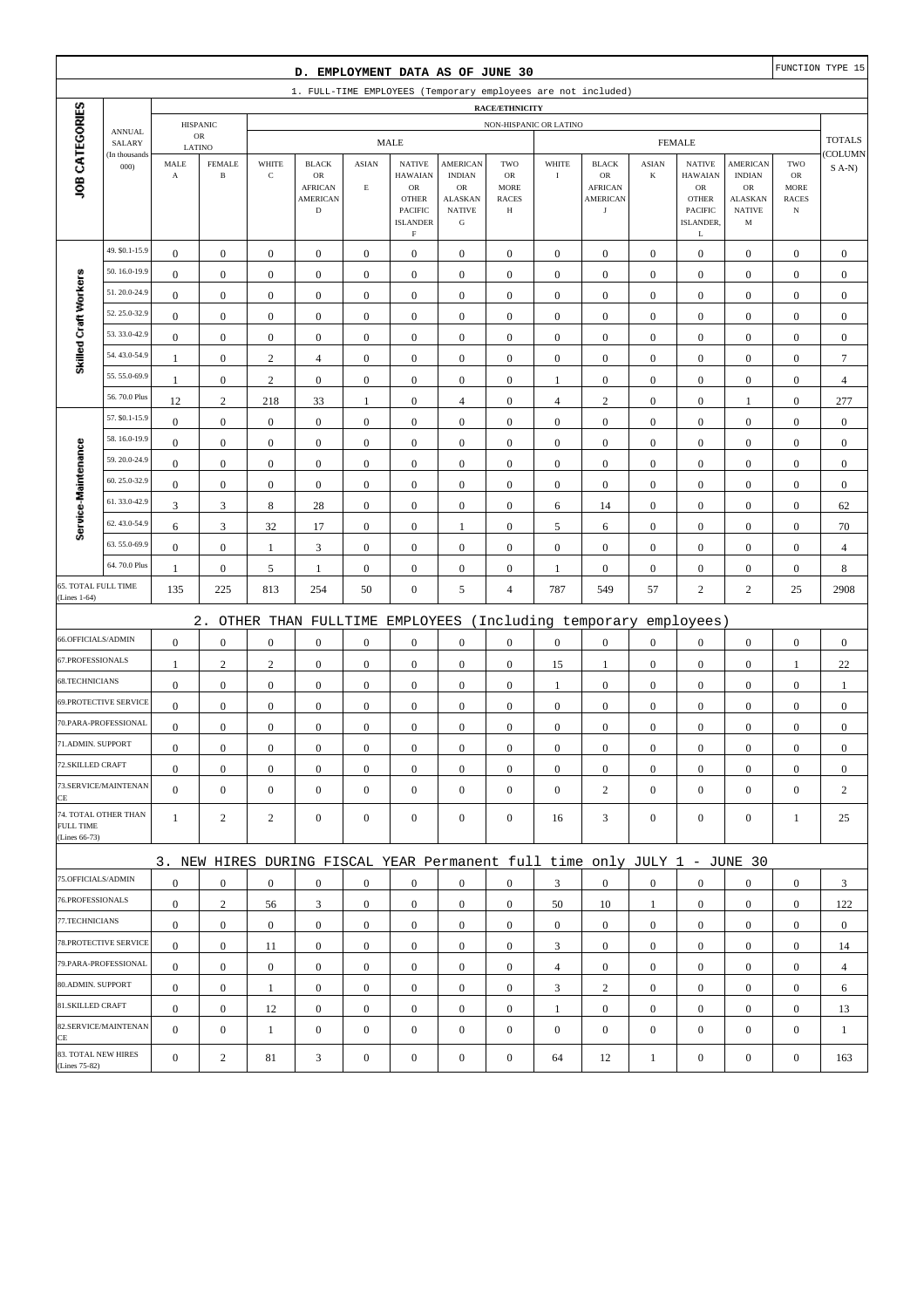|                                  | FUNCTION TYPE 15<br>D. EMPLOYMENT DATA AS OF JUNE 30<br>1. FULL-TIME EMPLOYEES (Temporary employees are not included) |                                      |                                      |                                      |                                                                                 |                                         |                                                                                     |                                                                                        |                                                                 |                                      |                                                                       |                                  |                                                                                              |                                                                         |                                                         |                                  |
|----------------------------------|-----------------------------------------------------------------------------------------------------------------------|--------------------------------------|--------------------------------------|--------------------------------------|---------------------------------------------------------------------------------|-----------------------------------------|-------------------------------------------------------------------------------------|----------------------------------------------------------------------------------------|-----------------------------------------------------------------|--------------------------------------|-----------------------------------------------------------------------|----------------------------------|----------------------------------------------------------------------------------------------|-------------------------------------------------------------------------|---------------------------------------------------------|----------------------------------|
|                                  | <b>RACE/ETHNICITY</b><br>NON-HISPANIC OR LATINO                                                                       |                                      |                                      |                                      |                                                                                 |                                         |                                                                                     |                                                                                        |                                                                 |                                      |                                                                       |                                  |                                                                                              |                                                                         |                                                         |                                  |
|                                  |                                                                                                                       |                                      |                                      |                                      |                                                                                 |                                         |                                                                                     |                                                                                        |                                                                 |                                      |                                                                       |                                  |                                                                                              |                                                                         |                                                         |                                  |
|                                  | <b>ANNUAL</b>                                                                                                         |                                      | <b>HISPANIC</b><br>${\sf OR}$        |                                      |                                                                                 |                                         | <b>MALE</b>                                                                         |                                                                                        |                                                                 |                                      |                                                                       |                                  | <b>FEMALE</b>                                                                                |                                                                         |                                                         | <b>TOTALS</b>                    |
|                                  | SALARY<br>(In thousands                                                                                               | LATINO                               |                                      |                                      |                                                                                 |                                         |                                                                                     |                                                                                        |                                                                 |                                      |                                                                       |                                  |                                                                                              |                                                                         |                                                         | COLUMN                           |
| JOB CATEGORIES                   | 000                                                                                                                   | MALE<br>$\boldsymbol{\rm{A}}$        | <b>FEMALE</b><br>$\, {\bf B}$        | WHITE<br>$\mathbf C$                 | <b>BLACK</b><br>$_{\rm OR}$<br><b>AFRICAN</b><br><b>AMERICAN</b><br>$\mathbf D$ | <b>ASIAN</b><br>$\mathop{\hbox{\bf E}}$ | <b>NATIVE</b><br><b>HAWAIAN</b><br>OR<br><b>OTHER</b><br>PACIFIC<br><b>ISLANDER</b> | <b>AMERICAN</b><br><b>INDIAN</b><br>OR<br><b>ALASKAN</b><br><b>NATIVE</b><br>${\bf G}$ | TWO<br><b>OR</b><br><b>MORE</b><br><b>RACES</b><br>$\, {\rm H}$ | WHITE<br>$\rm I$                     | <b>BLACK</b><br>OR<br><b>AFRICAN</b><br><b>AMERICAN</b><br>$_{\rm J}$ | <b>ASIAN</b><br>$\bf K$          | <b>NATIVE</b><br><b>HAWAIAN</b><br>${\rm OR}$<br><b>OTHER</b><br><b>PACIFIC</b><br>ISLANDER. | <b>AMERICAN</b><br><b>INDIAN</b><br>OR<br>ALASKAN<br><b>NATIVE</b><br>M | TWO<br>${\rm OR}$<br>MORE<br><b>RACES</b><br>$_{\rm N}$ | $S$ A-N)                         |
|                                  | 49. \$0.1-15.9                                                                                                        |                                      |                                      |                                      |                                                                                 |                                         | $\mathbf F$                                                                         |                                                                                        |                                                                 |                                      |                                                                       |                                  | L                                                                                            |                                                                         |                                                         |                                  |
|                                  | 50.16.0-19.9                                                                                                          | $\boldsymbol{0}$<br>$\mathbf{0}$     | $\mathbf{0}$<br>$\boldsymbol{0}$     | $\boldsymbol{0}$<br>$\boldsymbol{0}$ | $\boldsymbol{0}$<br>$\boldsymbol{0}$                                            | $\boldsymbol{0}$<br>$\boldsymbol{0}$    | $\boldsymbol{0}$<br>$\boldsymbol{0}$                                                | $\boldsymbol{0}$<br>$\boldsymbol{0}$                                                   | $\boldsymbol{0}$<br>$\boldsymbol{0}$                            | $\boldsymbol{0}$<br>$\boldsymbol{0}$ | $\boldsymbol{0}$<br>$\boldsymbol{0}$                                  | $\mathbf{0}$<br>$\boldsymbol{0}$ | $\boldsymbol{0}$<br>$\boldsymbol{0}$                                                         | $\boldsymbol{0}$<br>$\boldsymbol{0}$                                    | $\boldsymbol{0}$<br>$\boldsymbol{0}$                    | $\boldsymbol{0}$<br>$\mathbf{0}$ |
| Skilled Craft Workers            | 51.20.0-24.9                                                                                                          | $\mathbf{0}$                         | $\boldsymbol{0}$                     | $\boldsymbol{0}$                     | $\boldsymbol{0}$                                                                | $\mathbf{0}$                            | $\boldsymbol{0}$                                                                    | $\mathbf{0}$                                                                           | $\mathbf{0}$                                                    | $\boldsymbol{0}$                     | $\boldsymbol{0}$                                                      | $\boldsymbol{0}$                 | $\boldsymbol{0}$                                                                             | $\boldsymbol{0}$                                                        | $\boldsymbol{0}$                                        | $\mathbf{0}$                     |
|                                  | 52.25.0-32.9                                                                                                          | $\boldsymbol{0}$                     | $\boldsymbol{0}$                     | $\boldsymbol{0}$                     | $\boldsymbol{0}$                                                                | $\boldsymbol{0}$                        | $\boldsymbol{0}$                                                                    | $\boldsymbol{0}$                                                                       | $\boldsymbol{0}$                                                | $\boldsymbol{0}$                     | $\boldsymbol{0}$                                                      | $\boldsymbol{0}$                 | $\boldsymbol{0}$                                                                             | $\boldsymbol{0}$                                                        | $\boldsymbol{0}$                                        | $\boldsymbol{0}$                 |
|                                  | 53.33.0-42.9                                                                                                          | $\boldsymbol{0}$                     | $\boldsymbol{0}$                     | $\boldsymbol{0}$                     | $\boldsymbol{0}$                                                                | $\boldsymbol{0}$                        | $\boldsymbol{0}$                                                                    | $\boldsymbol{0}$                                                                       | $\boldsymbol{0}$                                                | $\boldsymbol{0}$                     | $\boldsymbol{0}$                                                      | $\boldsymbol{0}$                 | $\boldsymbol{0}$                                                                             | $\boldsymbol{0}$                                                        | $\boldsymbol{0}$                                        | $\boldsymbol{0}$                 |
|                                  | 54.43.0-54.9                                                                                                          | $\mathbf{1}$                         | $\boldsymbol{0}$                     | $\sqrt{2}$                           | $\overline{4}$                                                                  | $\boldsymbol{0}$                        | $\boldsymbol{0}$                                                                    | $\boldsymbol{0}$                                                                       | $\boldsymbol{0}$                                                | $\boldsymbol{0}$                     | $\boldsymbol{0}$                                                      | $\boldsymbol{0}$                 | $\boldsymbol{0}$                                                                             | $\boldsymbol{0}$                                                        | $\boldsymbol{0}$                                        | $\boldsymbol{7}$                 |
|                                  | 55.55.0-69.9                                                                                                          | 1                                    | $\boldsymbol{0}$                     | $\mathbf{2}$                         | $\boldsymbol{0}$                                                                | $\mathbf{0}$                            | $\boldsymbol{0}$                                                                    | $\boldsymbol{0}$                                                                       | $\boldsymbol{0}$                                                | 1                                    | $\boldsymbol{0}$                                                      | $\boldsymbol{0}$                 | $\boldsymbol{0}$                                                                             | $\boldsymbol{0}$                                                        | $\boldsymbol{0}$                                        | $\overline{4}$                   |
|                                  | 56.70.0 Plus                                                                                                          | 12                                   | $\sqrt{2}$                           | 218                                  | 33                                                                              | $\mathbf{1}$                            | $\mathbf{0}$                                                                        | $\overline{4}$                                                                         | $\boldsymbol{0}$                                                | $\overline{4}$                       | $\sqrt{2}$                                                            | $\boldsymbol{0}$                 | $\boldsymbol{0}$                                                                             | 1                                                                       | $\boldsymbol{0}$                                        | 277                              |
|                                  | 57. \$0.1-15.9                                                                                                        | $\boldsymbol{0}$                     | $\boldsymbol{0}$                     | $\boldsymbol{0}$                     | $\boldsymbol{0}$                                                                | $\boldsymbol{0}$                        | $\mathbf{0}$                                                                        | $\boldsymbol{0}$                                                                       | $\boldsymbol{0}$                                                | $\boldsymbol{0}$                     | $\boldsymbol{0}$                                                      | $\boldsymbol{0}$                 | $\boldsymbol{0}$                                                                             | $\boldsymbol{0}$                                                        | $\boldsymbol{0}$                                        | $\boldsymbol{0}$                 |
|                                  | 58.16.0-19.9                                                                                                          | $\boldsymbol{0}$                     | $\boldsymbol{0}$                     | $\boldsymbol{0}$                     | $\boldsymbol{0}$                                                                | $\boldsymbol{0}$                        | $\boldsymbol{0}$                                                                    | $\boldsymbol{0}$                                                                       | $\boldsymbol{0}$                                                | $\boldsymbol{0}$                     | $\boldsymbol{0}$                                                      | $\boldsymbol{0}$                 | $\boldsymbol{0}$                                                                             | $\boldsymbol{0}$                                                        | $\boldsymbol{0}$                                        | $\boldsymbol{0}$                 |
| Service-Maintenance              | 59.20.0-24.9                                                                                                          | $\mathbf{0}$                         | $\boldsymbol{0}$                     | $\boldsymbol{0}$                     | $\boldsymbol{0}$                                                                | $\mathbf{0}$                            | $\boldsymbol{0}$                                                                    | $\boldsymbol{0}$                                                                       | $\mathbf{0}$                                                    | $\boldsymbol{0}$                     | $\boldsymbol{0}$                                                      | $\boldsymbol{0}$                 | $\boldsymbol{0}$                                                                             | $\boldsymbol{0}$                                                        | $\boldsymbol{0}$                                        | $\mathbf{0}$                     |
|                                  | 60.25.0-32.9                                                                                                          | $\bf{0}$                             | $\boldsymbol{0}$                     | $\boldsymbol{0}$                     | $\boldsymbol{0}$                                                                | $\boldsymbol{0}$                        | $\boldsymbol{0}$                                                                    | $\boldsymbol{0}$                                                                       | $\boldsymbol{0}$                                                | $\boldsymbol{0}$                     | $\boldsymbol{0}$                                                      | $\boldsymbol{0}$                 | $\boldsymbol{0}$                                                                             | $\boldsymbol{0}$                                                        | $\boldsymbol{0}$                                        | $\mathbf{0}$                     |
|                                  | 61.33.0-42.9                                                                                                          | 3                                    | $\mathfrak{Z}$                       | 8                                    | $28\,$                                                                          | $\boldsymbol{0}$                        | $\boldsymbol{0}$                                                                    | $\boldsymbol{0}$                                                                       | $\boldsymbol{0}$                                                | 6                                    | 14                                                                    | $\boldsymbol{0}$                 | $\boldsymbol{0}$                                                                             | $\boldsymbol{0}$                                                        | $\boldsymbol{0}$                                        | 62                               |
|                                  | 62.43.0-54.9                                                                                                          | 6                                    | $\mathfrak{Z}$                       | $32\,$                               | 17                                                                              | $\boldsymbol{0}$                        | $\boldsymbol{0}$                                                                    | 1                                                                                      | $\boldsymbol{0}$                                                | $\sqrt{5}$                           | 6                                                                     | $\boldsymbol{0}$                 | $\boldsymbol{0}$                                                                             | $\boldsymbol{0}$                                                        | $\boldsymbol{0}$                                        | 70                               |
|                                  | 63.55.0-69.9                                                                                                          | $\boldsymbol{0}$                     | $\boldsymbol{0}$                     | 1                                    | 3                                                                               | $\boldsymbol{0}$                        | $\boldsymbol{0}$                                                                    | $\boldsymbol{0}$                                                                       | $\boldsymbol{0}$                                                | $\boldsymbol{0}$                     | $\boldsymbol{0}$                                                      | $\boldsymbol{0}$                 | $\boldsymbol{0}$                                                                             | $\boldsymbol{0}$                                                        | $\boldsymbol{0}$                                        | $\overline{4}$                   |
|                                  | 64.70.0 Plus                                                                                                          | $\mathbf{1}$                         | $\boldsymbol{0}$                     | 5                                    | $\mathbf{1}$                                                                    | $\boldsymbol{0}$                        | $\boldsymbol{0}$                                                                    | $\boldsymbol{0}$                                                                       | $\boldsymbol{0}$                                                | $\mathbf{1}$                         | $\boldsymbol{0}$                                                      | $\boldsymbol{0}$                 | $\boldsymbol{0}$                                                                             | $\boldsymbol{0}$                                                        | $\boldsymbol{0}$                                        | 8                                |
| 65. TOTAL FULL TIME              |                                                                                                                       | 135                                  | 225                                  | 813                                  | 254                                                                             | 50                                      | $\boldsymbol{0}$                                                                    | 5                                                                                      | $\overline{4}$                                                  | 787                                  | 549                                                                   | 57                               | $\overline{c}$                                                                               | $\overline{c}$                                                          | 25                                                      | 2908                             |
| (Lines 1-64)                     |                                                                                                                       |                                      |                                      |                                      |                                                                                 |                                         |                                                                                     |                                                                                        |                                                                 |                                      |                                                                       |                                  |                                                                                              |                                                                         |                                                         |                                  |
| 66.OFFICIALS/ADMIN               |                                                                                                                       |                                      | $2$ .                                |                                      | OTHER THAN FULLTIME                                                             |                                         | EMPLOYEES                                                                           |                                                                                        |                                                                 |                                      | (Including temporary                                                  |                                  | employees)                                                                                   |                                                                         |                                                         |                                  |
| 67.PROFESSIONALS                 |                                                                                                                       | $\boldsymbol{0}$                     | $\boldsymbol{0}$                     | $\boldsymbol{0}$                     | $\boldsymbol{0}$                                                                | $\boldsymbol{0}$                        | $\boldsymbol{0}$                                                                    | $\boldsymbol{0}$                                                                       | $\boldsymbol{0}$                                                | $\boldsymbol{0}$                     | $\boldsymbol{0}$                                                      | $\boldsymbol{0}$                 | $\boldsymbol{0}$                                                                             | $\boldsymbol{0}$                                                        | $\boldsymbol{0}$                                        | $\boldsymbol{0}$                 |
| 68.TECHNICIANS                   |                                                                                                                       | 1                                    | $\sqrt{2}$                           | $\sqrt{2}$                           | $\boldsymbol{0}$                                                                | $\boldsymbol{0}$                        | $\boldsymbol{0}$                                                                    | $\boldsymbol{0}$                                                                       | $\boldsymbol{0}$                                                | 15                                   | 1                                                                     | $\mathbf{0}$                     | $\boldsymbol{0}$                                                                             | $\boldsymbol{0}$                                                        | $\mathbf{1}$                                            | 22                               |
|                                  | <b>69.PROTECTIVE SERVICE</b>                                                                                          | $\boldsymbol{0}$<br>$\boldsymbol{0}$ | $\boldsymbol{0}$<br>$\boldsymbol{0}$ | $\boldsymbol{0}$<br>$\boldsymbol{0}$ | $\boldsymbol{0}$<br>$\boldsymbol{0}$                                            | $\boldsymbol{0}$<br>$\boldsymbol{0}$    | $\boldsymbol{0}$                                                                    | $\boldsymbol{0}$<br>$\mathbf{0}$                                                       | $\boldsymbol{0}$<br>$\mathbf{0}$                                | $\mathbf{1}$<br>$\boldsymbol{0}$     | $\boldsymbol{0}$<br>$\boldsymbol{0}$                                  | $\boldsymbol{0}$<br>$\mathbf{0}$ | $\boldsymbol{0}$<br>$\mathbf{0}$                                                             | $\boldsymbol{0}$                                                        | $\boldsymbol{0}$                                        | $\mathbf{1}$<br>$\mathbf{0}$     |
|                                  | 70.PARA-PROFESSIONAL                                                                                                  | $\boldsymbol{0}$                     | $\boldsymbol{0}$                     | $\boldsymbol{0}$                     | $\boldsymbol{0}$                                                                | $\boldsymbol{0}$                        | $\boldsymbol{0}$<br>$\boldsymbol{0}$                                                | $\mathbf{0}$                                                                           | $\mathbf{0}$                                                    | $\boldsymbol{0}$                     | $\boldsymbol{0}$                                                      | $\boldsymbol{0}$                 | $\boldsymbol{0}$                                                                             | $\boldsymbol{0}$<br>$\boldsymbol{0}$                                    | $\boldsymbol{0}$<br>$\boldsymbol{0}$                    | $\mathbf{0}$                     |
| 71.ADMIN. SUPPORT                |                                                                                                                       | $\overline{0}$                       | $\boldsymbol{0}$                     | $\boldsymbol{0}$                     | $\Omega$                                                                        | $\mathbf{0}$                            | $\boldsymbol{0}$                                                                    | $\boldsymbol{0}$                                                                       | $\mathbf{0}$                                                    | $\boldsymbol{0}$                     | $\boldsymbol{0}$                                                      | $\boldsymbol{0}$                 | $\boldsymbol{0}$                                                                             | $\theta$                                                                | $\boldsymbol{0}$                                        | $\theta$                         |
| 72.SKILLED CRAFT                 |                                                                                                                       | $\mathbf{0}$                         | $\boldsymbol{0}$                     | $\boldsymbol{0}$                     | $\mathbf{0}$                                                                    | $\boldsymbol{0}$                        | $\boldsymbol{0}$                                                                    | $\boldsymbol{0}$                                                                       | $\boldsymbol{0}$                                                | $\mathbf{0}$                         | $\mathbf{0}$                                                          | $\mathbf{0}$                     | $\mathbf{0}$                                                                                 | $\mathbf{0}$                                                            | $\overline{0}$                                          | $\mathbf{0}$                     |
|                                  | 73.SERVICE/MAINTENAN                                                                                                  | $\overline{0}$                       | $\boldsymbol{0}$                     | $\boldsymbol{0}$                     | $\boldsymbol{0}$                                                                | $\mathbf{0}$                            | $\overline{0}$                                                                      | $\mathbf{0}$                                                                           | $\boldsymbol{0}$                                                | $\boldsymbol{0}$                     | $\overline{2}$                                                        | $\mathbf{0}$                     | $\mathbf{0}$                                                                                 | $\overline{0}$                                                          | $\mathbf{0}$                                            | 2                                |
| CE<br>FULL TIME<br>(Lines 66-73) | 74. TOTAL OTHER THAN                                                                                                  | $\mathbf{1}$                         | 2                                    | 2                                    | $\mathbf{0}$                                                                    | $\mathbf{0}$                            | $\mathbf{0}$                                                                        | $\boldsymbol{0}$                                                                       | $\overline{0}$                                                  | 16                                   | 3                                                                     | $\mathbf{0}$                     | $\mathbf{0}$                                                                                 | $\overline{0}$                                                          | 1                                                       | 25                               |
|                                  |                                                                                                                       |                                      |                                      |                                      | 3. NEW HIRES DURING FISCAL YEAR Permanent full time only JULY 1 - JUNE 30       |                                         |                                                                                     |                                                                                        |                                                                 |                                      |                                                                       |                                  |                                                                                              |                                                                         |                                                         |                                  |
| 75.OFFICIALS/ADMIN               |                                                                                                                       | $\boldsymbol{0}$                     | $\boldsymbol{0}$                     | $\boldsymbol{0}$                     | $\mathbf{0}$                                                                    | $\mathbf{0}$                            | $\mathbf{0}$                                                                        | $\mathbf{0}$                                                                           | $\overline{0}$                                                  | 3                                    | $\boldsymbol{0}$                                                      | $\mathbf{0}$                     | $\mathbf{0}$                                                                                 | $\overline{0}$                                                          | $\mathbf{0}$                                            | 3                                |
| 76.PROFESSIONALS                 |                                                                                                                       | $\mathbf{0}$                         | $\sqrt{2}$                           | 56                                   | 3                                                                               | $\mathbf{0}$                            | $\mathbf{0}$                                                                        | $\boldsymbol{0}$                                                                       | $\boldsymbol{0}$                                                | 50                                   | 10                                                                    | $\mathbf{1}$                     | $\mathbf{0}$                                                                                 | $\mathbf{0}$                                                            | $\mathbf{0}$                                            | 122                              |
| 77.TECHNICIANS                   |                                                                                                                       | $\boldsymbol{0}$                     | $\boldsymbol{0}$                     | $\boldsymbol{0}$                     | $\boldsymbol{0}$                                                                | $\boldsymbol{0}$                        | $\boldsymbol{0}$                                                                    | $\boldsymbol{0}$                                                                       | $\boldsymbol{0}$                                                | $\overline{0}$                       | $\boldsymbol{0}$                                                      | $\overline{0}$                   | $\mathbf{0}$                                                                                 | $\boldsymbol{0}$                                                        | $\boldsymbol{0}$                                        | $\overline{0}$                   |
|                                  | 78.PROTECTIVE SERVICE                                                                                                 | $\mathbf{0}$                         | $\mathbf{0}$                         | 11                                   | $\mathbf{0}$                                                                    | $\boldsymbol{0}$                        | $\mathbf{0}$                                                                        | $\mathbf{0}$                                                                           | $\overline{0}$                                                  | 3                                    | $\boldsymbol{0}$                                                      | $\overline{0}$                   | $\mathbf{0}$                                                                                 | $\overline{0}$                                                          | $\overline{0}$                                          | 14                               |
|                                  | 79.PARA-PROFESSIONAL                                                                                                  | $\overline{0}$                       | $\mathbf{0}$                         | $\mathbf{0}$                         | $\mathbf{0}$                                                                    | $\mathbf{0}$                            | $\boldsymbol{0}$                                                                    | $\mathbf{0}$                                                                           | $\overline{0}$                                                  | $\overline{4}$                       | $\boldsymbol{0}$                                                      | $\overline{0}$                   | $\overline{0}$                                                                               | $\overline{0}$                                                          | $\mathbf{0}$                                            | $\overline{4}$                   |
| 80.ADMIN. SUPPORT                |                                                                                                                       | $\mathbf{0}$                         | $\bf{0}$                             | 1                                    | $\boldsymbol{0}$                                                                | $\mathbf{0}$                            | $\boldsymbol{0}$                                                                    | $\boldsymbol{0}$                                                                       | $\boldsymbol{0}$                                                | 3                                    | $\overline{c}$                                                        | $\mathbf{0}$                     | $\mathbf{0}$                                                                                 | $\boldsymbol{0}$                                                        | $\boldsymbol{0}$                                        | 6                                |
| 81.SKILLED CRAFT                 |                                                                                                                       | $\mathbf{0}$                         | $\mathbf{0}$                         | 12                                   | $\boldsymbol{0}$                                                                | $\boldsymbol{0}$                        | $\boldsymbol{0}$                                                                    | $\boldsymbol{0}$                                                                       | $\boldsymbol{0}$                                                | $\mathbf{1}$                         | $\boldsymbol{0}$                                                      | $\mathbf{0}$                     | $\mathbf{0}$                                                                                 | $\boldsymbol{0}$                                                        | $\boldsymbol{0}$                                        | 13                               |
|                                  | 82.SERVICE/MAINTENAN                                                                                                  | $\overline{0}$                       | $\boldsymbol{0}$                     | $\mathbf{1}$                         | $\boldsymbol{0}$                                                                | $\mathbf{0}$                            | $\boldsymbol{0}$                                                                    | $\mathbf{0}$                                                                           | $\mathbf{0}$                                                    | $\boldsymbol{0}$                     | $\boldsymbol{0}$                                                      | $\boldsymbol{0}$                 | $\boldsymbol{0}$                                                                             | $\overline{0}$                                                          | $\mathbf{0}$                                            | $\mathbf{1}$                     |
| CE<br>(Lines 75-82)              | 83. TOTAL NEW HIRES                                                                                                   | $\mathbf{0}$                         | $\sqrt{2}$                           | 81                                   | 3                                                                               | $\boldsymbol{0}$                        | $\boldsymbol{0}$                                                                    | $\boldsymbol{0}$                                                                       | $\boldsymbol{0}$                                                | 64                                   | 12                                                                    | $\mathbf{1}$                     | $\boldsymbol{0}$                                                                             | $\boldsymbol{0}$                                                        | $\boldsymbol{0}$                                        | 163                              |